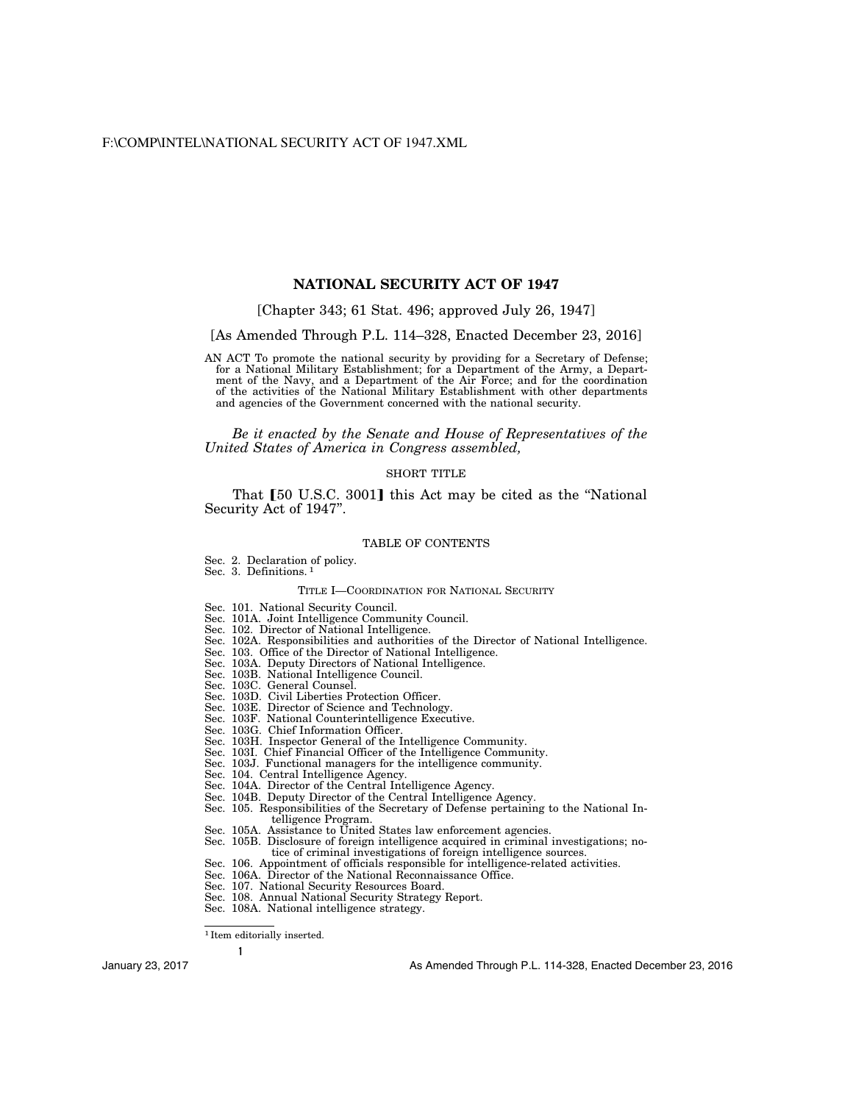# **NATIONAL SECURITY ACT OF 1947**

# [Chapter 343; 61 Stat. 496; approved July 26, 1947]

[As Amended Through P.L. 114–328, Enacted December 23, 2016]

AN ACT To promote the national security by providing for a Secretary of Defense; for a National Military Establishment; for a Department of the Army, a Department of the Navy, and a Department of the Air Force; and for the coordination of the activities of the National Military Establishment with other departments and agencies of the Government concerned with the national security.

*Be it enacted by the Senate and House of Representatives of the United States of America in Congress assembled,* 

# SHORT TITLE

That [50 U.S.C. 3001] this Act may be cited as the "National" Security Act of 1947''.

#### TABLE OF CONTENTS

Sec. 2. Declaration of policy. Sec. 3. Definitions. 1

# TITLE I—COORDINATION FOR NATIONAL SECURITY

- Sec. 101. National Security Council.
- Sec. 101A. Joint Intelligence Community Council.
- Sec. 102. Director of National Intelligence.
- Sec. 102A. Responsibilities and authorities of the Director of National Intelligence.
- Sec. 103. Office of the Director of National Intelligence.
- Sec. 103A. Deputy Directors of National Intelligence.
- Sec. 103B. National Intelligence Council.
- Sec. 103C. General Counsel.
- Sec. 103D. Civil Liberties Protection Officer.
- Sec. 103E. Director of Science and Technology.
- Sec. 103F. National Counterintelligence Executive.
- Sec. 103G. Chief Information Officer.
- Sec. 103H. Inspector General of the Intelligence Community.
- Sec. 103I. Chief Financial Officer of the Intelligence Community.
- Sec. 103J. Functional managers for the intelligence community.
- Sec. 104. Central Intelligence Agency.
- Sec. 104A. Director of the Central Intelligence Agency.
- Sec. 104B. Deputy Director of the Central Intelligence Agency.
- Sec. 105. Responsibilities of the Secretary of Defense pertaining to the National Intelligence Program.
- Sec. 105A. Assistance to United States law enforcement agencies.
- Sec. 105B. Disclosure of foreign intelligence acquired in criminal investigations; notice of criminal investigations of foreign intelligence sources.
- Sec. 106. Appointment of officials responsible for intelligence-related activities.
- Sec. 106A. Director of the National Reconnaissance Office.
- Sec. 107. National Security Resources Board.
- Sec. 108. Annual National Security Strategy Report.
- Sec. 108A. National intelligence strategy.

<sup>1</sup> Item editorially inserted.

**1**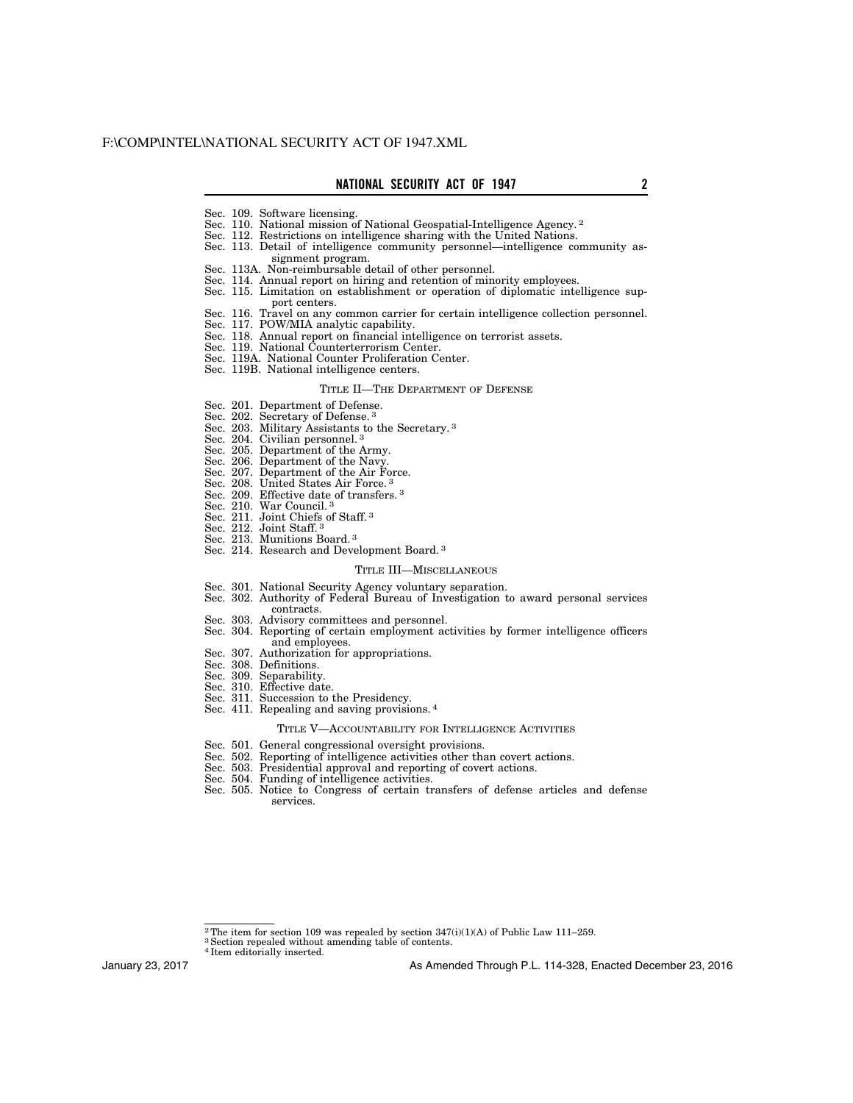- Sec. 109. Software licensing.
- Sec. 110. National mission of National Geospatial-Intelligence Agency. 2
- Sec. 112. Restrictions on intelligence sharing with the United Nations.
- Sec. 113. Detail of intelligence community personnel—intelligence community assignment program.
- Sec. 113A. Non-reimbursable detail of other personnel.
- Sec. 114. Annual report on hiring and retention of minority employees.
- Sec. 115. Limitation on establishment or operation of diplomatic intelligence support centers.
- Sec. 116. Travel on any common carrier for certain intelligence collection personnel.
- Sec. 117. POW/MIA analytic capability.
- Sec. 118. Annual report on financial intelligence on terrorist assets.
- Sec. 119. National Counterterrorism Center.
- Sec. 119A. National Counter Proliferation Center.
- Sec. 119B. National intelligence centers.

#### TITLE II—THE DEPARTMENT OF DEFENSE

- Sec. 201. Department of Defense.<br>Sec. 202. Secretary of Defense.<sup>3</sup>
- Secretary of Defense. 3
- Sec. 203. Military Assistants to the Secretary. 3
- Sec. 204. Civilian personnel.<sup>3</sup>
- Sec. 205. Department of the Army.
- Sec. 206. Department of the Navy.
- Sec. 207. Department of the Air Force.
- Sec. 208. United States Air Force. 3
- Sec. 209. Effective date of transfers. 3
- Sec. 210. War Council. 3
- Sec. 211. Joint Chiefs of Staff. 3
- Sec. 212. Joint Staff. 3
- Sec. 213. Munitions Board.<sup>3</sup>
- Sec. 214. Research and Development Board. 3

#### TITLE III—MISCELLANEOUS

- Sec. 301. National Security Agency voluntary separation.
- Sec. 302. Authority of Federal Bureau of Investigation to award personal services contracts.
- Sec. 303. Advisory committees and personnel.
- Sec. 304. Reporting of certain employment activities by former intelligence officers and employees.
- Sec. 307. Authorization for appropriations.
- Sec. 308. Definitions.
- Sec. 309. Separability.
- Sec. 310. Effective date.
- Sec. 311. Succession to the Presidency.
- Sec. 411. Repealing and saving provisions. 4

#### TITLE V—ACCOUNTABILITY FOR INTELLIGENCE ACTIVITIES

- Sec. 501. General congressional oversight provisions.
- Sec. 502. Reporting of intelligence activities other than covert actions.
- Sec. 503. Presidential approval and reporting of covert actions.
- Sec. 504. Funding of intelligence activities.
- Sec. 505. Notice to Congress of certain transfers of defense articles and defense services.

4 Item editorially inserted.

January 23, 2017

<sup>&</sup>lt;sup>2</sup>The item for section 109 was repealed by section  $347(i)(1)(A)$  of Public Law 111–259. <sup>3</sup> Section repealed without amending table of contents.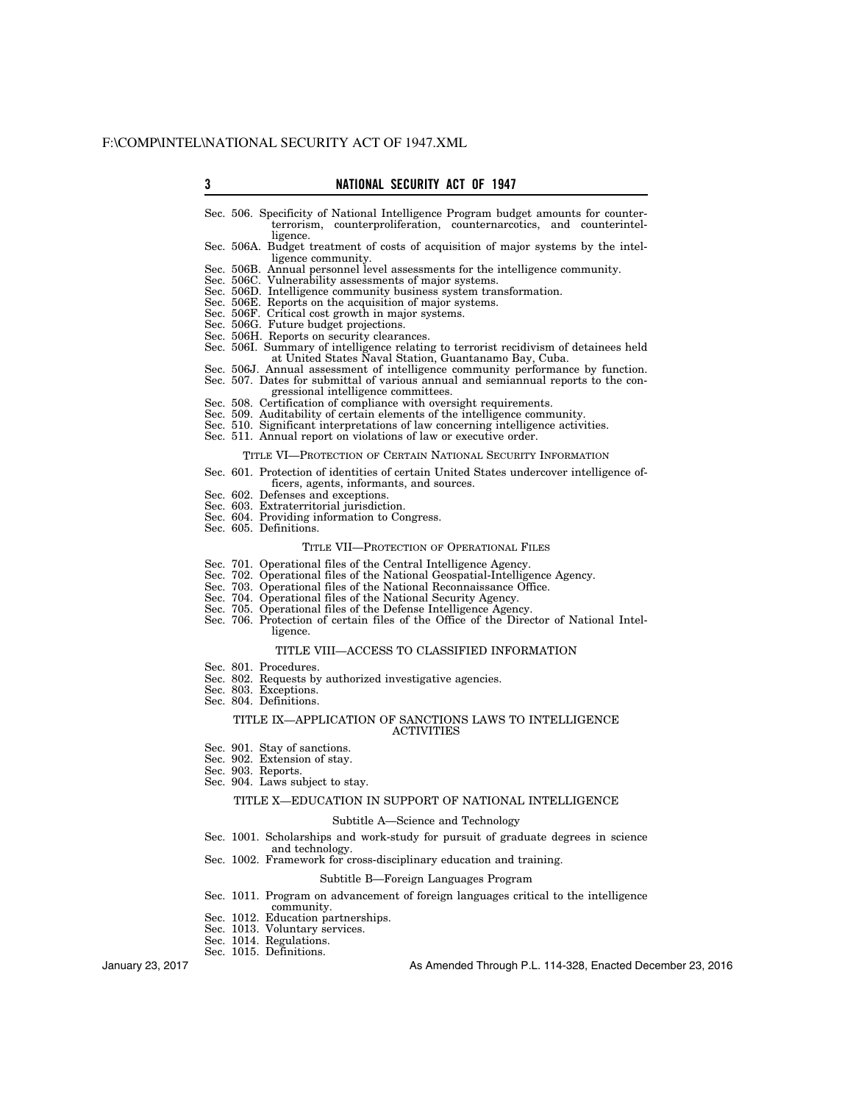# **3 NATIONAL SECURITY ACT OF 1947**

- Sec. 506. Specificity of National Intelligence Program budget amounts for counterterrorism, counterproliferation, counternarcotics, and counterintelligence.
- Sec. 506A. Budget treatment of costs of acquisition of major systems by the intelligence community.
- Sec. 506B. Annual personnel level assessments for the intelligence community.
- Sec. 506C. Vulnerability assessments of major systems.
- Sec. 506D. Intelligence community business system transformation.
- Sec. 506E. Reports on the acquisition of major systems.
- Sec. 506F. Critical cost growth in major systems.
- Sec. 506G. Future budget projections. Sec. 506H. Reports on security clearances.
- Sec. 506I. Summary of intelligence relating to terrorist recidivism of detainees held
- at United States Naval Station, Guantanamo Bay, Cuba.
- Sec. 506J. Annual assessment of intelligence community performance by function. Sec. 507. Dates for submittal of various annual and semiannual reports to the con
	- gressional intelligence committees.
- Sec. 508. Certification of compliance with oversight requirements.
- Sec. 509. Auditability of certain elements of the intelligence community.
- Sec. 510. Significant interpretations of law concerning intelligence activities.
- Sec. 511. Annual report on violations of law or executive order.

#### TITLE VI—PROTECTION OF CERTAIN NATIONAL SECURITY INFORMATION

- Sec. 601. Protection of identities of certain United States undercover intelligence officers, agents, informants, and sources.
- Sec. 602. Defenses and exceptions.
- Sec. 603. Extraterritorial jurisdiction.
- Sec. 604. Providing information to Congress. Sec. 605. Definitions.

#### TITLE VII—PROTECTION OF OPERATIONAL FILES

- Sec. 701. Operational files of the Central Intelligence Agency.
- Sec. 702. Operational files of the National Geospatial-Intelligence Agency.
- Sec. 703. Operational files of the National Reconnaissance Office.
- 
- Sec. 704. Operational files of the National Security Agency. Operational files of the Defense Intelligence Agency.
- Sec. 706. Protection of certain files of the Office of the Director of National Intelligence.

# TITLE VIII—ACCESS TO CLASSIFIED INFORMATION

- Sec. 801. Procedures.
- Sec. 802. Requests by authorized investigative agencies.
- Sec. 803. Exceptions.
- Sec. 804. Definitions.

#### TITLE IX—APPLICATION OF SANCTIONS LAWS TO INTELLIGENCE ACTIVITIES

- Sec. 901. Stay of sanctions.
- Sec. 902. Extension of stay.
- Sec. 903. Reports.
- Sec. 904. Laws subject to stay.

#### TITLE X—EDUCATION IN SUPPORT OF NATIONAL INTELLIGENCE

#### Subtitle A—Science and Technology

- Sec. 1001. Scholarships and work-study for pursuit of graduate degrees in science
- and technology.
- Sec. 1002. Framework for cross-disciplinary education and training.

### Subtitle B—Foreign Languages Program

- Sec. 1011. Program on advancement of foreign languages critical to the intelligence
	- community.
- Sec. 1012. Education partnerships. Sec. 1013. Voluntary services.
- 
- Sec. 1014. Regulations.
- Sec. 1015. Definitions.

January 23, 2017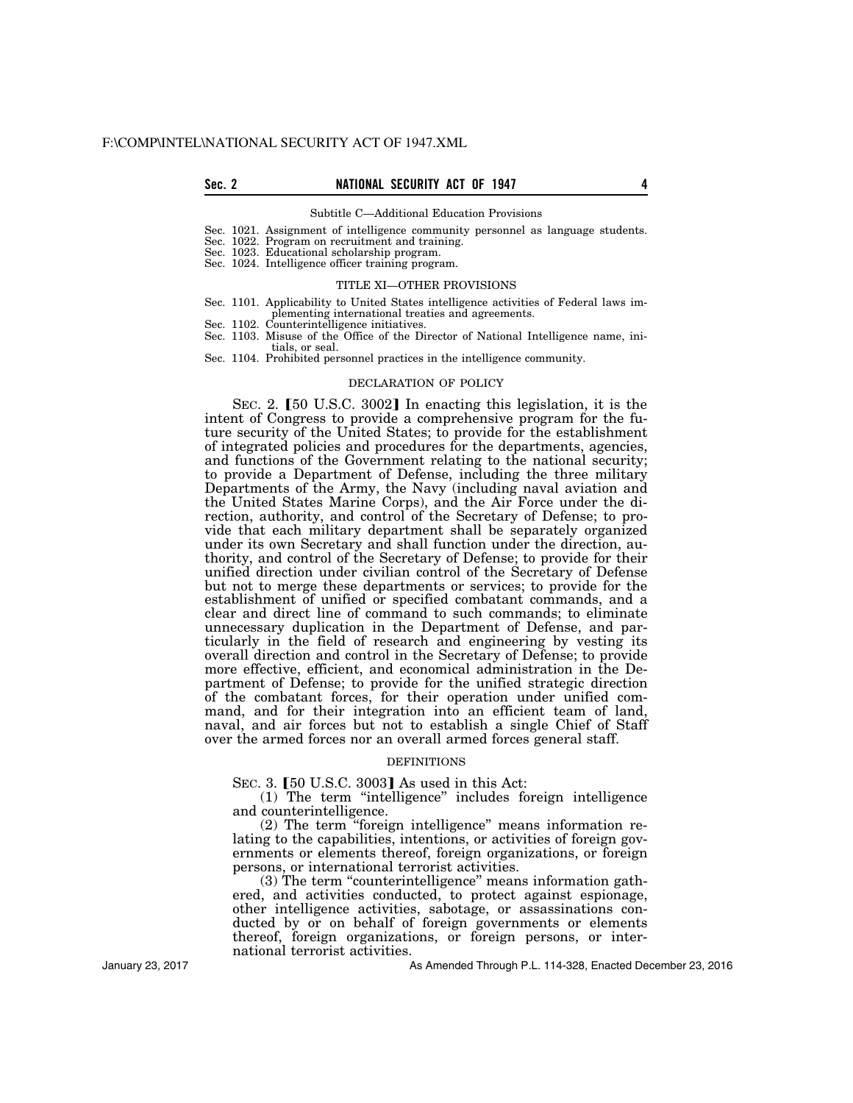#### Subtitle C—Additional Education Provisions

Sec. 1021. Assignment of intelligence community personnel as language students.

Sec. 1022. Program on recruitment and training.

Sec. 1023. Educational scholarship program.

Sec. 1024. Intelligence officer training program.

### TITLE XI—OTHER PROVISIONS

- Sec. 1101. Applicability to United States intelligence activities of Federal laws implementing international treaties and agreements.
- Sec. 1102. Counterintelligence initiatives.

Sec. 1103. Misuse of the Office of the Director of National Intelligence name, initials, or seal.

Sec. 1104. Prohibited personnel practices in the intelligence community.

# DECLARATION OF POLICY

SEC. 2.  $[50 \text{ U.S.C. } 3002]$  In enacting this legislation, it is the intent of Congress to provide a comprehensive program for the future security of the United States; to provide for the establishment of integrated policies and procedures for the departments, agencies, and functions of the Government relating to the national security; to provide a Department of Defense, including the three military Departments of the Army, the Navy (including naval aviation and the United States Marine Corps), and the Air Force under the direction, authority, and control of the Secretary of Defense; to provide that each military department shall be separately organized under its own Secretary and shall function under the direction, authority, and control of the Secretary of Defense; to provide for their unified direction under civilian control of the Secretary of Defense but not to merge these departments or services; to provide for the establishment of unified or specified combatant commands, and a clear and direct line of command to such commands; to eliminate unnecessary duplication in the Department of Defense, and particularly in the field of research and engineering by vesting its overall direction and control in the Secretary of Defense; to provide more effective, efficient, and economical administration in the Department of Defense; to provide for the unified strategic direction of the combatant forces, for their operation under unified command, and for their integration into an efficient team of land, naval, and air forces but not to establish a single Chief of Staff over the armed forces nor an overall armed forces general staff.

#### **DEFINITIONS**

SEC. 3. [50 U.S.C. 3003] As used in this Act:

(1) The term ''intelligence'' includes foreign intelligence and counterintelligence.

(2) The term ''foreign intelligence'' means information relating to the capabilities, intentions, or activities of foreign governments or elements thereof, foreign organizations, or foreign persons, or international terrorist activities.

(3) The term ''counterintelligence'' means information gathered, and activities conducted, to protect against espionage, other intelligence activities, sabotage, or assassinations conducted by or on behalf of foreign governments or elements thereof, foreign organizations, or foreign persons, or international terrorist activities.

As Amended Through P.L. 114-328, Enacted December 23, 2016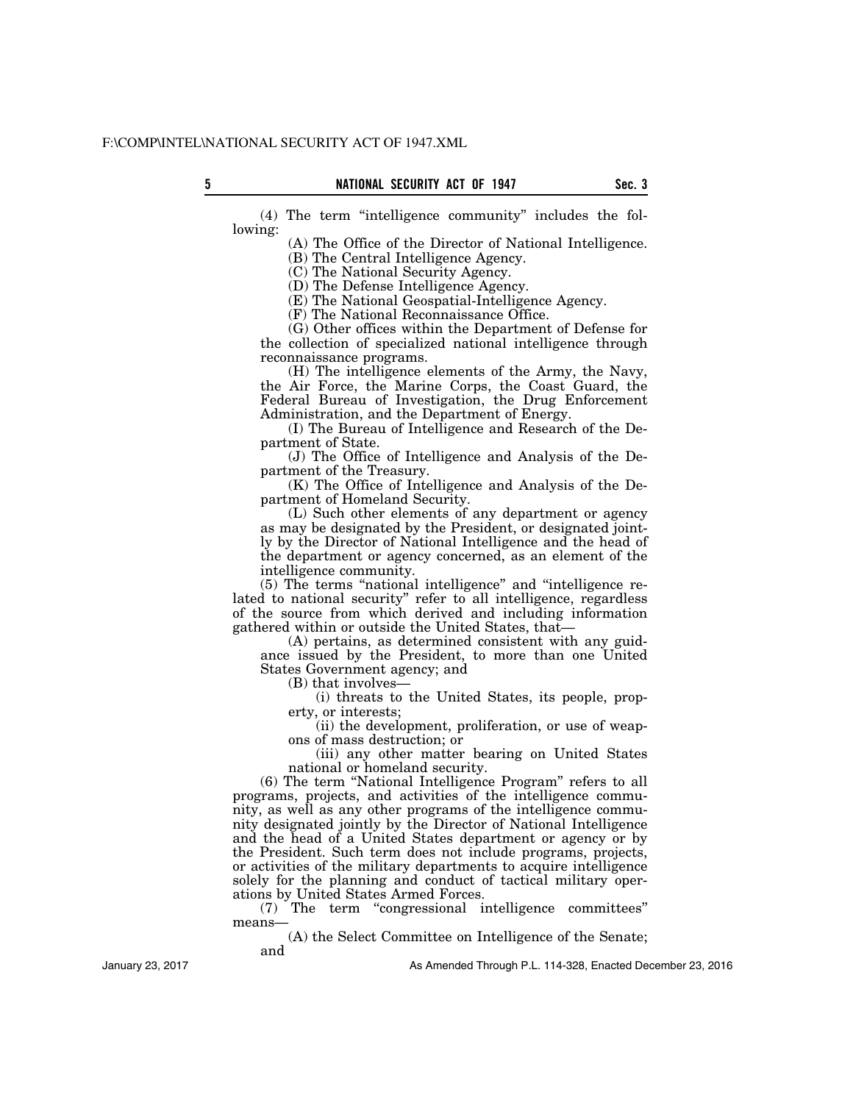(4) The term ''intelligence community'' includes the following:

(A) The Office of the Director of National Intelligence.

(B) The Central Intelligence Agency.

(C) The National Security Agency.

(D) The Defense Intelligence Agency.

(E) The National Geospatial-Intelligence Agency.

(F) The National Reconnaissance Office.

(G) Other offices within the Department of Defense for the collection of specialized national intelligence through reconnaissance programs.

(H) The intelligence elements of the Army, the Navy, the Air Force, the Marine Corps, the Coast Guard, the Federal Bureau of Investigation, the Drug Enforcement Administration, and the Department of Energy.

(I) The Bureau of Intelligence and Research of the Department of State.

(J) The Office of Intelligence and Analysis of the Department of the Treasury.

(K) The Office of Intelligence and Analysis of the Department of Homeland Security.

(L) Such other elements of any department or agency as may be designated by the President, or designated jointly by the Director of National Intelligence and the head of the department or agency concerned, as an element of the intelligence community.

(5) The terms ''national intelligence'' and ''intelligence related to national security'' refer to all intelligence, regardless of the source from which derived and including information gathered within or outside the United States, that—

(A) pertains, as determined consistent with any guidance issued by the President, to more than one United States Government agency; and

(B) that involves—

(i) threats to the United States, its people, property, or interests;

(ii) the development, proliferation, or use of weapons of mass destruction; or

(iii) any other matter bearing on United States national or homeland security.

(6) The term ''National Intelligence Program'' refers to all programs, projects, and activities of the intelligence community, as well as any other programs of the intelligence community designated jointly by the Director of National Intelligence and the head of a United States department or agency or by the President. Such term does not include programs, projects, or activities of the military departments to acquire intelligence solely for the planning and conduct of tactical military operations by United States Armed Forces.

(7) The term ''congressional intelligence committees'' means—

(A) the Select Committee on Intelligence of the Senate; and

January 23, 2017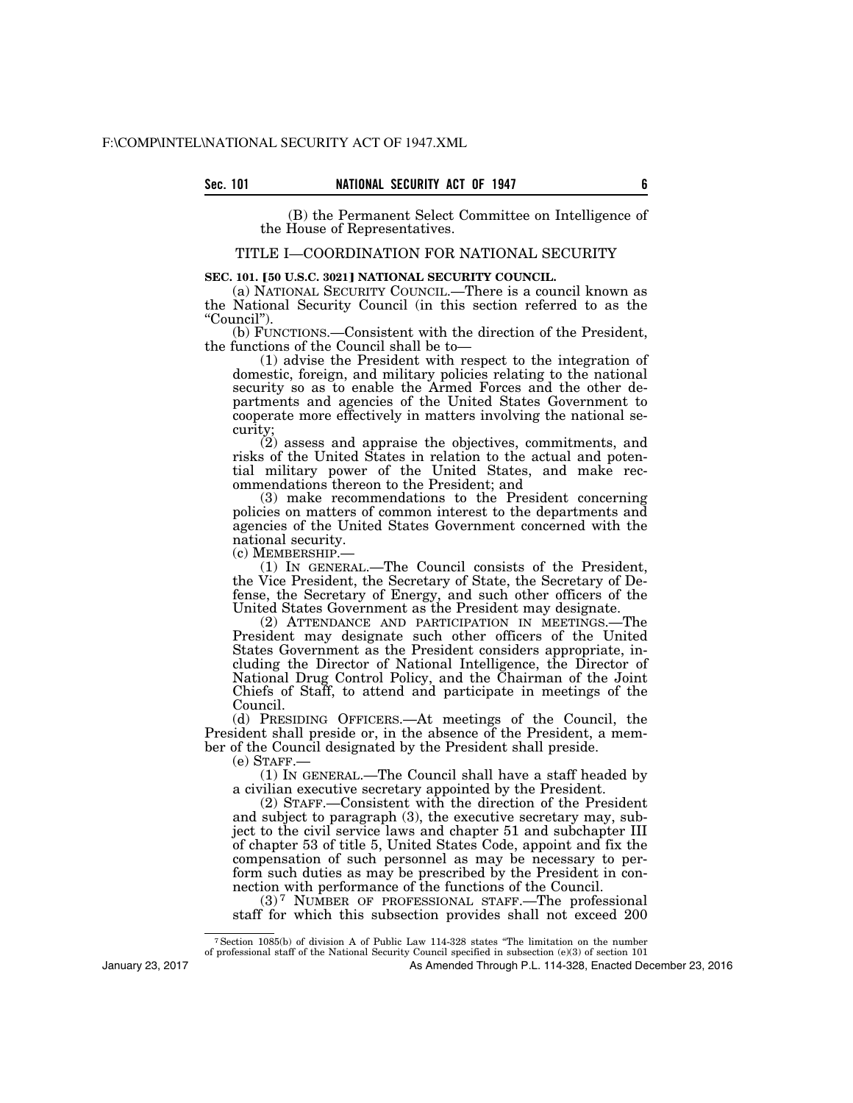(B) the Permanent Select Committee on Intelligence of the House of Representatives.

# TITLE I—COORDINATION FOR NATIONAL SECURITY

# **SEC. 101. [50 U.S.C. 3021] NATIONAL SECURITY COUNCIL.**

(a) NATIONAL SECURITY COUNCIL.—There is a council known as the National Security Council (in this section referred to as the ''Council'').

(b) FUNCTIONS.—Consistent with the direction of the President, the functions of the Council shall be to—

(1) advise the President with respect to the integration of domestic, foreign, and military policies relating to the national security so as to enable the Armed Forces and the other departments and agencies of the United States Government to cooperate more effectively in matters involving the national security;

(2) assess and appraise the objectives, commitments, and risks of the United States in relation to the actual and potential military power of the United States, and make recommendations thereon to the President; and

(3) make recommendations to the President concerning policies on matters of common interest to the departments and agencies of the United States Government concerned with the national security.

(c) MEMBERSHIP.— (1) IN GENERAL.—The Council consists of the President, the Vice President, the Secretary of State, the Secretary of Defense, the Secretary of Energy, and such other officers of the United States Government as the President may designate.

(2) ATTENDANCE AND PARTICIPATION IN MEETINGS.—The President may designate such other officers of the United States Government as the President considers appropriate, including the Director of National Intelligence, the Director of National Drug Control Policy, and the Chairman of the Joint Chiefs of Staff, to attend and participate in meetings of the Council.

(d) PRESIDING OFFICERS.—At meetings of the Council, the President shall preside or, in the absence of the President, a member of the Council designated by the President shall preside.

 $(e)$  STAFF.

(1) IN GENERAL.—The Council shall have a staff headed by a civilian executive secretary appointed by the President.

(2) STAFF.—Consistent with the direction of the President and subject to paragraph (3), the executive secretary may, subject to the civil service laws and chapter 51 and subchapter III of chapter 53 of title 5, United States Code, appoint and fix the compensation of such personnel as may be necessary to perform such duties as may be prescribed by the President in connection with performance of the functions of the Council.

(3) 7 NUMBER OF PROFESSIONAL STAFF.—The professional staff for which this subsection provides shall not exceed 200

7Section 1085(b) of division A of Public Law 114-328 states ''The limitation on the number

of professional staff of the National Security Council specified in subsection (e)(3) of section 101

As Amended Through P.L. 114-328, Enacted December 23, 2016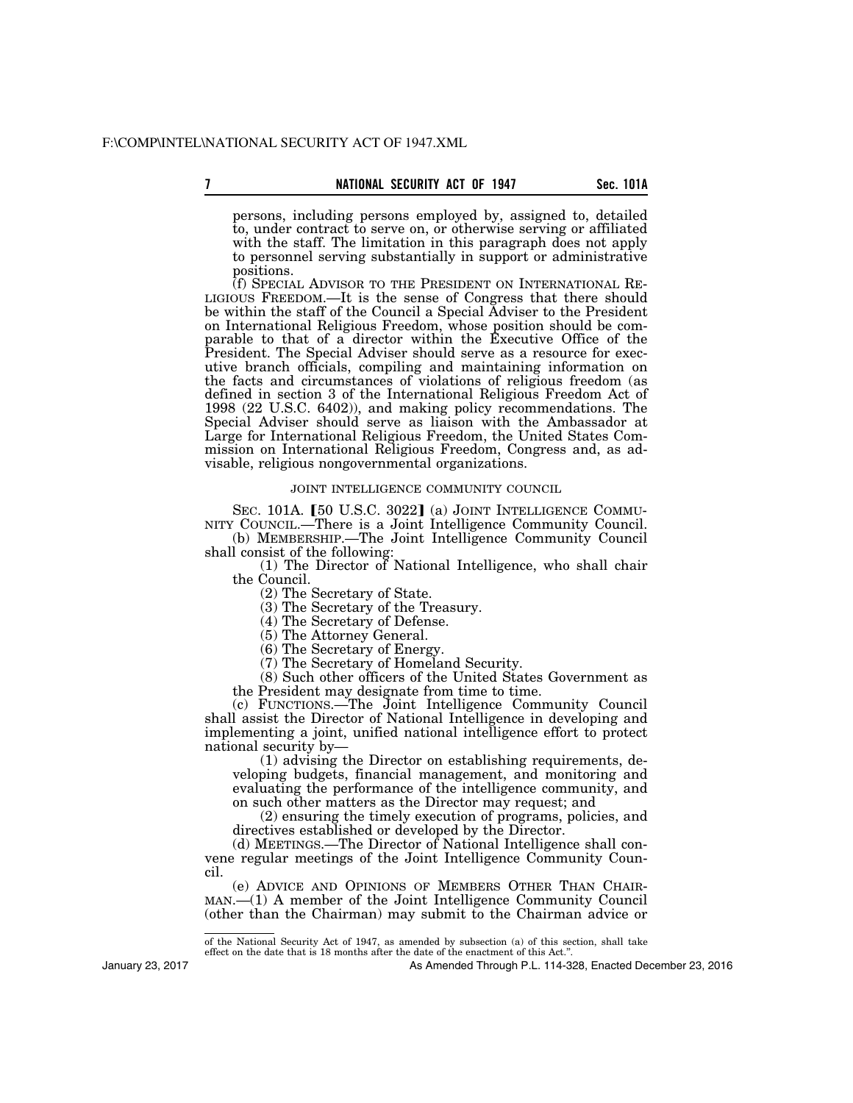persons, including persons employed by, assigned to, detailed to, under contract to serve on, or otherwise serving or affiliated with the staff. The limitation in this paragraph does not apply to personnel serving substantially in support or administrative positions.

(f) SPECIAL ADVISOR TO THE PRESIDENT ON INTERNATIONAL RE- LIGIOUS FREEDOM.—It is the sense of Congress that there should be within the staff of the Council a Special Adviser to the President on International Religious Freedom, whose position should be comparable to that of a director within the Executive Office of the President. The Special Adviser should serve as a resource for executive branch officials, compiling and maintaining information on the facts and circumstances of violations of religious freedom (as defined in section 3 of the International Religious Freedom Act of 1998 (22 U.S.C. 6402)), and making policy recommendations. The Special Adviser should serve as liaison with the Ambassador at Large for International Religious Freedom, the United States Commission on International Religious Freedom, Congress and, as advisable, religious nongovernmental organizations.

### JOINT INTELLIGENCE COMMUNITY COUNCIL

SEC. 101A.  $[50 \text{ U.S.C. } 3022]$  (a) JOINT INTELLIGENCE COMMU-NITY COUNCIL.—There is a Joint Intelligence Community Council.

(b) MEMBERSHIP.—The Joint Intelligence Community Council shall consist of the following:

(1) The Director of National Intelligence, who shall chair the Council.

(2) The Secretary of State.

(3) The Secretary of the Treasury.

(4) The Secretary of Defense.

(5) The Attorney General.

(6) The Secretary of Energy.

(7) The Secretary of Homeland Security.

(8) Such other officers of the United States Government as

the President may designate from time to time.

(c) FUNCTIONS.—The Joint Intelligence Community Council shall assist the Director of National Intelligence in developing and implementing a joint, unified national intelligence effort to protect national security by—

(1) advising the Director on establishing requirements, developing budgets, financial management, and monitoring and evaluating the performance of the intelligence community, and on such other matters as the Director may request; and

(2) ensuring the timely execution of programs, policies, and directives established or developed by the Director.

(d) MEETINGS.—The Director of National Intelligence shall convene regular meetings of the Joint Intelligence Community Council.

(e) ADVICE AND OPINIONS OF MEMBERS OTHER THAN CHAIR-MAN.—(1) A member of the Joint Intelligence Community Council (other than the Chairman) may submit to the Chairman advice or

January 23, 2017

of the National Security Act of 1947, as amended by subsection (a) of this section, shall take effect on the date that is 18 months after the date of the enactment of this Act.''.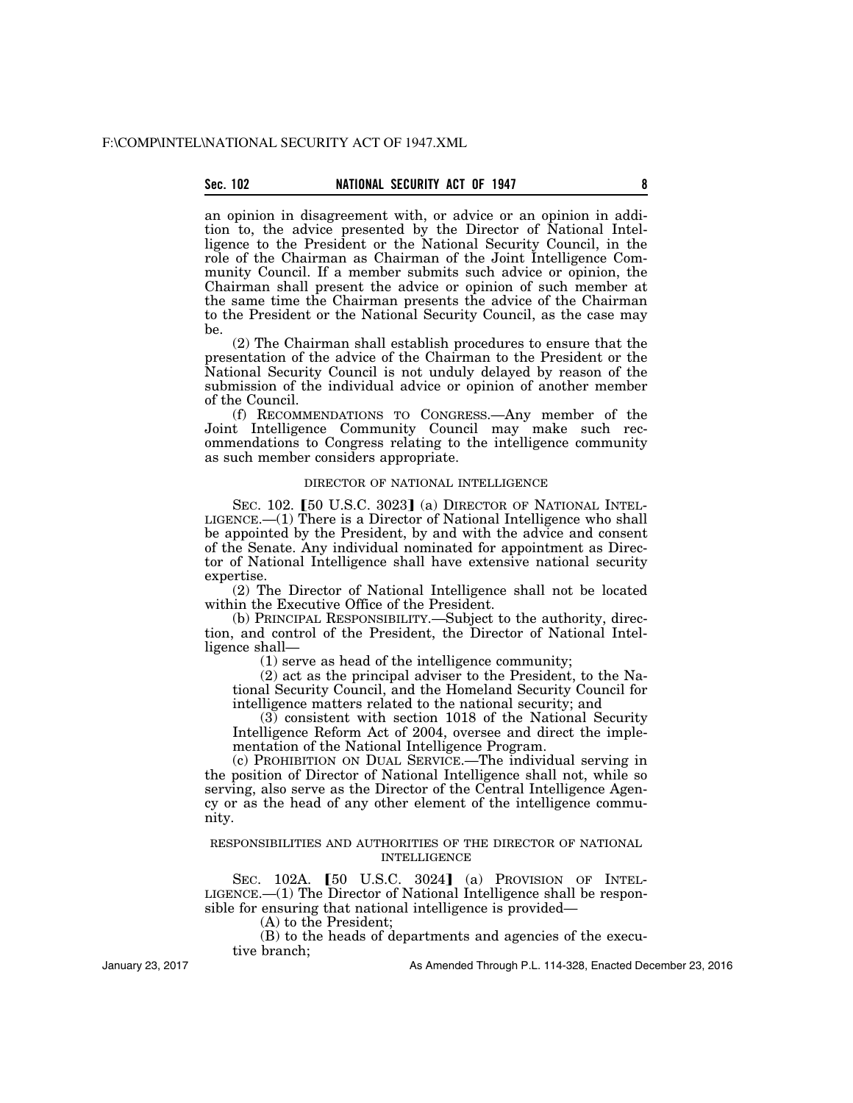an opinion in disagreement with, or advice or an opinion in addition to, the advice presented by the Director of National Intelligence to the President or the National Security Council, in the role of the Chairman as Chairman of the Joint Intelligence Community Council. If a member submits such advice or opinion, the Chairman shall present the advice or opinion of such member at the same time the Chairman presents the advice of the Chairman to the President or the National Security Council, as the case may be.

(2) The Chairman shall establish procedures to ensure that the presentation of the advice of the Chairman to the President or the National Security Council is not unduly delayed by reason of the submission of the individual advice or opinion of another member of the Council.

(f) RECOMMENDATIONS TO CONGRESS.—Any member of the Joint Intelligence Community Council may make such recommendations to Congress relating to the intelligence community as such member considers appropriate.

# DIRECTOR OF NATIONAL INTELLIGENCE

SEC. 102. [50 U.S.C. 3023] (a) DIRECTOR OF NATIONAL INTEL-LIGENCE.—(1) There is a Director of National Intelligence who shall be appointed by the President, by and with the advice and consent of the Senate. Any individual nominated for appointment as Director of National Intelligence shall have extensive national security expertise.

(2) The Director of National Intelligence shall not be located within the Executive Office of the President.

(b) PRINCIPAL RESPONSIBILITY.—Subject to the authority, direction, and control of the President, the Director of National Intelligence shall—

(1) serve as head of the intelligence community;

(2) act as the principal adviser to the President, to the National Security Council, and the Homeland Security Council for intelligence matters related to the national security; and

(3) consistent with section 1018 of the National Security Intelligence Reform Act of 2004, oversee and direct the implementation of the National Intelligence Program.

(c) PROHIBITION ON DUAL SERVICE.—The individual serving in the position of Director of National Intelligence shall not, while so serving, also serve as the Director of the Central Intelligence Agency or as the head of any other element of the intelligence community.

# RESPONSIBILITIES AND AUTHORITIES OF THE DIRECTOR OF NATIONAL INTELLIGENCE

SEC.  $102A.$  [50 U.S.C.  $3024$ ] (a) Provision of Intel-LIGENCE.—(1) The Director of National Intelligence shall be responsible for ensuring that national intelligence is provided—

(A) to the President;

(B) to the heads of departments and agencies of the executive branch;

January 23, 2017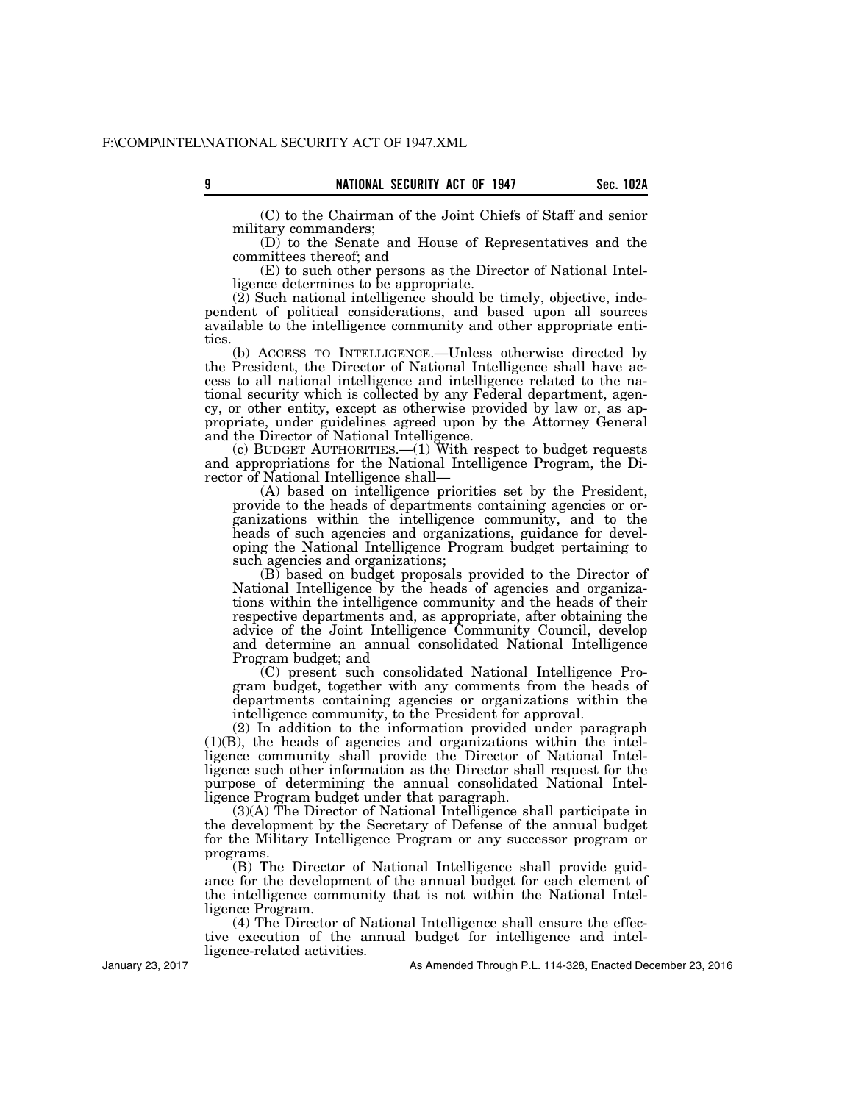(C) to the Chairman of the Joint Chiefs of Staff and senior military commanders;

(D) to the Senate and House of Representatives and the committees thereof; and

(E) to such other persons as the Director of National Intelligence determines to be appropriate.

 $(2)$  Such national intelligence should be timely, objective, independent of political considerations, and based upon all sources available to the intelligence community and other appropriate entities.

(b) ACCESS TO INTELLIGENCE.—Unless otherwise directed by the President, the Director of National Intelligence shall have access to all national intelligence and intelligence related to the national security which is collected by any Federal department, agency, or other entity, except as otherwise provided by law or, as appropriate, under guidelines agreed upon by the Attorney General and the Director of National Intelligence.

(c) BUDGET AUTHORITIES.—(1) With respect to budget requests and appropriations for the National Intelligence Program, the Director of National Intelligence shall—

(A) based on intelligence priorities set by the President, provide to the heads of departments containing agencies or organizations within the intelligence community, and to the heads of such agencies and organizations, guidance for developing the National Intelligence Program budget pertaining to such agencies and organizations;

(B) based on budget proposals provided to the Director of National Intelligence by the heads of agencies and organizations within the intelligence community and the heads of their respective departments and, as appropriate, after obtaining the advice of the Joint Intelligence Community Council, develop and determine an annual consolidated National Intelligence Program budget; and

(C) present such consolidated National Intelligence Program budget, together with any comments from the heads of departments containing agencies or organizations within the intelligence community, to the President for approval.

(2) In addition to the information provided under paragraph (1)(B), the heads of agencies and organizations within the intelligence community shall provide the Director of National Intelligence such other information as the Director shall request for the purpose of determining the annual consolidated National Intelligence Program budget under that paragraph.

(3)(A) The Director of National Intelligence shall participate in the development by the Secretary of Defense of the annual budget for the Military Intelligence Program or any successor program or programs.

(B) The Director of National Intelligence shall provide guidance for the development of the annual budget for each element of the intelligence community that is not within the National Intelligence Program.

(4) The Director of National Intelligence shall ensure the effective execution of the annual budget for intelligence and intelligence-related activities.

January 23, 2017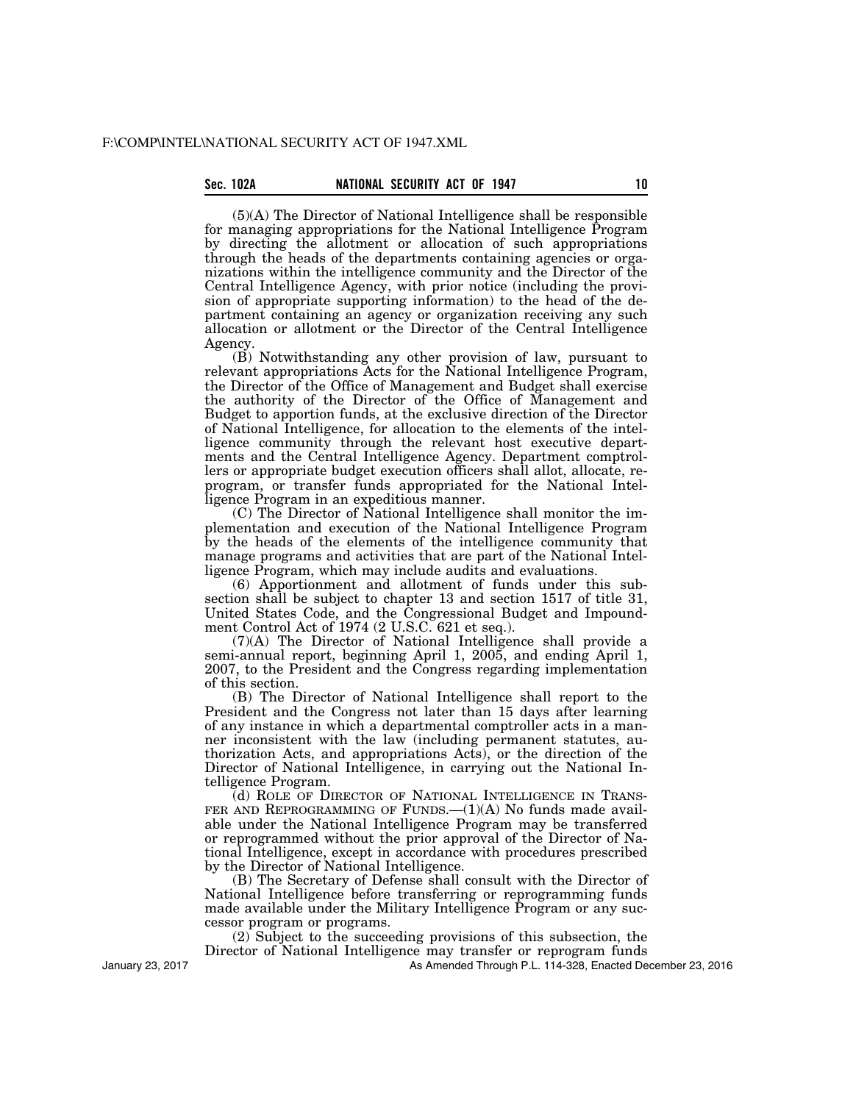# Sec. 102A **NATIONAL SECURITY ACT OF 1947**

(5)(A) The Director of National Intelligence shall be responsible for managing appropriations for the National Intelligence Program by directing the allotment or allocation of such appropriations through the heads of the departments containing agencies or organizations within the intelligence community and the Director of the Central Intelligence Agency, with prior notice (including the provision of appropriate supporting information) to the head of the department containing an agency or organization receiving any such allocation or allotment or the Director of the Central Intelligence Agency.

(B) Notwithstanding any other provision of law, pursuant to relevant appropriations Acts for the National Intelligence Program, the Director of the Office of Management and Budget shall exercise the authority of the Director of the Office of Management and Budget to apportion funds, at the exclusive direction of the Director of National Intelligence, for allocation to the elements of the intelligence community through the relevant host executive departments and the Central Intelligence Agency. Department comptrollers or appropriate budget execution officers shall allot, allocate, reprogram, or transfer funds appropriated for the National Intelligence Program in an expeditious manner.

(C) The Director of National Intelligence shall monitor the implementation and execution of the National Intelligence Program by the heads of the elements of the intelligence community that manage programs and activities that are part of the National Intelligence Program, which may include audits and evaluations.

(6) Apportionment and allotment of funds under this subsection shall be subject to chapter 13 and section 1517 of title 31, United States Code, and the Congressional Budget and Impoundment Control Act of 1974 (2 U.S.C. 621 et seq.).

(7)(A) The Director of National Intelligence shall provide a semi-annual report, beginning April 1, 2005, and ending April 1, 2007, to the President and the Congress regarding implementation of this section.

(B) The Director of National Intelligence shall report to the President and the Congress not later than 15 days after learning of any instance in which a departmental comptroller acts in a manner inconsistent with the law (including permanent statutes, authorization Acts, and appropriations Acts), or the direction of the Director of National Intelligence, in carrying out the National Intelligence Program.

(d) ROLE OF DIRECTOR OF NATIONAL INTELLIGENCE IN TRANS-FER AND REPROGRAMMING OF FUNDS.  $-(1)(A)$  No funds made available under the National Intelligence Program may be transferred or reprogrammed without the prior approval of the Director of National Intelligence, except in accordance with procedures prescribed by the Director of National Intelligence.

(B) The Secretary of Defense shall consult with the Director of National Intelligence before transferring or reprogramming funds made available under the Military Intelligence Program or any successor program or programs.

(2) Subject to the succeeding provisions of this subsection, the Director of National Intelligence may transfer or reprogram funds

As Amended Through P.L. 114-328, Enacted December 23, 2016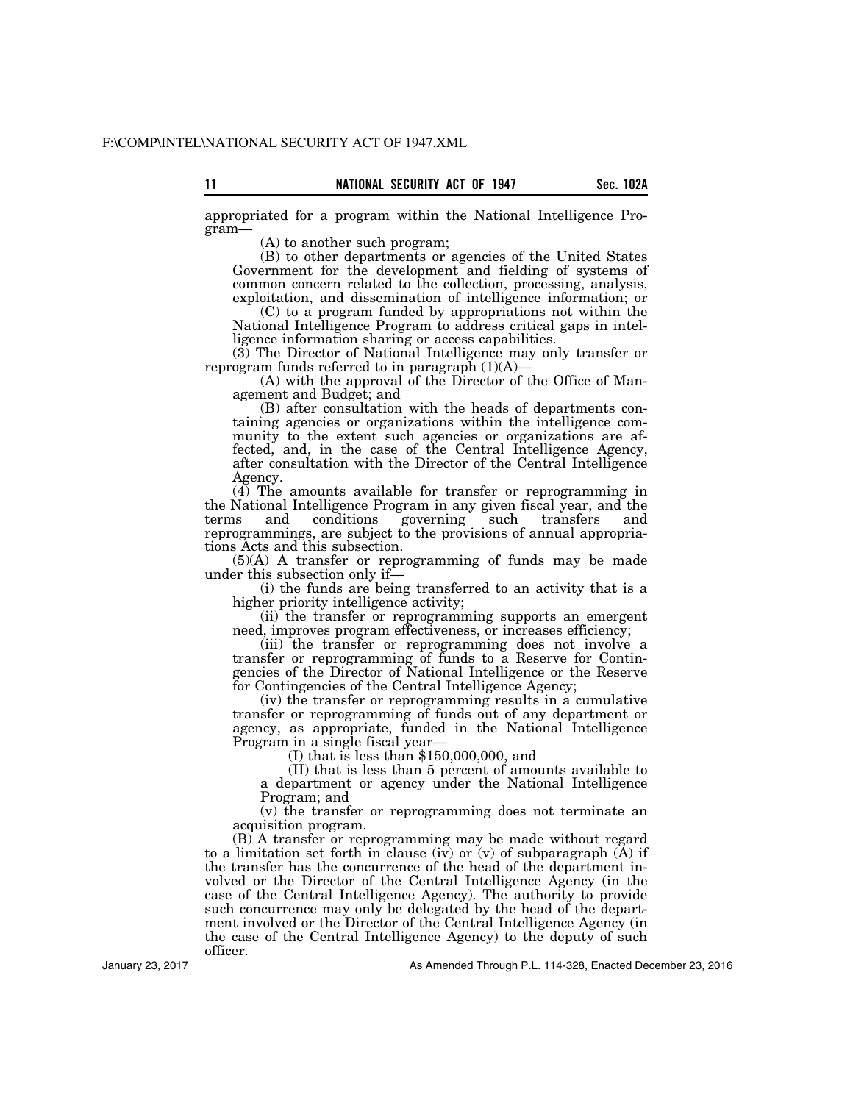appropriated for a program within the National Intelligence Program—

(A) to another such program;

(B) to other departments or agencies of the United States Government for the development and fielding of systems of common concern related to the collection, processing, analysis, exploitation, and dissemination of intelligence information; or

(C) to a program funded by appropriations not within the National Intelligence Program to address critical gaps in intelligence information sharing or access capabilities.

(3) The Director of National Intelligence may only transfer or reprogram funds referred to in paragraph  $(1)(A)$ 

(A) with the approval of the Director of the Office of Management and Budget; and

(B) after consultation with the heads of departments containing agencies or organizations within the intelligence community to the extent such agencies or organizations are affected, and, in the case of the Central Intelligence Agency, after consultation with the Director of the Central Intelligence Agency.

(4) The amounts available for transfer or reprogramming in the National Intelligence Program in any given fiscal year, and the terms and conditions governing such transfers and reprogrammings, are subject to the provisions of annual appropriations Acts and this subsection.

(5)(A) A transfer or reprogramming of funds may be made under this subsection only if—

(i) the funds are being transferred to an activity that is a higher priority intelligence activity;

(ii) the transfer or reprogramming supports an emergent need, improves program effectiveness, or increases efficiency;

(iii) the transfer or reprogramming does not involve a transfer or reprogramming of funds to a Reserve for Contingencies of the Director of National Intelligence or the Reserve for Contingencies of the Central Intelligence Agency;

(iv) the transfer or reprogramming results in a cumulative transfer or reprogramming of funds out of any department or agency, as appropriate, funded in the National Intelligence

I) that is less than  $$150,000,000$ , and

(II) that is less than 5 percent of amounts available to a department or agency under the National Intelligence Program; and

(v) the transfer or reprogramming does not terminate an acquisition program.

(B) A transfer or reprogramming may be made without regard to a limitation set forth in clause (iv) or  $(v)$  of subparagraph  $(A)$  if the transfer has the concurrence of the head of the department involved or the Director of the Central Intelligence Agency (in the case of the Central Intelligence Agency). The authority to provide such concurrence may only be delegated by the head of the department involved or the Director of the Central Intelligence Agency (in the case of the Central Intelligence Agency) to the deputy of such officer.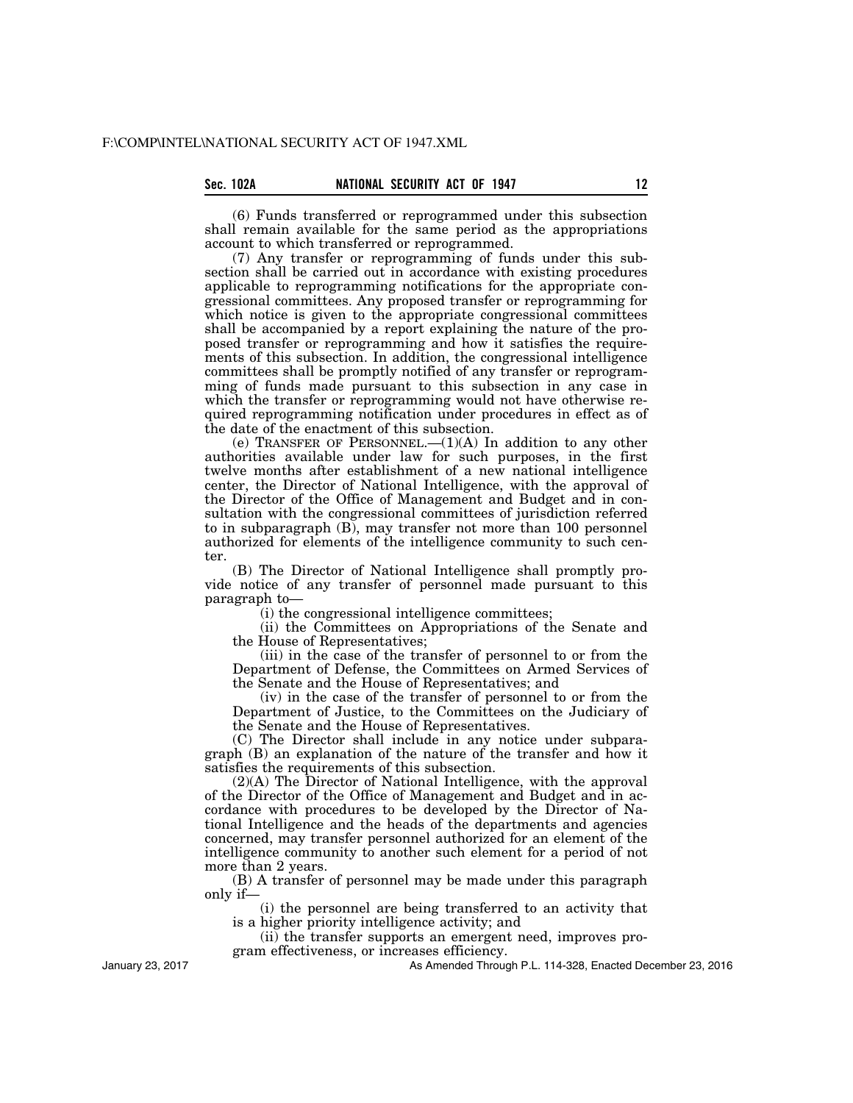(6) Funds transferred or reprogrammed under this subsection shall remain available for the same period as the appropriations account to which transferred or reprogrammed.

(7) Any transfer or reprogramming of funds under this subsection shall be carried out in accordance with existing procedures applicable to reprogramming notifications for the appropriate congressional committees. Any proposed transfer or reprogramming for which notice is given to the appropriate congressional committees shall be accompanied by a report explaining the nature of the proposed transfer or reprogramming and how it satisfies the requirements of this subsection. In addition, the congressional intelligence committees shall be promptly notified of any transfer or reprogramming of funds made pursuant to this subsection in any case in which the transfer or reprogramming would not have otherwise required reprogramming notification under procedures in effect as of the date of the enactment of this subsection.

(e) TRANSFER OF PERSONNEL. $-(1)(A)$  In addition to any other authorities available under law for such purposes, in the first twelve months after establishment of a new national intelligence center, the Director of National Intelligence, with the approval of the Director of the Office of Management and Budget and in consultation with the congressional committees of jurisdiction referred to in subparagraph (B), may transfer not more than 100 personnel authorized for elements of the intelligence community to such center.

(B) The Director of National Intelligence shall promptly provide notice of any transfer of personnel made pursuant to this paragraph to—

(i) the congressional intelligence committees;

(ii) the Committees on Appropriations of the Senate and the House of Representatives;

(iii) in the case of the transfer of personnel to or from the Department of Defense, the Committees on Armed Services of the Senate and the House of Representatives; and

(iv) in the case of the transfer of personnel to or from the Department of Justice, to the Committees on the Judiciary of the Senate and the House of Representatives.

(C) The Director shall include in any notice under subparagraph (B) an explanation of the nature of the transfer and how it satisfies the requirements of this subsection.

(2)(A) The Director of National Intelligence, with the approval of the Director of the Office of Management and Budget and in accordance with procedures to be developed by the Director of National Intelligence and the heads of the departments and agencies concerned, may transfer personnel authorized for an element of the intelligence community to another such element for a period of not more than 2 years.

(B) A transfer of personnel may be made under this paragraph only if—

(i) the personnel are being transferred to an activity that is a higher priority intelligence activity; and

(ii) the transfer supports an emergent need, improves program effectiveness, or increases efficiency.

January 23, 2017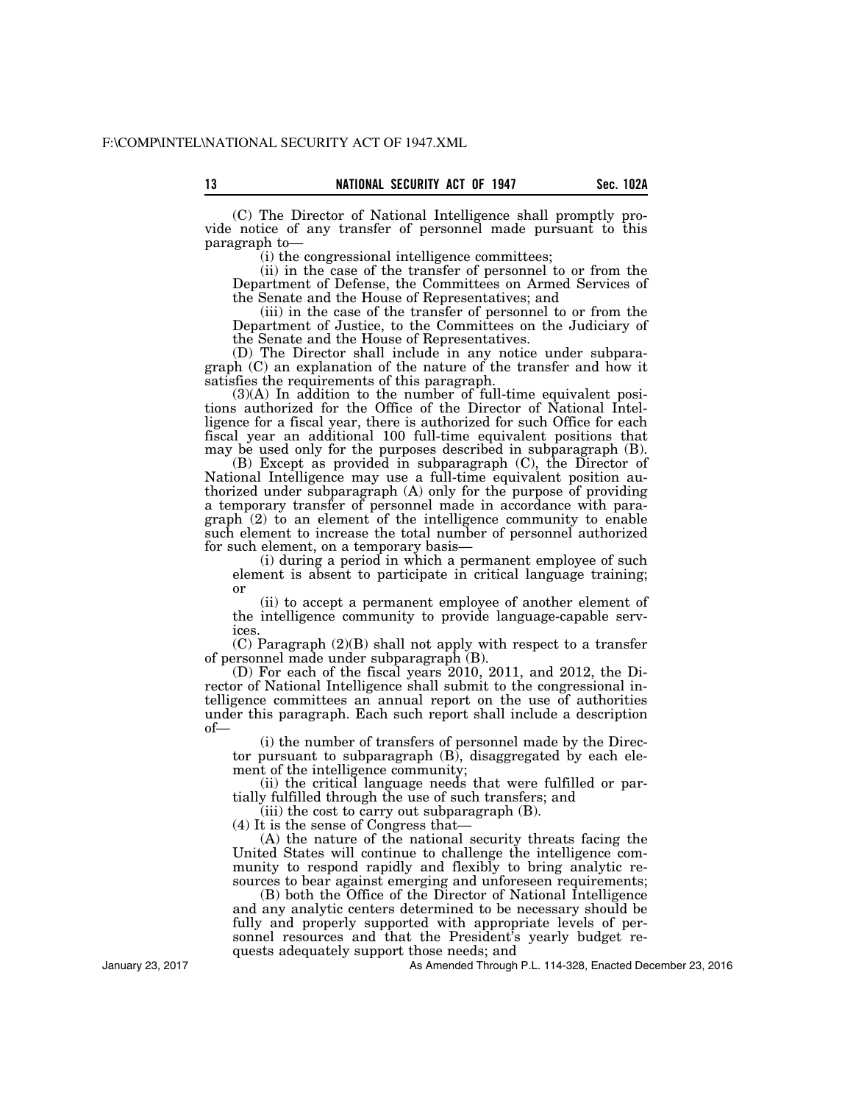13 **Sec. 102A NATIONAL SECURITY ACT OF 1947** Sec. 102A

(C) The Director of National Intelligence shall promptly provide notice of any transfer of personnel made pursuant to this paragraph to—

(i) the congressional intelligence committees;

(ii) in the case of the transfer of personnel to or from the Department of Defense, the Committees on Armed Services of the Senate and the House of Representatives; and

(iii) in the case of the transfer of personnel to or from the Department of Justice, to the Committees on the Judiciary of the Senate and the House of Representatives.

(D) The Director shall include in any notice under subparagraph (C) an explanation of the nature of the transfer and how it satisfies the requirements of this paragraph.

 $(3)(A)$  In addition to the number of full-time equivalent positions authorized for the Office of the Director of National Intelligence for a fiscal year, there is authorized for such Office for each fiscal year an additional 100 full-time equivalent positions that may be used only for the purposes described in subparagraph (B).

(B) Except as provided in subparagraph (C), the Director of National Intelligence may use a full-time equivalent position authorized under subparagraph (A) only for the purpose of providing a temporary transfer of personnel made in accordance with paragraph (2) to an element of the intelligence community to enable such element to increase the total number of personnel authorized for such element, on a temporary basis—

(i) during a period in which a permanent employee of such element is absent to participate in critical language training; or

(ii) to accept a permanent employee of another element of the intelligence community to provide language-capable services.

(C) Paragraph (2)(B) shall not apply with respect to a transfer of personnel made under subparagraph (B).

(D) For each of the fiscal years 2010, 2011, and 2012, the Director of National Intelligence shall submit to the congressional intelligence committees an annual report on the use of authorities under this paragraph. Each such report shall include a description of—

(i) the number of transfers of personnel made by the Director pursuant to subparagraph (B), disaggregated by each element of the intelligence community;

(ii) the critical language needs that were fulfilled or partially fulfilled through the use of such transfers; and

(iii) the cost to carry out subparagraph (B).

(4) It is the sense of Congress that—

(A) the nature of the national security threats facing the United States will continue to challenge the intelligence community to respond rapidly and flexibly to bring analytic resources to bear against emerging and unforeseen requirements;

(B) both the Office of the Director of National Intelligence and any analytic centers determined to be necessary should be fully and properly supported with appropriate levels of personnel resources and that the President's yearly budget requests adequately support those needs; and

As Amended Through P.L. 114-328, Enacted December 23, 2016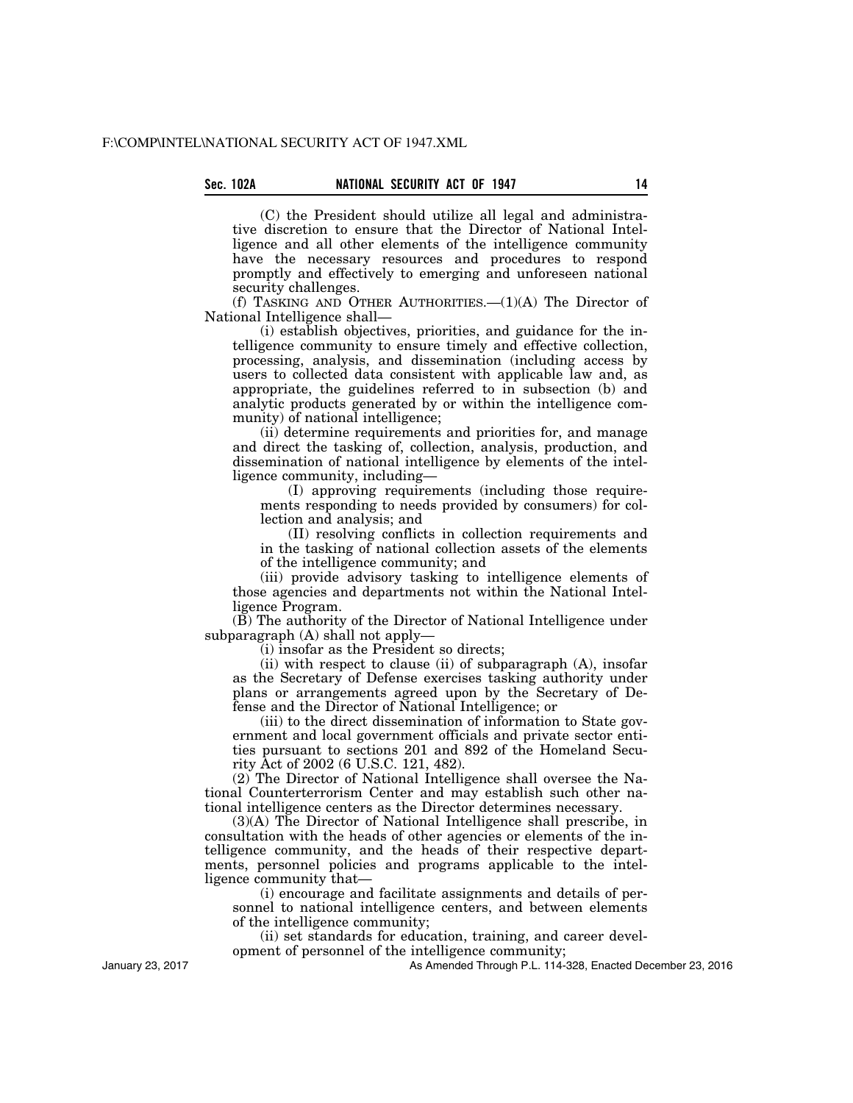(C) the President should utilize all legal and administrative discretion to ensure that the Director of National Intelligence and all other elements of the intelligence community have the necessary resources and procedures to respond promptly and effectively to emerging and unforeseen national security challenges.

(f) TASKING AND OTHER AUTHORITIES.  $-(1)(A)$  The Director of National Intelligence shall—

(i) establish objectives, priorities, and guidance for the intelligence community to ensure timely and effective collection, processing, analysis, and dissemination (including access by users to collected data consistent with applicable law and, as appropriate, the guidelines referred to in subsection (b) and analytic products generated by or within the intelligence community) of national intelligence;

(ii) determine requirements and priorities for, and manage and direct the tasking of, collection, analysis, production, and dissemination of national intelligence by elements of the intelligence community, including—

(I) approving requirements (including those requirements responding to needs provided by consumers) for collection and analysis; and

(II) resolving conflicts in collection requirements and in the tasking of national collection assets of the elements of the intelligence community; and

(iii) provide advisory tasking to intelligence elements of those agencies and departments not within the National Intelligence Program.

(B) The authority of the Director of National Intelligence under subparagraph (A) shall not apply—

(i) insofar as the President so directs;

(ii) with respect to clause (ii) of subparagraph (A), insofar as the Secretary of Defense exercises tasking authority under plans or arrangements agreed upon by the Secretary of Defense and the Director of National Intelligence; or

(iii) to the direct dissemination of information to State government and local government officials and private sector entities pursuant to sections 201 and 892 of the Homeland Security Act of 2002 (6 U.S.C. 121, 482).

(2) The Director of National Intelligence shall oversee the National Counterterrorism Center and may establish such other national intelligence centers as the Director determines necessary.

(3)(A) The Director of National Intelligence shall prescribe, in consultation with the heads of other agencies or elements of the intelligence community, and the heads of their respective departments, personnel policies and programs applicable to the intelligence community that—

(i) encourage and facilitate assignments and details of personnel to national intelligence centers, and between elements of the intelligence community;

(ii) set standards for education, training, and career development of personnel of the intelligence community;

As Amended Through P.L. 114-328, Enacted December 23, 2016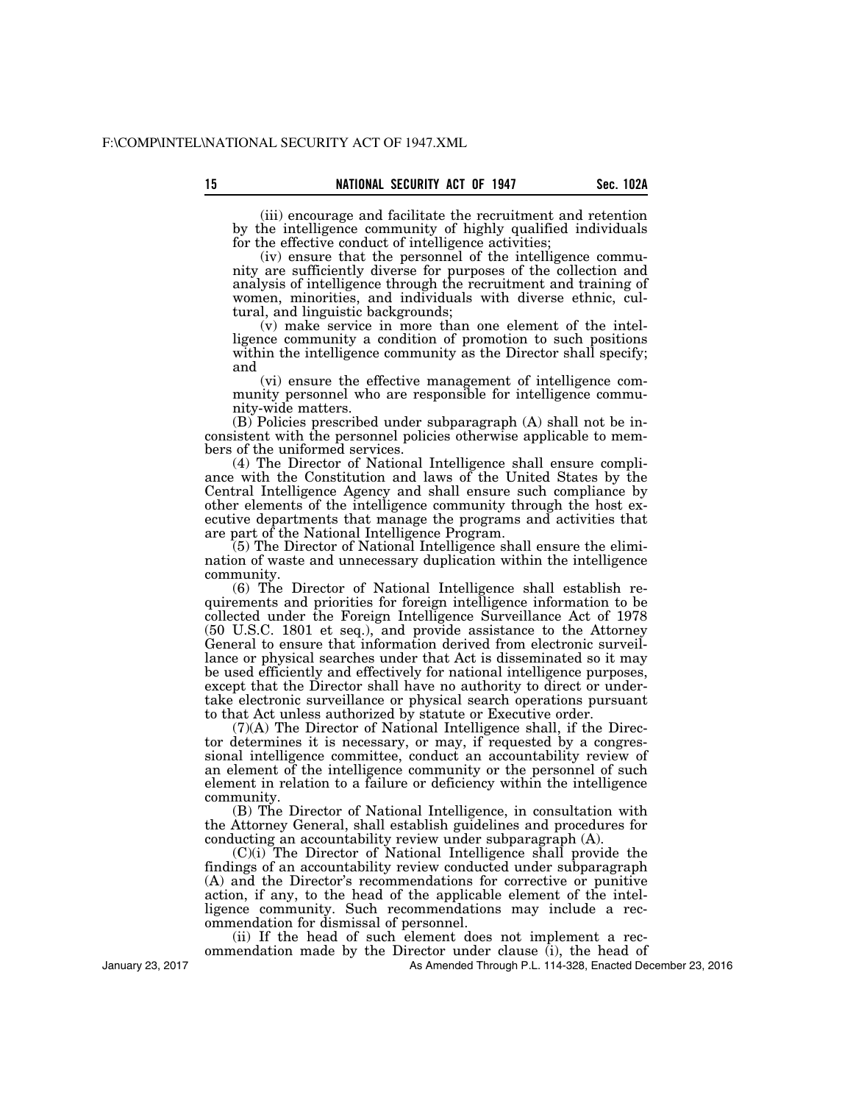(iii) encourage and facilitate the recruitment and retention by the intelligence community of highly qualified individuals

for the effective conduct of intelligence activities; (iv) ensure that the personnel of the intelligence community are sufficiently diverse for purposes of the collection and analysis of intelligence through the recruitment and training of women, minorities, and individuals with diverse ethnic, cultural, and linguistic backgrounds;

(v) make service in more than one element of the intelligence community a condition of promotion to such positions within the intelligence community as the Director shall specify; and

(vi) ensure the effective management of intelligence community personnel who are responsible for intelligence community-wide matters.

(B) Policies prescribed under subparagraph (A) shall not be inconsistent with the personnel policies otherwise applicable to members of the uniformed services.

(4) The Director of National Intelligence shall ensure compliance with the Constitution and laws of the United States by the Central Intelligence Agency and shall ensure such compliance by other elements of the intelligence community through the host executive departments that manage the programs and activities that are part of the National Intelligence Program.

(5) The Director of National Intelligence shall ensure the elimination of waste and unnecessary duplication within the intelligence community.

(6) The Director of National Intelligence shall establish requirements and priorities for foreign intelligence information to be collected under the Foreign Intelligence Surveillance Act of 1978 (50 U.S.C. 1801 et seq.), and provide assistance to the Attorney General to ensure that information derived from electronic surveillance or physical searches under that Act is disseminated so it may be used efficiently and effectively for national intelligence purposes, except that the Director shall have no authority to direct or undertake electronic surveillance or physical search operations pursuant to that Act unless authorized by statute or Executive order.

(7)(A) The Director of National Intelligence shall, if the Director determines it is necessary, or may, if requested by a congressional intelligence committee, conduct an accountability review of an element of the intelligence community or the personnel of such element in relation to a failure or deficiency within the intelligence community.

(B) The Director of National Intelligence, in consultation with the Attorney General, shall establish guidelines and procedures for conducting an accountability review under subparagraph (A).

(C)(i) The Director of National Intelligence shall provide the findings of an accountability review conducted under subparagraph (A) and the Director's recommendations for corrective or punitive action, if any, to the head of the applicable element of the intelligence community. Such recommendations may include a recommendation for dismissal of personnel.

(ii) If the head of such element does not implement a recommendation made by the Director under clause (i), the head of

As Amended Through P.L. 114-328, Enacted December 23, 2016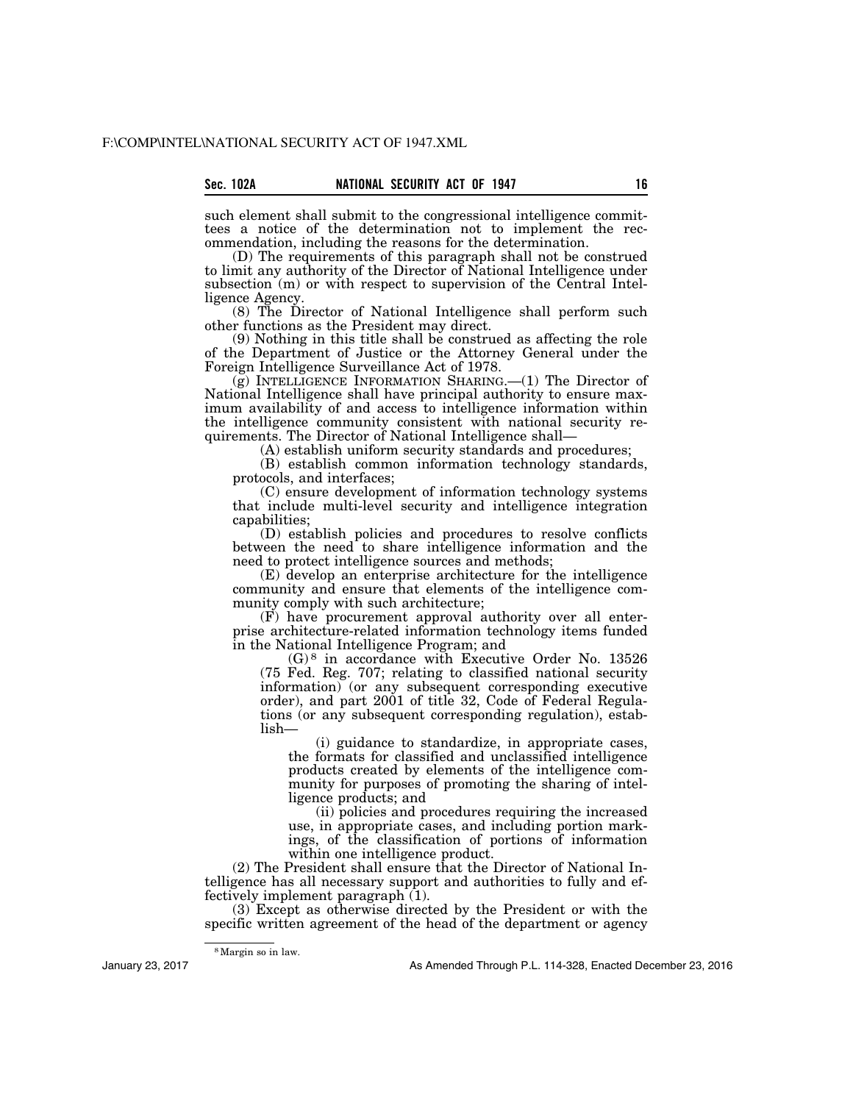such element shall submit to the congressional intelligence committees a notice of the determination not to implement the recommendation, including the reasons for the determination.

(D) The requirements of this paragraph shall not be construed to limit any authority of the Director of National Intelligence under subsection (m) or with respect to supervision of the Central Intelligence Agency.

(8) The Director of National Intelligence shall perform such other functions as the President may direct.

(9) Nothing in this title shall be construed as affecting the role of the Department of Justice or the Attorney General under the Foreign Intelligence Surveillance Act of 1978.

(g) INTELLIGENCE INFORMATION SHARING.—(1) The Director of National Intelligence shall have principal authority to ensure maximum availability of and access to intelligence information within the intelligence community consistent with national security requirements. The Director of National Intelligence shall—

(A) establish uniform security standards and procedures;

(B) establish common information technology standards, protocols, and interfaces;

(C) ensure development of information technology systems that include multi-level security and intelligence integration capabilities;

(D) establish policies and procedures to resolve conflicts between the need to share intelligence information and the need to protect intelligence sources and methods;

(E) develop an enterprise architecture for the intelligence community and ensure that elements of the intelligence community comply with such architecture;

(F) have procurement approval authority over all enterprise architecture-related information technology items funded in the National Intelligence Program; and

(G) 8 in accordance with Executive Order No. 13526 (75 Fed. Reg. 707; relating to classified national security information) (or any subsequent corresponding executive order), and part 2001 of title 32, Code of Federal Regulations (or any subsequent corresponding regulation), establish—

(i) guidance to standardize, in appropriate cases, the formats for classified and unclassified intelligence products created by elements of the intelligence community for purposes of promoting the sharing of intelligence products; and

(ii) policies and procedures requiring the increased use, in appropriate cases, and including portion markings, of the classification of portions of information within one intelligence product.

(2) The President shall ensure that the Director of National Intelligence has all necessary support and authorities to fully and effectively implement paragraph (1).

(3) Except as otherwise directed by the President or with the specific written agreement of the head of the department or agency

8Margin so in law.

January 23, 2017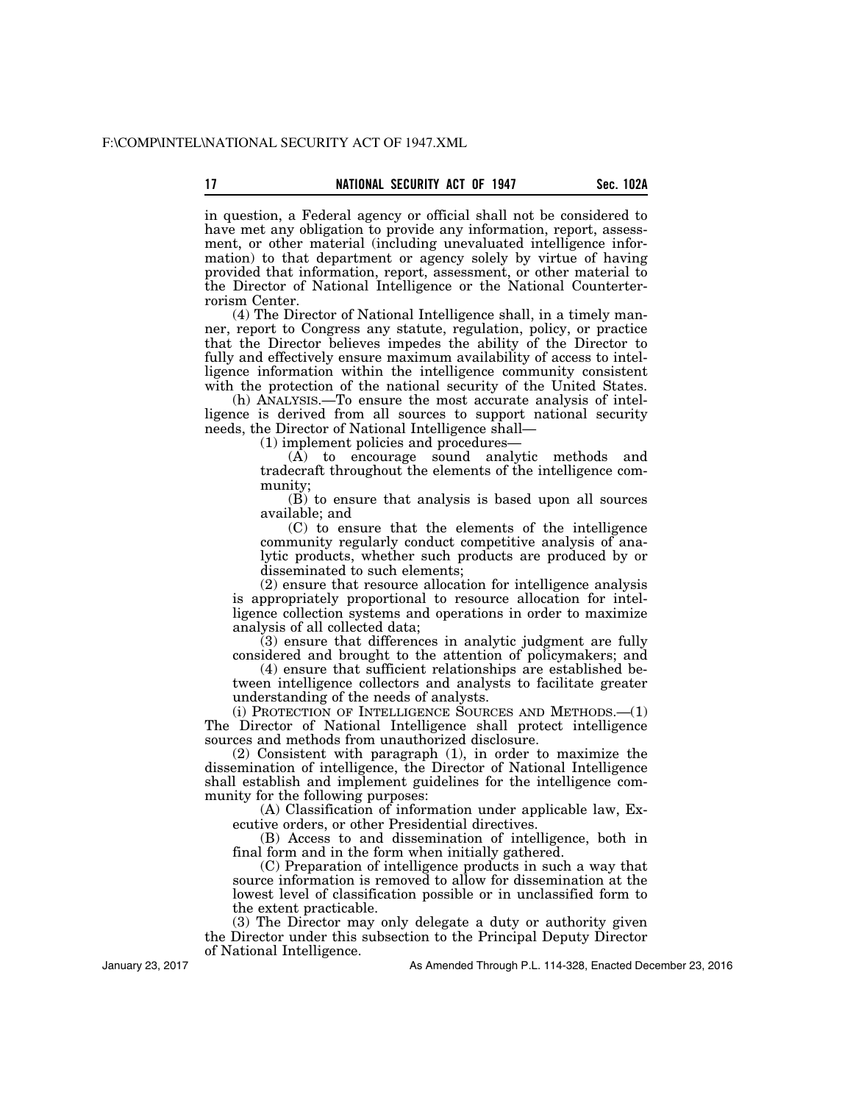in question, a Federal agency or official shall not be considered to have met any obligation to provide any information, report, assessment, or other material (including unevaluated intelligence information) to that department or agency solely by virtue of having provided that information, report, assessment, or other material to the Director of National Intelligence or the National Counterterrorism Center.

(4) The Director of National Intelligence shall, in a timely manner, report to Congress any statute, regulation, policy, or practice that the Director believes impedes the ability of the Director to fully and effectively ensure maximum availability of access to intelligence information within the intelligence community consistent with the protection of the national security of the United States.

(h) ANALYSIS.—To ensure the most accurate analysis of intelligence is derived from all sources to support national security needs, the Director of National Intelligence shall—

(1) implement policies and procedures—

(A) to encourage sound analytic methods and tradecraft throughout the elements of the intelligence community;

(B) to ensure that analysis is based upon all sources available; and

(C) to ensure that the elements of the intelligence community regularly conduct competitive analysis of analytic products, whether such products are produced by or disseminated to such elements;

(2) ensure that resource allocation for intelligence analysis is appropriately proportional to resource allocation for intelligence collection systems and operations in order to maximize analysis of all collected data;

(3) ensure that differences in analytic judgment are fully considered and brought to the attention of policymakers; and

(4) ensure that sufficient relationships are established between intelligence collectors and analysts to facilitate greater understanding of the needs of analysts.

(i) PROTECTION OF INTELLIGENCE SOURCES AND METHODS.—(1) The Director of National Intelligence shall protect intelligence sources and methods from unauthorized disclosure.

(2) Consistent with paragraph (1), in order to maximize the dissemination of intelligence, the Director of National Intelligence shall establish and implement guidelines for the intelligence community for the following purposes:

(A) Classification of information under applicable law, Executive orders, or other Presidential directives.

(B) Access to and dissemination of intelligence, both in final form and in the form when initially gathered.

(C) Preparation of intelligence products in such a way that source information is removed to allow for dissemination at the lowest level of classification possible or in unclassified form to the extent practicable.

(3) The Director may only delegate a duty or authority given the Director under this subsection to the Principal Deputy Director of National Intelligence.

January 23, 2017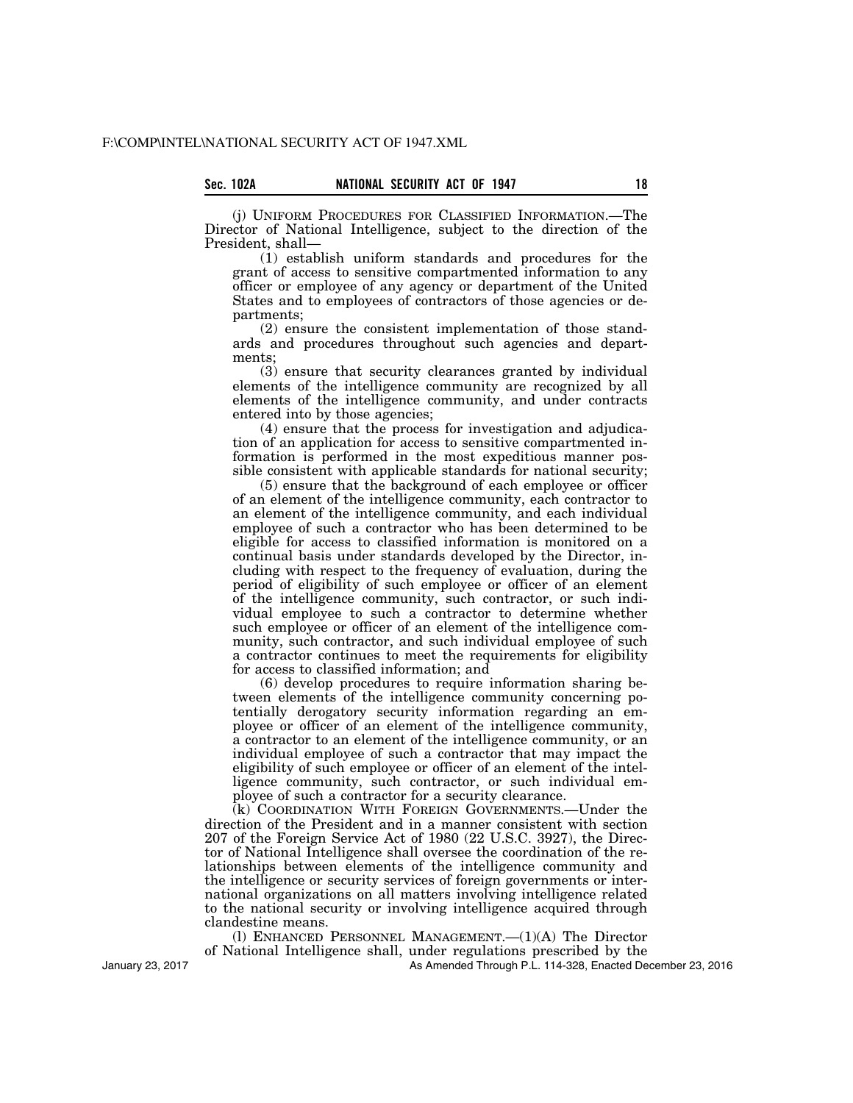(j) UNIFORM PROCEDURES FOR CLASSIFIED INFORMATION.—The Director of National Intelligence, subject to the direction of the President, shall—

(1) establish uniform standards and procedures for the grant of access to sensitive compartmented information to any officer or employee of any agency or department of the United States and to employees of contractors of those agencies or departments;

(2) ensure the consistent implementation of those standards and procedures throughout such agencies and departments;

(3) ensure that security clearances granted by individual elements of the intelligence community are recognized by all elements of the intelligence community, and under contracts entered into by those agencies;

(4) ensure that the process for investigation and adjudication of an application for access to sensitive compartmented information is performed in the most expeditious manner possible consistent with applicable standards for national security;

(5) ensure that the background of each employee or officer of an element of the intelligence community, each contractor to an element of the intelligence community, and each individual employee of such a contractor who has been determined to be eligible for access to classified information is monitored on a continual basis under standards developed by the Director, including with respect to the frequency of evaluation, during the period of eligibility of such employee or officer of an element of the intelligence community, such contractor, or such individual employee to such a contractor to determine whether such employee or officer of an element of the intelligence community, such contractor, and such individual employee of such a contractor continues to meet the requirements for eligibility for access to classified information; and

(6) develop procedures to require information sharing between elements of the intelligence community concerning potentially derogatory security information regarding an employee or officer of an element of the intelligence community, a contractor to an element of the intelligence community, or an individual employee of such a contractor that may impact the eligibility of such employee or officer of an element of the intelligence community, such contractor, or such individual employee of such a contractor for a security clearance.

(k) COORDINATION WITH FOREIGN GOVERNMENTS.—Under the direction of the President and in a manner consistent with section 207 of the Foreign Service Act of 1980 (22 U.S.C. 3927), the Director of National Intelligence shall oversee the coordination of the relationships between elements of the intelligence community and the intelligence or security services of foreign governments or international organizations on all matters involving intelligence related to the national security or involving intelligence acquired through clandestine means.

(l) ENHANCED PERSONNEL MANAGEMENT.—(1)(A) The Director of National Intelligence shall, under regulations prescribed by the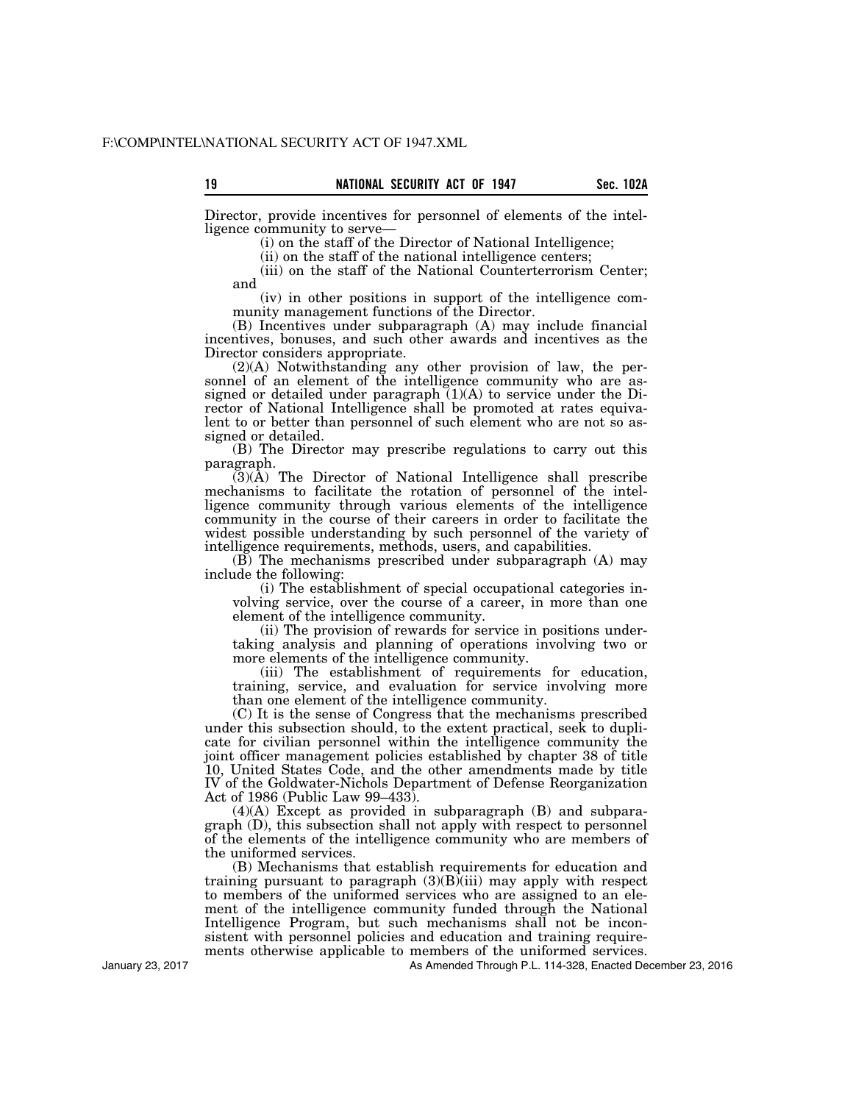Director, provide incentives for personnel of elements of the intelligence community to serve—

(i) on the staff of the Director of National Intelligence;

(ii) on the staff of the national intelligence centers;

(iii) on the staff of the National Counterterrorism Center; and

(iv) in other positions in support of the intelligence community management functions of the Director.

(B) Incentives under subparagraph (A) may include financial incentives, bonuses, and such other awards and incentives as the Director considers appropriate.

(2)(A) Notwithstanding any other provision of law, the personnel of an element of the intelligence community who are assigned or detailed under paragraph  $(1)(A)$  to service under the Director of National Intelligence shall be promoted at rates equivalent to or better than personnel of such element who are not so assigned or detailed.

(B) The Director may prescribe regulations to carry out this paragraph.

(3)(A) The Director of National Intelligence shall prescribe mechanisms to facilitate the rotation of personnel of the intelligence community through various elements of the intelligence community in the course of their careers in order to facilitate the widest possible understanding by such personnel of the variety of intelligence requirements, methods, users, and capabilities.

(B) The mechanisms prescribed under subparagraph (A) may include the following:

(i) The establishment of special occupational categories involving service, over the course of a career, in more than one element of the intelligence community.

(ii) The provision of rewards for service in positions undertaking analysis and planning of operations involving two or more elements of the intelligence community.

(iii) The establishment of requirements for education, training, service, and evaluation for service involving more than one element of the intelligence community.

(C) It is the sense of Congress that the mechanisms prescribed under this subsection should, to the extent practical, seek to duplicate for civilian personnel within the intelligence community the joint officer management policies established by chapter 38 of title 10, United States Code, and the other amendments made by title IV of the Goldwater-Nichols Department of Defense Reorganization Act of 1986 (Public Law 99–433).

(4)(A) Except as provided in subparagraph (B) and subparagraph (D), this subsection shall not apply with respect to personnel of the elements of the intelligence community who are members of the uniformed services.

(B) Mechanisms that establish requirements for education and training pursuant to paragraph  $(3)(B)$ (iii) may apply with respect to members of the uniformed services who are assigned to an element of the intelligence community funded through the National Intelligence Program, but such mechanisms shall not be inconsistent with personnel policies and education and training requirements otherwise applicable to members of the uniformed services.

As Amended Through P.L. 114-328, Enacted December 23, 2016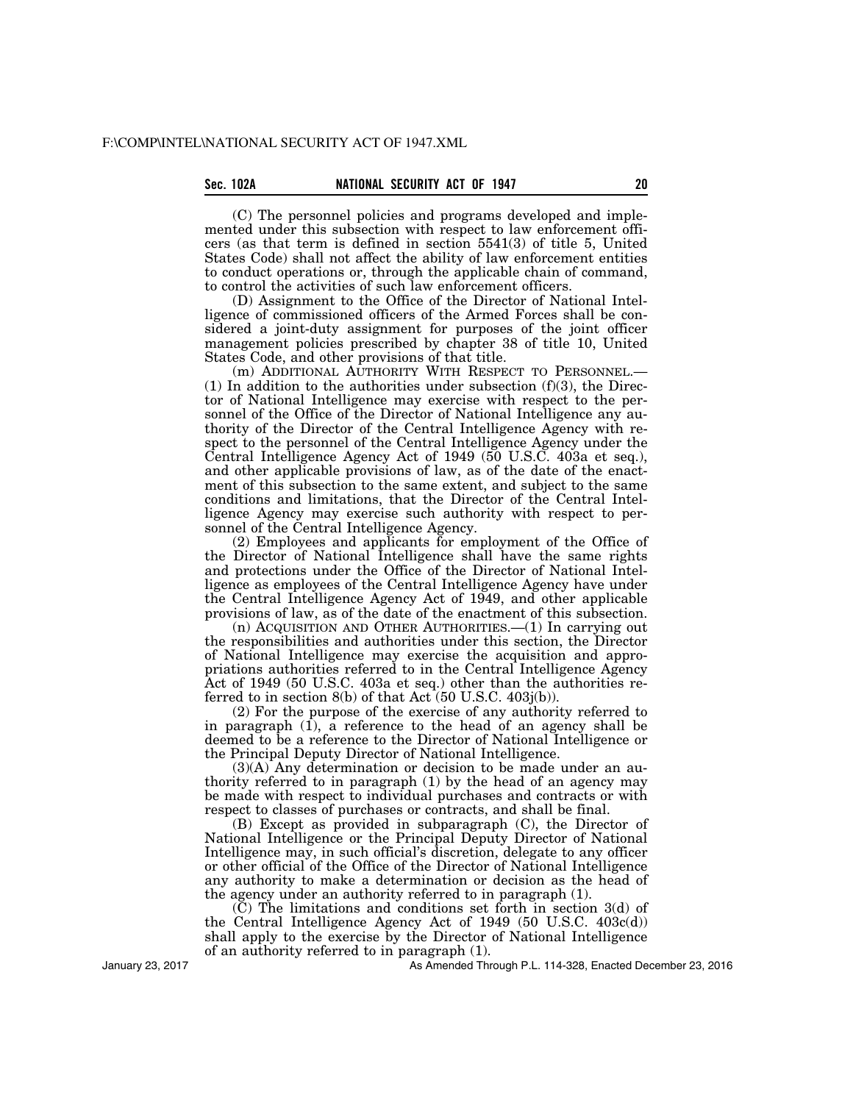# **Sec. 102A NATIONAL SECURITY ACT OF 1947 20**

(C) The personnel policies and programs developed and implemented under this subsection with respect to law enforcement officers (as that term is defined in section 5541(3) of title 5, United States Code) shall not affect the ability of law enforcement entities to conduct operations or, through the applicable chain of command, to control the activities of such law enforcement officers.

(D) Assignment to the Office of the Director of National Intelligence of commissioned officers of the Armed Forces shall be considered a joint-duty assignment for purposes of the joint officer management policies prescribed by chapter 38 of title 10, United States Code, and other provisions of that title.

(m) ADDITIONAL AUTHORITY WITH RESPECT TO PERSONNEL.—  $(1)$  In addition to the authorities under subsection  $(f)(3)$ , the Director of National Intelligence may exercise with respect to the personnel of the Office of the Director of National Intelligence any authority of the Director of the Central Intelligence Agency with respect to the personnel of the Central Intelligence Agency under the Central Intelligence Agency Act of 1949 (50 U.S.C. 403a et seq.), and other applicable provisions of law, as of the date of the enactment of this subsection to the same extent, and subject to the same conditions and limitations, that the Director of the Central Intelligence Agency may exercise such authority with respect to personnel of the Central Intelligence Agency.

(2) Employees and applicants for employment of the Office of the Director of National Intelligence shall have the same rights and protections under the Office of the Director of National Intelligence as employees of the Central Intelligence Agency have under the Central Intelligence Agency Act of 1949, and other applicable provisions of law, as of the date of the enactment of this subsection.

(n) ACQUISITION AND OTHER AUTHORITIES.—(1) In carrying out the responsibilities and authorities under this section, the Director of National Intelligence may exercise the acquisition and appropriations authorities referred to in the Central Intelligence Agency Act of 1949 (50 U.S.C. 403a et seq.) other than the authorities referred to in section  $8(b)$  of that Act  $(50 \text{ U.S.C. } 403j(b))$ .

(2) For the purpose of the exercise of any authority referred to in paragraph  $(1)$ , a reference to the head of an agency shall be deemed to be a reference to the Director of National Intelligence or the Principal Deputy Director of National Intelligence.

(3)(A) Any determination or decision to be made under an authority referred to in paragraph (1) by the head of an agency may be made with respect to individual purchases and contracts or with respect to classes of purchases or contracts, and shall be final.

(B) Except as provided in subparagraph (C), the Director of National Intelligence or the Principal Deputy Director of National Intelligence may, in such official's discretion, delegate to any officer or other official of the Office of the Director of National Intelligence any authority to make a determination or decision as the head of the agency under an authority referred to in paragraph (1).

 $(C)$  The limitations and conditions set forth in section 3(d) of the Central Intelligence Agency Act of 1949 (50 U.S.C. 403c(d)) shall apply to the exercise by the Director of National Intelligence of an authority referred to in paragraph (1).

January 23, 2017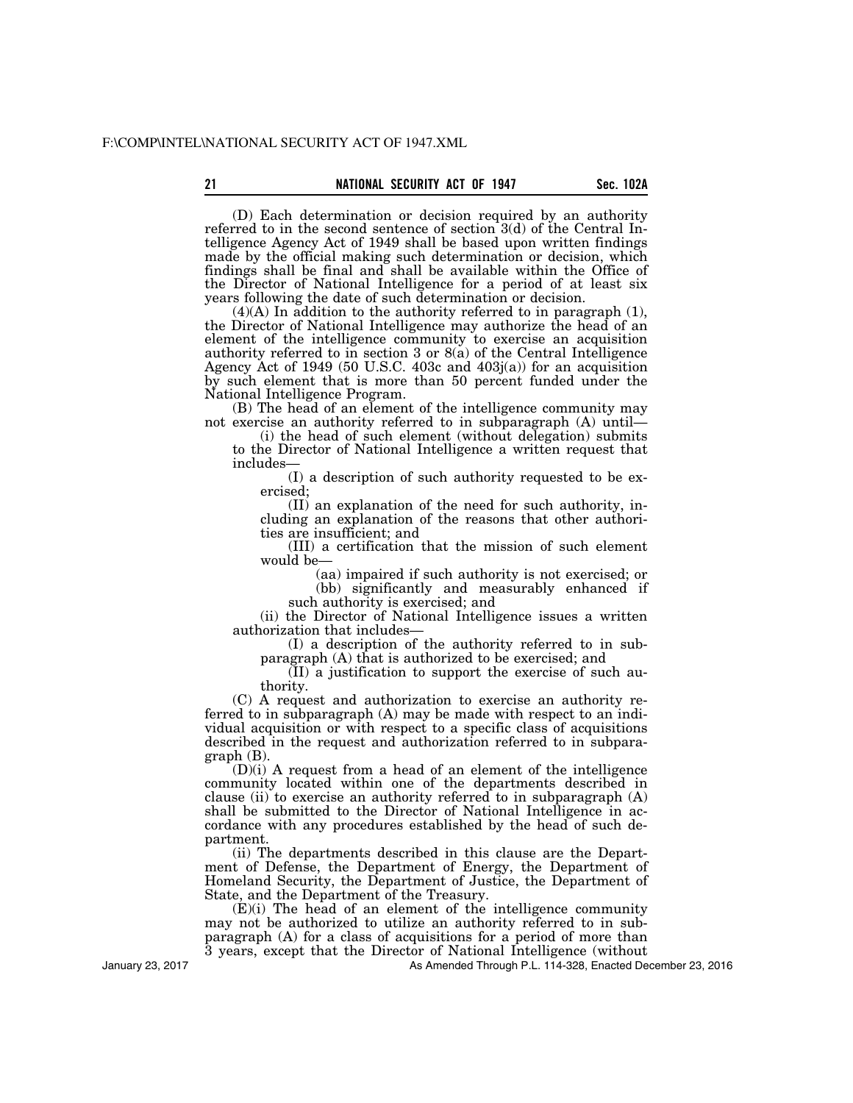(D) Each determination or decision required by an authority referred to in the second sentence of section 3(d) of the Central Intelligence Agency Act of 1949 shall be based upon written findings made by the official making such determination or decision, which findings shall be final and shall be available within the Office of the Director of National Intelligence for a period of at least six years following the date of such determination or decision.

 $(4)(A)$  In addition to the authority referred to in paragraph  $(1)$ , the Director of National Intelligence may authorize the head of an element of the intelligence community to exercise an acquisition authority referred to in section 3 or  $8(a)$  of the Central Intelligence Agency Act of 1949 (50 U.S.C. 403c and 403j(a)) for an acquisition by such element that is more than 50 percent funded under the National Intelligence Program.

(B) The head of an element of the intelligence community may not exercise an authority referred to in subparagraph (A) until—

(i) the head of such element (without delegation) submits to the Director of National Intelligence a written request that includes—

(I) a description of such authority requested to be exercised;

(II) an explanation of the need for such authority, including an explanation of the reasons that other authorities are insufficient; and

(III) a certification that the mission of such element would be—

> (aa) impaired if such authority is not exercised; or (bb) significantly and measurably enhanced if

such authority is exercised; and

(ii) the Director of National Intelligence issues a written authorization that includes—

(I) a description of the authority referred to in subparagraph (A) that is authorized to be exercised; and

(II) a justification to support the exercise of such authority.

(C) A request and authorization to exercise an authority referred to in subparagraph (A) may be made with respect to an individual acquisition or with respect to a specific class of acquisitions described in the request and authorization referred to in subparagraph (B).

(D)(i) A request from a head of an element of the intelligence community located within one of the departments described in clause (ii) to exercise an authority referred to in subparagraph (A) shall be submitted to the Director of National Intelligence in accordance with any procedures established by the head of such department.

(ii) The departments described in this clause are the Department of Defense, the Department of Energy, the Department of Homeland Security, the Department of Justice, the Department of State, and the Department of the Treasury.

(E)(i) The head of an element of the intelligence community may not be authorized to utilize an authority referred to in subparagraph (A) for a class of acquisitions for a period of more than 3 years, except that the Director of National Intelligence (without

As Amended Through P.L. 114-328, Enacted December 23, 2016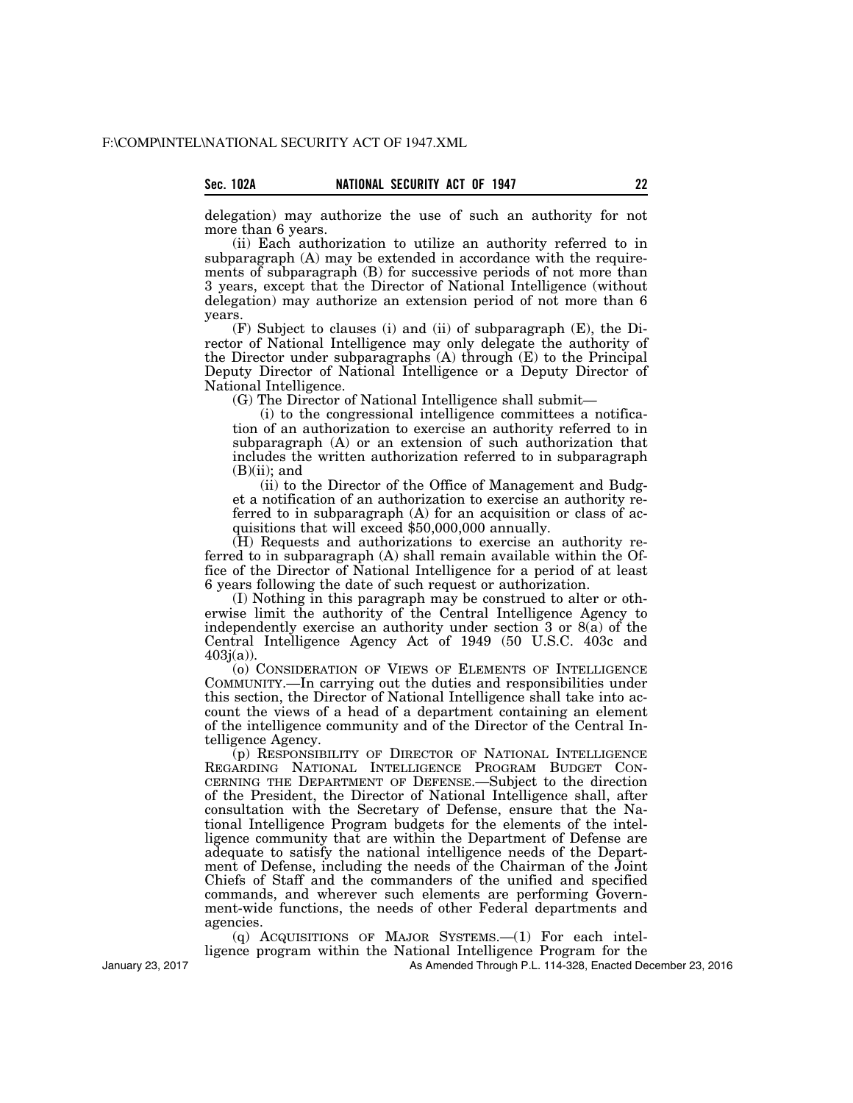delegation) may authorize the use of such an authority for not more than 6 years.

(ii) Each authorization to utilize an authority referred to in subparagraph (A) may be extended in accordance with the requirements of subparagraph (B) for successive periods of not more than 3 years, except that the Director of National Intelligence (without delegation) may authorize an extension period of not more than 6 years.

(F) Subject to clauses (i) and (ii) of subparagraph (E), the Director of National Intelligence may only delegate the authority of the Director under subparagraphs (A) through (E) to the Principal Deputy Director of National Intelligence or a Deputy Director of National Intelligence.

(G) The Director of National Intelligence shall submit—

(i) to the congressional intelligence committees a notification of an authorization to exercise an authority referred to in subparagraph (A) or an extension of such authorization that includes the written authorization referred to in subparagraph  $(B)(ii)$ ; and

(ii) to the Director of the Office of Management and Budget a notification of an authorization to exercise an authority referred to in subparagraph (A) for an acquisition or class of acquisitions that will exceed \$50,000,000 annually.

(H) Requests and authorizations to exercise an authority referred to in subparagraph (A) shall remain available within the Office of the Director of National Intelligence for a period of at least 6 years following the date of such request or authorization.

(I) Nothing in this paragraph may be construed to alter or otherwise limit the authority of the Central Intelligence Agency to independently exercise an authority under section 3 or 8(a) of the Central Intelligence Agency Act of 1949 (50 U.S.C. 403c and  $403j(a)$ ).

(o) CONSIDERATION OF VIEWS OF ELEMENTS OF INTELLIGENCE COMMUNITY.—In carrying out the duties and responsibilities under this section, the Director of National Intelligence shall take into account the views of a head of a department containing an element of the intelligence community and of the Director of the Central Intelligence Agency.

(p) RESPONSIBILITY OF DIRECTOR OF NATIONAL INTELLIGENCE REGARDING NATIONAL INTELLIGENCE PROGRAM BUDGET CON-CERNING THE DEPARTMENT OF DEFENSE.—Subject to the direction of the President, the Director of National Intelligence shall, after consultation with the Secretary of Defense, ensure that the National Intelligence Program budgets for the elements of the intelligence community that are within the Department of Defense are adequate to satisfy the national intelligence needs of the Department of Defense, including the needs of the Chairman of the Joint Chiefs of Staff and the commanders of the unified and specified commands, and wherever such elements are performing Government-wide functions, the needs of other Federal departments and agencies.

(q) ACQUISITIONS OF MAJOR SYSTEMS.—(1) For each intelligence program within the National Intelligence Program for the

As Amended Through P.L. 114-328, Enacted December 23, 2016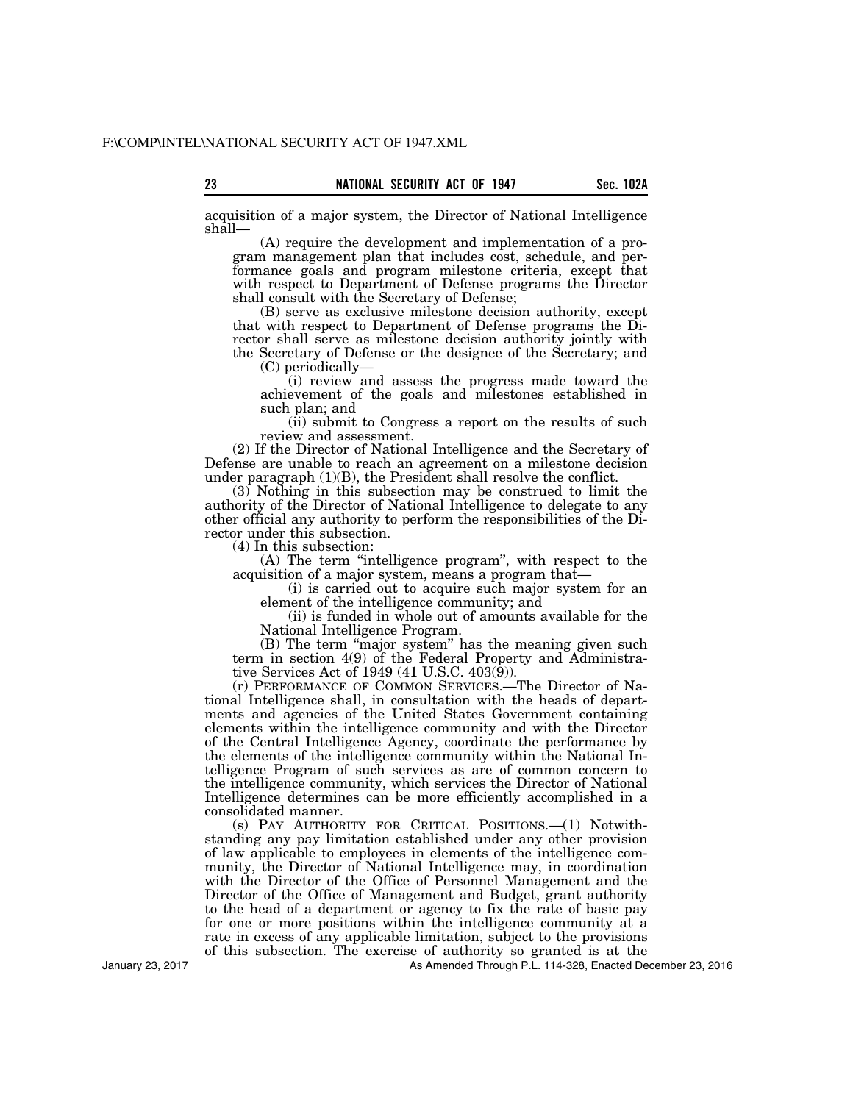**23 Sec. 102A NATIONAL SECURITY ACT OF 1947** 

acquisition of a major system, the Director of National Intelligence shall—

(A) require the development and implementation of a program management plan that includes cost, schedule, and performance goals and program milestone criteria, except that with respect to Department of Defense programs the Director shall consult with the Secretary of Defense;

(B) serve as exclusive milestone decision authority, except that with respect to Department of Defense programs the Director shall serve as milestone decision authority jointly with the Secretary of Defense or the designee of the Secretary; and (C) periodically—

(i) review and assess the progress made toward the achievement of the goals and milestones established in such plan; and

(ii) submit to Congress a report on the results of such review and assessment.

(2) If the Director of National Intelligence and the Secretary of Defense are unable to reach an agreement on a milestone decision under paragraph (1)(B), the President shall resolve the conflict.

(3) Nothing in this subsection may be construed to limit the authority of the Director of National Intelligence to delegate to any other official any authority to perform the responsibilities of the Director under this subsection.

(4) In this subsection:

(A) The term ''intelligence program'', with respect to the acquisition of a major system, means a program that—

(i) is carried out to acquire such major system for an element of the intelligence community; and

(ii) is funded in whole out of amounts available for the National Intelligence Program.

(B) The term "major system" has the meaning given such term in section 4(9) of the Federal Property and Administrative Services Act of 1949 (41 U.S.C. 403(9)).

(r) PERFORMANCE OF COMMON SERVICES.—The Director of National Intelligence shall, in consultation with the heads of departments and agencies of the United States Government containing elements within the intelligence community and with the Director of the Central Intelligence Agency, coordinate the performance by the elements of the intelligence community within the National Intelligence Program of such services as are of common concern to the intelligence community, which services the Director of National Intelligence determines can be more efficiently accomplished in a consolidated manner.

(s) PAY AUTHORITY FOR CRITICAL POSITIONS.—(1) Notwithstanding any pay limitation established under any other provision of law applicable to employees in elements of the intelligence community, the Director of National Intelligence may, in coordination with the Director of the Office of Personnel Management and the Director of the Office of Management and Budget, grant authority to the head of a department or agency to fix the rate of basic pay for one or more positions within the intelligence community at a rate in excess of any applicable limitation, subject to the provisions of this subsection. The exercise of authority so granted is at the

As Amended Through P.L. 114-328, Enacted December 23, 2016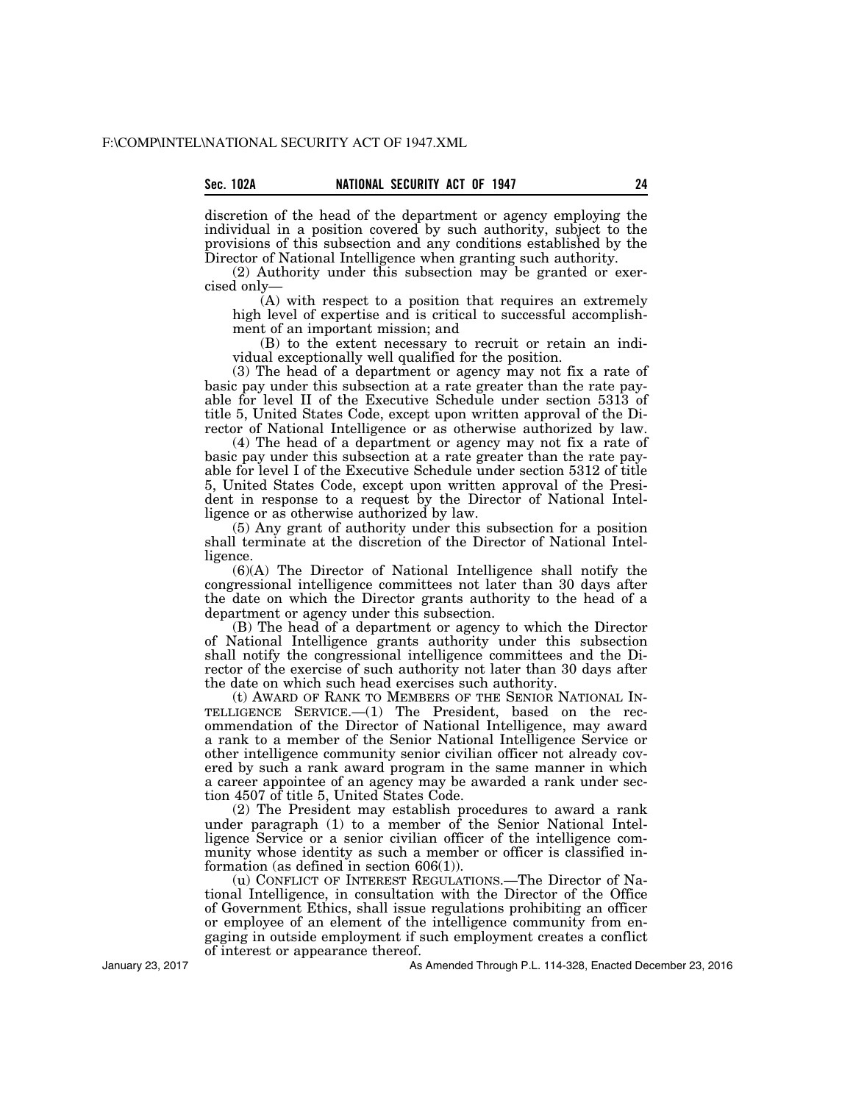discretion of the head of the department or agency employing the individual in a position covered by such authority, subject to the provisions of this subsection and any conditions established by the Director of National Intelligence when granting such authority.

(2) Authority under this subsection may be granted or exercised only—

(A) with respect to a position that requires an extremely high level of expertise and is critical to successful accomplishment of an important mission; and

(B) to the extent necessary to recruit or retain an individual exceptionally well qualified for the position.

(3) The head of a department or agency may not fix a rate of basic pay under this subsection at a rate greater than the rate payable for level II of the Executive Schedule under section 5313 of title 5, United States Code, except upon written approval of the Director of National Intelligence or as otherwise authorized by law.

(4) The head of a department or agency may not fix a rate of basic pay under this subsection at a rate greater than the rate payable for level I of the Executive Schedule under section 5312 of title 5, United States Code, except upon written approval of the President in response to a request by the Director of National Intelligence or as otherwise authorized by law.

(5) Any grant of authority under this subsection for a position shall terminate at the discretion of the Director of National Intelligence.

(6)(A) The Director of National Intelligence shall notify the congressional intelligence committees not later than 30 days after the date on which the Director grants authority to the head of a department or agency under this subsection.

(B) The head of a department or agency to which the Director of National Intelligence grants authority under this subsection shall notify the congressional intelligence committees and the Director of the exercise of such authority not later than 30 days after the date on which such head exercises such authority.

(t) AWARD OF RANK TO MEMBERS OF THE SENIOR NATIONAL IN-TELLIGENCE SERVICE.—(1) The President, based on the recommendation of the Director of National Intelligence, may award a rank to a member of the Senior National Intelligence Service or other intelligence community senior civilian officer not already covered by such a rank award program in the same manner in which a career appointee of an agency may be awarded a rank under section 4507 of title 5, United States Code.

(2) The President may establish procedures to award a rank under paragraph (1) to a member of the Senior National Intelligence Service or a senior civilian officer of the intelligence community whose identity as such a member or officer is classified information (as defined in section 606(1)).

(u) CONFLICT OF INTEREST REGULATIONS.—The Director of National Intelligence, in consultation with the Director of the Office of Government Ethics, shall issue regulations prohibiting an officer or employee of an element of the intelligence community from engaging in outside employment if such employment creates a conflict of interest or appearance thereof.

January 23, 2017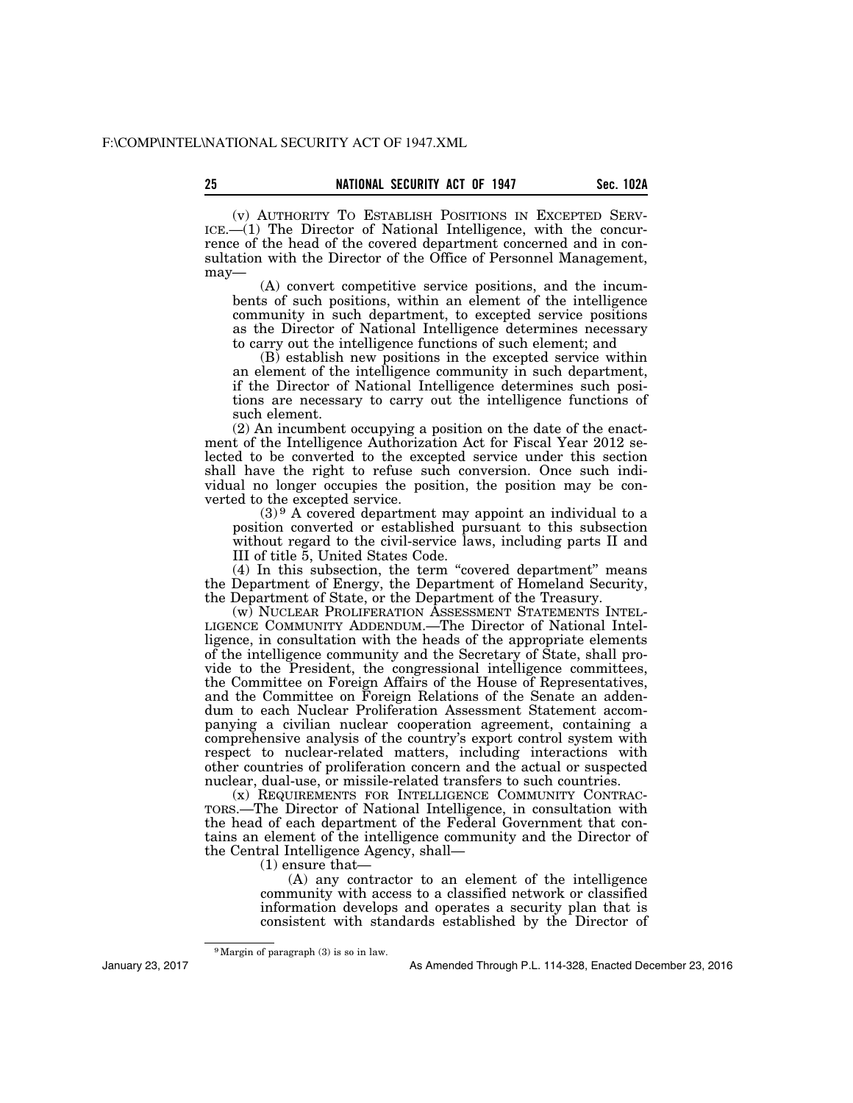(v) AUTHORITY TO ESTABLISH POSITIONS IN EXCEPTED SERV-ICE.—(1) The Director of National Intelligence, with the concurrence of the head of the covered department concerned and in consultation with the Director of the Office of Personnel Management, may—

(A) convert competitive service positions, and the incumbents of such positions, within an element of the intelligence community in such department, to excepted service positions as the Director of National Intelligence determines necessary to carry out the intelligence functions of such element; and

(B) establish new positions in the excepted service within an element of the intelligence community in such department, if the Director of National Intelligence determines such positions are necessary to carry out the intelligence functions of such element.

(2) An incumbent occupying a position on the date of the enactment of the Intelligence Authorization Act for Fiscal Year 2012 selected to be converted to the excepted service under this section shall have the right to refuse such conversion. Once such individual no longer occupies the position, the position may be converted to the excepted service.

 $(3)$ <sup>9</sup> A covered department may appoint an individual to a position converted or established pursuant to this subsection without regard to the civil-service laws, including parts II and III of title 5, United States Code.

(4) In this subsection, the term "covered department" means the Department of Energy, the Department of Homeland Security, the Department of State, or the Department of the Treasury.

(w) NUCLEAR PROLIFERATION ASSESSMENT STATEMENTS INTEL-LIGENCE COMMUNITY ADDENDUM.—The Director of National Intelligence, in consultation with the heads of the appropriate elements of the intelligence community and the Secretary of State, shall provide to the President, the congressional intelligence committees, the Committee on Foreign Affairs of the House of Representatives, and the Committee on Foreign Relations of the Senate an addendum to each Nuclear Proliferation Assessment Statement accompanying a civilian nuclear cooperation agreement, containing a comprehensive analysis of the country's export control system with respect to nuclear-related matters, including interactions with other countries of proliferation concern and the actual or suspected nuclear, dual-use, or missile-related transfers to such countries.

(x) REQUIREMENTS FOR INTELLIGENCE COMMUNITY CONTRAC-TORS.—The Director of National Intelligence, in consultation with the head of each department of the Federal Government that contains an element of the intelligence community and the Director of the Central Intelligence Agency, shall—

(1) ensure that—

(A) any contractor to an element of the intelligence community with access to a classified network or classified information develops and operates a security plan that is consistent with standards established by the Director of

<sup>9</sup>Margin of paragraph (3) is so in law.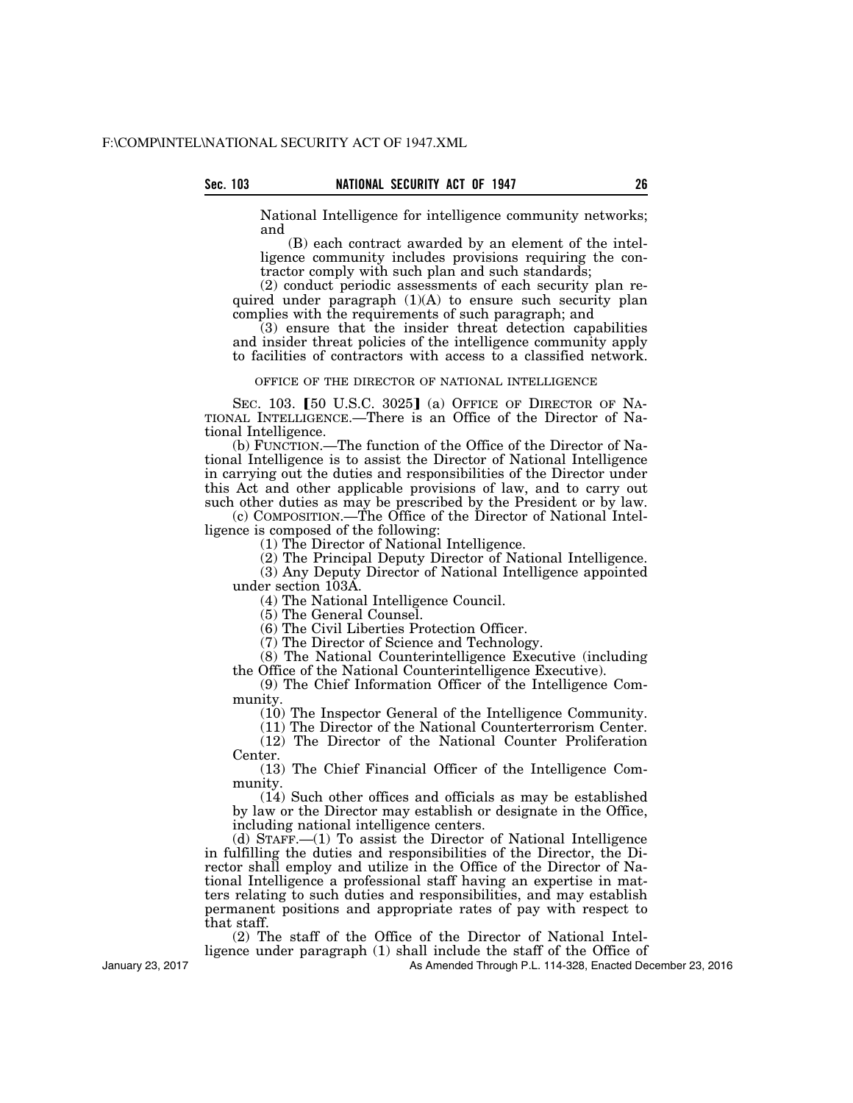National Intelligence for intelligence community networks; and

(B) each contract awarded by an element of the intelligence community includes provisions requiring the contractor comply with such plan and such standards;

(2) conduct periodic assessments of each security plan required under paragraph  $(1)(A)$  to ensure such security plan complies with the requirements of such paragraph; and

(3) ensure that the insider threat detection capabilities and insider threat policies of the intelligence community apply to facilities of contractors with access to a classified network.

#### OFFICE OF THE DIRECTOR OF NATIONAL INTELLIGENCE

SEC. 103.  $[50 \text{ U.S.C. } 3025]$  (a) OFFICE OF DIRECTOR OF NA-TIONAL INTELLIGENCE.—There is an Office of the Director of National Intelligence.

(b) FUNCTION.—The function of the Office of the Director of National Intelligence is to assist the Director of National Intelligence in carrying out the duties and responsibilities of the Director under this Act and other applicable provisions of law, and to carry out such other duties as may be prescribed by the President or by law.

(c) COMPOSITION.—The Office of the Director of National Intelligence is composed of the following:

(1) The Director of National Intelligence.

(2) The Principal Deputy Director of National Intelligence. (3) Any Deputy Director of National Intelligence appointed

under section 103A. (4) The National Intelligence Council.

(5) The General Counsel.

(6) The Civil Liberties Protection Officer.

(7) The Director of Science and Technology.

(8) The National Counterintelligence Executive (including the Office of the National Counterintelligence Executive).

(9) The Chief Information Officer of the Intelligence Community.

(10) The Inspector General of the Intelligence Community.

(11) The Director of the National Counterterrorism Center.

(12) The Director of the National Counter Proliferation Center.

(13) The Chief Financial Officer of the Intelligence Community.

(14) Such other offices and officials as may be established by law or the Director may establish or designate in the Office, including national intelligence centers.

(d) STAFF.—(1) To assist the Director of National Intelligence in fulfilling the duties and responsibilities of the Director, the Director shall employ and utilize in the Office of the Director of National Intelligence a professional staff having an expertise in matters relating to such duties and responsibilities, and may establish permanent positions and appropriate rates of pay with respect to that staff.

(2) The staff of the Office of the Director of National Intel-

ligence under paragraph (1) shall include the staff of the Office of

As Amended Through P.L. 114-328, Enacted December 23, 2016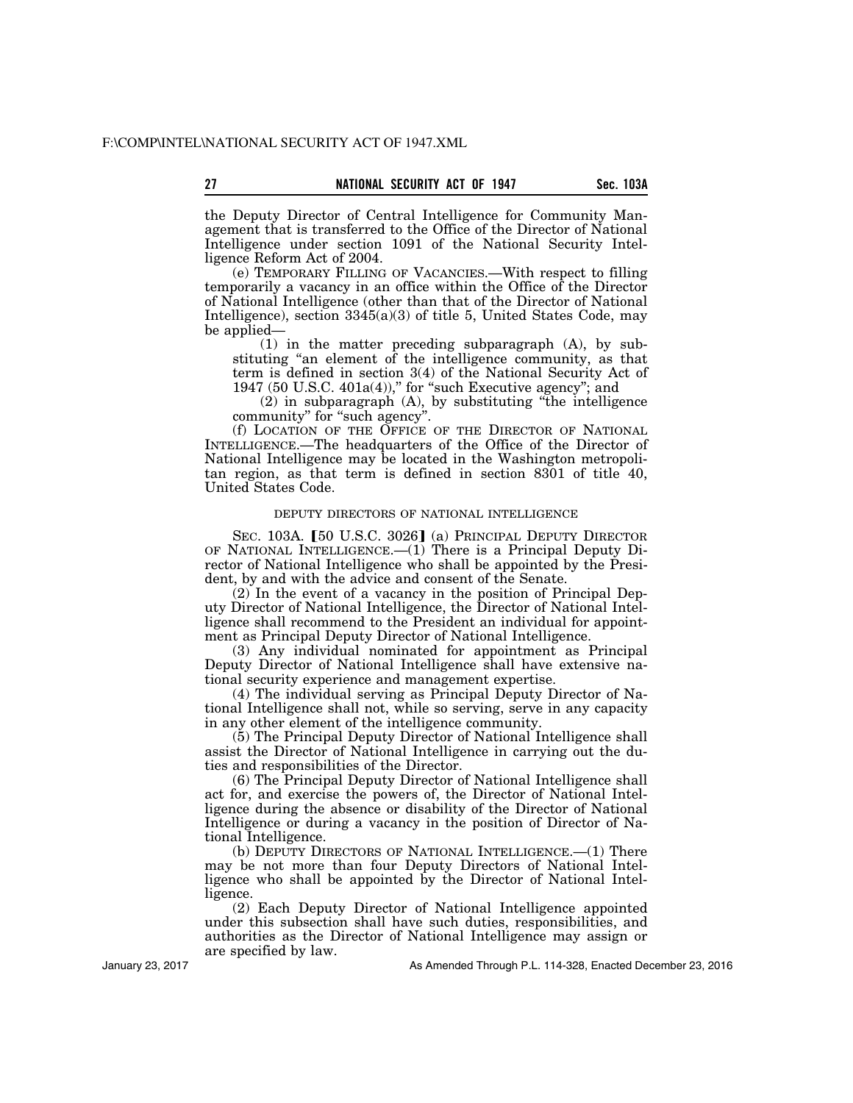the Deputy Director of Central Intelligence for Community Management that is transferred to the Office of the Director of National Intelligence under section 1091 of the National Security Intelligence Reform Act of 2004.

(e) TEMPORARY FILLING OF VACANCIES.—With respect to filling temporarily a vacancy in an office within the Office of the Director of National Intelligence (other than that of the Director of National Intelligence), section 3345(a)(3) of title 5, United States Code, may be applied—

(1) in the matter preceding subparagraph (A), by substituting "an element of the intelligence community, as that term is defined in section 3(4) of the National Security Act of 1947 (50 U.S.C. 401a(4))," for "such Executive agency"; and

(2) in subparagraph (A), by substituting ''the intelligence community" for "such agency".

(f) LOCATION OF THE OFFICE OF THE DIRECTOR OF NATIONAL INTELLIGENCE.—The headquarters of the Office of the Director of National Intelligence may be located in the Washington metropolitan region, as that term is defined in section 8301 of title 40, United States Code.

### DEPUTY DIRECTORS OF NATIONAL INTELLIGENCE

SEC. 103A. [50 U.S.C. 3026] (a) PRINCIPAL DEPUTY DIRECTOR OF NATIONAL INTELLIGENCE.—(1) There is a Principal Deputy Director of National Intelligence who shall be appointed by the President, by and with the advice and consent of the Senate.

(2) In the event of a vacancy in the position of Principal Deputy Director of National Intelligence, the Director of National Intelligence shall recommend to the President an individual for appointment as Principal Deputy Director of National Intelligence.

(3) Any individual nominated for appointment as Principal Deputy Director of National Intelligence shall have extensive national security experience and management expertise.

(4) The individual serving as Principal Deputy Director of National Intelligence shall not, while so serving, serve in any capacity in any other element of the intelligence community.

(5) The Principal Deputy Director of National Intelligence shall assist the Director of National Intelligence in carrying out the duties and responsibilities of the Director.

(6) The Principal Deputy Director of National Intelligence shall act for, and exercise the powers of, the Director of National Intelligence during the absence or disability of the Director of National Intelligence or during a vacancy in the position of Director of National Intelligence.

(b) DEPUTY DIRECTORS OF NATIONAL INTELLIGENCE.—(1) There may be not more than four Deputy Directors of National Intelligence who shall be appointed by the Director of National Intelligence.

(2) Each Deputy Director of National Intelligence appointed under this subsection shall have such duties, responsibilities, and authorities as the Director of National Intelligence may assign or are specified by law.

As Amended Through P.L. 114-328, Enacted December 23, 2016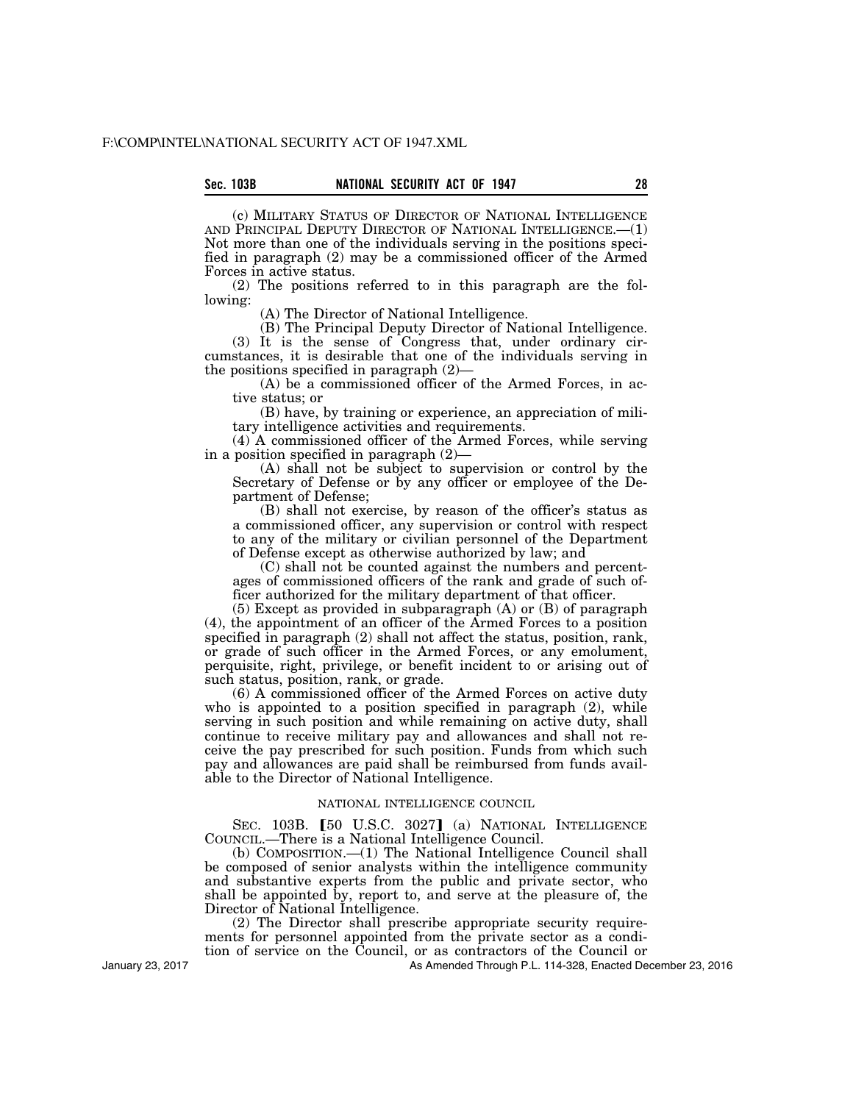# **Sec. 103B NATIONAL SECURITY ACT OF 1947 28**

(c) MILITARY STATUS OF DIRECTOR OF NATIONAL INTELLIGENCE AND PRINCIPAL DEPUTY DIRECTOR OF NATIONAL INTELLIGENCE.—(1) Not more than one of the individuals serving in the positions specified in paragraph (2) may be a commissioned officer of the Armed Forces in active status.

(2) The positions referred to in this paragraph are the following:

(A) The Director of National Intelligence.

(B) The Principal Deputy Director of National Intelligence. (3) It is the sense of Congress that, under ordinary circumstances, it is desirable that one of the individuals serving in the positions specified in paragraph (2)—

(A) be a commissioned officer of the Armed Forces, in active status; or

(B) have, by training or experience, an appreciation of military intelligence activities and requirements.

(4) A commissioned officer of the Armed Forces, while serving in a position specified in paragraph (2)—

(A) shall not be subject to supervision or control by the Secretary of Defense or by any officer or employee of the Department of Defense;

(B) shall not exercise, by reason of the officer's status as a commissioned officer, any supervision or control with respect to any of the military or civilian personnel of the Department of Defense except as otherwise authorized by law; and

(C) shall not be counted against the numbers and percentages of commissioned officers of the rank and grade of such officer authorized for the military department of that officer.

(5) Except as provided in subparagraph (A) or (B) of paragraph (4), the appointment of an officer of the Armed Forces to a position specified in paragraph (2) shall not affect the status, position, rank, or grade of such officer in the Armed Forces, or any emolument, perquisite, right, privilege, or benefit incident to or arising out of such status, position, rank, or grade.

(6) A commissioned officer of the Armed Forces on active duty who is appointed to a position specified in paragraph (2), while serving in such position and while remaining on active duty, shall continue to receive military pay and allowances and shall not receive the pay prescribed for such position. Funds from which such pay and allowances are paid shall be reimbursed from funds available to the Director of National Intelligence.

# NATIONAL INTELLIGENCE COUNCIL

SEC. 103B. [50 U.S.C. 3027] (a) NATIONAL INTELLIGENCE COUNCIL.—There is a National Intelligence Council.

(b) COMPOSITION.—(1) The National Intelligence Council shall be composed of senior analysts within the intelligence community and substantive experts from the public and private sector, who shall be appointed by, report to, and serve at the pleasure of, the Director of National Intelligence.

(2) The Director shall prescribe appropriate security requirements for personnel appointed from the private sector as a condition of service on the Council, or as contractors of the Council or

As Amended Through P.L. 114-328, Enacted December 23, 2016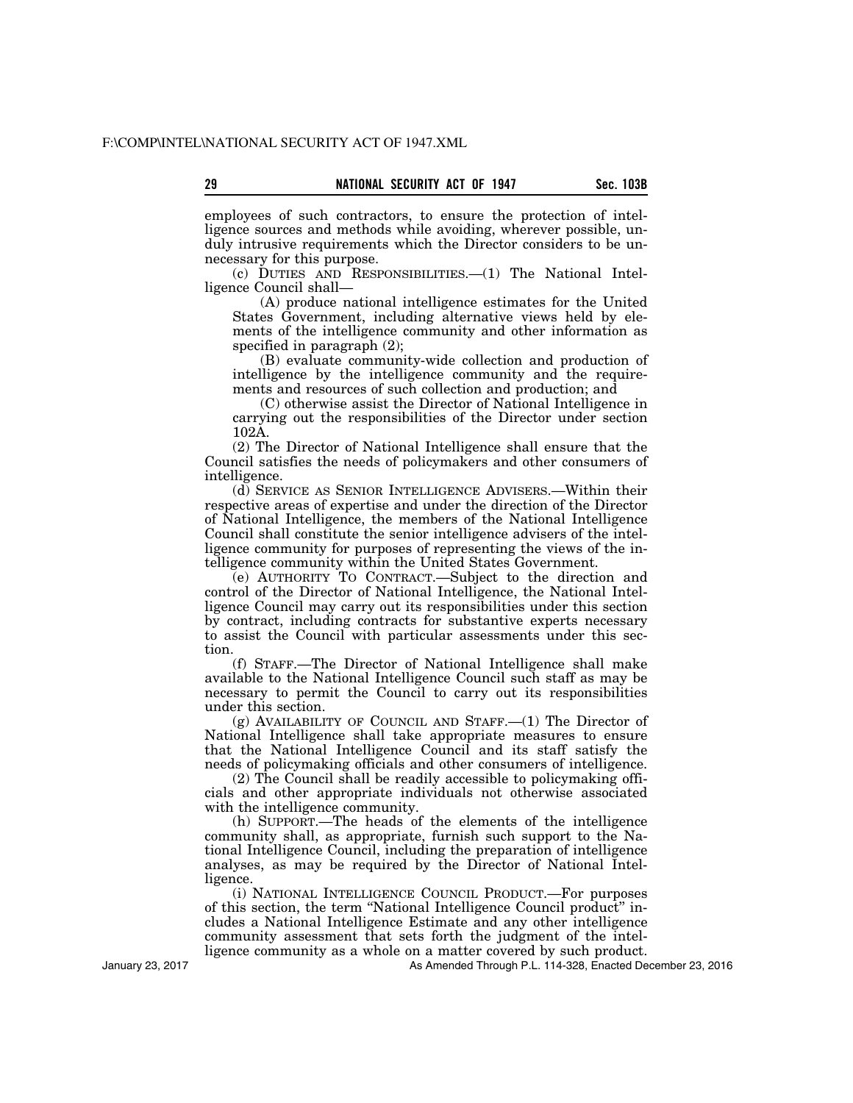employees of such contractors, to ensure the protection of intelligence sources and methods while avoiding, wherever possible, unduly intrusive requirements which the Director considers to be unnecessary for this purpose.

(c) DUTIES AND RESPONSIBILITIES.—(1) The National Intelligence Council shall—

(A) produce national intelligence estimates for the United States Government, including alternative views held by elements of the intelligence community and other information as specified in paragraph (2);

(B) evaluate community-wide collection and production of intelligence by the intelligence community and the requirements and resources of such collection and production; and

(C) otherwise assist the Director of National Intelligence in carrying out the responsibilities of the Director under section 102A.

(2) The Director of National Intelligence shall ensure that the Council satisfies the needs of policymakers and other consumers of intelligence.

(d) SERVICE AS SENIOR INTELLIGENCE ADVISERS.—Within their respective areas of expertise and under the direction of the Director of National Intelligence, the members of the National Intelligence Council shall constitute the senior intelligence advisers of the intelligence community for purposes of representing the views of the intelligence community within the United States Government.

(e) AUTHORITY TO CONTRACT.—Subject to the direction and control of the Director of National Intelligence, the National Intelligence Council may carry out its responsibilities under this section by contract, including contracts for substantive experts necessary to assist the Council with particular assessments under this section.

(f) STAFF.—The Director of National Intelligence shall make available to the National Intelligence Council such staff as may be necessary to permit the Council to carry out its responsibilities under this section.

(g) AVAILABILITY OF COUNCIL AND STAFF.—(1) The Director of National Intelligence shall take appropriate measures to ensure that the National Intelligence Council and its staff satisfy the needs of policymaking officials and other consumers of intelligence.

(2) The Council shall be readily accessible to policymaking officials and other appropriate individuals not otherwise associated with the intelligence community.

(h) SUPPORT.—The heads of the elements of the intelligence community shall, as appropriate, furnish such support to the National Intelligence Council, including the preparation of intelligence analyses, as may be required by the Director of National Intelligence.

(i) NATIONAL INTELLIGENCE COUNCIL PRODUCT.—For purposes of this section, the term ''National Intelligence Council product'' includes a National Intelligence Estimate and any other intelligence community assessment that sets forth the judgment of the intelligence community as a whole on a matter covered by such product.

As Amended Through P.L. 114-328, Enacted December 23, 2016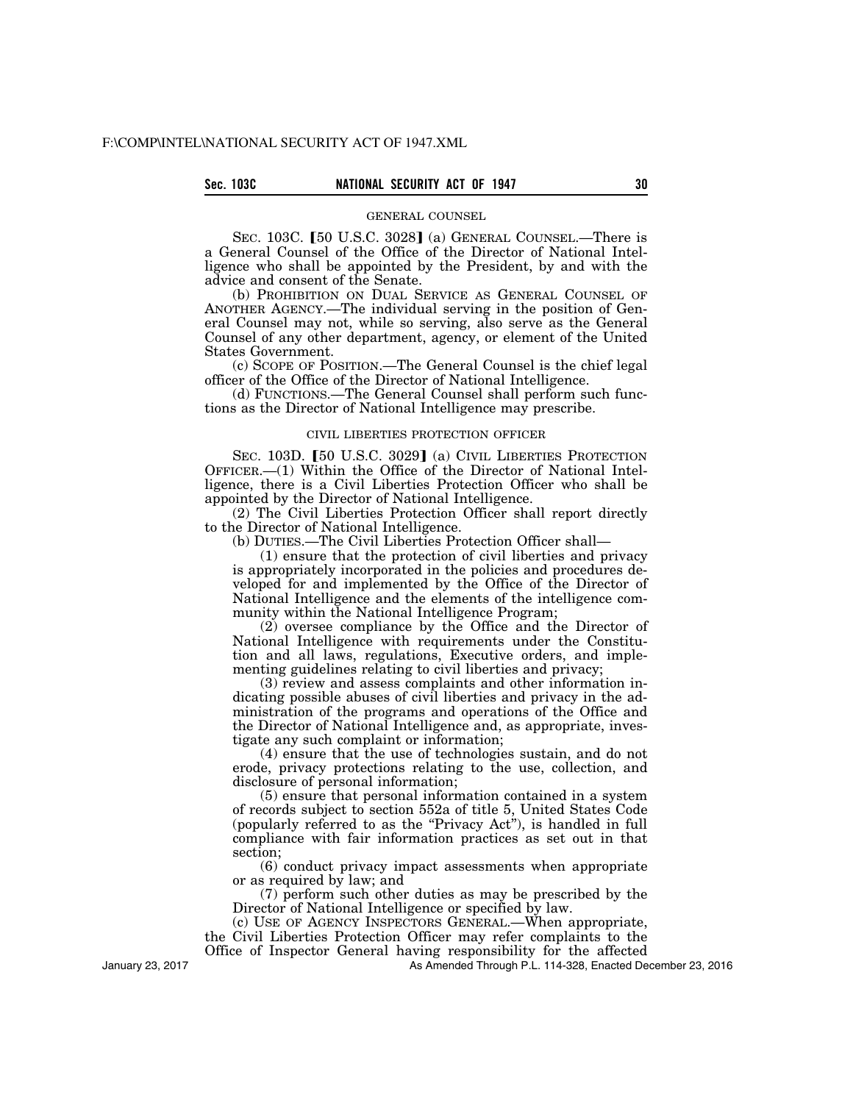# **Sec. 103C NATIONAL SECURITY ACT OF 1947 30**

# GENERAL COUNSEL

SEC. 103C. [50 U.S.C. 3028] (a) GENERAL COUNSEL.—There is a General Counsel of the Office of the Director of National Intelligence who shall be appointed by the President, by and with the advice and consent of the Senate.

(b) PROHIBITION ON DUAL SERVICE AS GENERAL COUNSEL OF ANOTHER AGENCY.—The individual serving in the position of General Counsel may not, while so serving, also serve as the General Counsel of any other department, agency, or element of the United States Government.

(c) SCOPE OF POSITION.—The General Counsel is the chief legal officer of the Office of the Director of National Intelligence.

(d) FUNCTIONS.—The General Counsel shall perform such functions as the Director of National Intelligence may prescribe.

# CIVIL LIBERTIES PROTECTION OFFICER

SEC. 103D. [50 U.S.C. 3029] (a) CIVIL LIBERTIES PROTECTION OFFICER.—(1) Within the Office of the Director of National Intelligence, there is a Civil Liberties Protection Officer who shall be appointed by the Director of National Intelligence.

(2) The Civil Liberties Protection Officer shall report directly to the Director of National Intelligence.

(b) DUTIES.—The Civil Liberties Protection Officer shall—

(1) ensure that the protection of civil liberties and privacy is appropriately incorporated in the policies and procedures developed for and implemented by the Office of the Director of National Intelligence and the elements of the intelligence community within the National Intelligence Program;

(2) oversee compliance by the Office and the Director of National Intelligence with requirements under the Constitution and all laws, regulations, Executive orders, and implementing guidelines relating to civil liberties and privacy;

(3) review and assess complaints and other information indicating possible abuses of civil liberties and privacy in the administration of the programs and operations of the Office and the Director of National Intelligence and, as appropriate, investigate any such complaint or information;

(4) ensure that the use of technologies sustain, and do not erode, privacy protections relating to the use, collection, and disclosure of personal information;

(5) ensure that personal information contained in a system of records subject to section 552a of title 5, United States Code (popularly referred to as the ''Privacy Act''), is handled in full compliance with fair information practices as set out in that section;

(6) conduct privacy impact assessments when appropriate or as required by law; and

(7) perform such other duties as may be prescribed by the Director of National Intelligence or specified by law.

(c) USE OF AGENCY INSPECTORS GENERAL.—When appropriate, the Civil Liberties Protection Officer may refer complaints to the

Office of Inspector General having responsibility for the affected

As Amended Through P.L. 114-328, Enacted December 23, 2016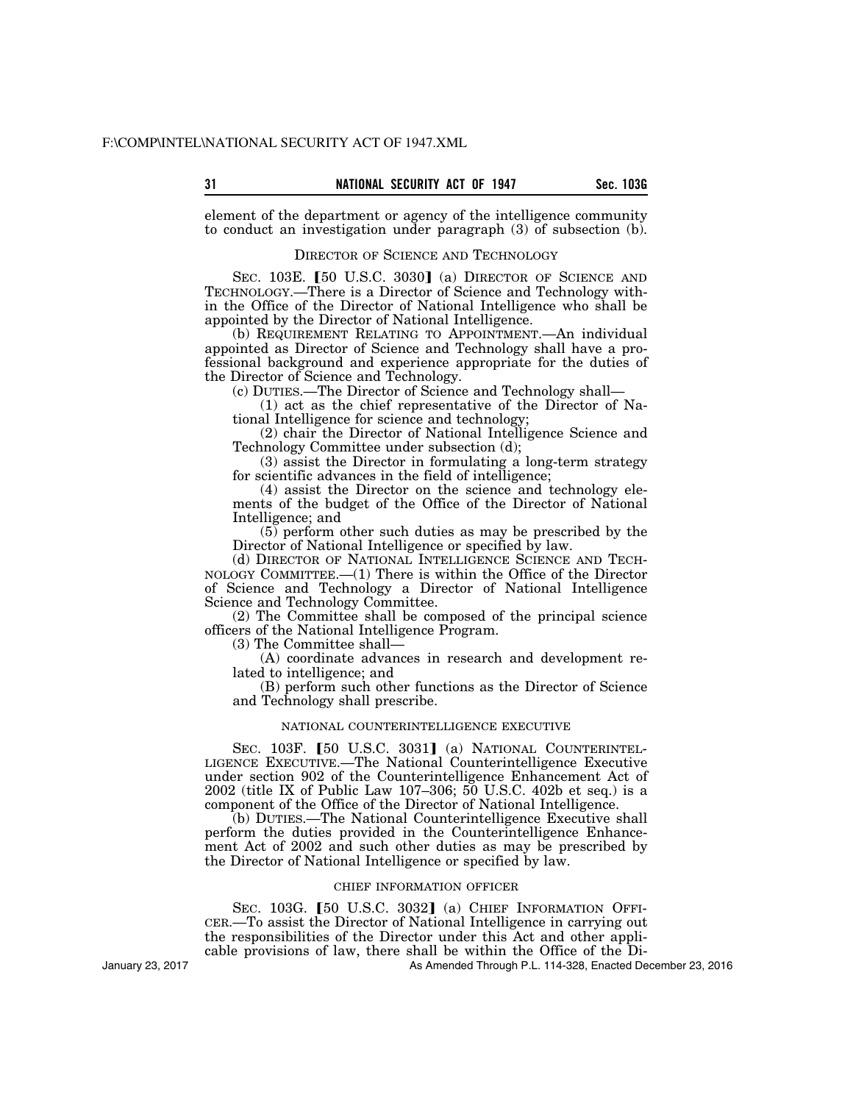element of the department or agency of the intelligence community to conduct an investigation under paragraph (3) of subsection (b).

# DIRECTOR OF SCIENCE AND TECHNOLOGY

SEC.  $103E$ . [50 U.S.C. 3030] (a) DIRECTOR OF SCIENCE AND TECHNOLOGY.—There is a Director of Science and Technology within the Office of the Director of National Intelligence who shall be appointed by the Director of National Intelligence.

(b) REQUIREMENT RELATING TO APPOINTMENT.—An individual appointed as Director of Science and Technology shall have a professional background and experience appropriate for the duties of the Director of Science and Technology.

(c) DUTIES.—The Director of Science and Technology shall—

(1) act as the chief representative of the Director of National Intelligence for science and technology;

(2) chair the Director of National Intelligence Science and Technology Committee under subsection (d);

(3) assist the Director in formulating a long-term strategy for scientific advances in the field of intelligence;

(4) assist the Director on the science and technology elements of the budget of the Office of the Director of National Intelligence; and

(5) perform other such duties as may be prescribed by the Director of National Intelligence or specified by law.

(d) DIRECTOR OF NATIONAL INTELLIGENCE SCIENCE AND TECH-NOLOGY COMMITTEE.—(1) There is within the Office of the Director of Science and Technology a Director of National Intelligence Science and Technology Committee.

(2) The Committee shall be composed of the principal science officers of the National Intelligence Program.

(3) The Committee shall—

(A) coordinate advances in research and development related to intelligence; and

(B) perform such other functions as the Director of Science and Technology shall prescribe.

# NATIONAL COUNTERINTELLIGENCE EXECUTIVE

SEC. 103F. [50 U.S.C. 3031] (a) NATIONAL COUNTERINTEL-LIGENCE EXECUTIVE.—The National Counterintelligence Executive under section 902 of the Counterintelligence Enhancement Act of 2002 (title IX of Public Law 107–306; 50 U.S.C. 402b et seq.) is a component of the Office of the Director of National Intelligence.

(b) DUTIES.—The National Counterintelligence Executive shall perform the duties provided in the Counterintelligence Enhancement Act of 2002 and such other duties as may be prescribed by the Director of National Intelligence or specified by law.

# CHIEF INFORMATION OFFICER

SEC. 103G. [50 U.S.C. 3032] (a) CHIEF INFORMATION OFFI-CER.—To assist the Director of National Intelligence in carrying out the responsibilities of the Director under this Act and other applicable provisions of law, there shall be within the Office of the Di-

As Amended Through P.L. 114-328, Enacted December 23, 2016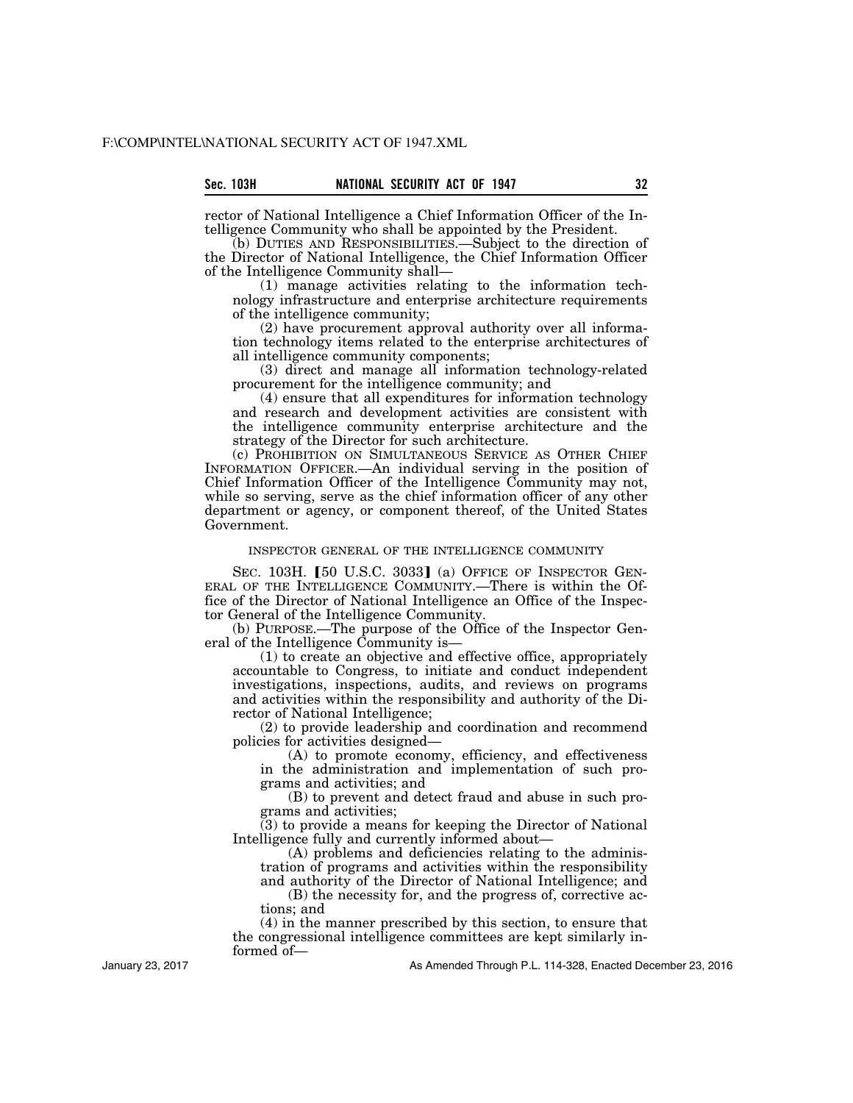| sec. | 103H |  |
|------|------|--|
|      |      |  |

rector of National Intelligence a Chief Information Officer of the Intelligence Community who shall be appointed by the President.

(b) DUTIES AND RESPONSIBILITIES.—Subject to the direction of the Director of National Intelligence, the Chief Information Officer of the Intelligence Community shall—

(1) manage activities relating to the information technology infrastructure and enterprise architecture requirements of the intelligence community;

(2) have procurement approval authority over all information technology items related to the enterprise architectures of all intelligence community components;

(3) direct and manage all information technology-related procurement for the intelligence community; and

(4) ensure that all expenditures for information technology and research and development activities are consistent with the intelligence community enterprise architecture and the strategy of the Director for such architecture.

(c) PROHIBITION ON SIMULTANEOUS SERVICE AS OTHER CHIEF INFORMATION OFFICER.—An individual serving in the position of Chief Information Officer of the Intelligence Community may not, while so serving, serve as the chief information officer of any other department or agency, or component thereof, of the United States Government.

# INSPECTOR GENERAL OF THE INTELLIGENCE COMMUNITY

SEC. 103H. [50 U.S.C. 3033] (a) OFFICE OF INSPECTOR GEN-ERAL OF THE INTELLIGENCE COMMUNITY.—There is within the Office of the Director of National Intelligence an Office of the Inspector General of the Intelligence Community.

(b) PURPOSE.—The purpose of the Office of the Inspector General of the Intelligence Community is—

(1) to create an objective and effective office, appropriately accountable to Congress, to initiate and conduct independent investigations, inspections, audits, and reviews on programs and activities within the responsibility and authority of the Director of National Intelligence;

(2) to provide leadership and coordination and recommend policies for activities designed—

(A) to promote economy, efficiency, and effectiveness in the administration and implementation of such programs and activities; and

(B) to prevent and detect fraud and abuse in such programs and activities;

(3) to provide a means for keeping the Director of National Intelligence fully and currently informed about—

(A) problems and deficiencies relating to the administration of programs and activities within the responsibility and authority of the Director of National Intelligence; and

(B) the necessity for, and the progress of, corrective actions; and

(4) in the manner prescribed by this section, to ensure that the congressional intelligence committees are kept similarly informed of—

January 23, 2017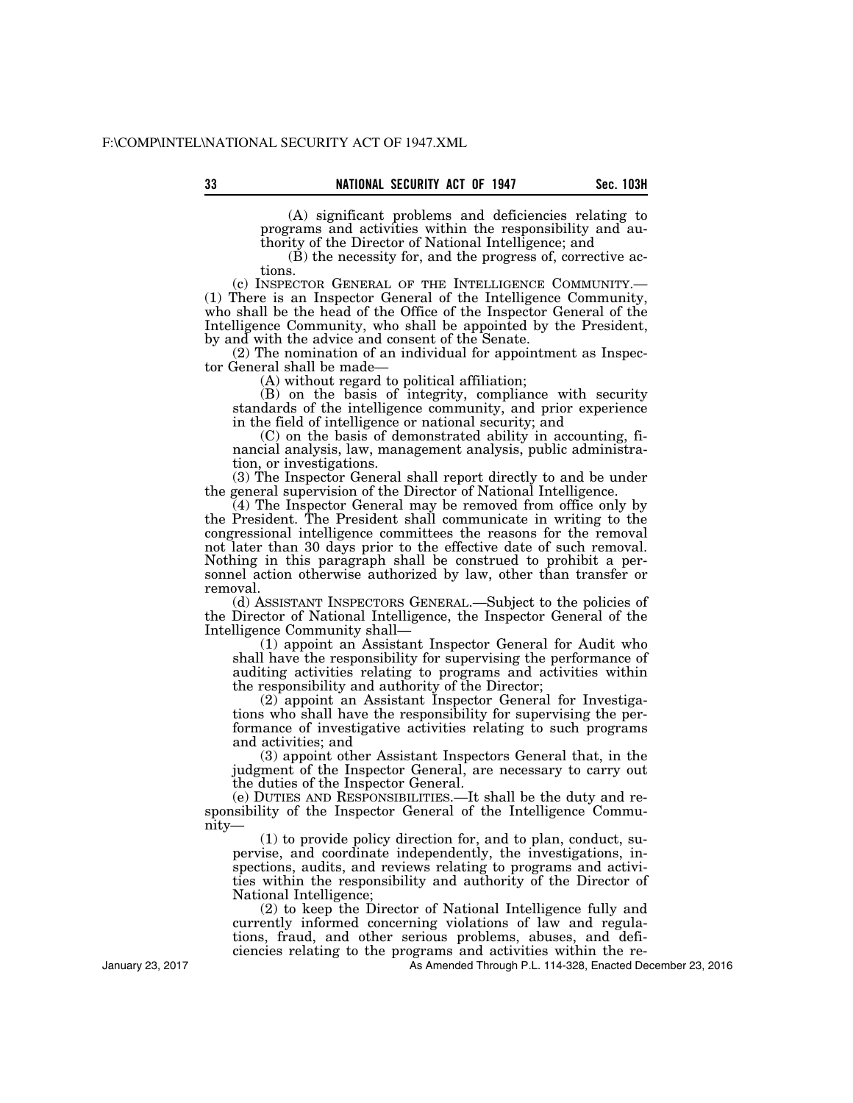(A) significant problems and deficiencies relating to programs and activities within the responsibility and authority of the Director of National Intelligence; and

(B) the necessity for, and the progress of, corrective ac-

tions.<br>(c) INSPECTOR GENERAL OF THE INTELLIGENCE COMMUNITY.— (1) There is an Inspector General of the Intelligence Community, who shall be the head of the Office of the Inspector General of the Intelligence Community, who shall be appointed by the President, by and with the advice and consent of the Senate.

(2) The nomination of an individual for appointment as Inspector General shall be made-

(A) without regard to political affiliation;

(B) on the basis of integrity, compliance with security standards of the intelligence community, and prior experience in the field of intelligence or national security; and

(C) on the basis of demonstrated ability in accounting, financial analysis, law, management analysis, public administration, or investigations.

(3) The Inspector General shall report directly to and be under the general supervision of the Director of National Intelligence.

(4) The Inspector General may be removed from office only by the President. The President shall communicate in writing to the congressional intelligence committees the reasons for the removal not later than 30 days prior to the effective date of such removal. Nothing in this paragraph shall be construed to prohibit a personnel action otherwise authorized by law, other than transfer or removal.

(d) ASSISTANT INSPECTORS GENERAL.—Subject to the policies of the Director of National Intelligence, the Inspector General of the Intelligence Community shall—

(1) appoint an Assistant Inspector General for Audit who shall have the responsibility for supervising the performance of auditing activities relating to programs and activities within the responsibility and authority of the Director;

(2) appoint an Assistant Inspector General for Investigations who shall have the responsibility for supervising the performance of investigative activities relating to such programs and activities; and

(3) appoint other Assistant Inspectors General that, in the judgment of the Inspector General, are necessary to carry out the duties of the Inspector General.

(e) DUTIES AND RESPONSIBILITIES.—It shall be the duty and responsibility of the Inspector General of the Intelligence Community—

(1) to provide policy direction for, and to plan, conduct, supervise, and coordinate independently, the investigations, inspections, audits, and reviews relating to programs and activities within the responsibility and authority of the Director of National Intelligence;

(2) to keep the Director of National Intelligence fully and currently informed concerning violations of law and regulations, fraud, and other serious problems, abuses, and deficiencies relating to the programs and activities within the re-

As Amended Through P.L. 114-328, Enacted December 23, 2016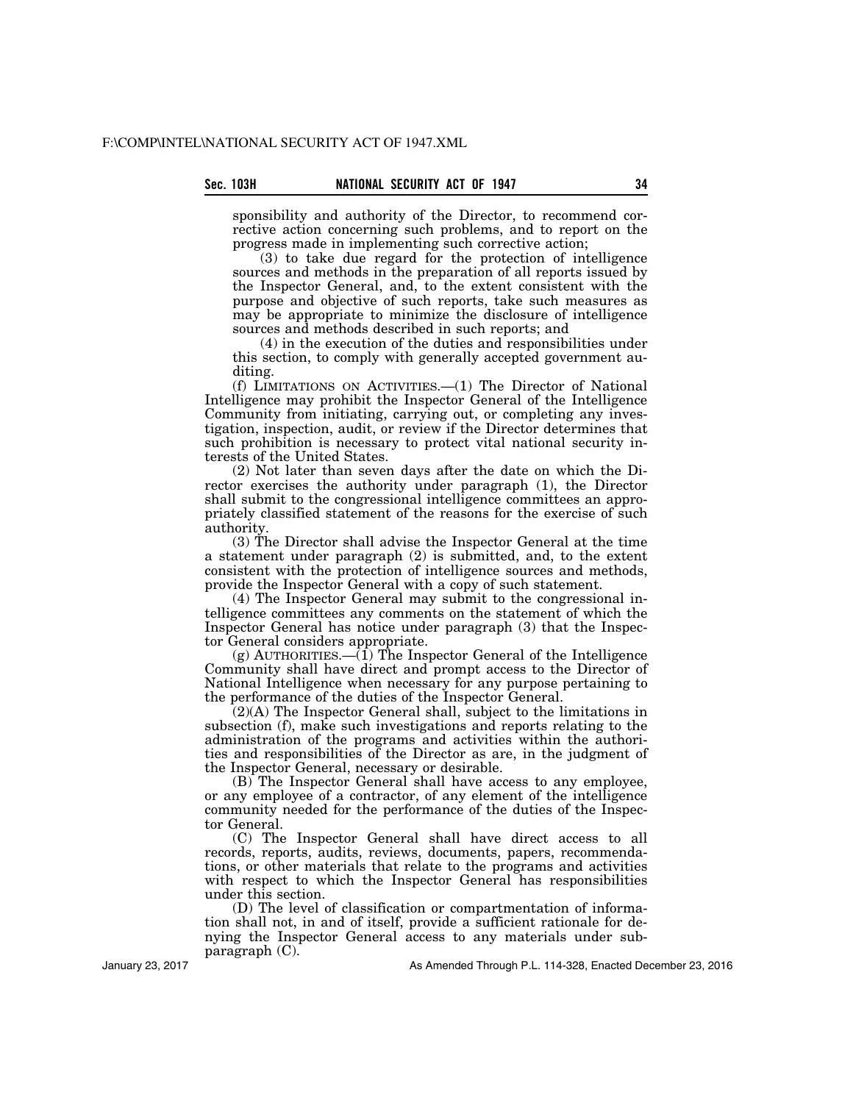sponsibility and authority of the Director, to recommend corrective action concerning such problems, and to report on the progress made in implementing such corrective action;

(3) to take due regard for the protection of intelligence sources and methods in the preparation of all reports issued by the Inspector General, and, to the extent consistent with the purpose and objective of such reports, take such measures as may be appropriate to minimize the disclosure of intelligence sources and methods described in such reports; and

(4) in the execution of the duties and responsibilities under this section, to comply with generally accepted government auditing.

(f) LIMITATIONS ON ACTIVITIES.—(1) The Director of National Intelligence may prohibit the Inspector General of the Intelligence Community from initiating, carrying out, or completing any investigation, inspection, audit, or review if the Director determines that such prohibition is necessary to protect vital national security interests of the United States.

(2) Not later than seven days after the date on which the Director exercises the authority under paragraph (1), the Director shall submit to the congressional intelligence committees an appropriately classified statement of the reasons for the exercise of such authority.

(3) The Director shall advise the Inspector General at the time a statement under paragraph (2) is submitted, and, to the extent consistent with the protection of intelligence sources and methods, provide the Inspector General with a copy of such statement.

(4) The Inspector General may submit to the congressional intelligence committees any comments on the statement of which the Inspector General has notice under paragraph (3) that the Inspector General considers appropriate.

(g) AUTHORITIES.— $(\overline{1})$  The Inspector General of the Intelligence Community shall have direct and prompt access to the Director of National Intelligence when necessary for any purpose pertaining to the performance of the duties of the Inspector General.

(2)(A) The Inspector General shall, subject to the limitations in subsection (f), make such investigations and reports relating to the administration of the programs and activities within the authorities and responsibilities of the Director as are, in the judgment of the Inspector General, necessary or desirable.

(B) The Inspector General shall have access to any employee, or any employee of a contractor, of any element of the intelligence community needed for the performance of the duties of the Inspector General.

(C) The Inspector General shall have direct access to all records, reports, audits, reviews, documents, papers, recommendations, or other materials that relate to the programs and activities with respect to which the Inspector General has responsibilities under this section.

(D) The level of classification or compartmentation of information shall not, in and of itself, provide a sufficient rationale for denying the Inspector General access to any materials under subparagraph (C).

January 23, 2017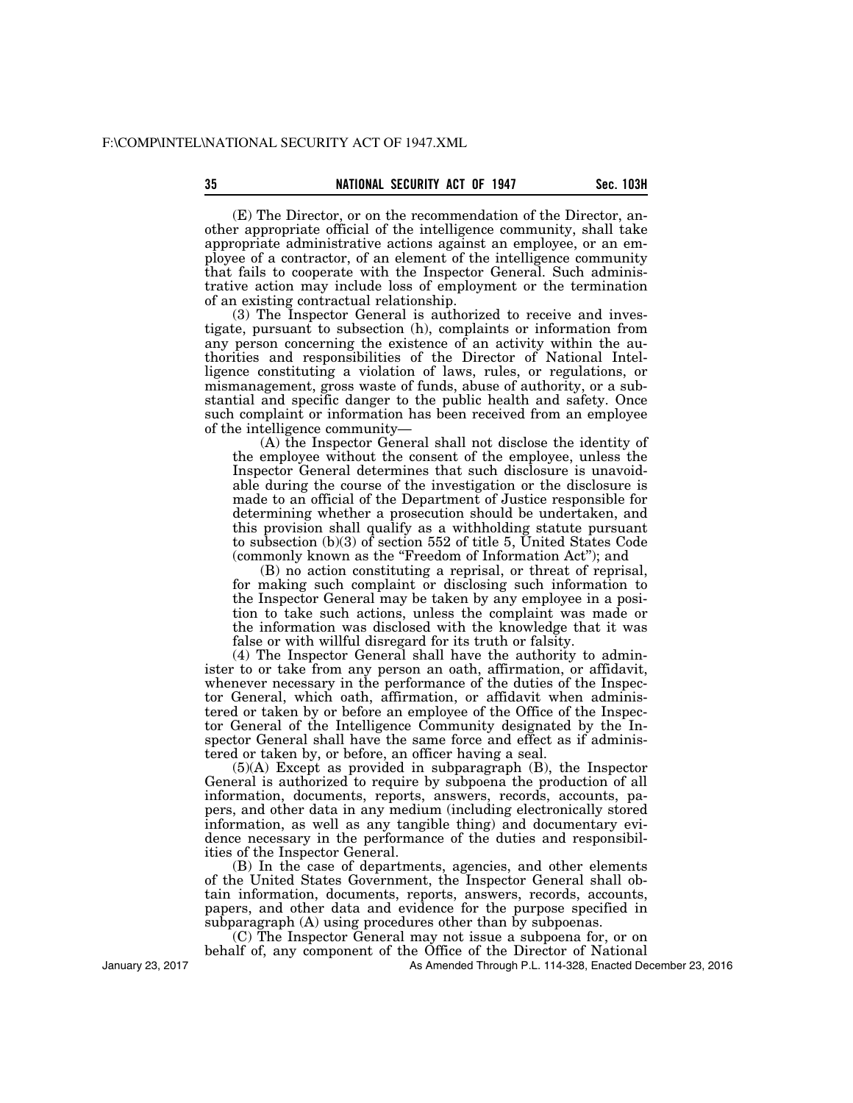(E) The Director, or on the recommendation of the Director, another appropriate official of the intelligence community, shall take appropriate administrative actions against an employee, or an employee of a contractor, of an element of the intelligence community that fails to cooperate with the Inspector General. Such administrative action may include loss of employment or the termination of an existing contractual relationship.

(3) The Inspector General is authorized to receive and investigate, pursuant to subsection (h), complaints or information from any person concerning the existence of an activity within the authorities and responsibilities of the Director of National Intelligence constituting a violation of laws, rules, or regulations, or mismanagement, gross waste of funds, abuse of authority, or a substantial and specific danger to the public health and safety. Once such complaint or information has been received from an employee of the intelligence community—

(A) the Inspector General shall not disclose the identity of the employee without the consent of the employee, unless the Inspector General determines that such disclosure is unavoidable during the course of the investigation or the disclosure is made to an official of the Department of Justice responsible for determining whether a prosecution should be undertaken, and this provision shall qualify as a withholding statute pursuant to subsection  $(b)(3)$  of section 552 of title 5, United States Code (commonly known as the ''Freedom of Information Act''); and

(B) no action constituting a reprisal, or threat of reprisal, for making such complaint or disclosing such information to the Inspector General may be taken by any employee in a position to take such actions, unless the complaint was made or the information was disclosed with the knowledge that it was false or with willful disregard for its truth or falsity.

(4) The Inspector General shall have the authority to administer to or take from any person an oath, affirmation, or affidavit, whenever necessary in the performance of the duties of the Inspector General, which oath, affirmation, or affidavit when administered or taken by or before an employee of the Office of the Inspector General of the Intelligence Community designated by the Inspector General shall have the same force and effect as if administered or taken by, or before, an officer having a seal.

(5)(A) Except as provided in subparagraph (B), the Inspector General is authorized to require by subpoena the production of all information, documents, reports, answers, records, accounts, papers, and other data in any medium (including electronically stored information, as well as any tangible thing) and documentary evidence necessary in the performance of the duties and responsibilities of the Inspector General.

(B) In the case of departments, agencies, and other elements of the United States Government, the Inspector General shall obtain information, documents, reports, answers, records, accounts, papers, and other data and evidence for the purpose specified in subparagraph (A) using procedures other than by subpoenas.

(C) The Inspector General may not issue a subpoena for, or on behalf of, any component of the Office of the Director of National

As Amended Through P.L. 114-328, Enacted December 23, 2016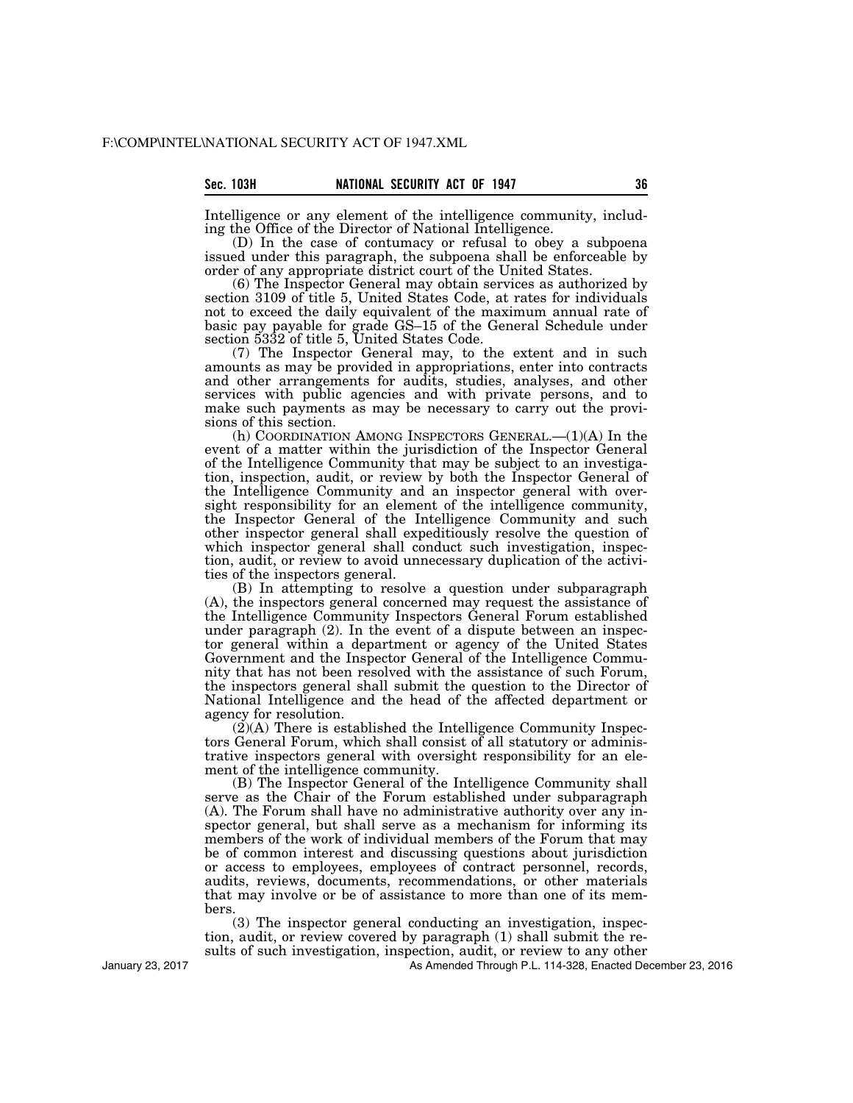| Sec. |  | 103H |  |
|------|--|------|--|
|      |  |      |  |
|      |  |      |  |

Intelligence or any element of the intelligence community, including the Office of the Director of National Intelligence.

(D) In the case of contumacy or refusal to obey a subpoena issued under this paragraph, the subpoena shall be enforceable by order of any appropriate district court of the United States.

(6) The Inspector General may obtain services as authorized by section 3109 of title 5, United States Code, at rates for individuals not to exceed the daily equivalent of the maximum annual rate of basic pay payable for grade GS–15 of the General Schedule under section 5332 of title 5, United States Code.

(7) The Inspector General may, to the extent and in such amounts as may be provided in appropriations, enter into contracts and other arrangements for audits, studies, analyses, and other services with public agencies and with private persons, and to make such payments as may be necessary to carry out the provisions of this section.

(h) COORDINATION AMONG INSPECTORS GENERAL.—(1)(A) In the event of a matter within the jurisdiction of the Inspector General of the Intelligence Community that may be subject to an investigation, inspection, audit, or review by both the Inspector General of the Intelligence Community and an inspector general with oversight responsibility for an element of the intelligence community, the Inspector General of the Intelligence Community and such other inspector general shall expeditiously resolve the question of which inspector general shall conduct such investigation, inspection, audit, or review to avoid unnecessary duplication of the activities of the inspectors general.

(B) In attempting to resolve a question under subparagraph (A), the inspectors general concerned may request the assistance of the Intelligence Community Inspectors General Forum established under paragraph (2). In the event of a dispute between an inspector general within a department or agency of the United States Government and the Inspector General of the Intelligence Community that has not been resolved with the assistance of such Forum, the inspectors general shall submit the question to the Director of National Intelligence and the head of the affected department or agency for resolution.

 $(2)$ (A) There is established the Intelligence Community Inspectors General Forum, which shall consist of all statutory or administrative inspectors general with oversight responsibility for an element of the intelligence community.

(B) The Inspector General of the Intelligence Community shall serve as the Chair of the Forum established under subparagraph (A). The Forum shall have no administrative authority over any inspector general, but shall serve as a mechanism for informing its members of the work of individual members of the Forum that may be of common interest and discussing questions about jurisdiction or access to employees, employees of contract personnel, records, audits, reviews, documents, recommendations, or other materials that may involve or be of assistance to more than one of its members.

(3) The inspector general conducting an investigation, inspection, audit, or review covered by paragraph (1) shall submit the results of such investigation, inspection, audit, or review to any other

As Amended Through P.L. 114-328, Enacted December 23, 2016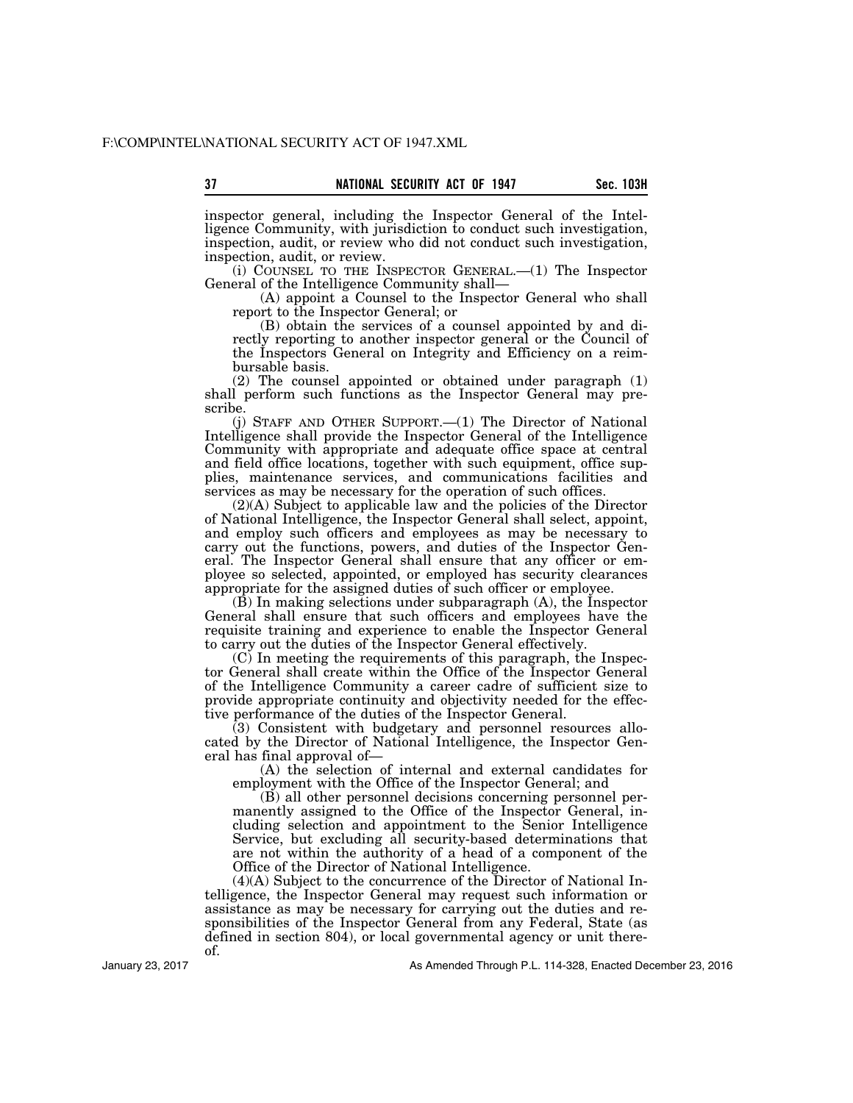**37** Sec. 103H **NATIONAL SECURITY ACT OF 1947** Sec. 103H inspector general, including the Inspector General of the Intelligence Community, with jurisdiction to conduct such investigation,

inspection, audit, or review. (i) COUNSEL TO THE INSPECTOR GENERAL.—(1) The Inspector General of the Intelligence Community shall—

inspection, audit, or review who did not conduct such investigation,

(A) appoint a Counsel to the Inspector General who shall report to the Inspector General; or

(B) obtain the services of a counsel appointed by and directly reporting to another inspector general or the Council of the Inspectors General on Integrity and Efficiency on a reimbursable basis.

(2) The counsel appointed or obtained under paragraph (1) shall perform such functions as the Inspector General may prescribe.

(j) STAFF AND OTHER SUPPORT.—(1) The Director of National Intelligence shall provide the Inspector General of the Intelligence Community with appropriate and adequate office space at central and field office locations, together with such equipment, office supplies, maintenance services, and communications facilities and services as may be necessary for the operation of such offices.

(2)(A) Subject to applicable law and the policies of the Director of National Intelligence, the Inspector General shall select, appoint, and employ such officers and employees as may be necessary to carry out the functions, powers, and duties of the Inspector General. The Inspector General shall ensure that any officer or employee so selected, appointed, or employed has security clearances appropriate for the assigned duties of such officer or employee.

(B) In making selections under subparagraph (A), the Inspector General shall ensure that such officers and employees have the requisite training and experience to enable the Inspector General to carry out the duties of the Inspector General effectively.

(C) In meeting the requirements of this paragraph, the Inspector General shall create within the Office of the Inspector General of the Intelligence Community a career cadre of sufficient size to provide appropriate continuity and objectivity needed for the effective performance of the duties of the Inspector General.

(3) Consistent with budgetary and personnel resources allocated by the Director of National Intelligence, the Inspector General has final approval of—

(A) the selection of internal and external candidates for employment with the Office of the Inspector General; and

(B) all other personnel decisions concerning personnel permanently assigned to the Office of the Inspector General, including selection and appointment to the Senior Intelligence Service, but excluding all security-based determinations that are not within the authority of a head of a component of the Office of the Director of National Intelligence.

(4)(A) Subject to the concurrence of the Director of National Intelligence, the Inspector General may request such information or assistance as may be necessary for carrying out the duties and responsibilities of the Inspector General from any Federal, State (as defined in section 804), or local governmental agency or unit thereof.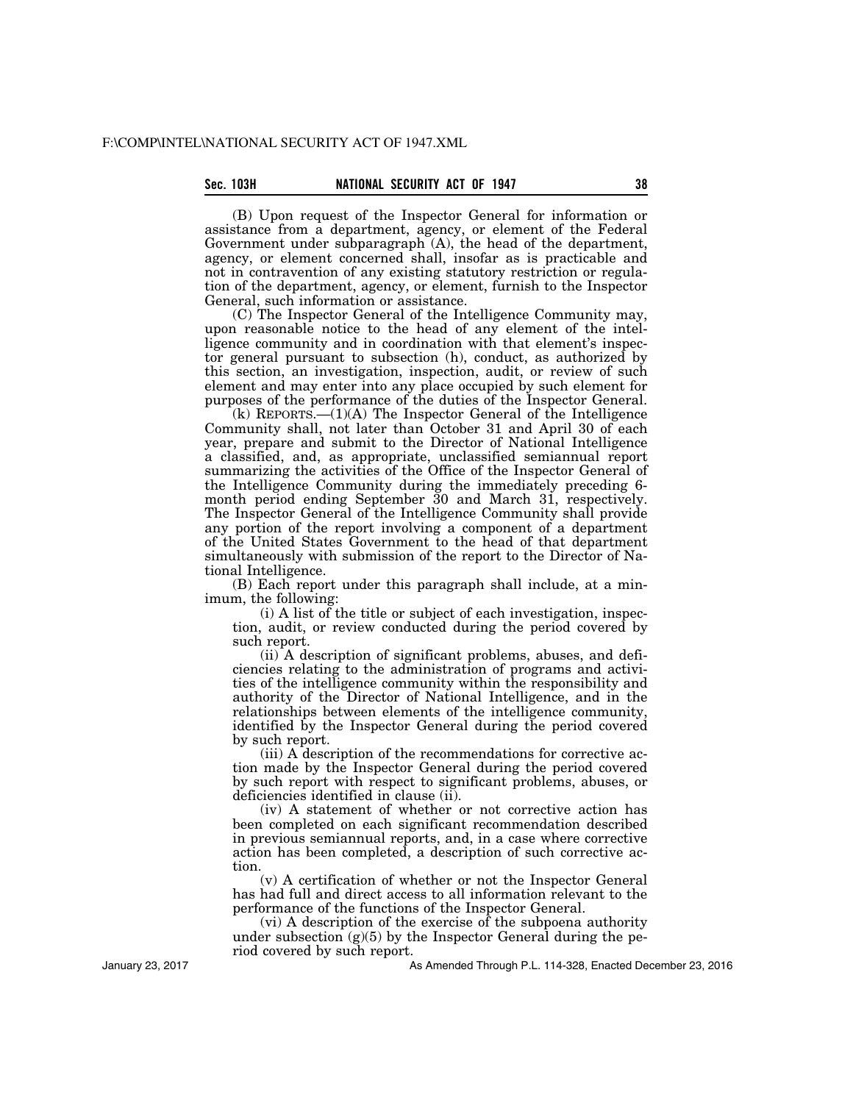# **Sec. 103H NATIONAL SECURITY ACT OF 1947 38**

(B) Upon request of the Inspector General for information or assistance from a department, agency, or element of the Federal Government under subparagraph (A), the head of the department, agency, or element concerned shall, insofar as is practicable and not in contravention of any existing statutory restriction or regulation of the department, agency, or element, furnish to the Inspector General, such information or assistance.

(C) The Inspector General of the Intelligence Community may, upon reasonable notice to the head of any element of the intelligence community and in coordination with that element's inspector general pursuant to subsection (h), conduct, as authorized by this section, an investigation, inspection, audit, or review of such element and may enter into any place occupied by such element for purposes of the performance of the duties of the Inspector General.

(k) REPORTS.—(1)(A) The Inspector General of the Intelligence Community shall, not later than October 31 and April 30 of each year, prepare and submit to the Director of National Intelligence a classified, and, as appropriate, unclassified semiannual report summarizing the activities of the Office of the Inspector General of the Intelligence Community during the immediately preceding 6 month period ending September 30 and March 31, respectively. The Inspector General of the Intelligence Community shall provide any portion of the report involving a component of a department of the United States Government to the head of that department simultaneously with submission of the report to the Director of National Intelligence.

(B) Each report under this paragraph shall include, at a minimum, the following:

 $(i)$  A list of the title or subject of each investigation, inspection, audit, or review conducted during the period covered by such report.

(ii) A description of significant problems, abuses, and deficiencies relating to the administration of programs and activities of the intelligence community within the responsibility and authority of the Director of National Intelligence, and in the relationships between elements of the intelligence community, identified by the Inspector General during the period covered by such report.

(iii) A description of the recommendations for corrective action made by the Inspector General during the period covered by such report with respect to significant problems, abuses, or deficiencies identified in clause (ii).

(iv) A statement of whether or not corrective action has been completed on each significant recommendation described in previous semiannual reports, and, in a case where corrective action has been completed, a description of such corrective action.

(v) A certification of whether or not the Inspector General has had full and direct access to all information relevant to the performance of the functions of the Inspector General.

(vi) A description of the exercise of the subpoena authority under subsection  $(g)(5)$  by the Inspector General during the period covered by such report.

As Amended Through P.L. 114-328, Enacted December 23, 2016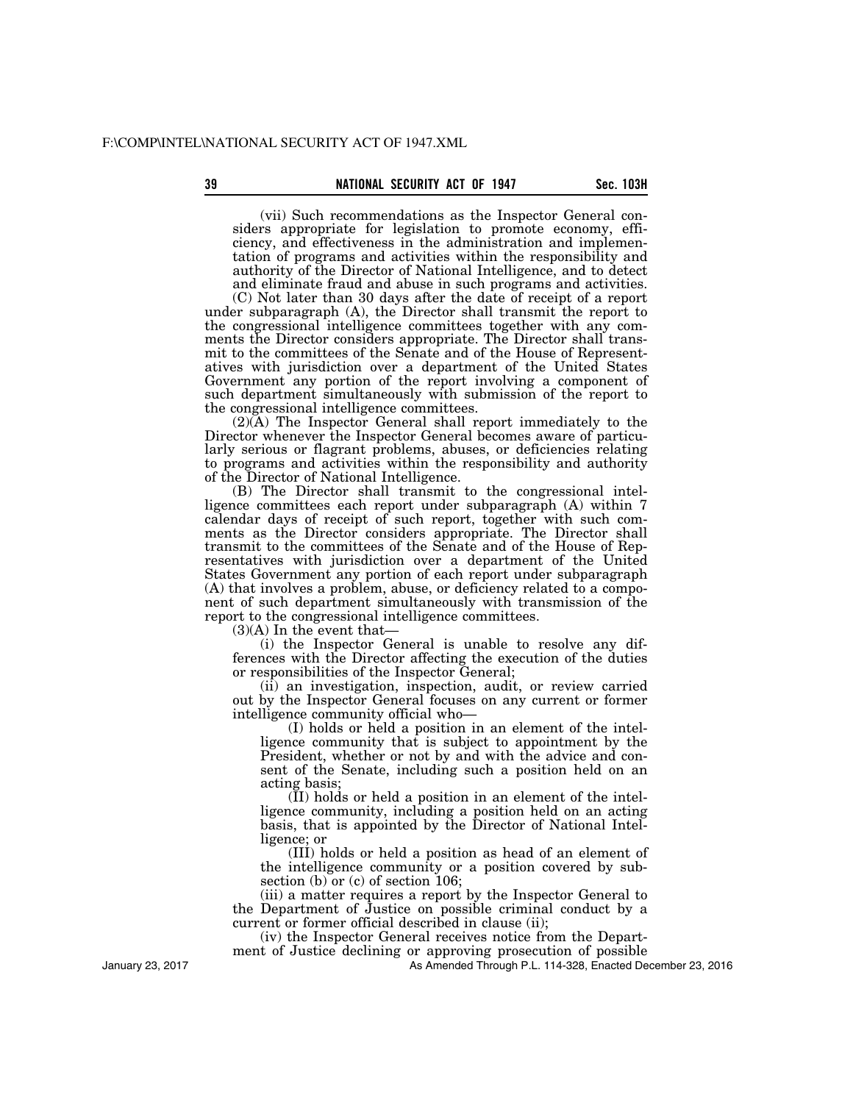# **39 Sec. 103H NATIONAL SECURITY ACT OF 1947** Sec. 103H

(vii) Such recommendations as the Inspector General considers appropriate for legislation to promote economy, efficiency, and effectiveness in the administration and implementation of programs and activities within the responsibility and authority of the Director of National Intelligence, and to detect and eliminate fraud and abuse in such programs and activities.

(C) Not later than 30 days after the date of receipt of a report under subparagraph (A), the Director shall transmit the report to the congressional intelligence committees together with any comments the Director considers appropriate. The Director shall transmit to the committees of the Senate and of the House of Representatives with jurisdiction over a department of the United States Government any portion of the report involving a component of such department simultaneously with submission of the report to the congressional intelligence committees.

(2)(A) The Inspector General shall report immediately to the Director whenever the Inspector General becomes aware of particularly serious or flagrant problems, abuses, or deficiencies relating to programs and activities within the responsibility and authority of the Director of National Intelligence.

(B) The Director shall transmit to the congressional intelligence committees each report under subparagraph (A) within 7 calendar days of receipt of such report, together with such comments as the Director considers appropriate. The Director shall transmit to the committees of the Senate and of the House of Representatives with jurisdiction over a department of the United States Government any portion of each report under subparagraph (A) that involves a problem, abuse, or deficiency related to a component of such department simultaneously with transmission of the report to the congressional intelligence committees.

 $(3)(A)$  In the event that-

(i) the Inspector General is unable to resolve any differences with the Director affecting the execution of the duties or responsibilities of the Inspector General;

(ii) an investigation, inspection, audit, or review carried out by the Inspector General focuses on any current or former intelligence community official who—

(I) holds or held a position in an element of the intelligence community that is subject to appointment by the President, whether or not by and with the advice and consent of the Senate, including such a position held on an acting basis;

 $(\overline{II})$  holds or held a position in an element of the intelligence community, including a position held on an acting basis, that is appointed by the Director of National Intelligence; or

(III) holds or held a position as head of an element of the intelligence community or a position covered by subsection (b) or (c) of section 106;

(iii) a matter requires a report by the Inspector General to the Department of Justice on possible criminal conduct by a current or former official described in clause (ii);

(iv) the Inspector General receives notice from the Department of Justice declining or approving prosecution of possible

As Amended Through P.L. 114-328, Enacted December 23, 2016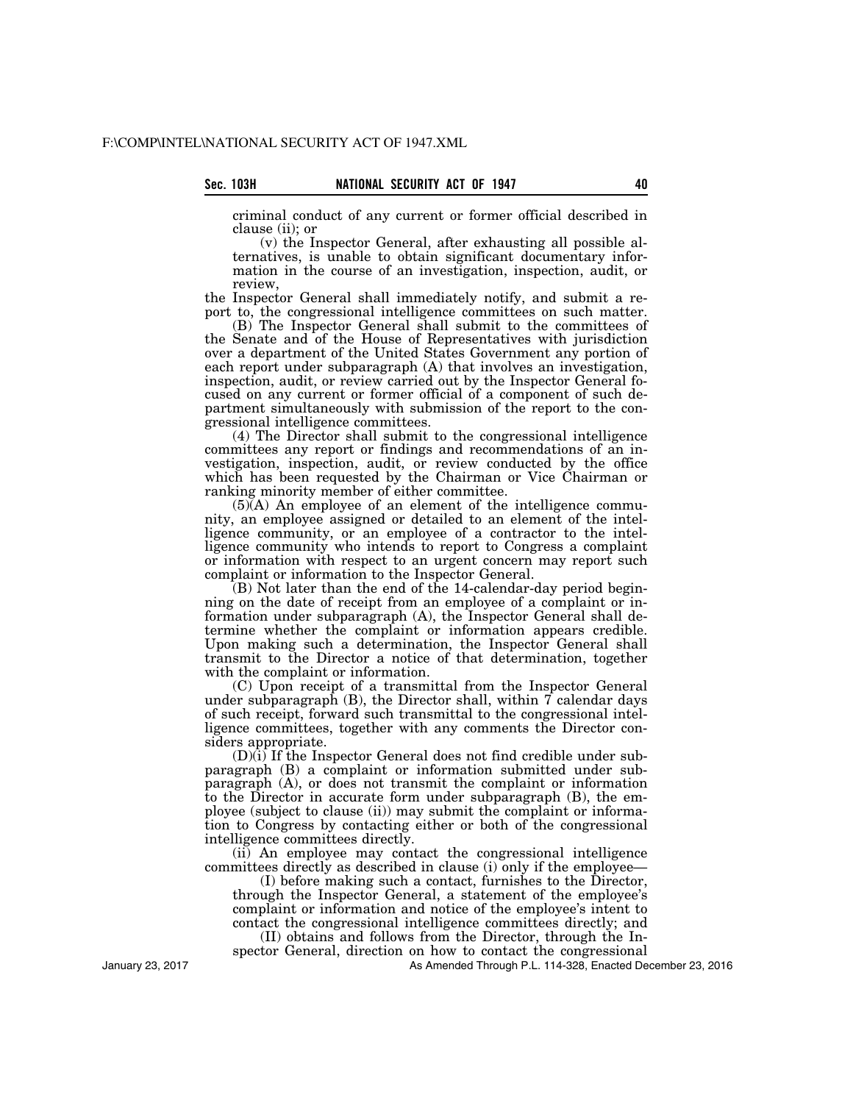criminal conduct of any current or former official described in clause (ii); or

(v) the Inspector General, after exhausting all possible alternatives, is unable to obtain significant documentary information in the course of an investigation, inspection, audit, or review,

the Inspector General shall immediately notify, and submit a report to, the congressional intelligence committees on such matter.

(B) The Inspector General shall submit to the committees of the Senate and of the House of Representatives with jurisdiction over a department of the United States Government any portion of each report under subparagraph (A) that involves an investigation, inspection, audit, or review carried out by the Inspector General focused on any current or former official of a component of such department simultaneously with submission of the report to the congressional intelligence committees.

(4) The Director shall submit to the congressional intelligence committees any report or findings and recommendations of an investigation, inspection, audit, or review conducted by the office which has been requested by the Chairman or Vice Chairman or ranking minority member of either committee.

 $(5)$  $(A)$  An employee of an element of the intelligence community, an employee assigned or detailed to an element of the intelligence community, or an employee of a contractor to the intelligence community who intends to report to Congress a complaint or information with respect to an urgent concern may report such complaint or information to the Inspector General.

(B) Not later than the end of the 14-calendar-day period beginning on the date of receipt from an employee of a complaint or information under subparagraph (A), the Inspector General shall determine whether the complaint or information appears credible. Upon making such a determination, the Inspector General shall transmit to the Director a notice of that determination, together with the complaint or information.

(C) Upon receipt of a transmittal from the Inspector General under subparagraph  $(B)$ , the Director shall, within  $\bar{T}$  calendar days of such receipt, forward such transmittal to the congressional intelligence committees, together with any comments the Director considers appropriate.

(D)(i) If the Inspector General does not find credible under subparagraph (B) a complaint or information submitted under subparagraph (A), or does not transmit the complaint or information to the Director in accurate form under subparagraph (B), the employee (subject to clause (ii)) may submit the complaint or information to Congress by contacting either or both of the congressional intelligence committees directly.

(ii) An employee may contact the congressional intelligence committees directly as described in clause (i) only if the employee—

(I) before making such a contact, furnishes to the Director, through the Inspector General, a statement of the employee's complaint or information and notice of the employee's intent to contact the congressional intelligence committees directly; and

(II) obtains and follows from the Director, through the Inspector General, direction on how to contact the congressional

As Amended Through P.L. 114-328, Enacted December 23, 2016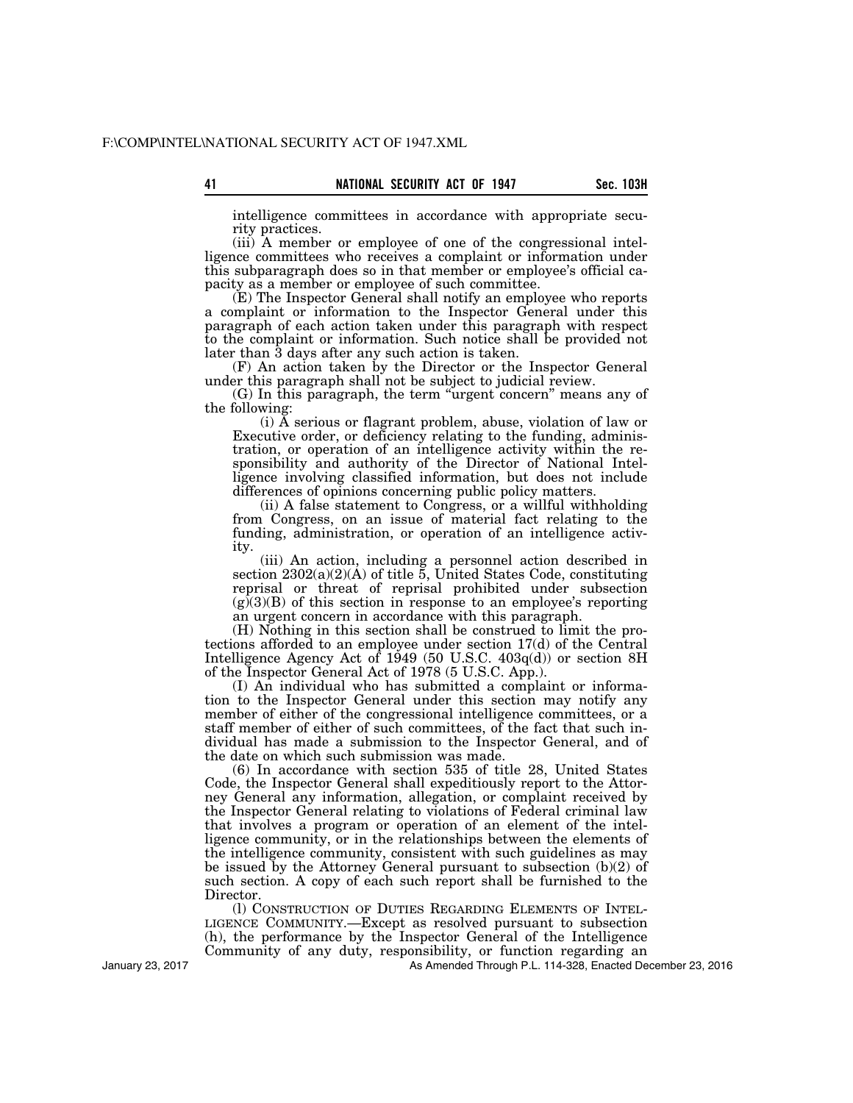intelligence committees in accordance with appropriate security practices.

(iii) A member or employee of one of the congressional intelligence committees who receives a complaint or information under this subparagraph does so in that member or employee's official capacity as a member or employee of such committee.

(E) The Inspector General shall notify an employee who reports a complaint or information to the Inspector General under this paragraph of each action taken under this paragraph with respect to the complaint or information. Such notice shall be provided not later than 3 days after any such action is taken.

(F) An action taken by the Director or the Inspector General under this paragraph shall not be subject to judicial review.

(G) In this paragraph, the term ''urgent concern'' means any of the following:

(i) A serious or flagrant problem, abuse, violation of law or Executive order, or deficiency relating to the funding, administration, or operation of an intelligence activity within the responsibility and authority of the Director of National Intelligence involving classified information, but does not include differences of opinions concerning public policy matters.

(ii) A false statement to Congress, or a willful withholding from Congress, on an issue of material fact relating to the funding, administration, or operation of an intelligence activity.

(iii) An action, including a personnel action described in section  $2302(a)(2)(A)$  of title 5, United States Code, constituting reprisal or threat of reprisal prohibited under subsection  $(g)(3)(B)$  of this section in response to an employee's reporting an urgent concern in accordance with this paragraph.

(H) Nothing in this section shall be construed to limit the protections afforded to an employee under section 17(d) of the Central Intelligence Agency Act of  $1\dot{9}49$  (50 U.S.C.  $403q(d)$ ) or section 8H of the Inspector General Act of 1978 (5 U.S.C. App.).

(I) An individual who has submitted a complaint or information to the Inspector General under this section may notify any member of either of the congressional intelligence committees, or a staff member of either of such committees, of the fact that such individual has made a submission to the Inspector General, and of the date on which such submission was made.

(6) In accordance with section 535 of title 28, United States Code, the Inspector General shall expeditiously report to the Attorney General any information, allegation, or complaint received by the Inspector General relating to violations of Federal criminal law that involves a program or operation of an element of the intelligence community, or in the relationships between the elements of the intelligence community, consistent with such guidelines as may be issued by the Attorney General pursuant to subsection (b)(2) of such section. A copy of each such report shall be furnished to the Director.

(l) CONSTRUCTION OF DUTIES REGARDING ELEMENTS OF INTEL-LIGENCE COMMUNITY.—Except as resolved pursuant to subsection (h), the performance by the Inspector General of the Intelligence Community of any duty, responsibility, or function regarding an

As Amended Through P.L. 114-328, Enacted December 23, 2016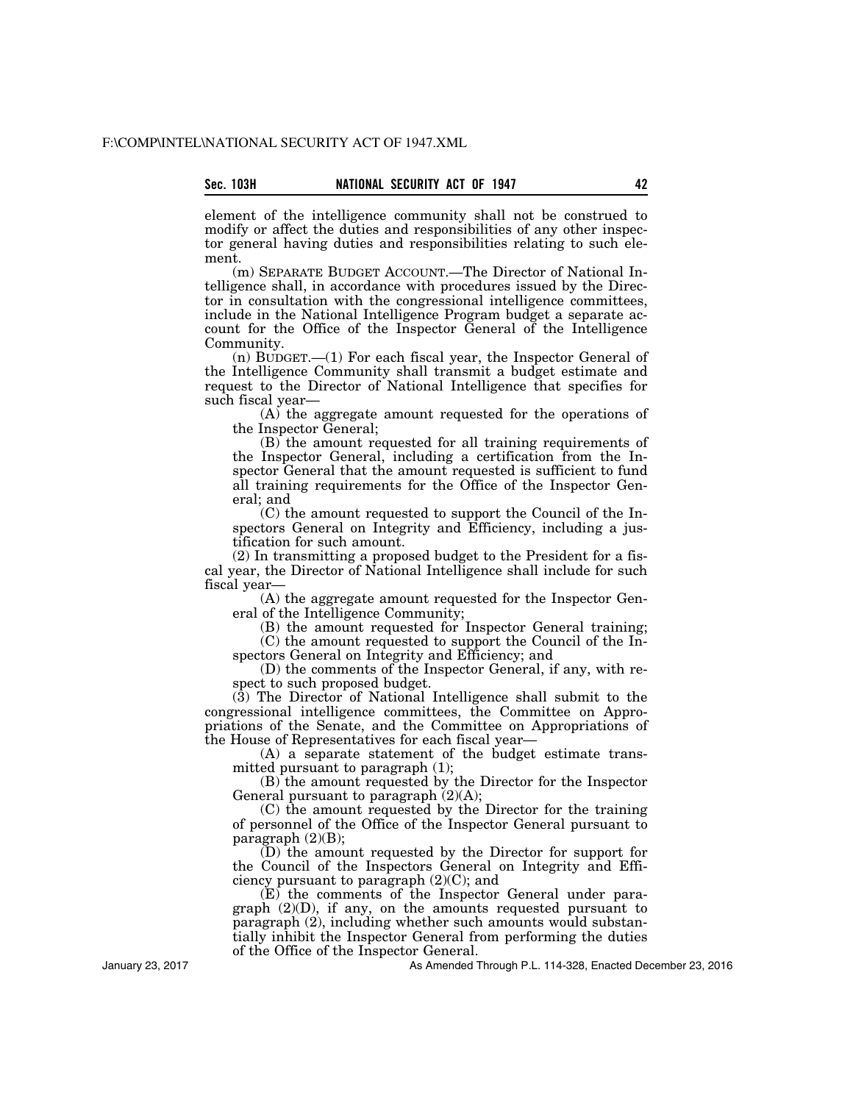element of the intelligence community shall not be construed to modify or affect the duties and responsibilities of any other inspector general having duties and responsibilities relating to such element.

(m) SEPARATE BUDGET ACCOUNT.—The Director of National Intelligence shall, in accordance with procedures issued by the Director in consultation with the congressional intelligence committees, include in the National Intelligence Program budget a separate account for the Office of the Inspector General of the Intelligence Community.

(n) BUDGET.—(1) For each fiscal year, the Inspector General of the Intelligence Community shall transmit a budget estimate and request to the Director of National Intelligence that specifies for such fiscal year—

(A) the aggregate amount requested for the operations of the Inspector General;

(B) the amount requested for all training requirements of the Inspector General, including a certification from the Inspector General that the amount requested is sufficient to fund all training requirements for the Office of the Inspector General; and

(C) the amount requested to support the Council of the Inspectors General on Integrity and Efficiency, including a justification for such amount.

(2) In transmitting a proposed budget to the President for a fiscal year, the Director of National Intelligence shall include for such fiscal year—

(A) the aggregate amount requested for the Inspector General of the Intelligence Community;

(B) the amount requested for Inspector General training; (C) the amount requested to support the Council of the In-

spectors General on Integrity and Efficiency; and (D) the comments of the Inspector General, if any, with re-

spect to such proposed budget.

(3) The Director of National Intelligence shall submit to the congressional intelligence committees, the Committee on Appropriations of the Senate, and the Committee on Appropriations of the House of Representatives for each fiscal year—

(A) a separate statement of the budget estimate transmitted pursuant to paragraph (1);

(B) the amount requested by the Director for the Inspector General pursuant to paragraph  $(2)(A)$ ;

(C) the amount requested by the Director for the training of personnel of the Office of the Inspector General pursuant to paragraph  $(2)(B)$ ;

(D) the amount requested by the Director for support for the Council of the Inspectors General on Integrity and Efficiency pursuant to paragraph  $(2)(C)$ ; and

(E) the comments of the Inspector General under paragraph (2)(D), if any, on the amounts requested pursuant to paragraph (2), including whether such amounts would substantially inhibit the Inspector General from performing the duties of the Office of the Inspector General.

As Amended Through P.L. 114-328, Enacted December 23, 2016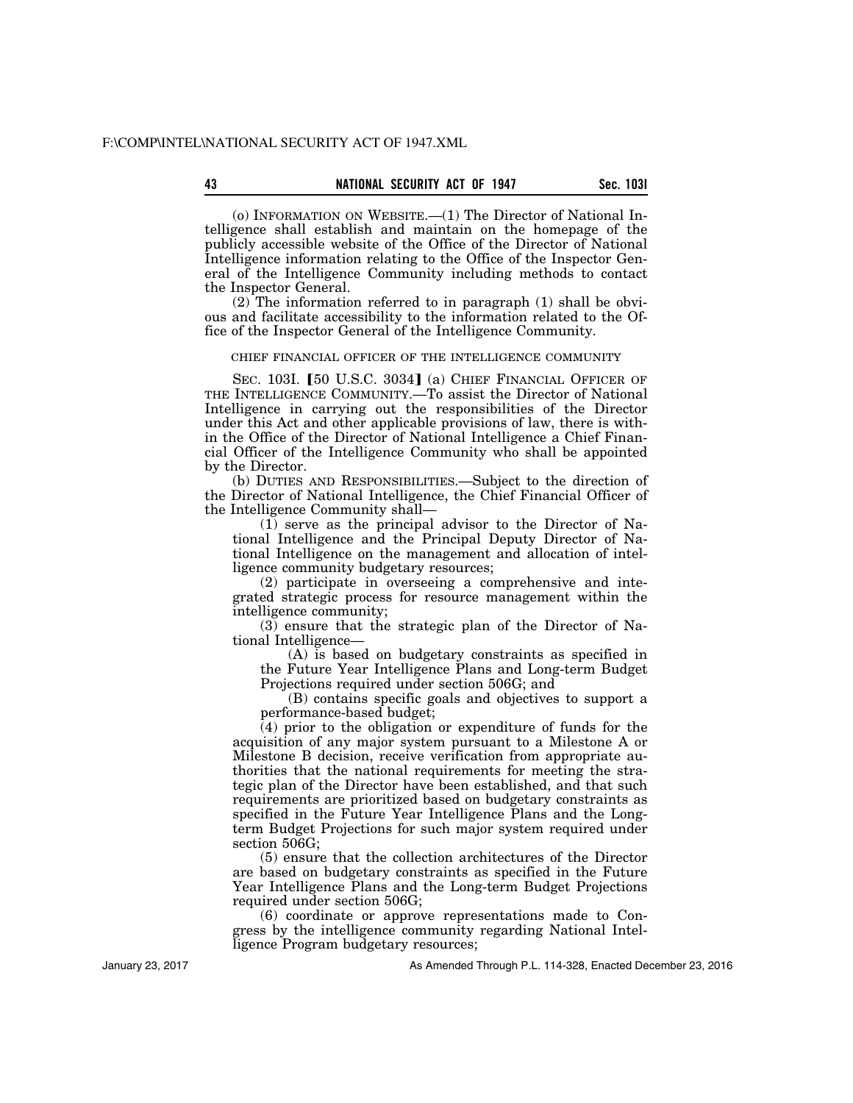(o) INFORMATION ON WEBSITE.—(1) The Director of National Intelligence shall establish and maintain on the homepage of the publicly accessible website of the Office of the Director of National Intelligence information relating to the Office of the Inspector General of the Intelligence Community including methods to contact the Inspector General.

 $(2)$  The information referred to in paragraph  $(1)$  shall be obvious and facilitate accessibility to the information related to the Office of the Inspector General of the Intelligence Community.

## CHIEF FINANCIAL OFFICER OF THE INTELLIGENCE COMMUNITY

SEC. 103I. [50 U.S.C. 3034] (a) CHIEF FINANCIAL OFFICER OF THE INTELLIGENCE COMMUNITY.—To assist the Director of National Intelligence in carrying out the responsibilities of the Director under this Act and other applicable provisions of law, there is within the Office of the Director of National Intelligence a Chief Financial Officer of the Intelligence Community who shall be appointed by the Director.

(b) DUTIES AND RESPONSIBILITIES.—Subject to the direction of the Director of National Intelligence, the Chief Financial Officer of the Intelligence Community shall—

(1) serve as the principal advisor to the Director of National Intelligence and the Principal Deputy Director of National Intelligence on the management and allocation of intelligence community budgetary resources;

(2) participate in overseeing a comprehensive and integrated strategic process for resource management within the intelligence community;

(3) ensure that the strategic plan of the Director of National Intelligence—

(A) is based on budgetary constraints as specified in the Future Year Intelligence Plans and Long-term Budget Projections required under section 506G; and

(B) contains specific goals and objectives to support a performance-based budget;

(4) prior to the obligation or expenditure of funds for the acquisition of any major system pursuant to a Milestone A or Milestone B decision, receive verification from appropriate authorities that the national requirements for meeting the strategic plan of the Director have been established, and that such requirements are prioritized based on budgetary constraints as specified in the Future Year Intelligence Plans and the Longterm Budget Projections for such major system required under section 506G;

(5) ensure that the collection architectures of the Director are based on budgetary constraints as specified in the Future Year Intelligence Plans and the Long-term Budget Projections required under section 506G;

(6) coordinate or approve representations made to Congress by the intelligence community regarding National Intelligence Program budgetary resources;

As Amended Through P.L. 114-328, Enacted December 23, 2016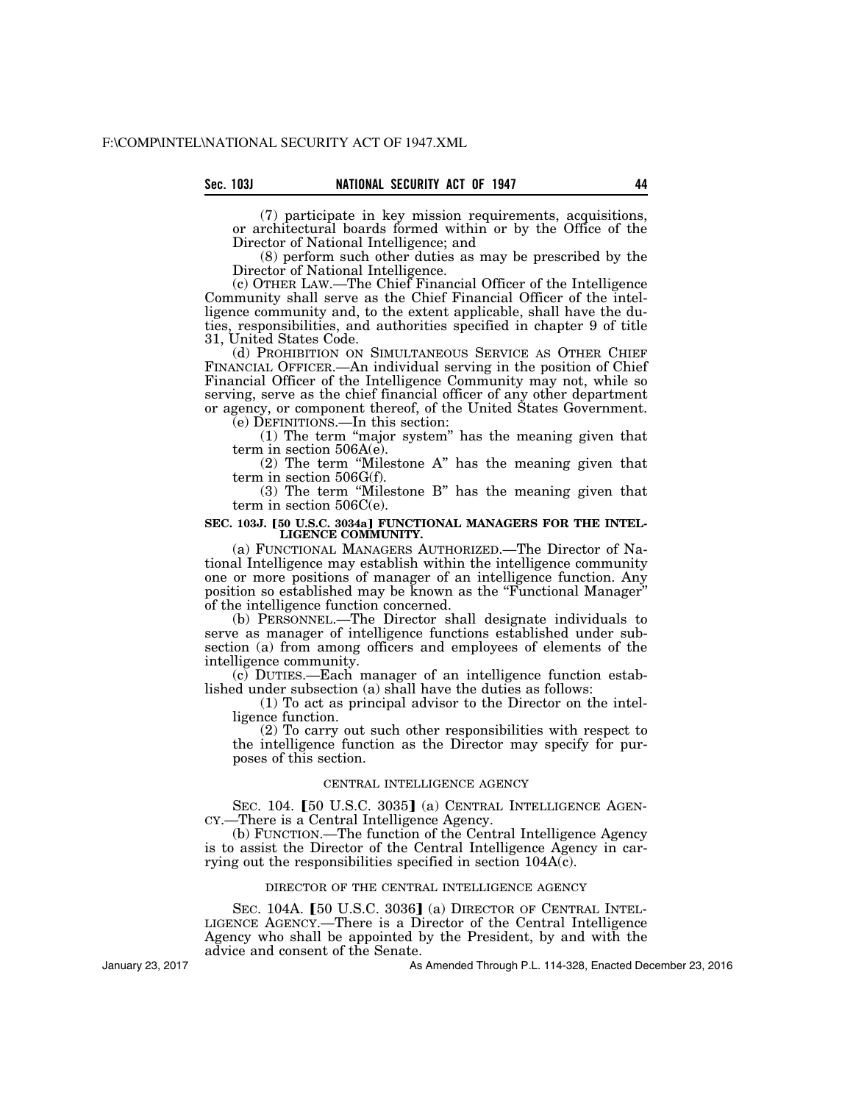(7) participate in key mission requirements, acquisitions, or architectural boards formed within or by the Office of the Director of National Intelligence; and

(8) perform such other duties as may be prescribed by the Director of National Intelligence.

(c) OTHER LAW.—The Chief Financial Officer of the Intelligence Community shall serve as the Chief Financial Officer of the intelligence community and, to the extent applicable, shall have the duties, responsibilities, and authorities specified in chapter 9 of title 31, United States Code.

(d) PROHIBITION ON SIMULTANEOUS SERVICE AS OTHER CHIEF FINANCIAL OFFICER.—An individual serving in the position of Chief Financial Officer of the Intelligence Community may not, while so serving, serve as the chief financial officer of any other department or agency, or component thereof, of the United States Government.

(e) DEFINITIONS.—In this section:

(1) The term ''major system'' has the meaning given that term in section 506A(e).

(2) The term ''Milestone A'' has the meaning given that term in section 506G(f).

(3) The term ''Milestone B'' has the meaning given that term in section 506C(e).

### SEC. 103J. [50 U.S.C. 3034a] FUNCTIONAL MANAGERS FOR THE INTEL-**LIGENCE COMMUNITY.**

(a) FUNCTIONAL MANAGERS AUTHORIZED.—The Director of National Intelligence may establish within the intelligence community one or more positions of manager of an intelligence function. Any position so established may be known as the ''Functional Manager'' of the intelligence function concerned.

(b) PERSONNEL.—The Director shall designate individuals to serve as manager of intelligence functions established under subsection (a) from among officers and employees of elements of the intelligence community.

(c) DUTIES.—Each manager of an intelligence function established under subsection (a) shall have the duties as follows:

(1) To act as principal advisor to the Director on the intelligence function.

(2) To carry out such other responsibilities with respect to the intelligence function as the Director may specify for purposes of this section.

# CENTRAL INTELLIGENCE AGENCY

SEC. 104. [50 U.S.C. 3035] (a) CENTRAL INTELLIGENCE AGEN-CY.—There is a Central Intelligence Agency.

(b) FUNCTION.—The function of the Central Intelligence Agency is to assist the Director of the Central Intelligence Agency in carrying out the responsibilities specified in section  $104A(c)$ .

## DIRECTOR OF THE CENTRAL INTELLIGENCE AGENCY

SEC. 104A. [50 U.S.C. 3036] (a) DIRECTOR OF CENTRAL INTEL-LIGENCE AGENCY.—There is a Director of the Central Intelligence Agency who shall be appointed by the President, by and with the advice and consent of the Senate.

January 23, 2017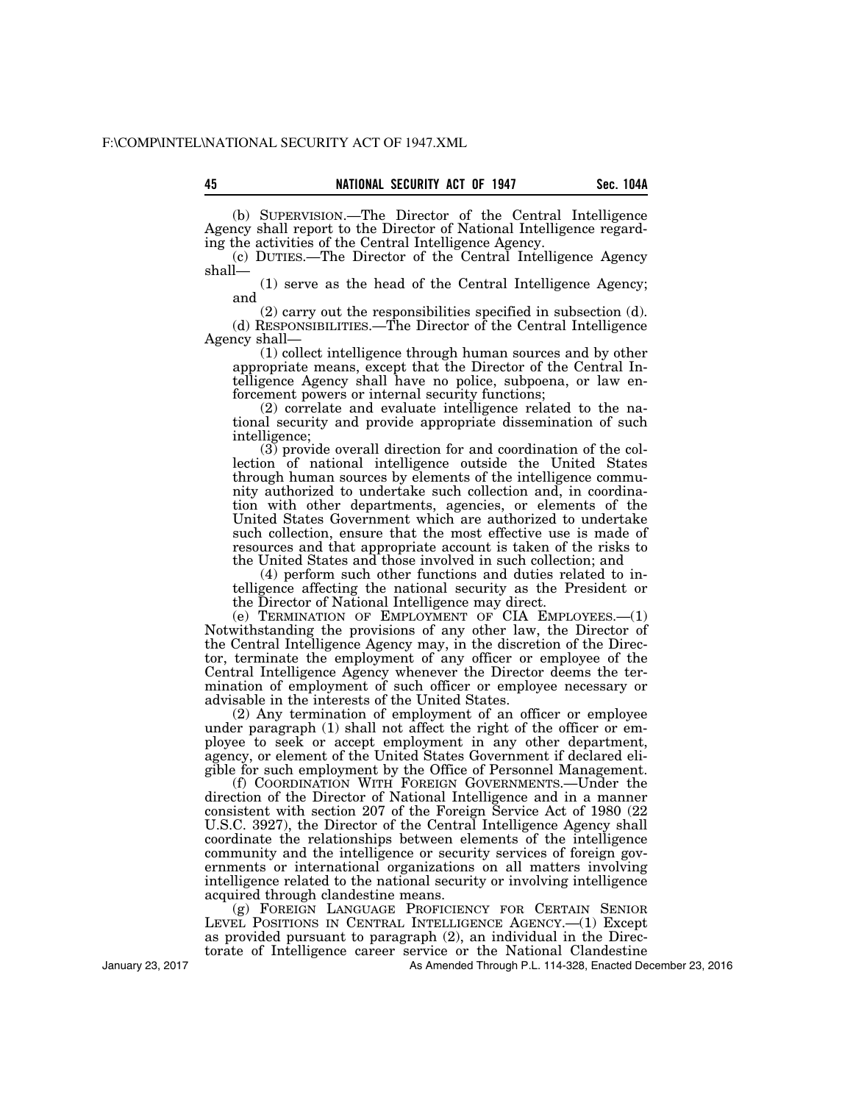(b) SUPERVISION.—The Director of the Central Intelligence Agency shall report to the Director of National Intelligence regarding the activities of the Central Intelligence Agency.

(c) DUTIES.—The Director of the Central Intelligence Agency shall—

(1) serve as the head of the Central Intelligence Agency; and

(2) carry out the responsibilities specified in subsection (d). (d) RESPONSIBILITIES.—The Director of the Central Intelligence Agency shall—

(1) collect intelligence through human sources and by other appropriate means, except that the Director of the Central Intelligence Agency shall have no police, subpoena, or law enforcement powers or internal security functions;

(2) correlate and evaluate intelligence related to the national security and provide appropriate dissemination of such intelligence;

(3) provide overall direction for and coordination of the collection of national intelligence outside the United States through human sources by elements of the intelligence community authorized to undertake such collection and, in coordination with other departments, agencies, or elements of the United States Government which are authorized to undertake such collection, ensure that the most effective use is made of resources and that appropriate account is taken of the risks to the United States and those involved in such collection; and

(4) perform such other functions and duties related to intelligence affecting the national security as the President or the Director of National Intelligence may direct.

(e) TERMINATION OF EMPLOYMENT OF CIA EMPLOYEES.—(1) Notwithstanding the provisions of any other law, the Director of the Central Intelligence Agency may, in the discretion of the Director, terminate the employment of any officer or employee of the Central Intelligence Agency whenever the Director deems the termination of employment of such officer or employee necessary or advisable in the interests of the United States.

(2) Any termination of employment of an officer or employee under paragraph (1) shall not affect the right of the officer or employee to seek or accept employment in any other department, agency, or element of the United States Government if declared eligible for such employment by the Office of Personnel Management.

(f) COORDINATION WITH FOREIGN GOVERNMENTS.—Under the direction of the Director of National Intelligence and in a manner consistent with section 207 of the Foreign Service Act of 1980 (22 U.S.C. 3927), the Director of the Central Intelligence Agency shall coordinate the relationships between elements of the intelligence community and the intelligence or security services of foreign governments or international organizations on all matters involving intelligence related to the national security or involving intelligence acquired through clandestine means.

(g) FOREIGN LANGUAGE PROFICIENCY FOR CERTAIN SENIOR LEVEL POSITIONS IN CENTRAL INTELLIGENCE AGENCY.—(1) Except as provided pursuant to paragraph (2), an individual in the Directorate of Intelligence career service or the National Clandestine

As Amended Through P.L. 114-328, Enacted December 23, 2016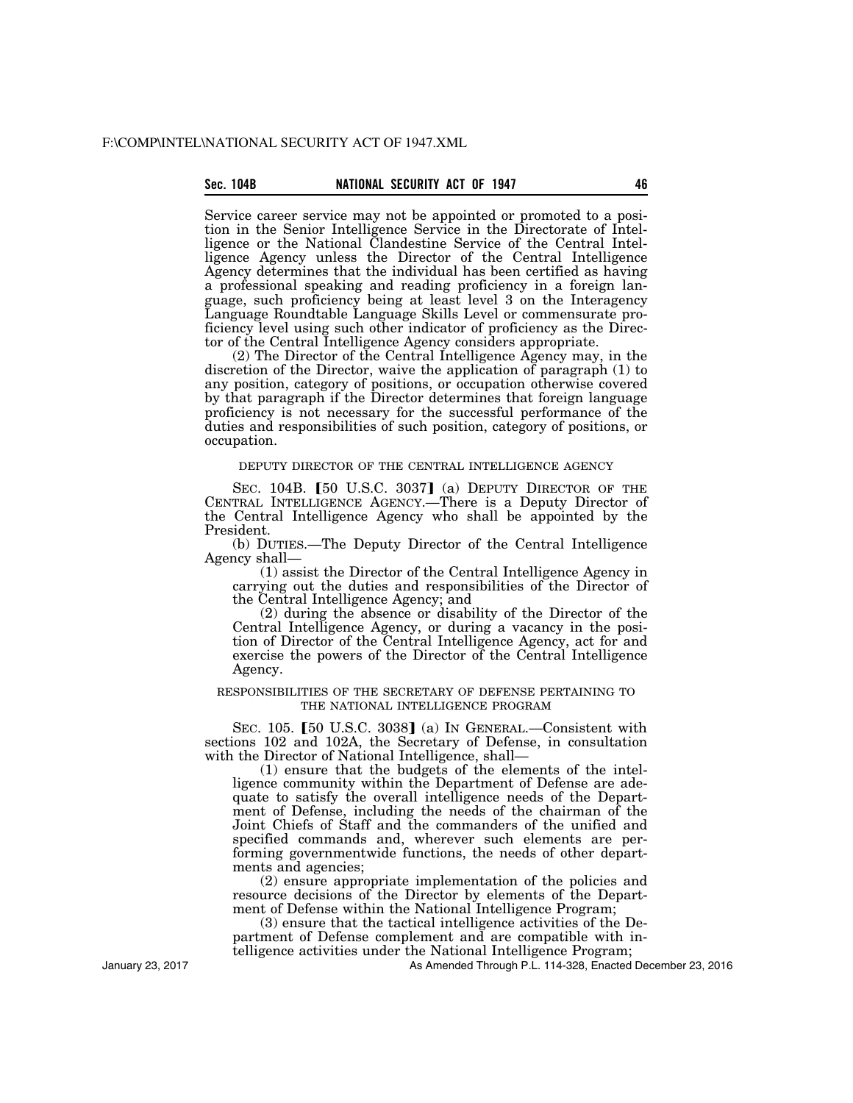# **Sec. 104B NATIONAL SECURITY ACT OF 1947 46**

Service career service may not be appointed or promoted to a position in the Senior Intelligence Service in the Directorate of Intelligence or the National Clandestine Service of the Central Intelligence Agency unless the Director of the Central Intelligence Agency determines that the individual has been certified as having a professional speaking and reading proficiency in a foreign language, such proficiency being at least level 3 on the Interagency Language Roundtable Language Skills Level or commensurate proficiency level using such other indicator of proficiency as the Director of the Central Intelligence Agency considers appropriate.

(2) The Director of the Central Intelligence Agency may, in the discretion of the Director, waive the application of paragraph (1) to any position, category of positions, or occupation otherwise covered by that paragraph if the Director determines that foreign language proficiency is not necessary for the successful performance of the duties and responsibilities of such position, category of positions, or occupation.

## DEPUTY DIRECTOR OF THE CENTRAL INTELLIGENCE AGENCY

SEC. 104B.  $[50 \text{ U.S.C. } 3037]$  (a) DEPUTY DIRECTOR OF THE CENTRAL INTELLIGENCE AGENCY.—There is a Deputy Director of the Central Intelligence Agency who shall be appointed by the President.

(b) DUTIES.—The Deputy Director of the Central Intelligence Agency shall—

(1) assist the Director of the Central Intelligence Agency in carrying out the duties and responsibilities of the Director of the Central Intelligence Agency; and

(2) during the absence or disability of the Director of the Central Intelligence Agency, or during a vacancy in the position of Director of the Central Intelligence Agency, act for and exercise the powers of the Director of the Central Intelligence Agency.

## RESPONSIBILITIES OF THE SECRETARY OF DEFENSE PERTAINING TO THE NATIONAL INTELLIGENCE PROGRAM

SEC. 105.  $[50 \text{ U.S.C. } 3038]$  (a) In GENERAL.—Consistent with sections 102 and 102A, the Secretary of Defense, in consultation with the Director of National Intelligence, shall-

(1) ensure that the budgets of the elements of the intelligence community within the Department of Defense are adequate to satisfy the overall intelligence needs of the Department of Defense, including the needs of the chairman of the Joint Chiefs of Staff and the commanders of the unified and specified commands and, wherever such elements are performing governmentwide functions, the needs of other departments and agencies;

(2) ensure appropriate implementation of the policies and resource decisions of the Director by elements of the Department of Defense within the National Intelligence Program;

(3) ensure that the tactical intelligence activities of the Department of Defense complement and are compatible with intelligence activities under the National Intelligence Program;

As Amended Through P.L. 114-328, Enacted December 23, 2016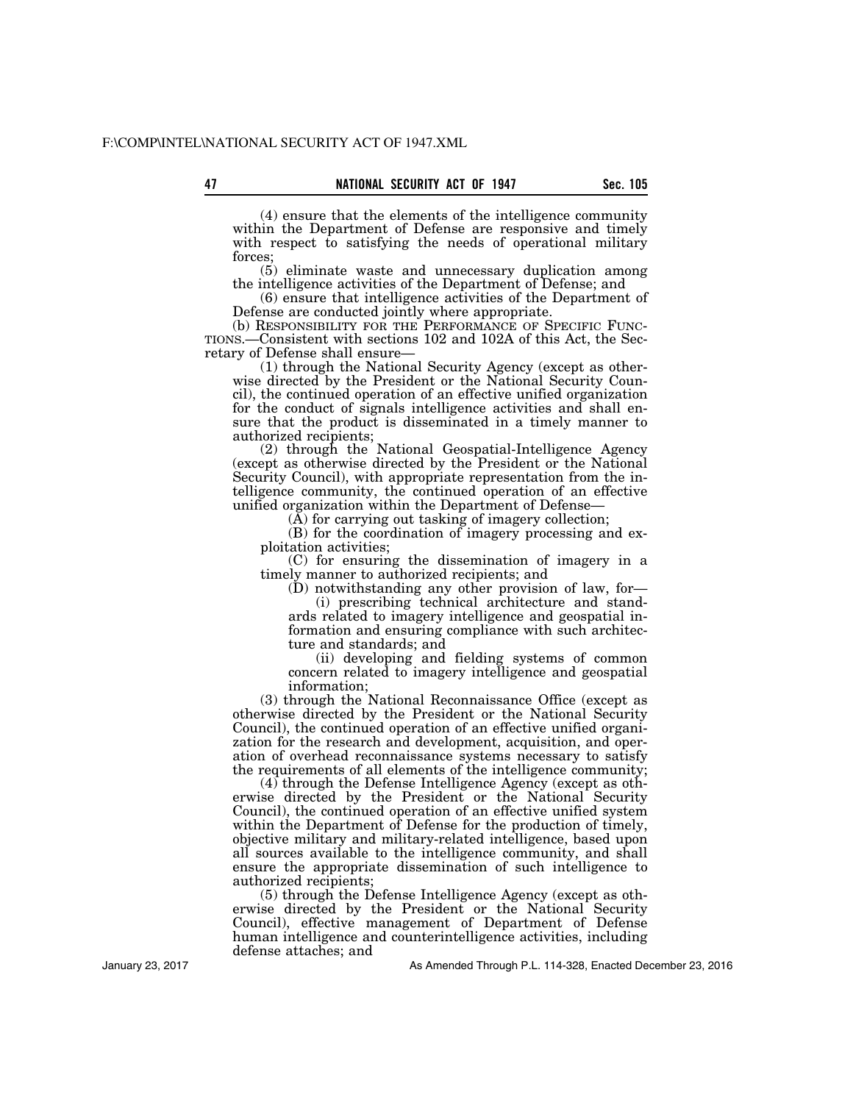**47 Sec. 105 NATIONAL SECURITY ACT OF 1947** 

(4) ensure that the elements of the intelligence community within the Department of Defense are responsive and timely with respect to satisfying the needs of operational military forces;

(5) eliminate waste and unnecessary duplication among the intelligence activities of the Department of Defense; and

(6) ensure that intelligence activities of the Department of Defense are conducted jointly where appropriate.<br>(b) RESPONSIBILITY FOR THE PERFORMANCE OF SPECIFIC FUNC-

TIONS.—Consistent with sections 102 and 102A of this Act, the Secretary of Defense shall ensure—

(1) through the National Security Agency (except as otherwise directed by the President or the National Security Council), the continued operation of an effective unified organization for the conduct of signals intelligence activities and shall ensure that the product is disseminated in a timely manner to authorized recipients;

(2) through the National Geospatial-Intelligence Agency (except as otherwise directed by the President or the National Security Council), with appropriate representation from the intelligence community, the continued operation of an effective unified organization within the Department of Defense—

 $(\overline{A})$  for carrying out tasking of imagery collection;

(B) for the coordination of imagery processing and exploitation activities;

(C) for ensuring the dissemination of imagery in a timely manner to authorized recipients; and

(D) notwithstanding any other provision of law, for—

(i) prescribing technical architecture and standards related to imagery intelligence and geospatial information and ensuring compliance with such architecture and standards; and

(ii) developing and fielding systems of common concern related to imagery intelligence and geospatial information;

(3) through the National Reconnaissance Office (except as otherwise directed by the President or the National Security Council), the continued operation of an effective unified organization for the research and development, acquisition, and operation of overhead reconnaissance systems necessary to satisfy the requirements of all elements of the intelligence community;

(4) through the Defense Intelligence Agency (except as otherwise directed by the President or the National Security Council), the continued operation of an effective unified system within the Department of Defense for the production of timely, objective military and military-related intelligence, based upon all sources available to the intelligence community, and shall ensure the appropriate dissemination of such intelligence to authorized recipients;

(5) through the Defense Intelligence Agency (except as otherwise directed by the President or the National Security Council), effective management of Department of Defense human intelligence and counterintelligence activities, including defense attaches; and

As Amended Through P.L. 114-328, Enacted December 23, 2016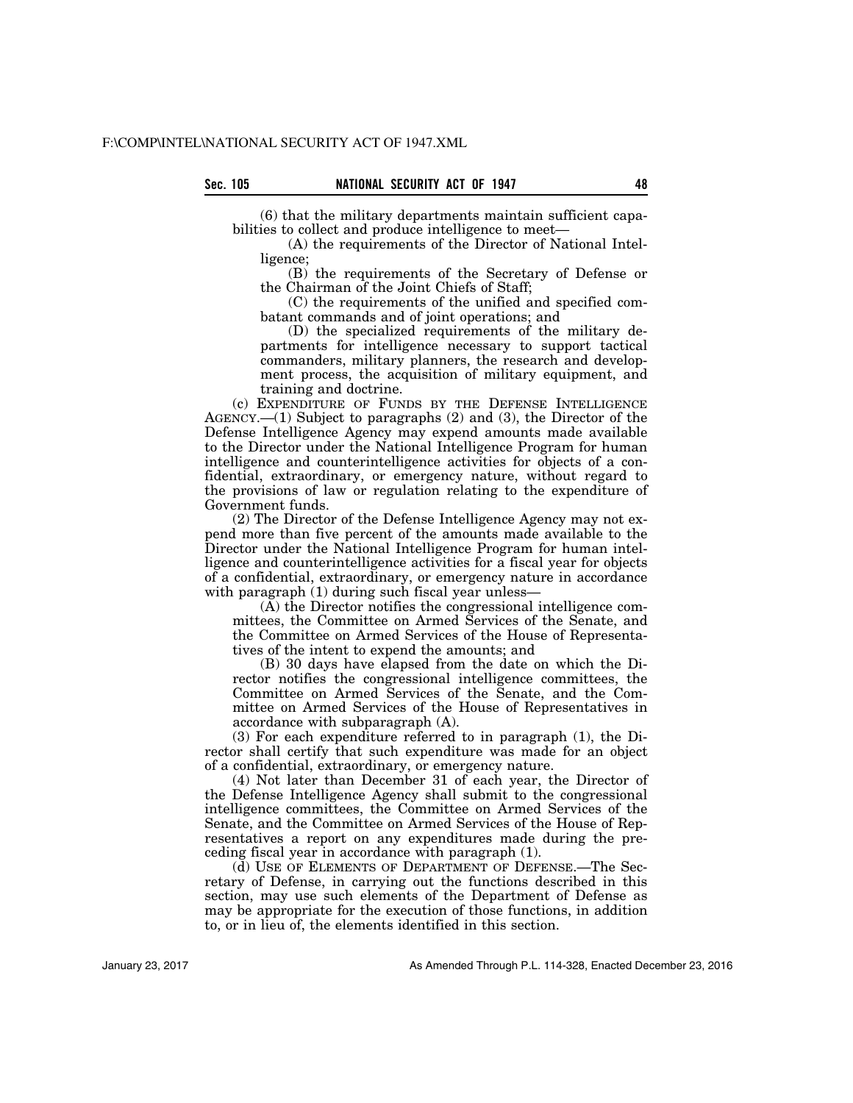(6) that the military departments maintain sufficient capabilities to collect and produce intelligence to meet—

(A) the requirements of the Director of National Intelligence;

(B) the requirements of the Secretary of Defense or the Chairman of the Joint Chiefs of Staff;

(C) the requirements of the unified and specified combatant commands and of joint operations; and

(D) the specialized requirements of the military departments for intelligence necessary to support tactical commanders, military planners, the research and development process, the acquisition of military equipment, and training and doctrine.

(c) EXPENDITURE OF FUNDS BY THE DEFENSE INTELLIGENCE AGENCY.—(1) Subject to paragraphs (2) and (3), the Director of the Defense Intelligence Agency may expend amounts made available to the Director under the National Intelligence Program for human intelligence and counterintelligence activities for objects of a confidential, extraordinary, or emergency nature, without regard to the provisions of law or regulation relating to the expenditure of Government funds.

(2) The Director of the Defense Intelligence Agency may not expend more than five percent of the amounts made available to the Director under the National Intelligence Program for human intelligence and counterintelligence activities for a fiscal year for objects of a confidential, extraordinary, or emergency nature in accordance with paragraph (1) during such fiscal year unless—

(A) the Director notifies the congressional intelligence committees, the Committee on Armed Services of the Senate, and the Committee on Armed Services of the House of Representatives of the intent to expend the amounts; and

(B) 30 days have elapsed from the date on which the Director notifies the congressional intelligence committees, the Committee on Armed Services of the Senate, and the Committee on Armed Services of the House of Representatives in accordance with subparagraph (A).

(3) For each expenditure referred to in paragraph (1), the Director shall certify that such expenditure was made for an object of a confidential, extraordinary, or emergency nature.

(4) Not later than December 31 of each year, the Director of the Defense Intelligence Agency shall submit to the congressional intelligence committees, the Committee on Armed Services of the Senate, and the Committee on Armed Services of the House of Representatives a report on any expenditures made during the preceding fiscal year in accordance with paragraph (1).

(d) USE OF ELEMENTS OF DEPARTMENT OF DEFENSE.—The Secretary of Defense, in carrying out the functions described in this section, may use such elements of the Department of Defense as may be appropriate for the execution of those functions, in addition to, or in lieu of, the elements identified in this section.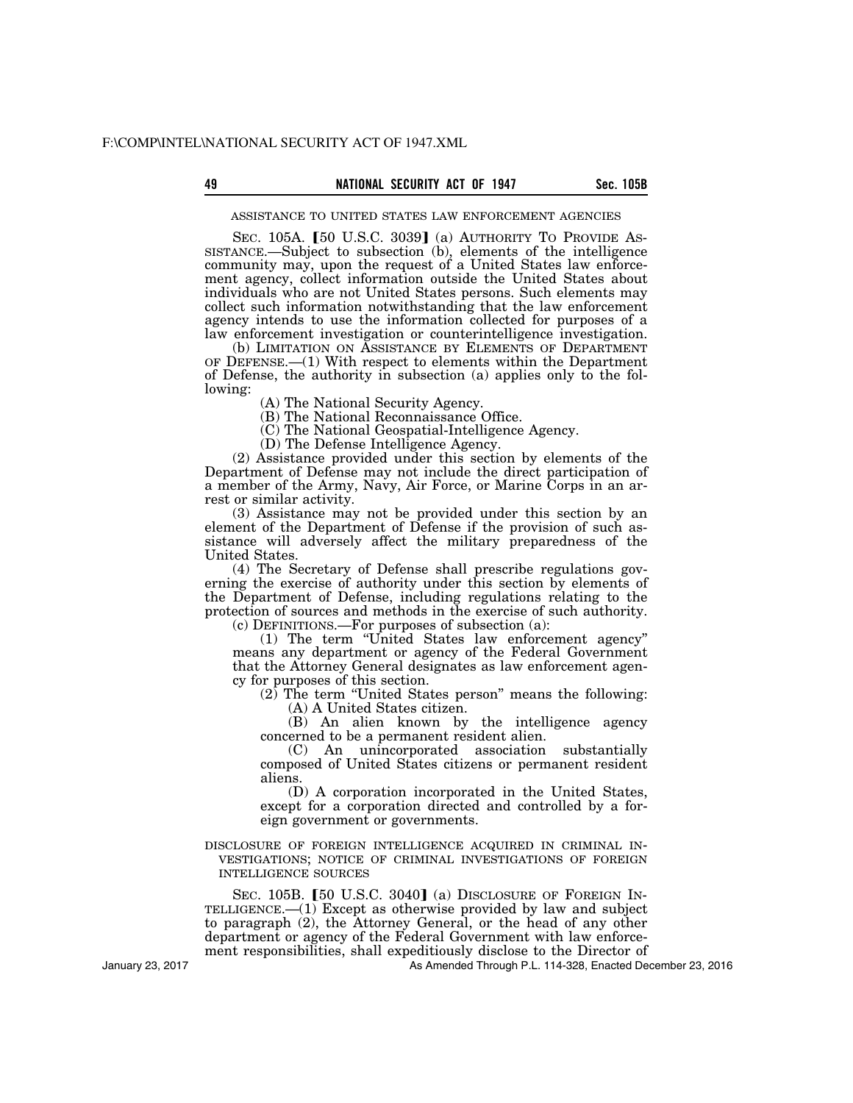# **49 Sec. 105B NATIONAL SECURITY ACT OF 1947**

ASSISTANCE TO UNITED STATES LAW ENFORCEMENT AGENCIES

SEC. 105A. [50 U.S.C. 3039] (a) AUTHORITY TO PROVIDE AS-<br>SISTANCE.—Subject to subsection (b), elements of the intelligence community may, upon the request of a United States law enforcement agency, collect information outside the United States about individuals who are not United States persons. Such elements may collect such information notwithstanding that the law enforcement agency intends to use the information collected for purposes of a law enforcement investigation or counterintelligence investigation.

(b) LIMITATION ON ASSISTANCE BY ELEMENTS OF DEPARTMENT OF DEFENSE.—(1) With respect to elements within the Department of Defense, the authority in subsection (a) applies only to the following:

(A) The National Security Agency.

(B) The National Reconnaissance Office.

(C) The National Geospatial-Intelligence Agency.

(D) The Defense Intelligence Agency.

(2) Assistance provided under this section by elements of the Department of Defense may not include the direct participation of a member of the Army, Navy, Air Force, or Marine Corps in an arrest or similar activity.

(3) Assistance may not be provided under this section by an element of the Department of Defense if the provision of such assistance will adversely affect the military preparedness of the United States.

(4) The Secretary of Defense shall prescribe regulations governing the exercise of authority under this section by elements of the Department of Defense, including regulations relating to the protection of sources and methods in the exercise of such authority.

(c) DEFINITIONS.—For purposes of subsection (a):

(1) The term ''United States law enforcement agency'' means any department or agency of the Federal Government that the Attorney General designates as law enforcement agency for purposes of this section.

(2) The term ''United States person'' means the following: (A) A United States citizen.

(B) An alien known by the intelligence agency concerned to be a permanent resident alien.

(C) An unincorporated association substantially composed of United States citizens or permanent resident aliens.

(D) A corporation incorporated in the United States, except for a corporation directed and controlled by a foreign government or governments.

DISCLOSURE OF FOREIGN INTELLIGENCE ACQUIRED IN CRIMINAL IN- VESTIGATIONS; NOTICE OF CRIMINAL INVESTIGATIONS OF FOREIGN INTELLIGENCE SOURCES

SEC. 105B. [50 U.S.C. 3040] (a) DISCLOSURE OF FOREIGN INTELLIGENCE.—(1) Except as otherwise provided by law and subject to paragraph (2), the Attorney General, or the head of any other department or agency of the Federal Government with law enforcement responsibilities, shall expeditiously disclose to the Director of

As Amended Through P.L. 114-328, Enacted December 23, 2016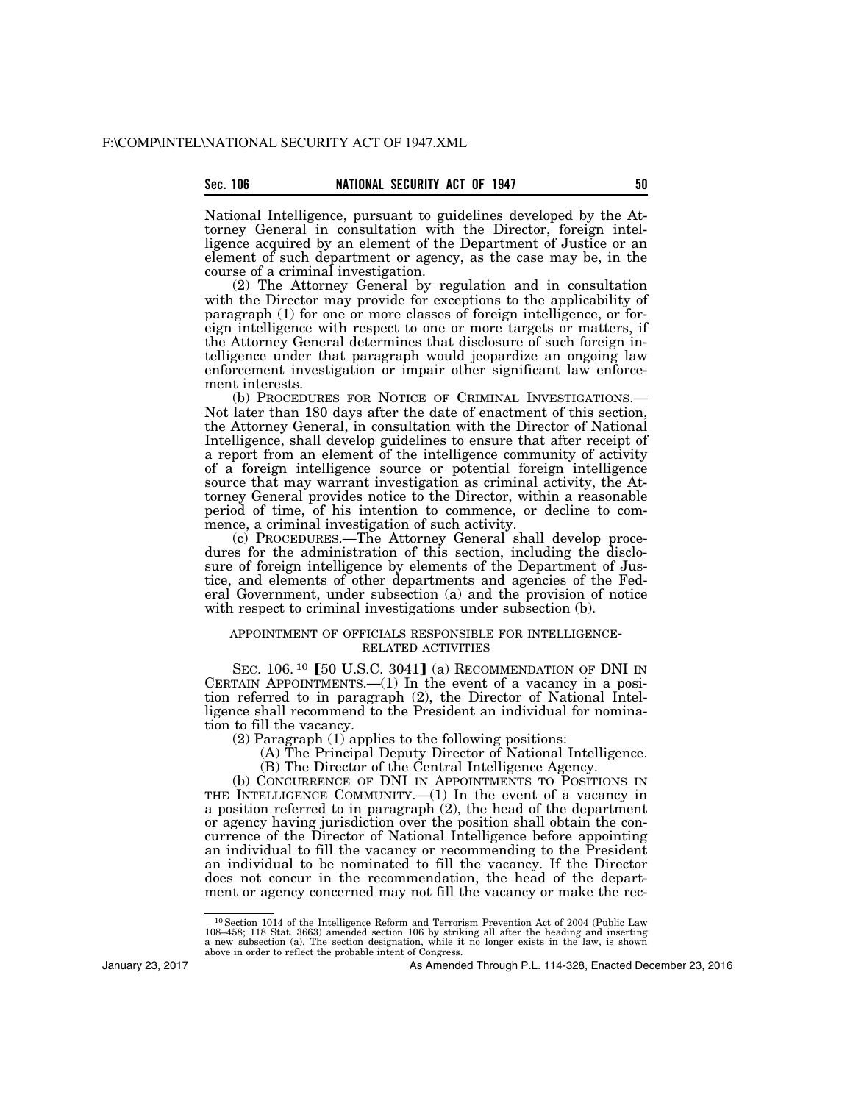# **Sec. 106 NATIONAL SECURITY ACT OF 1947 50**

National Intelligence, pursuant to guidelines developed by the Attorney General in consultation with the Director, foreign intelligence acquired by an element of the Department of Justice or an element of such department or agency, as the case may be, in the course of a criminal investigation.

(2) The Attorney General by regulation and in consultation with the Director may provide for exceptions to the applicability of paragraph (1) for one or more classes of foreign intelligence, or foreign intelligence with respect to one or more targets or matters, if the Attorney General determines that disclosure of such foreign intelligence under that paragraph would jeopardize an ongoing law enforcement investigation or impair other significant law enforcement interests.

(b) PROCEDURES FOR NOTICE OF CRIMINAL INVESTIGATIONS.— Not later than 180 days after the date of enactment of this section, the Attorney General, in consultation with the Director of National Intelligence, shall develop guidelines to ensure that after receipt of a report from an element of the intelligence community of activity of a foreign intelligence source or potential foreign intelligence source that may warrant investigation as criminal activity, the Attorney General provides notice to the Director, within a reasonable period of time, of his intention to commence, or decline to commence, a criminal investigation of such activity.

(c) PROCEDURES.—The Attorney General shall develop procedures for the administration of this section, including the disclosure of foreign intelligence by elements of the Department of Justice, and elements of other departments and agencies of the Federal Government, under subsection (a) and the provision of notice with respect to criminal investigations under subsection (b).

## APPOINTMENT OF OFFICIALS RESPONSIBLE FOR INTELLIGENCE-RELATED ACTIVITIES

SEC.  $106.$ <sup>10</sup> [50 U.S.C. 3041] (a) RECOMMENDATION OF DNI IN CERTAIN APPOINTMENTS.— $(1)$  In the event of a vacancy in a position referred to in paragraph (2), the Director of National Intelligence shall recommend to the President an individual for nomination to fill the vacancy.

(2) Paragraph (1) applies to the following positions:

- (A) The Principal Deputy Director of National Intelligence.
- (B) The Director of the Central Intelligence Agency.

(b) CONCURRENCE OF DNI IN APPOINTMENTS TO POSITIONS IN THE INTELLIGENCE COMMUNITY.—(1) In the event of a vacancy in a position referred to in paragraph (2), the head of the department or agency having jurisdiction over the position shall obtain the concurrence of the Director of National Intelligence before appointing an individual to fill the vacancy or recommending to the President an individual to be nominated to fill the vacancy. If the Director does not concur in the recommendation, the head of the department or agency concerned may not fill the vacancy or make the rec-

January 23, 2017

<sup>10</sup>Section 1014 of the Intelligence Reform and Terrorism Prevention Act of 2004 (Public Law 108–458; 118 Stat. 3663) amended section 106 by striking all after the heading and inserting<br>a new subsection (a). The section designation, while it no longer exists in the law, is shown<br>above in order to reflect the proba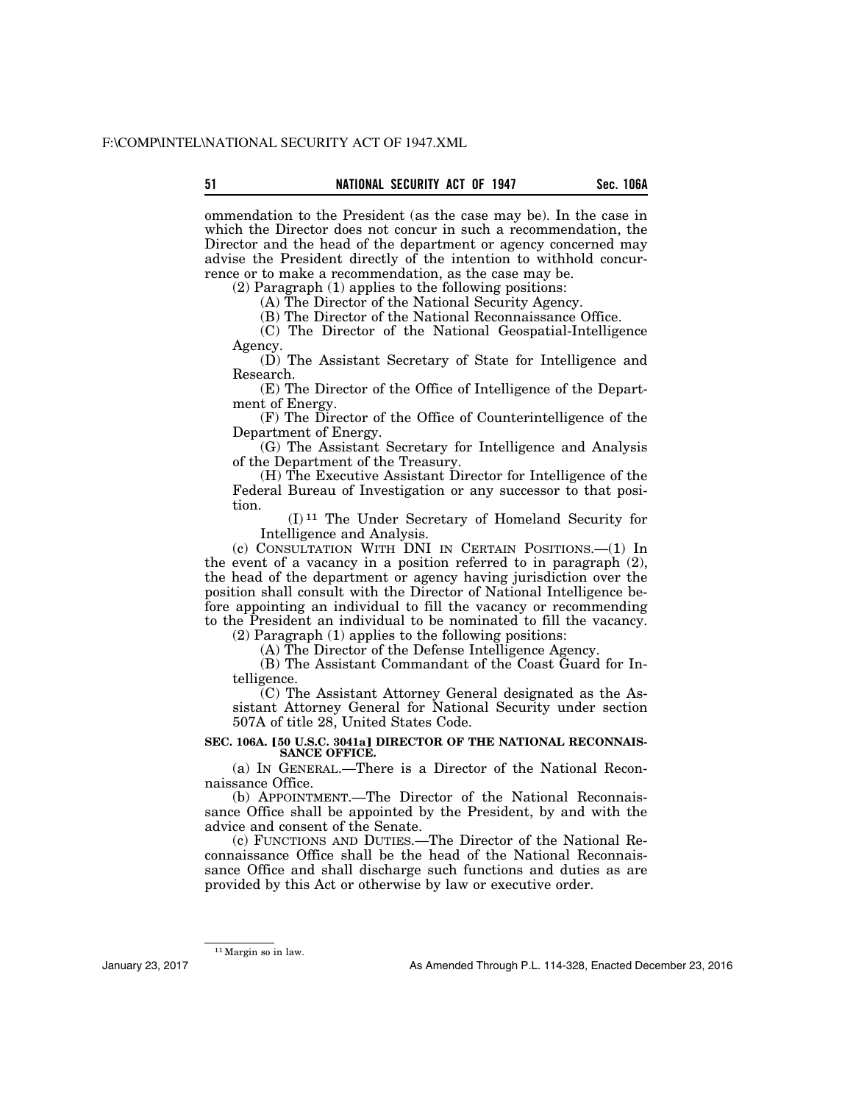ommendation to the President (as the case may be). In the case in which the Director does not concur in such a recommendation, the Director and the head of the department or agency concerned may advise the President directly of the intention to withhold concurrence or to make a recommendation, as the case may be.

(2) Paragraph (1) applies to the following positions:

(A) The Director of the National Security Agency.

(B) The Director of the National Reconnaissance Office.

(C) The Director of the National Geospatial-Intelligence Agency.

(D) The Assistant Secretary of State for Intelligence and Research.

(E) The Director of the Office of Intelligence of the Department of Energy.

(F) The Director of the Office of Counterintelligence of the Department of Energy.

(G) The Assistant Secretary for Intelligence and Analysis of the Department of the Treasury.

(H) The Executive Assistant Director for Intelligence of the Federal Bureau of Investigation or any successor to that position.

(I) 11 The Under Secretary of Homeland Security for Intelligence and Analysis.

(c) CONSULTATION WITH DNI IN CERTAIN POSITIONS.—(1) In the event of a vacancy in a position referred to in paragraph (2), the head of the department or agency having jurisdiction over the position shall consult with the Director of National Intelligence before appointing an individual to fill the vacancy or recommending to the President an individual to be nominated to fill the vacancy.

(2) Paragraph (1) applies to the following positions:

(A) The Director of the Defense Intelligence Agency.

(B) The Assistant Commandant of the Coast Guard for Intelligence.

(C) The Assistant Attorney General designated as the Assistant Attorney General for National Security under section 507A of title 28, United States Code.

**SEC. 106A. [50 U.S.C. 3041a] DIRECTOR OF THE NATIONAL RECONNAIS-SANCE OFFICE.** 

(a) IN GENERAL.—There is a Director of the National Reconnaissance Office.

(b) APPOINTMENT.—The Director of the National Reconnaissance Office shall be appointed by the President, by and with the advice and consent of the Senate.

(c) FUNCTIONS AND DUTIES.—The Director of the National Reconnaissance Office shall be the head of the National Reconnaissance Office and shall discharge such functions and duties as are provided by this Act or otherwise by law or executive order.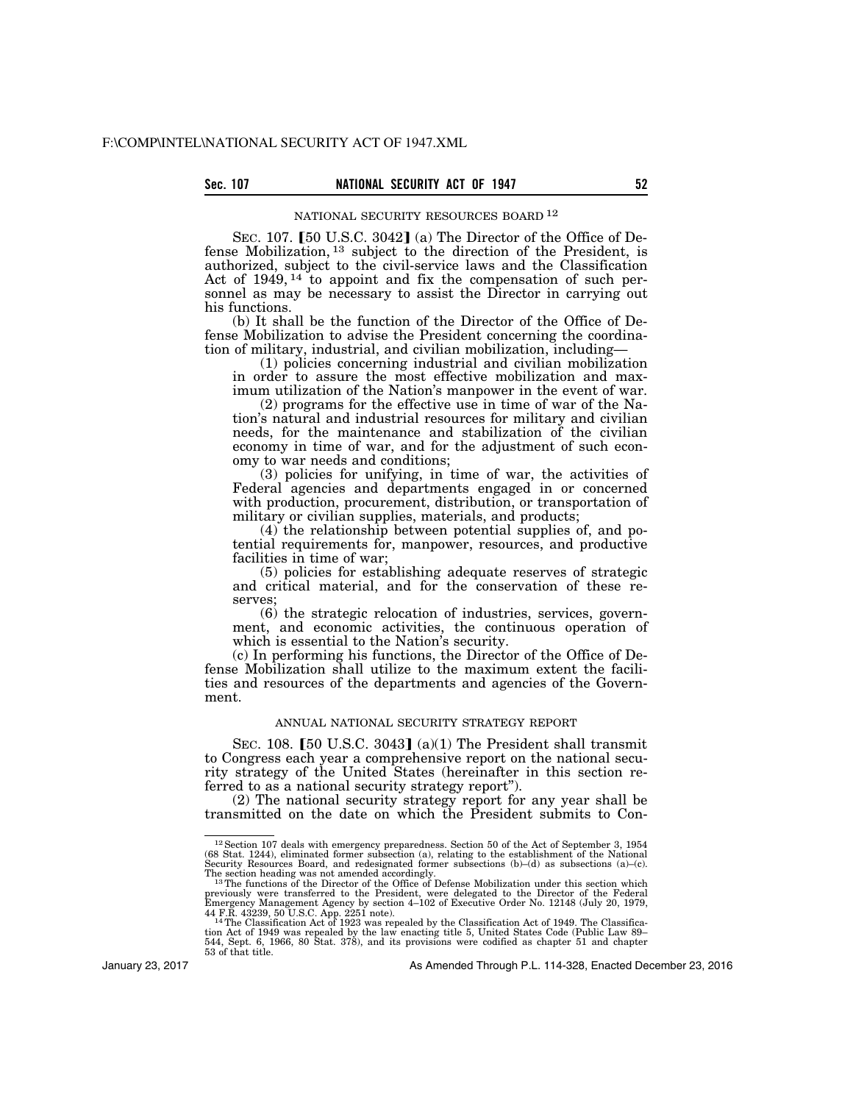# Sec. 107 **NATIONAL SECURITY ACT OF 1947**

# NATIONAL SECURITY RESOURCES BOARD 12

SEC. 107.  $[50 \text{ U.S.C. } 3042]$  (a) The Director of the Office of Defense Mobilization, 13 subject to the direction of the President, is authorized, subject to the civil-service laws and the Classification Act of 1949, 14 to appoint and fix the compensation of such personnel as may be necessary to assist the Director in carrying out his functions.

(b) It shall be the function of the Director of the Office of Defense Mobilization to advise the President concerning the coordination of military, industrial, and civilian mobilization, including—

(1) policies concerning industrial and civilian mobilization in order to assure the most effective mobilization and maximum utilization of the Nation's manpower in the event of war.

(2) programs for the effective use in time of war of the Nation's natural and industrial resources for military and civilian needs, for the maintenance and stabilization of the civilian economy in time of war, and for the adjustment of such economy to war needs and conditions;

(3) policies for unifying, in time of war, the activities of Federal agencies and departments engaged in or concerned with production, procurement, distribution, or transportation of military or civilian supplies, materials, and products;

(4) the relationship between potential supplies of, and potential requirements for, manpower, resources, and productive facilities in time of war;

(5) policies for establishing adequate reserves of strategic and critical material, and for the conservation of these reserves;

(6) the strategic relocation of industries, services, government, and economic activities, the continuous operation of which is essential to the Nation's security.

(c) In performing his functions, the Director of the Office of Defense Mobilization shall utilize to the maximum extent the facilities and resources of the departments and agencies of the Government.

# ANNUAL NATIONAL SECURITY STRATEGY REPORT

SEC. 108. [50 U.S.C. 3043] (a)(1) The President shall transmit to Congress each year a comprehensive report on the national security strategy of the United States (hereinafter in this section referred to as a national security strategy report'').

(2) The national security strategy report for any year shall be transmitted on the date on which the President submits to Con-

January 23, 2017

<sup>&</sup>lt;sup>12</sup> Section 107 deals with emergency preparedness. Section 50 of the Act of September 3, 1954 (68 Stat. 1244), eliminated former subsection (a), relating to the establishment of the National Security Resources Board, and

previously were transferred to the President, were delegated to the Director of the Federal Emergency Management Agency by section 4–102 of Executive Order No. 12148 (July 20, 1979, 44 F.R. 43239, 50 U.S.C. App. 2251 note)

<sup>53</sup> of that title.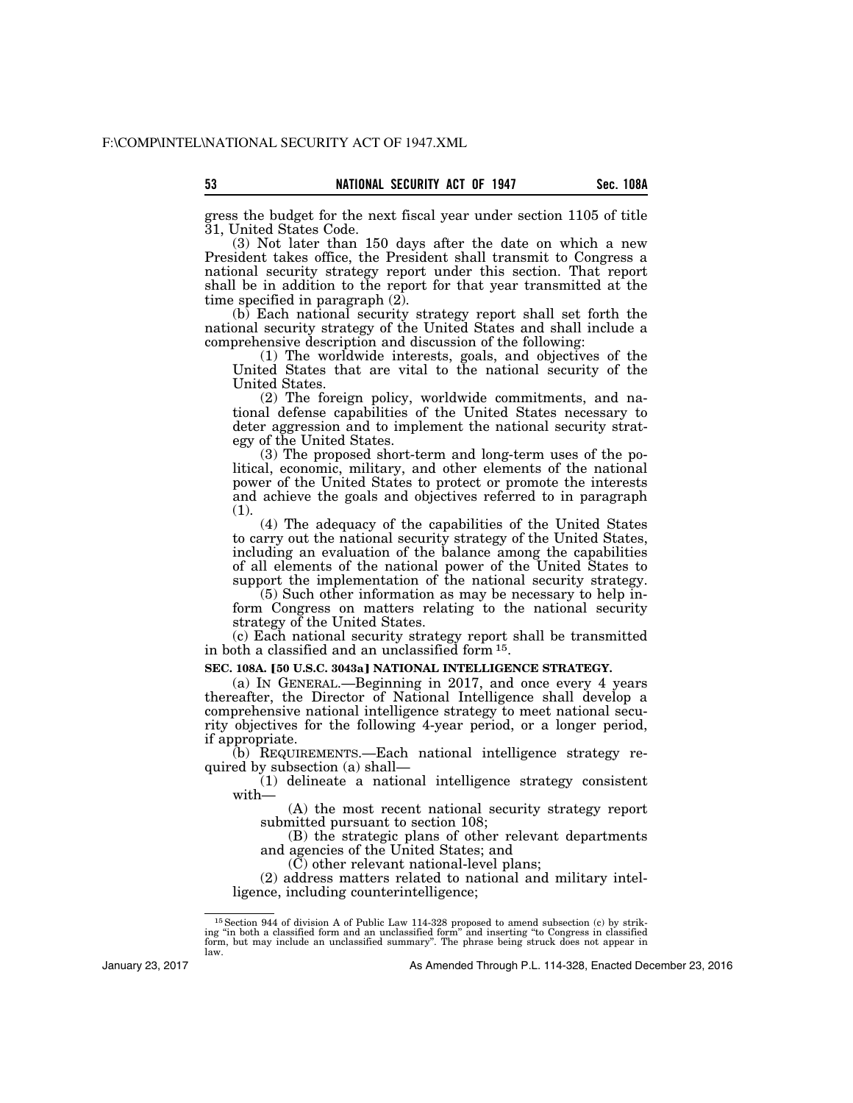gress the budget for the next fiscal year under section 1105 of title 31, United States Code.

(3) Not later than 150 days after the date on which a new President takes office, the President shall transmit to Congress a national security strategy report under this section. That report shall be in addition to the report for that year transmitted at the time specified in paragraph (2).

(b) Each national security strategy report shall set forth the national security strategy of the United States and shall include a comprehensive description and discussion of the following:

(1) The worldwide interests, goals, and objectives of the United States that are vital to the national security of the United States.

(2) The foreign policy, worldwide commitments, and national defense capabilities of the United States necessary to deter aggression and to implement the national security strategy of the United States.

(3) The proposed short-term and long-term uses of the political, economic, military, and other elements of the national power of the United States to protect or promote the interests and achieve the goals and objectives referred to in paragraph (1).

(4) The adequacy of the capabilities of the United States to carry out the national security strategy of the United States, including an evaluation of the balance among the capabilities of all elements of the national power of the United States to support the implementation of the national security strategy.

(5) Such other information as may be necessary to help inform Congress on matters relating to the national security strategy of the United States.

(c) Each national security strategy report shall be transmitted in both a classified and an unclassified form 15.

## **SEC. 108A. [50 U.S.C. 3043a] NATIONAL INTELLIGENCE STRATEGY.**

(a) IN GENERAL.—Beginning in 2017, and once every 4 years thereafter, the Director of National Intelligence shall develop a comprehensive national intelligence strategy to meet national security objectives for the following 4-year period, or a longer period, if appropriate.

(b) REQUIREMENTS.—Each national intelligence strategy required by subsection (a) shall—

(1) delineate a national intelligence strategy consistent with—

(A) the most recent national security strategy report submitted pursuant to section 108;

(B) the strategic plans of other relevant departments and agencies of the United States; and

(C) other relevant national-level plans;

(2) address matters related to national and military intelligence, including counterintelligence;

January 23, 2017

 $^{15}$  Section 944 of division A of Public Law 114-328 proposed to amend subsection (c) by striking "in both a classified form and an unclassified form" and inserting "to Congress in classified form, but may include an un law.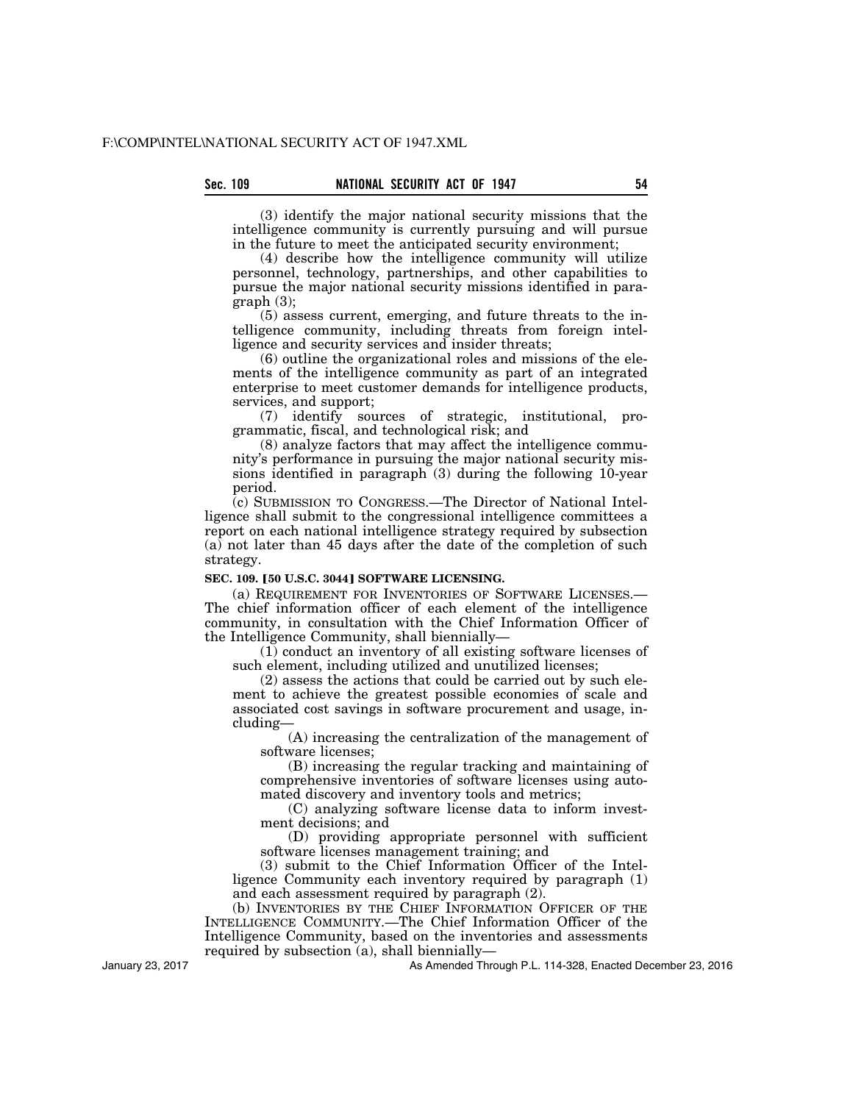(3) identify the major national security missions that the intelligence community is currently pursuing and will pursue in the future to meet the anticipated security environment;

(4) describe how the intelligence community will utilize personnel, technology, partnerships, and other capabilities to pursue the major national security missions identified in paragraph (3);

(5) assess current, emerging, and future threats to the intelligence community, including threats from foreign intelligence and security services and insider threats;

(6) outline the organizational roles and missions of the elements of the intelligence community as part of an integrated enterprise to meet customer demands for intelligence products, services, and support;

(7) identify sources of strategic, institutional, programmatic, fiscal, and technological risk; and

(8) analyze factors that may affect the intelligence community's performance in pursuing the major national security missions identified in paragraph (3) during the following 10-year period.

(c) SUBMISSION TO CONGRESS.—The Director of National Intelligence shall submit to the congressional intelligence committees a report on each national intelligence strategy required by subsection (a) not later than 45 days after the date of the completion of such strategy.

### **SEC. 109. [50 U.S.C. 3044] SOFTWARE LICENSING.**

(a) REQUIREMENT FOR INVENTORIES OF SOFTWARE LICENSES.— The chief information officer of each element of the intelligence community, in consultation with the Chief Information Officer of the Intelligence Community, shall biennially—

(1) conduct an inventory of all existing software licenses of such element, including utilized and unutilized licenses;

(2) assess the actions that could be carried out by such element to achieve the greatest possible economies of scale and associated cost savings in software procurement and usage, including—

(A) increasing the centralization of the management of software licenses;

(B) increasing the regular tracking and maintaining of comprehensive inventories of software licenses using automated discovery and inventory tools and metrics;

(C) analyzing software license data to inform investment decisions; and

(D) providing appropriate personnel with sufficient software licenses management training; and

(3) submit to the Chief Information Officer of the Intelligence Community each inventory required by paragraph (1) and each assessment required by paragraph (2).

(b) INVENTORIES BY THE CHIEF INFORMATION OFFICER OF THE INTELLIGENCE COMMUNITY.—The Chief Information Officer of the Intelligence Community, based on the inventories and assessments required by subsection (a), shall biennially—

January 23, 2017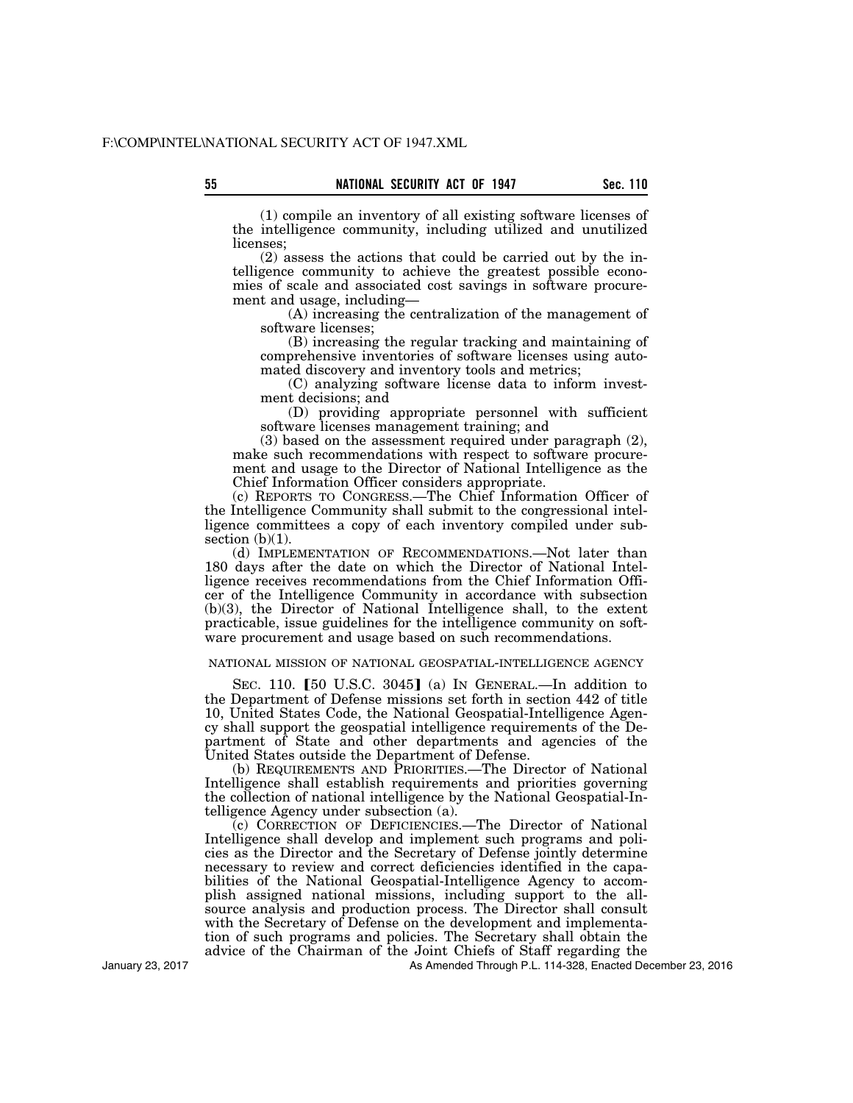(1) compile an inventory of all existing software licenses of the intelligence community, including utilized and unutilized licenses;

(2) assess the actions that could be carried out by the intelligence community to achieve the greatest possible economies of scale and associated cost savings in software procurement and usage, including—

(A) increasing the centralization of the management of software licenses;

(B) increasing the regular tracking and maintaining of comprehensive inventories of software licenses using automated discovery and inventory tools and metrics;

(C) analyzing software license data to inform investment decisions; and

(D) providing appropriate personnel with sufficient software licenses management training; and

(3) based on the assessment required under paragraph (2), make such recommendations with respect to software procurement and usage to the Director of National Intelligence as the Chief Information Officer considers appropriate.

(c) REPORTS TO CONGRESS.—The Chief Information Officer of the Intelligence Community shall submit to the congressional intelligence committees a copy of each inventory compiled under subsection  $(b)(1)$ .

(d) IMPLEMENTATION OF RECOMMENDATIONS.—Not later than 180 days after the date on which the Director of National Intelligence receives recommendations from the Chief Information Officer of the Intelligence Community in accordance with subsection (b)(3), the Director of National Intelligence shall, to the extent practicable, issue guidelines for the intelligence community on software procurement and usage based on such recommendations.

### NATIONAL MISSION OF NATIONAL GEOSPATIAL-INTELLIGENCE AGENCY

SEC. 110.  $[50 \text{ U.S.C. } 3045]$  (a) In GENERAL.—In addition to the Department of Defense missions set forth in section 442 of title 10, United States Code, the National Geospatial-Intelligence Agency shall support the geospatial intelligence requirements of the Department of State and other departments and agencies of the United States outside the Department of Defense.

(b) REQUIREMENTS AND PRIORITIES.—The Director of National Intelligence shall establish requirements and priorities governing the collection of national intelligence by the National Geospatial-Intelligence Agency under subsection (a).

(c) CORRECTION OF DEFICIENCIES.—The Director of National Intelligence shall develop and implement such programs and policies as the Director and the Secretary of Defense jointly determine necessary to review and correct deficiencies identified in the capabilities of the National Geospatial-Intelligence Agency to accomplish assigned national missions, including support to the allsource analysis and production process. The Director shall consult with the Secretary of Defense on the development and implementation of such programs and policies. The Secretary shall obtain the advice of the Chairman of the Joint Chiefs of Staff regarding the

As Amended Through P.L. 114-328, Enacted December 23, 2016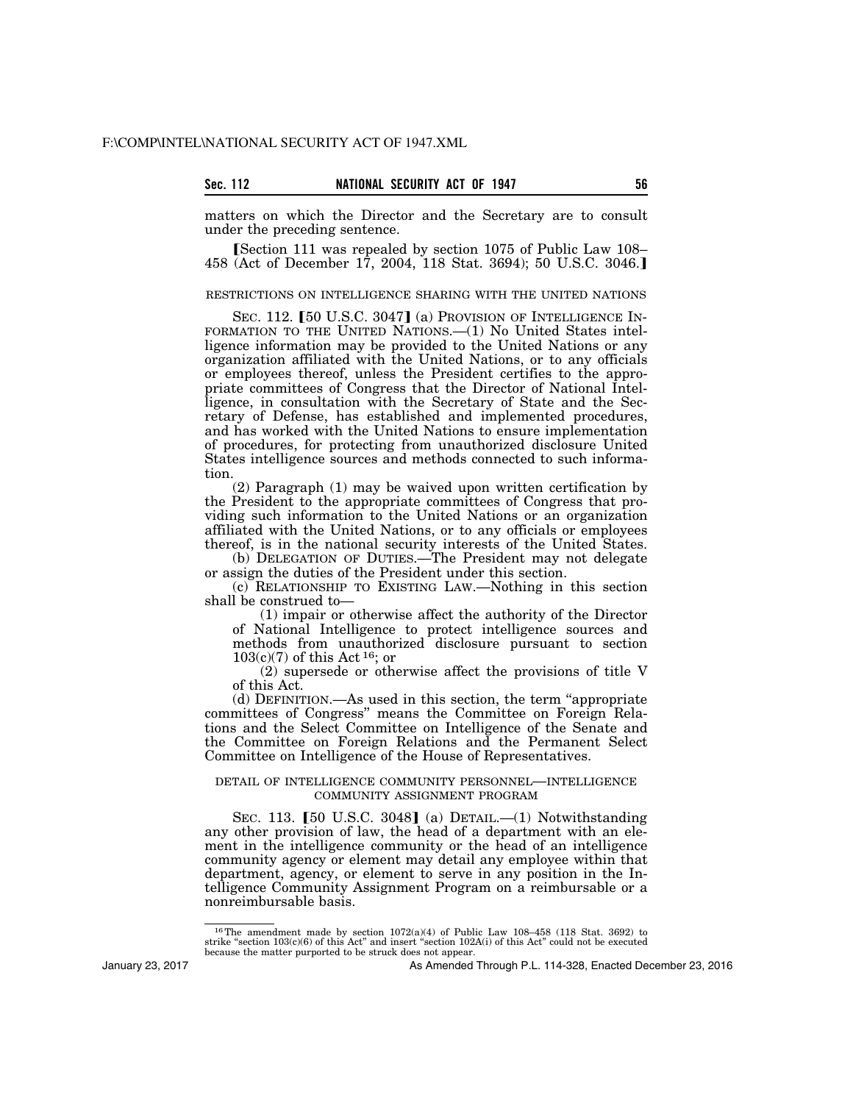| ec.<br>۹ |  |  |
|----------|--|--|
|          |  |  |

matters on which the Director and the Secretary are to consult under the preceding sentence.

**Section 111 was repealed by section 1075 of Public Law 108–** 458 (Act of December 17, 2004, 118 Stat. 3694); 50 U.S.C. 3046.

## RESTRICTIONS ON INTELLIGENCE SHARING WITH THE UNITED NATIONS

SEC. 112. [50 U.S.C. 3047] (a) PROVISION OF INTELLIGENCE IN-FORMATION TO THE UNITED NATIONS.—(1) No United States intelligence information may be provided to the United Nations or any organization affiliated with the United Nations, or to any officials or employees thereof, unless the President certifies to the appropriate committees of Congress that the Director of National Intelligence, in consultation with the Secretary of State and the Secretary of Defense, has established and implemented procedures, and has worked with the United Nations to ensure implementation of procedures, for protecting from unauthorized disclosure United States intelligence sources and methods connected to such information.

(2) Paragraph (1) may be waived upon written certification by the President to the appropriate committees of Congress that providing such information to the United Nations or an organization affiliated with the United Nations, or to any officials or employees thereof, is in the national security interests of the United States.

(b) DELEGATION OF DUTIES.—The President may not delegate or assign the duties of the President under this section.

(c) RELATIONSHIP TO EXISTING LAW.—Nothing in this section shall be construed to—

(1) impair or otherwise affect the authority of the Director of National Intelligence to protect intelligence sources and methods from unauthorized disclosure pursuant to section  $103(c)(7)$  of this Act <sup>16</sup>; or

(2) supersede or otherwise affect the provisions of title V of this Act.

(d) DEFINITION.—As used in this section, the term ''appropriate committees of Congress'' means the Committee on Foreign Relations and the Select Committee on Intelligence of the Senate and the Committee on Foreign Relations and the Permanent Select Committee on Intelligence of the House of Representatives.

### DETAIL OF INTELLIGENCE COMMUNITY PERSONNEL—INTELLIGENCE COMMUNITY ASSIGNMENT PROGRAM

SEC. 113.  $[50 \text{ U.S.C. } 3048]$  (a) DETAIL.—(1) Notwithstanding any other provision of law, the head of a department with an element in the intelligence community or the head of an intelligence community agency or element may detail any employee within that department, agency, or element to serve in any position in the Intelligence Community Assignment Program on a reimbursable or a nonreimbursable basis.

January 23, 2017

<sup>&</sup>lt;sup>16</sup>The amendment made by section  $1072(a)(4)$  of Public Law 108–458 (118 Stat. 3692) to strike "section 103 $\alpha$ (i) of this Act'' and insert "section 102 $\alpha$ (i) of this Act'' could not be executed because the matter purported to be struck does not appear.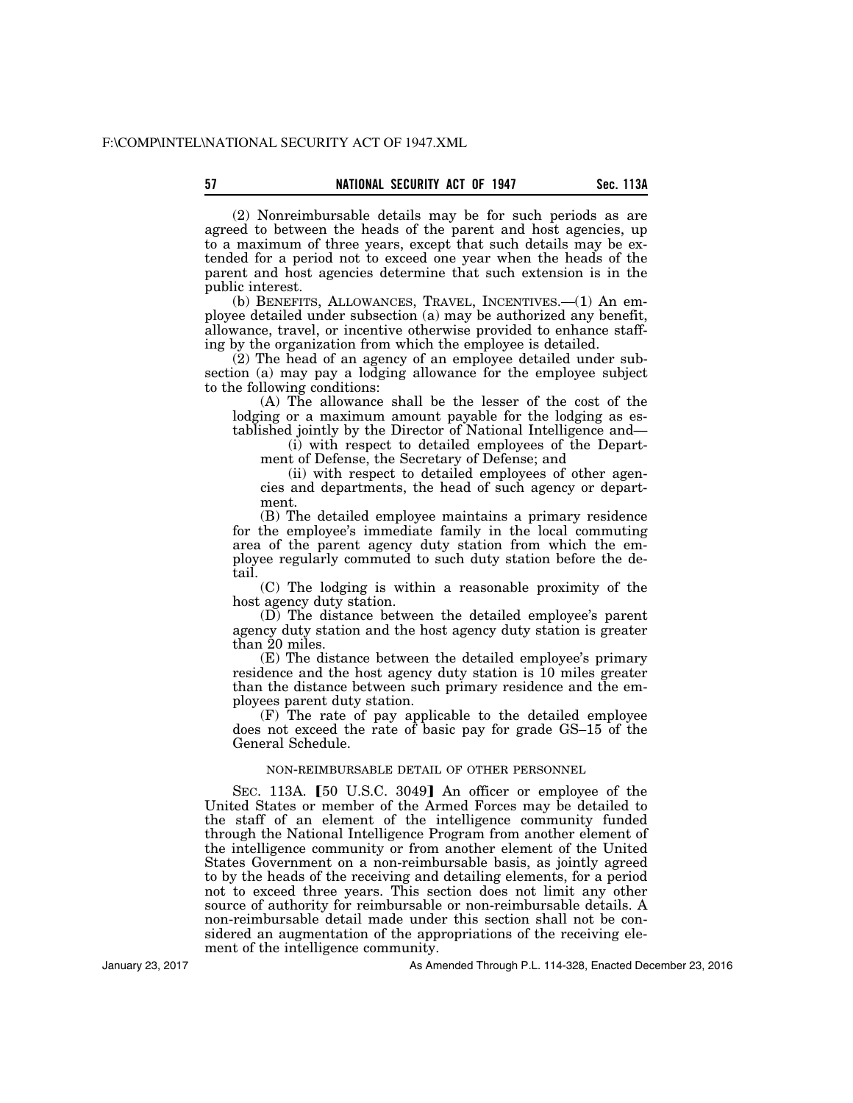(2) Nonreimbursable details may be for such periods as are agreed to between the heads of the parent and host agencies, up to a maximum of three years, except that such details may be extended for a period not to exceed one year when the heads of the parent and host agencies determine that such extension is in the public interest.

(b) BENEFITS, ALLOWANCES, TRAVEL, INCENTIVES.—(1) An employee detailed under subsection (a) may be authorized any benefit, allowance, travel, or incentive otherwise provided to enhance staffing by the organization from which the employee is detailed.

(2) The head of an agency of an employee detailed under subsection (a) may pay a lodging allowance for the employee subject to the following conditions:

(A) The allowance shall be the lesser of the cost of the lodging or a maximum amount payable for the lodging as established jointly by the Director of National Intelligence and—

(i) with respect to detailed employees of the Department of Defense, the Secretary of Defense; and

(ii) with respect to detailed employees of other agencies and departments, the head of such agency or department.

(B) The detailed employee maintains a primary residence for the employee's immediate family in the local commuting area of the parent agency duty station from which the employee regularly commuted to such duty station before the detail.

(C) The lodging is within a reasonable proximity of the host agency duty station.

(D) The distance between the detailed employee's parent agency duty station and the host agency duty station is greater than 20 miles.

(E) The distance between the detailed employee's primary residence and the host agency duty station is 10 miles greater than the distance between such primary residence and the employees parent duty station.

(F) The rate of pay applicable to the detailed employee does not exceed the rate of basic pay for grade GS–15 of the General Schedule.

# NON-REIMBURSABLE DETAIL OF OTHER PERSONNEL

SEC. 113A. [50 U.S.C. 3049] An officer or employee of the United States or member of the Armed Forces may be detailed to the staff of an element of the intelligence community funded through the National Intelligence Program from another element of the intelligence community or from another element of the United States Government on a non-reimbursable basis, as jointly agreed to by the heads of the receiving and detailing elements, for a period not to exceed three years. This section does not limit any other source of authority for reimbursable or non-reimbursable details. A non-reimbursable detail made under this section shall not be considered an augmentation of the appropriations of the receiving element of the intelligence community.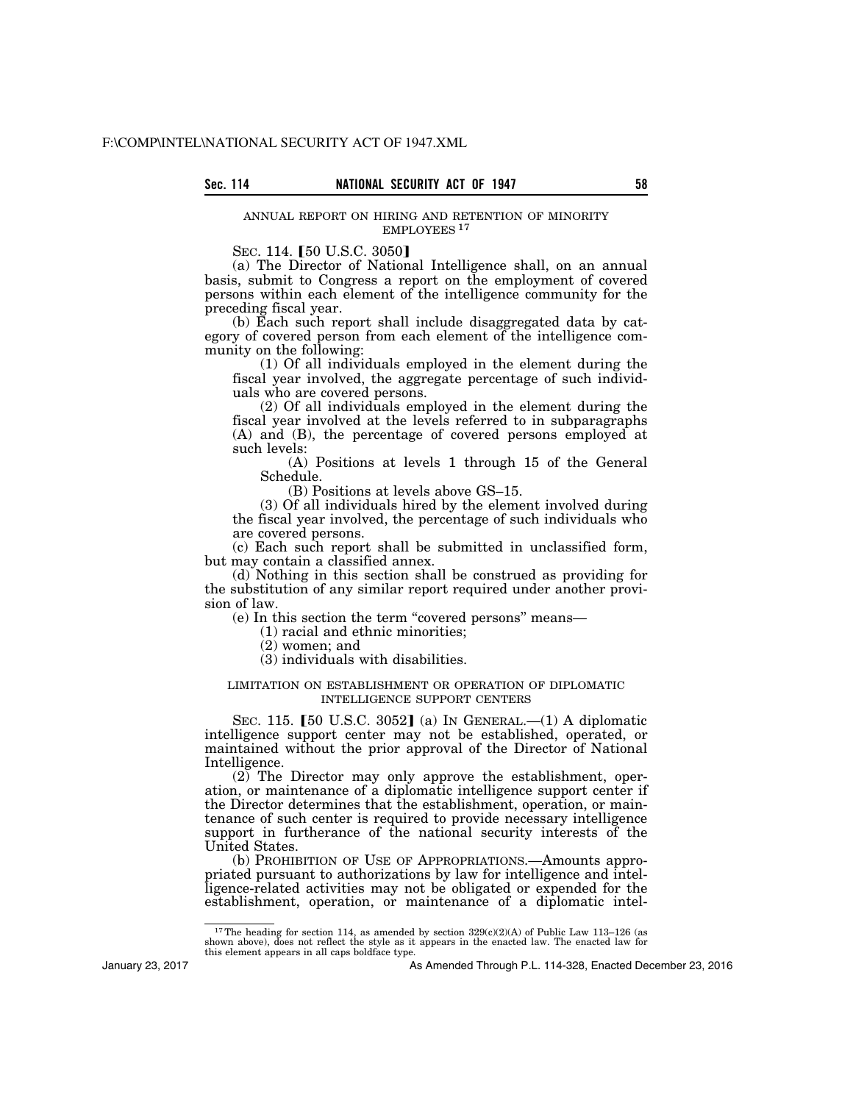## ANNUAL REPORT ON HIRING AND RETENTION OF MINORITY EMPLOYEES 17

SEC. 114. [50 U.S.C. 3050]

(a) The Director of National Intelligence shall, on an annual basis, submit to Congress a report on the employment of covered persons within each element of the intelligence community for the preceding fiscal year.

(b) Each such report shall include disaggregated data by category of covered person from each element of the intelligence community on the following:

(1) Of all individuals employed in the element during the fiscal year involved, the aggregate percentage of such individuals who are covered persons.

(2) Of all individuals employed in the element during the fiscal year involved at the levels referred to in subparagraphs (A) and (B), the percentage of covered persons employed at such levels:

(A) Positions at levels 1 through 15 of the General Schedule.

(B) Positions at levels above GS–15.

(3) Of all individuals hired by the element involved during the fiscal year involved, the percentage of such individuals who are covered persons.

(c) Each such report shall be submitted in unclassified form, but may contain a classified annex.

(d) Nothing in this section shall be construed as providing for the substitution of any similar report required under another provision of law.

(e) In this section the term ''covered persons'' means—

(1) racial and ethnic minorities;

(2) women; and

(3) individuals with disabilities.

# LIMITATION ON ESTABLISHMENT OR OPERATION OF DIPLOMATIC INTELLIGENCE SUPPORT CENTERS

SEC. 115. [50 U.S.C. 3052] (a) IN GENERAL.—(1) A diplomatic intelligence support center may not be established, operated, or maintained without the prior approval of the Director of National Intelligence.

(2) The Director may only approve the establishment, operation, or maintenance of a diplomatic intelligence support center if the Director determines that the establishment, operation, or maintenance of such center is required to provide necessary intelligence support in furtherance of the national security interests of the United States.

(b) PROHIBITION OF USE OF APPROPRIATIONS.—Amounts appropriated pursuant to authorizations by law for intelligence and intelligence-related activities may not be obligated or expended for the establishment, operation, or maintenance of a diplomatic intel-

January 23, 2017

<sup>&</sup>lt;sup>17</sup>The heading for section 114, as amended by section  $329(c)(2)(A)$  of Public Law 113–126 (as shown above), does not reflect the style as it appears in the enacted law. The enacted law for this element appears in all caps boldface type.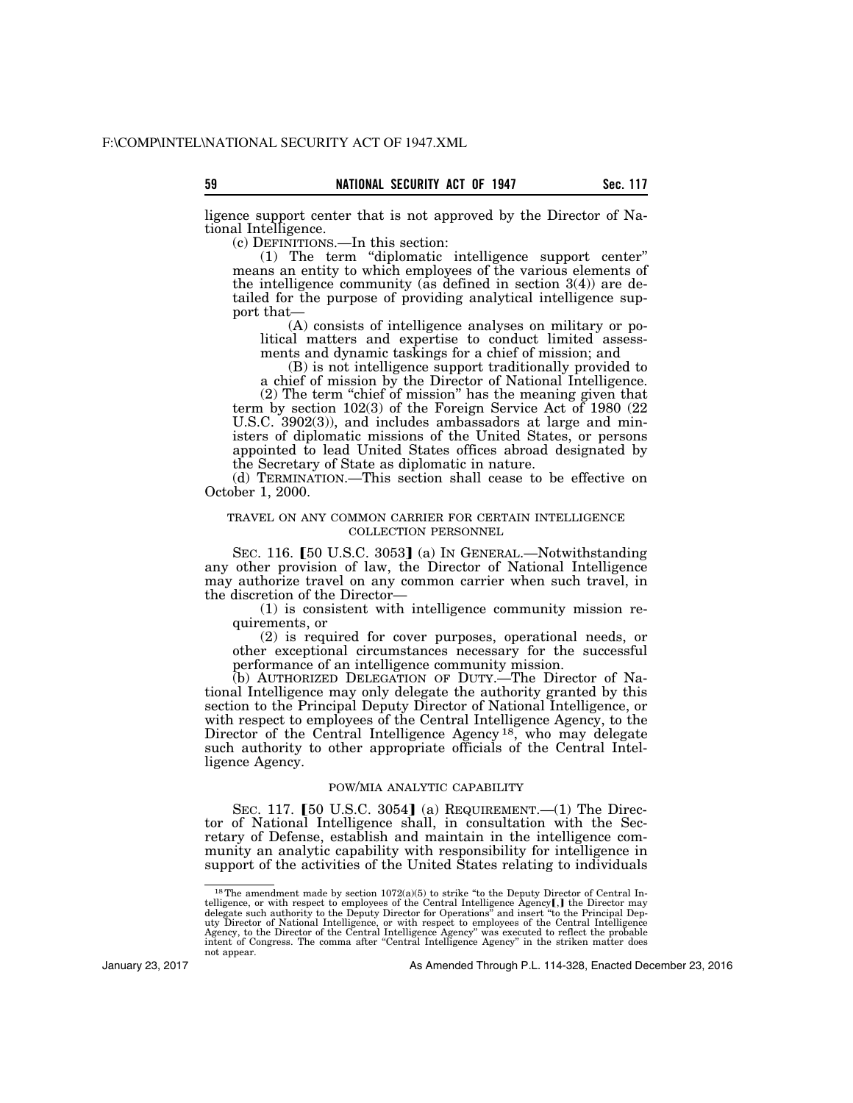ligence support center that is not approved by the Director of National Intelligence.

(c) DEFINITIONS.—In this section:

(1) The term ''diplomatic intelligence support center'' means an entity to which employees of the various elements of the intelligence community (as defined in section  $3(4)$ ) are detailed for the purpose of providing analytical intelligence support that—

(A) consists of intelligence analyses on military or political matters and expertise to conduct limited assessments and dynamic taskings for a chief of mission; and

(B) is not intelligence support traditionally provided to a chief of mission by the Director of National Intelligence.

(2) The term "chief of mission" has the meaning given that term by section 102(3) of the Foreign Service Act of 1980 (22 U.S.C. 3902(3)), and includes ambassadors at large and ministers of diplomatic missions of the United States, or persons appointed to lead United States offices abroad designated by the Secretary of State as diplomatic in nature.

(d) TERMINATION.—This section shall cease to be effective on October 1, 2000.

### TRAVEL ON ANY COMMON CARRIER FOR CERTAIN INTELLIGENCE COLLECTION PERSONNEL

SEC. 116. [50 U.S.C. 3053] (a) In GENERAL.—Notwithstanding any other provision of law, the Director of National Intelligence may authorize travel on any common carrier when such travel, in the discretion of the Director—

(1) is consistent with intelligence community mission requirements, or

(2) is required for cover purposes, operational needs, or other exceptional circumstances necessary for the successful performance of an intelligence community mission.

(b) AUTHORIZED DELEGATION OF DUTY.—The Director of National Intelligence may only delegate the authority granted by this section to the Principal Deputy Director of National Intelligence, or with respect to employees of the Central Intelligence Agency, to the Director of the Central Intelligence Agency<sup>18</sup>, who may delegate such authority to other appropriate officials of the Central Intelligence Agency.

# POW/MIA ANALYTIC CAPABILITY

SEC. 117. [50 U.S.C. 3054] (a) REQUIREMENT.—(1) The Director of National Intelligence shall, in consultation with the Secretary of Defense, establish and maintain in the intelligence community an analytic capability with responsibility for intelligence in support of the activities of the United States relating to individuals

January 23, 2017

<sup>&</sup>lt;sup>18</sup>The amendment made by section  $1072(a)(5)$  to strike "to the Deputy Director of Central Intelligence, or with respect to employees of the Central Intelligence Agency**[**, **]** the Director may delegate such authority to t not appear.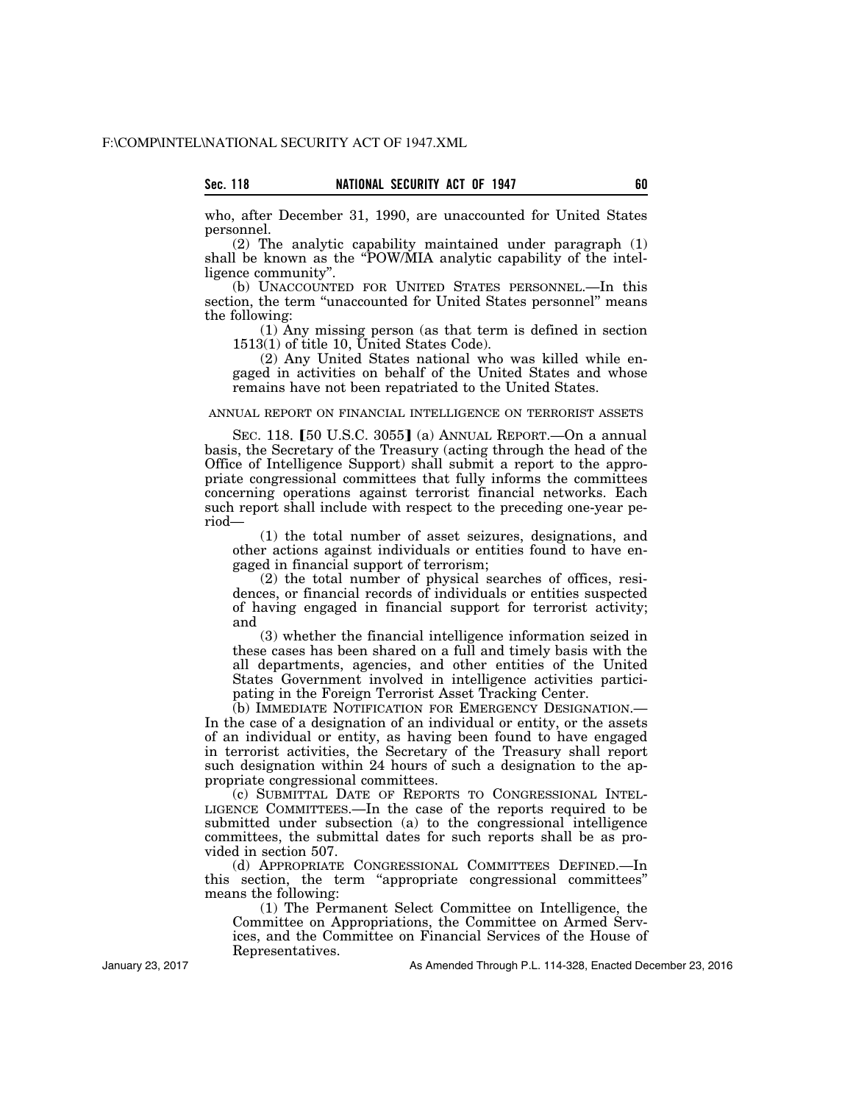who, after December 31, 1990, are unaccounted for United States personnel.

(2) The analytic capability maintained under paragraph (1) shall be known as the "POW/MIA analytic capability of the intelligence community''.

(b) UNACCOUNTED FOR UNITED STATES PERSONNEL.—In this section, the term "unaccounted for United States personnel" means the following:

(1) Any missing person (as that term is defined in section 1513(1) of title 10, United States Code).

(2) Any United States national who was killed while engaged in activities on behalf of the United States and whose remains have not been repatriated to the United States.

# ANNUAL REPORT ON FINANCIAL INTELLIGENCE ON TERRORIST ASSETS

SEC. 118.  $[50 \text{ U.S.C. } 3055]$  (a) ANNUAL REPORT.—On a annual basis, the Secretary of the Treasury (acting through the head of the Office of Intelligence Support) shall submit a report to the appropriate congressional committees that fully informs the committees concerning operations against terrorist financial networks. Each such report shall include with respect to the preceding one-year period—

(1) the total number of asset seizures, designations, and other actions against individuals or entities found to have engaged in financial support of terrorism;

(2) the total number of physical searches of offices, residences, or financial records of individuals or entities suspected of having engaged in financial support for terrorist activity; and

(3) whether the financial intelligence information seized in these cases has been shared on a full and timely basis with the all departments, agencies, and other entities of the United States Government involved in intelligence activities participating in the Foreign Terrorist Asset Tracking Center.

(b) IMMEDIATE NOTIFICATION FOR EMERGENCY DESIGNATION.— In the case of a designation of an individual or entity, or the assets of an individual or entity, as having been found to have engaged in terrorist activities, the Secretary of the Treasury shall report such designation within 24 hours of such a designation to the appropriate congressional committees.

(c) SUBMITTAL DATE OF REPORTS TO CONGRESSIONAL INTEL-LIGENCE COMMITTEES.—In the case of the reports required to be submitted under subsection (a) to the congressional intelligence committees, the submittal dates for such reports shall be as provided in section 507.

(d) APPROPRIATE CONGRESSIONAL COMMITTEES DEFINED.—In this section, the term ''appropriate congressional committees'' means the following:

(1) The Permanent Select Committee on Intelligence, the Committee on Appropriations, the Committee on Armed Services, and the Committee on Financial Services of the House of Representatives.

As Amended Through P.L. 114-328, Enacted December 23, 2016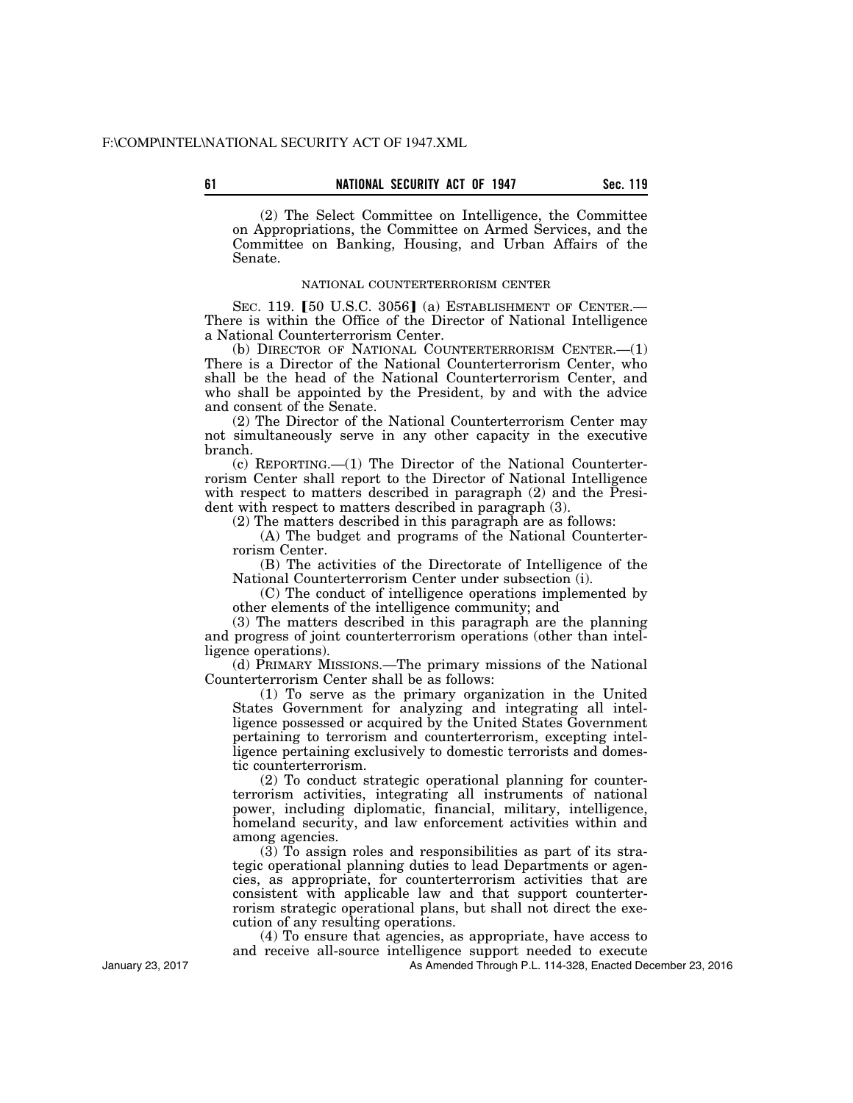**61 Sec. 119 NATIONAL SECURITY ACT OF 1947** 

(2) The Select Committee on Intelligence, the Committee on Appropriations, the Committee on Armed Services, and the Committee on Banking, Housing, and Urban Affairs of the Senate.

# NATIONAL COUNTERTERRORISM CENTER

SEC. 119. [50 U.S.C. 3056] (a) ESTABLISHMENT OF CENTER.-There is within the Office of the Director of National Intelligence a National Counterterrorism Center.

(b) DIRECTOR OF NATIONAL COUNTERTERRORISM CENTER.—(1) There is a Director of the National Counterterrorism Center, who shall be the head of the National Counterterrorism Center, and who shall be appointed by the President, by and with the advice and consent of the Senate.

(2) The Director of the National Counterterrorism Center may not simultaneously serve in any other capacity in the executive branch.

(c) REPORTING.—(1) The Director of the National Counterterrorism Center shall report to the Director of National Intelligence with respect to matters described in paragraph (2) and the President with respect to matters described in paragraph (3).

(2) The matters described in this paragraph are as follows:

(A) The budget and programs of the National Counterterrorism Center.

(B) The activities of the Directorate of Intelligence of the National Counterterrorism Center under subsection (i).

(C) The conduct of intelligence operations implemented by other elements of the intelligence community; and

(3) The matters described in this paragraph are the planning and progress of joint counterterrorism operations (other than intelligence operations).

(d) PRIMARY MISSIONS.—The primary missions of the National Counterterrorism Center shall be as follows:

(1) To serve as the primary organization in the United States Government for analyzing and integrating all intelligence possessed or acquired by the United States Government pertaining to terrorism and counterterrorism, excepting intelligence pertaining exclusively to domestic terrorists and domestic counterterrorism.

(2) To conduct strategic operational planning for counterterrorism activities, integrating all instruments of national power, including diplomatic, financial, military, intelligence, homeland security, and law enforcement activities within and among agencies.

 $(3)$  To assign roles and responsibilities as part of its strategic operational planning duties to lead Departments or agencies, as appropriate, for counterterrorism activities that are consistent with applicable law and that support counterterrorism strategic operational plans, but shall not direct the execution of any resulting operations.

(4) To ensure that agencies, as appropriate, have access to and receive all-source intelligence support needed to execute

As Amended Through P.L. 114-328, Enacted December 23, 2016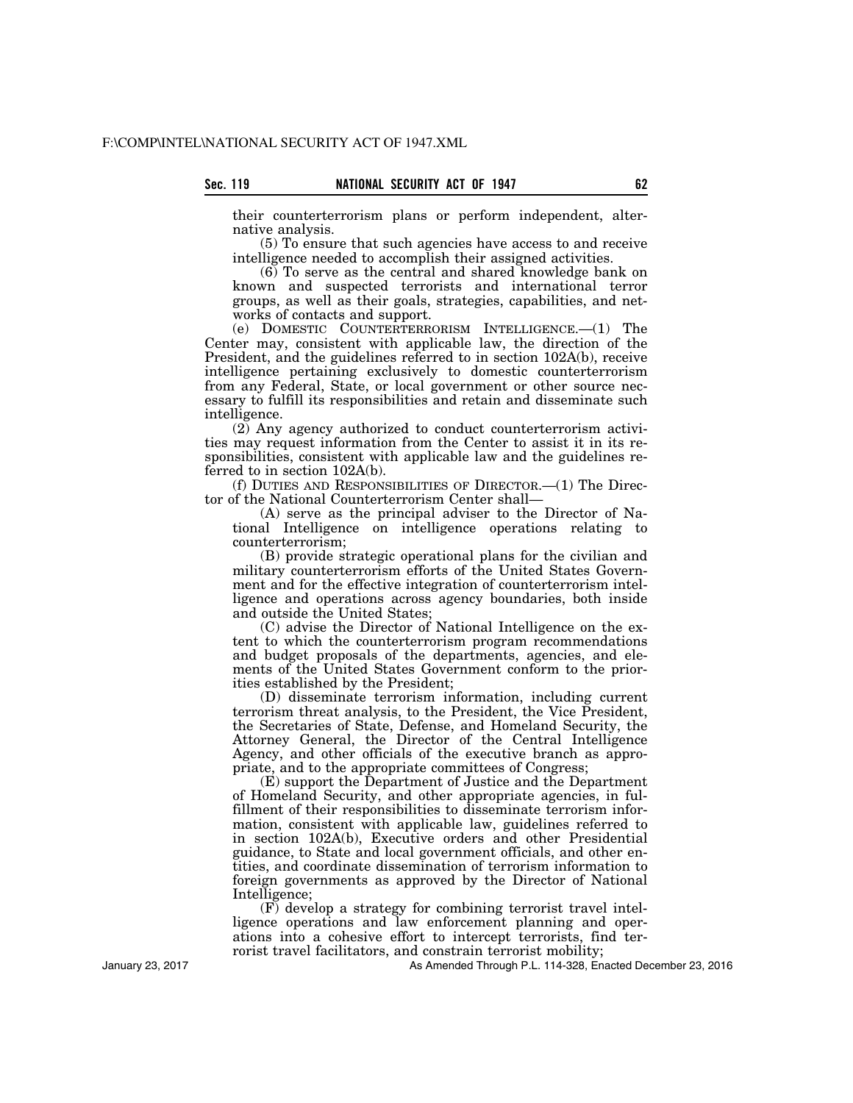their counterterrorism plans or perform independent, alternative analysis.

(5) To ensure that such agencies have access to and receive intelligence needed to accomplish their assigned activities.

(6) To serve as the central and shared knowledge bank on known and suspected terrorists and international terror groups, as well as their goals, strategies, capabilities, and networks of contacts and support.

(e) DOMESTIC COUNTERTERRORISM INTELLIGENCE.—(1) The Center may, consistent with applicable law, the direction of the President, and the guidelines referred to in section 102A(b), receive intelligence pertaining exclusively to domestic counterterrorism from any Federal, State, or local government or other source necessary to fulfill its responsibilities and retain and disseminate such intelligence.

(2) Any agency authorized to conduct counterterrorism activities may request information from the Center to assist it in its responsibilities, consistent with applicable law and the guidelines referred to in section 102A(b).

(f) DUTIES AND RESPONSIBILITIES OF DIRECTOR.—(1) The Director of the National Counterterrorism Center shall—

(A) serve as the principal adviser to the Director of National Intelligence on intelligence operations relating to counterterrorism;

(B) provide strategic operational plans for the civilian and military counterterrorism efforts of the United States Government and for the effective integration of counterterrorism intelligence and operations across agency boundaries, both inside and outside the United States;

(C) advise the Director of National Intelligence on the extent to which the counterterrorism program recommendations and budget proposals of the departments, agencies, and elements of the United States Government conform to the priorities established by the President;

(D) disseminate terrorism information, including current terrorism threat analysis, to the President, the Vice President, the Secretaries of State, Defense, and Homeland Security, the Attorney General, the Director of the Central Intelligence Agency, and other officials of the executive branch as appropriate, and to the appropriate committees of Congress;

(E) support the Department of Justice and the Department of Homeland Security, and other appropriate agencies, in fulfillment of their responsibilities to disseminate terrorism information, consistent with applicable law, guidelines referred to in section 102A(b), Executive orders and other Presidential guidance, to State and local government officials, and other entities, and coordinate dissemination of terrorism information to foreign governments as approved by the Director of National Intelligence;

(F) develop a strategy for combining terrorist travel intelligence operations and law enforcement planning and operations into a cohesive effort to intercept terrorists, find terrorist travel facilitators, and constrain terrorist mobility;

As Amended Through P.L. 114-328, Enacted December 23, 2016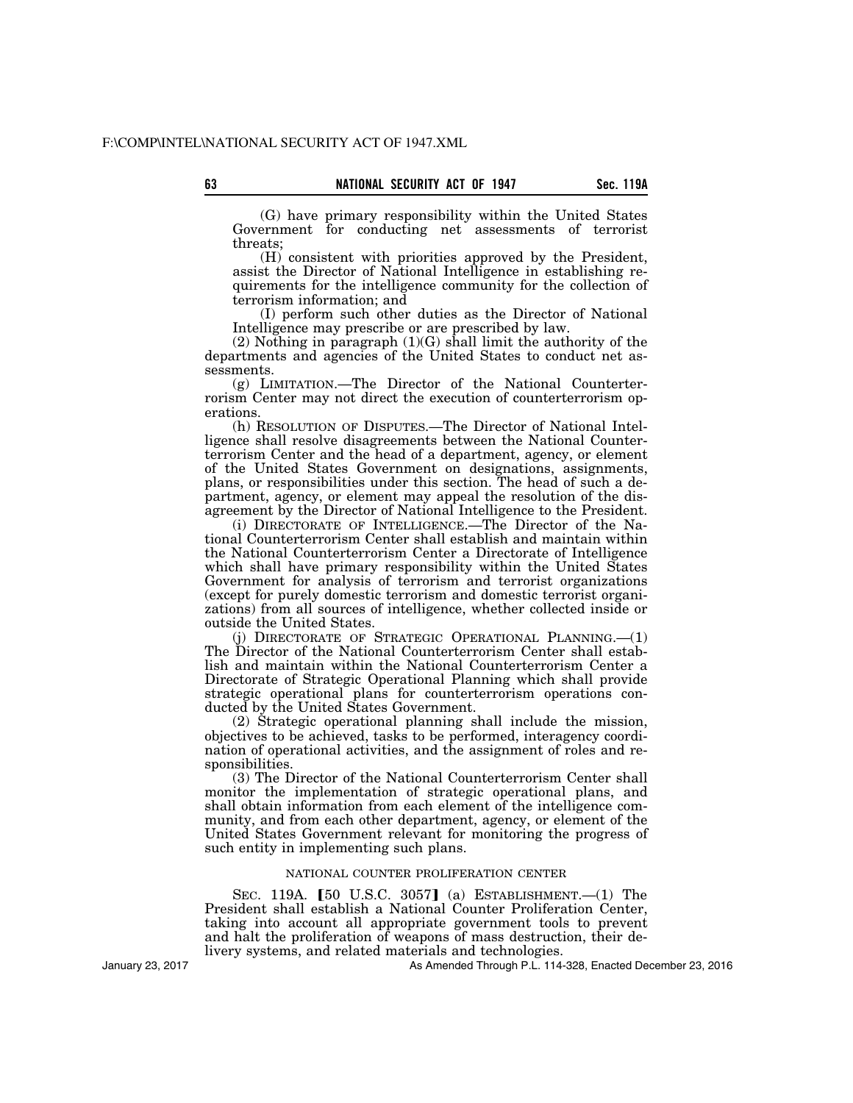(G) have primary responsibility within the United States Government for conducting net assessments of terrorist threats;

(H) consistent with priorities approved by the President, assist the Director of National Intelligence in establishing requirements for the intelligence community for the collection of terrorism information; and

(I) perform such other duties as the Director of National Intelligence may prescribe or are prescribed by law.

 $(2)$  Nothing in paragraph  $(1)(G)$  shall limit the authority of the departments and agencies of the United States to conduct net assessments.

(g) LIMITATION.—The Director of the National Counterterrorism Center may not direct the execution of counterterrorism operations.

(h) RESOLUTION OF DISPUTES.—The Director of National Intelligence shall resolve disagreements between the National Counterterrorism Center and the head of a department, agency, or element of the United States Government on designations, assignments, plans, or responsibilities under this section. The head of such a department, agency, or element may appeal the resolution of the disagreement by the Director of National Intelligence to the President.

(i) DIRECTORATE OF INTELLIGENCE.—The Director of the National Counterterrorism Center shall establish and maintain within the National Counterterrorism Center a Directorate of Intelligence which shall have primary responsibility within the United States Government for analysis of terrorism and terrorist organizations (except for purely domestic terrorism and domestic terrorist organizations) from all sources of intelligence, whether collected inside or outside the United States.

(i) DIRECTORATE OF STRATEGIC OPERATIONAL PLANNING.--(1) The Director of the National Counterterrorism Center shall establish and maintain within the National Counterterrorism Center a Directorate of Strategic Operational Planning which shall provide strategic operational plans for counterterrorism operations conducted by the United States Government.

(2) Strategic operational planning shall include the mission, objectives to be achieved, tasks to be performed, interagency coordination of operational activities, and the assignment of roles and responsibilities.

(3) The Director of the National Counterterrorism Center shall monitor the implementation of strategic operational plans, and shall obtain information from each element of the intelligence community, and from each other department, agency, or element of the United States Government relevant for monitoring the progress of such entity in implementing such plans.

# NATIONAL COUNTER PROLIFERATION CENTER

SEC. 119A.  $[50 \text{ U.S.C. } 3057]$  (a) ESTABLISHMENT.  $-(1)$  The President shall establish a National Counter Proliferation Center, taking into account all appropriate government tools to prevent and halt the proliferation of weapons of mass destruction, their delivery systems, and related materials and technologies.

As Amended Through P.L. 114-328, Enacted December 23, 2016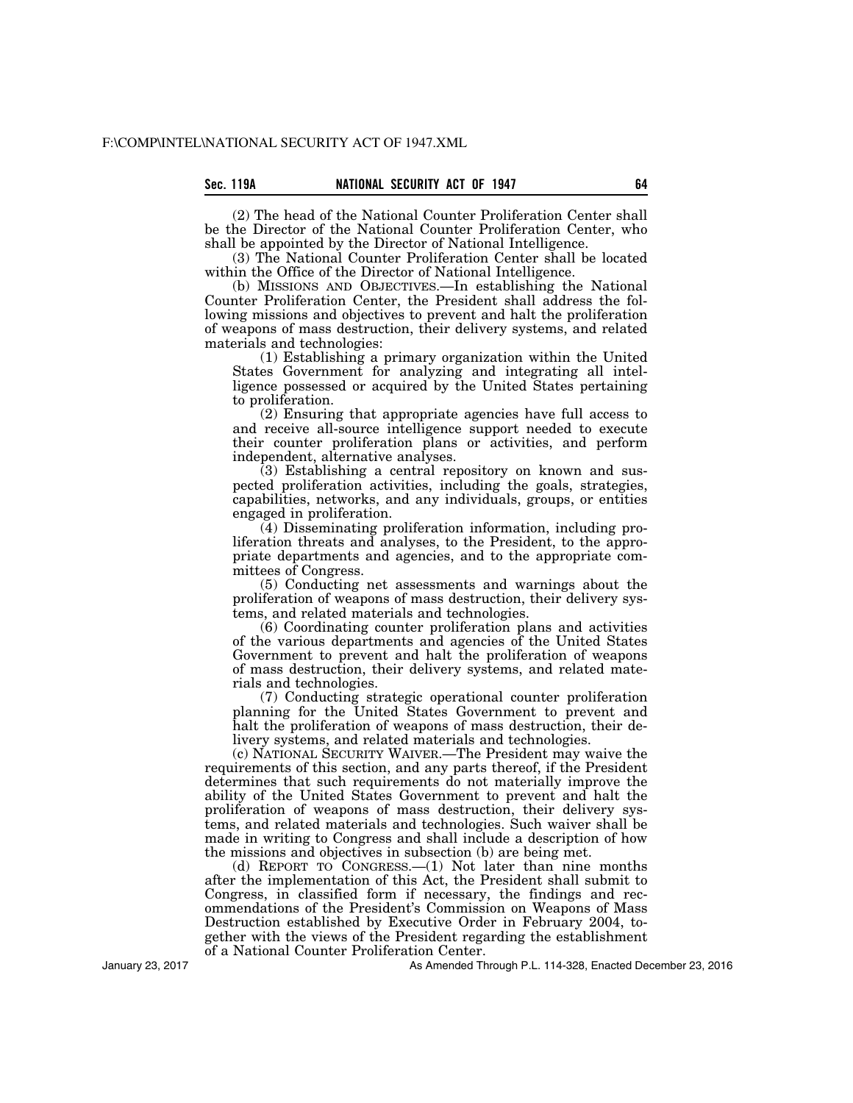(2) The head of the National Counter Proliferation Center shall be the Director of the National Counter Proliferation Center, who shall be appointed by the Director of National Intelligence.

(3) The National Counter Proliferation Center shall be located within the Office of the Director of National Intelligence.

(b) MISSIONS AND OBJECTIVES.—In establishing the National Counter Proliferation Center, the President shall address the following missions and objectives to prevent and halt the proliferation of weapons of mass destruction, their delivery systems, and related materials and technologies:

(1) Establishing a primary organization within the United States Government for analyzing and integrating all intelligence possessed or acquired by the United States pertaining to proliferation.

(2) Ensuring that appropriate agencies have full access to and receive all-source intelligence support needed to execute their counter proliferation plans or activities, and perform independent, alternative analyses.

(3) Establishing a central repository on known and suspected proliferation activities, including the goals, strategies, capabilities, networks, and any individuals, groups, or entities engaged in proliferation.

(4) Disseminating proliferation information, including proliferation threats and analyses, to the President, to the appropriate departments and agencies, and to the appropriate committees of Congress.

(5) Conducting net assessments and warnings about the proliferation of weapons of mass destruction, their delivery systems, and related materials and technologies.

(6) Coordinating counter proliferation plans and activities of the various departments and agencies of the United States Government to prevent and halt the proliferation of weapons of mass destruction, their delivery systems, and related materials and technologies.

(7) Conducting strategic operational counter proliferation planning for the United States Government to prevent and halt the proliferation of weapons of mass destruction, their delivery systems, and related materials and technologies.

(c) NATIONAL SECURITY WAIVER.—The President may waive the requirements of this section, and any parts thereof, if the President determines that such requirements do not materially improve the ability of the United States Government to prevent and halt the proliferation of weapons of mass destruction, their delivery systems, and related materials and technologies. Such waiver shall be made in writing to Congress and shall include a description of how the missions and objectives in subsection (b) are being met.

(d) REPORT TO CONGRESS.—(1) Not later than nine months after the implementation of this Act, the President shall submit to Congress, in classified form if necessary, the findings and recommendations of the President's Commission on Weapons of Mass Destruction established by Executive Order in February 2004, together with the views of the President regarding the establishment of a National Counter Proliferation Center.

January 23, 2017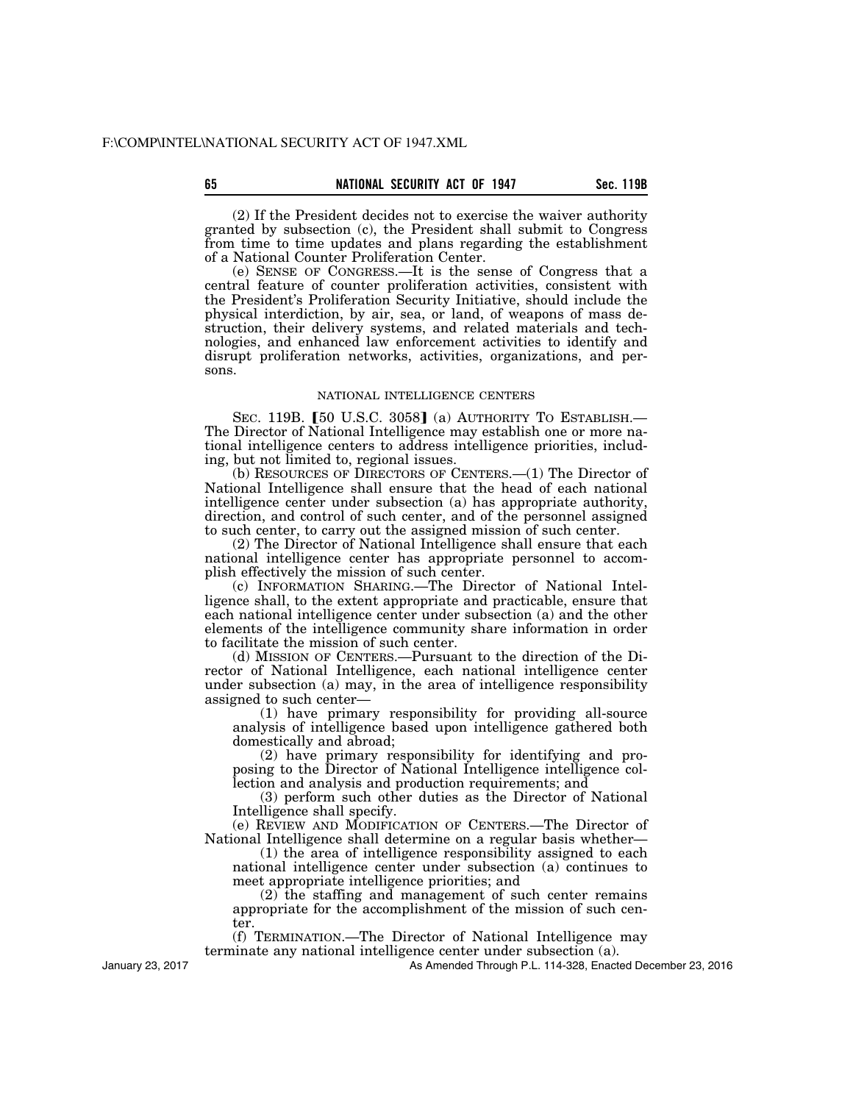(2) If the President decides not to exercise the waiver authority granted by subsection (c), the President shall submit to Congress from time to time updates and plans regarding the establishment of a National Counter Proliferation Center.

(e) SENSE OF CONGRESS.—It is the sense of Congress that a central feature of counter proliferation activities, consistent with the President's Proliferation Security Initiative, should include the physical interdiction, by air, sea, or land, of weapons of mass destruction, their delivery systems, and related materials and technologies, and enhanced law enforcement activities to identify and disrupt proliferation networks, activities, organizations, and persons.

### NATIONAL INTELLIGENCE CENTERS

SEC. 119B.  $[50 \text{ U.S.C. } 3058]$  (a) AUTHORITY TO ESTABLISH.— The Director of National Intelligence may establish one or more national intelligence centers to address intelligence priorities, including, but not limited to, regional issues.

(b) RESOURCES OF DIRECTORS OF CENTERS.—(1) The Director of National Intelligence shall ensure that the head of each national intelligence center under subsection (a) has appropriate authority, direction, and control of such center, and of the personnel assigned to such center, to carry out the assigned mission of such center.

(2) The Director of National Intelligence shall ensure that each national intelligence center has appropriate personnel to accomplish effectively the mission of such center.

(c) INFORMATION SHARING.—The Director of National Intelligence shall, to the extent appropriate and practicable, ensure that each national intelligence center under subsection (a) and the other elements of the intelligence community share information in order to facilitate the mission of such center.

(d) MISSION OF CENTERS.—Pursuant to the direction of the Director of National Intelligence, each national intelligence center under subsection (a) may, in the area of intelligence responsibility assigned to such center—

(1) have primary responsibility for providing all-source analysis of intelligence based upon intelligence gathered both domestically and abroad;

(2) have primary responsibility for identifying and proposing to the Director of National Intelligence intelligence collection and analysis and production requirements; and

(3) perform such other duties as the Director of National Intelligence shall specify.

(e) REVIEW AND MODIFICATION OF CENTERS.—The Director of National Intelligence shall determine on a regular basis whether—

(1) the area of intelligence responsibility assigned to each national intelligence center under subsection (a) continues to meet appropriate intelligence priorities; and

(2) the staffing and management of such center remains appropriate for the accomplishment of the mission of such center.

(f) TERMINATION.—The Director of National Intelligence may terminate any national intelligence center under subsection (a).

January 23, 2017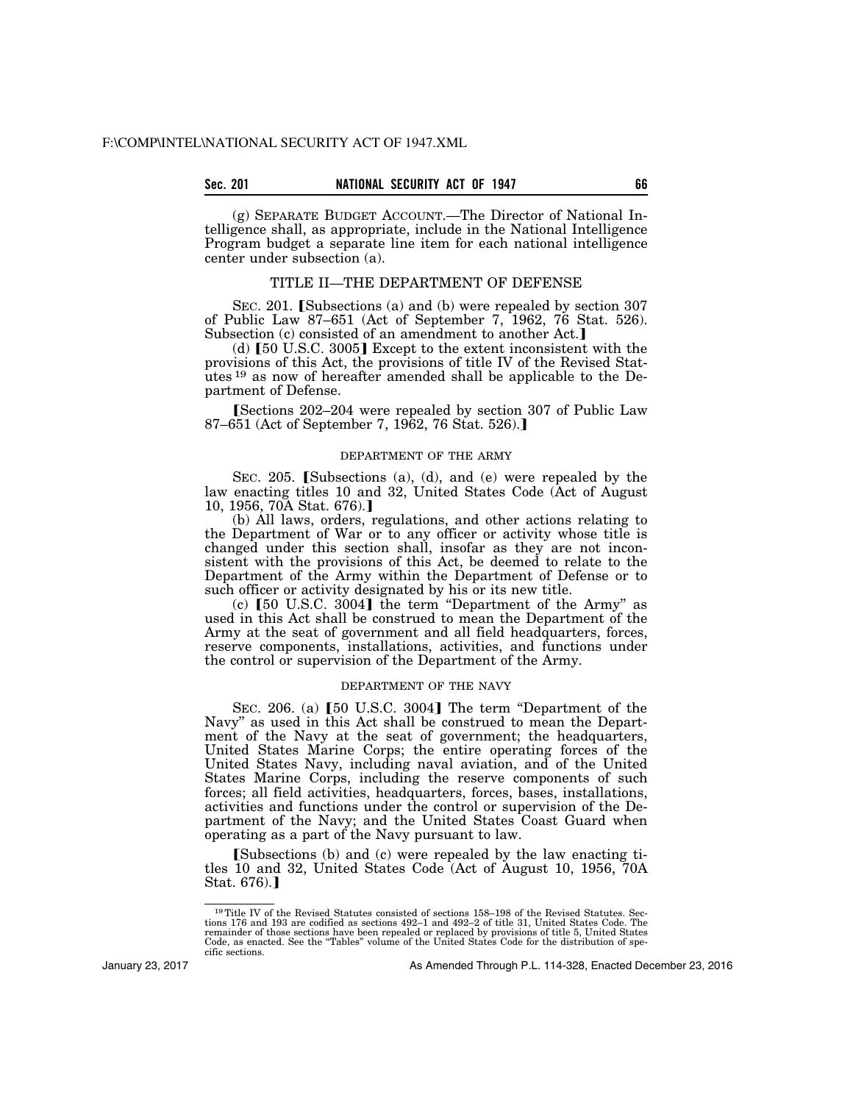# **Sec. 201 NATIONAL SECURITY ACT OF 1947 66**

(g) SEPARATE BUDGET ACCOUNT.—The Director of National Intelligence shall, as appropriate, include in the National Intelligence Program budget a separate line item for each national intelligence center under subsection (a).

# TITLE II—THE DEPARTMENT OF DEFENSE

SEC. 201. [Subsections (a) and (b) were repealed by section  $307$ of Public Law 87–651 (Act of September 7, 1962, 76 Stat. 526). Subsection (c) consisted of an amendment to another Act.]

(d)  $\lceil 50 \text{ U.S.C. } 3005 \rceil$  Except to the extent inconsistent with the provisions of this Act, the provisions of title IV of the Revised Statutes <sup>19</sup> as now of hereafter amended shall be applicable to the Department of Defense.

[Sections 202–204 were repealed by section 307 of Public Law 87–651 (Act of September 7, 1962, 76 Stat. 526).

### DEPARTMENT OF THE ARMY

SEC. 205. [Subsections (a), (d), and (e) were repealed by the law enacting titles 10 and 32, United States Code (Act of August 10, 1956, 70A Stat. 676).

(b) All laws, orders, regulations, and other actions relating to the Department of War or to any officer or activity whose title is changed under this section shall, insofar as they are not inconsistent with the provisions of this Act, be deemed to relate to the Department of the Army within the Department of Defense or to such officer or activity designated by his or its new title.

(c)  $[50 \text{ U.S.C. } 3004]$  the term "Department of the Army" as used in this Act shall be construed to mean the Department of the Army at the seat of government and all field headquarters, forces, reserve components, installations, activities, and functions under the control or supervision of the Department of the Army.

#### DEPARTMENT OF THE NAVY

SEC. 206. (a)  $[50 \text{ U.S.C. } 3004]$  The term "Department of the Navy'' as used in this Act shall be construed to mean the Department of the Navy at the seat of government; the headquarters, United States Marine Corps; the entire operating forces of the United States Navy, including naval aviation, and of the United States Marine Corps, including the reserve components of such forces; all field activities, headquarters, forces, bases, installations, activities and functions under the control or supervision of the Department of the Navy; and the United States Coast Guard when operating as a part of the Navy pursuant to law.

**[Subsections (b) and (c) were repealed by the law enacting ti**tles 10 and 32, United States Code (Act of August 10, 1956, 70A Stat.  $676$ ).

January 23, 2017

<sup>19</sup>Title IV of the Revised Statutes consisted of sections 158–198 of the Revised Statutes. Sections 176 and 193 are codified as sections 492–1 and 492–2 of title 31, United States Code. The remainder of those sections have been repealed or replaced by provisions of title 5, United States Code, as enacted. See the ''Tables'' volume of the United States Code for the distribution of specific sections.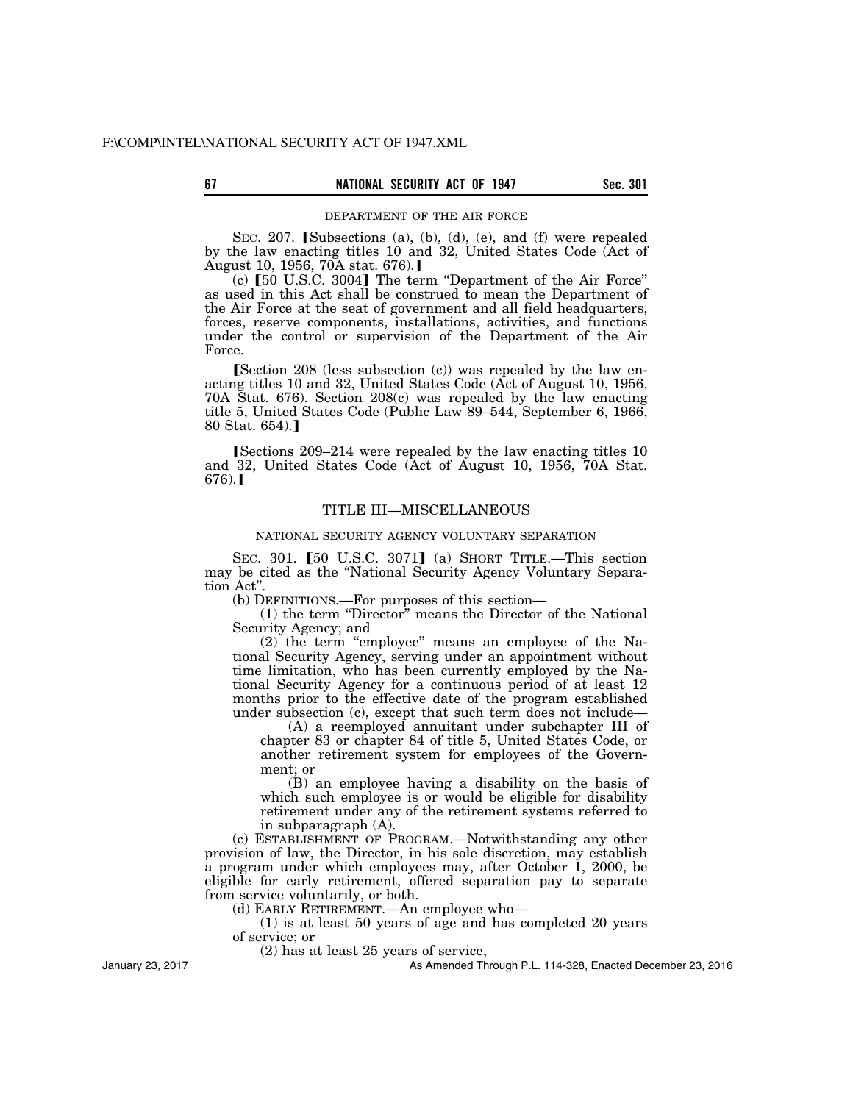#### DEPARTMENT OF THE AIR FORCE

SEC. 207. [Subsections (a), (b), (d), (e), and (f) were repealed by the law enacting titles 10 and 32, United States Code (Act of August 10, 1956, 70A stat. 676).

 $(c)$  [50 U.S.C. 3004] The term "Department of the Air Force" as used in this Act shall be construed to mean the Department of the Air Force at the seat of government and all field headquarters, forces, reserve components, installations, activities, and functions under the control or supervision of the Department of the Air Force.

Section 208 (less subsection  $(c)$ ) was repealed by the law enacting titles 10 and 32, United States Code (Act of August 10, 1956, 70A Stat. 676). Section 208(c) was repealed by the law enacting title 5, United States Code (Public Law 89–544, September 6, 1966,  $80$  Stat.  $654$ ).

 $S_{\text{e}}$ Sections 209–214 were repealed by the law enacting titles 10 and 32, United States Code (Act of August 10, 1956, 70A Stat.  $676$ .]

### TITLE III—MISCELLANEOUS

#### NATIONAL SECURITY AGENCY VOLUNTARY SEPARATION

SEC. 301. [50 U.S.C. 3071] (a) SHORT TITLE.—This section may be cited as the ''National Security Agency Voluntary Separation Act''.

(b) DEFINITIONS.—For purposes of this section—

(1) the term ''Director'' means the Director of the National Security Agency; and

(2) the term ''employee'' means an employee of the National Security Agency, serving under an appointment without time limitation, who has been currently employed by the National Security Agency for a continuous period of at least 12 months prior to the effective date of the program established under subsection (c), except that such term does not include—

(A) a reemployed annuitant under subchapter III of chapter 83 or chapter 84 of title 5, United States Code, or another retirement system for employees of the Government; or

(B) an employee having a disability on the basis of which such employee is or would be eligible for disability retirement under any of the retirement systems referred to in subparagraph (A).

(c) ESTABLISHMENT OF PROGRAM.—Notwithstanding any other provision of law, the Director, in his sole discretion, may establish a program under which employees may, after October 1, 2000, be eligible for early retirement, offered separation pay to separate from service voluntarily, or both.

(d) EARLY RETIREMENT.—An employee who—

(1) is at least 50 years of age and has completed 20 years of service; or

(2) has at least 25 years of service,

As Amended Through P.L. 114-328, Enacted December 23, 2016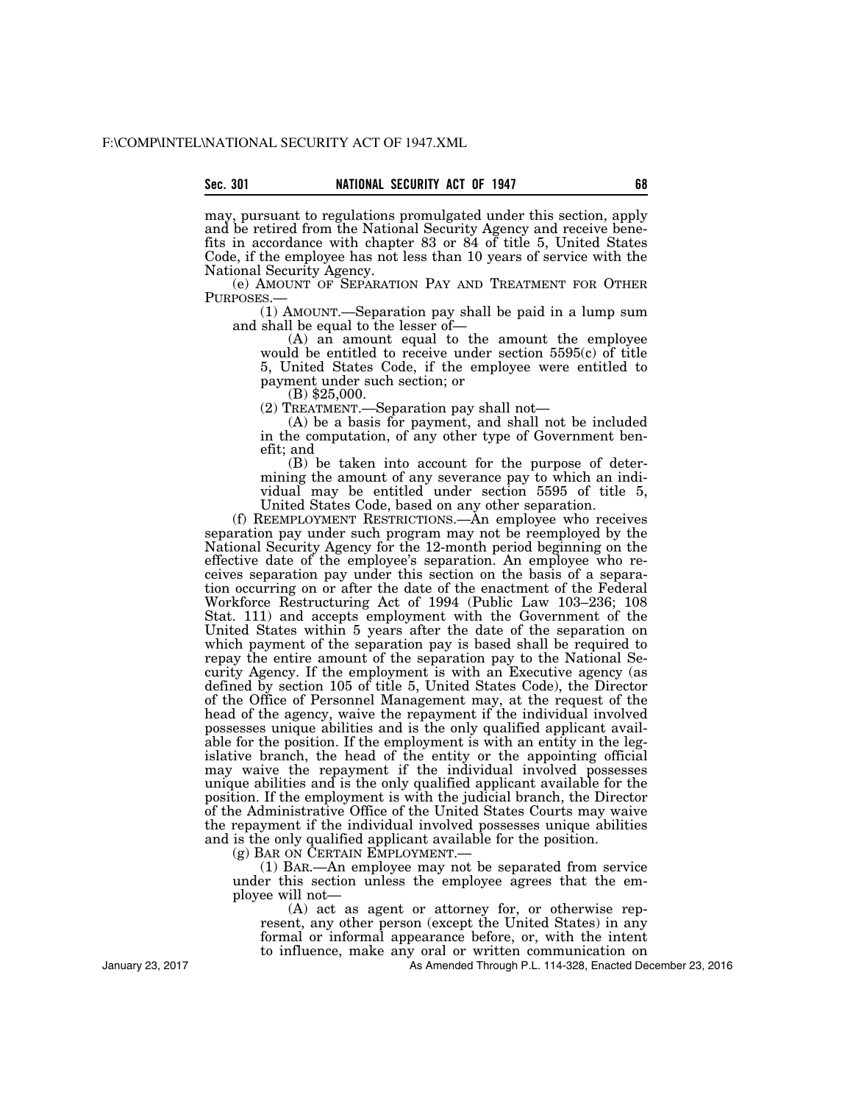may, pursuant to regulations promulgated under this section, apply and be retired from the National Security Agency and receive benefits in accordance with chapter 83 or 84 of title 5, United States Code, if the employee has not less than 10 years of service with the National Security Agency.

(e) AMOUNT OF SEPARATION PAY AND TREATMENT FOR OTHER PURPOSES.—

(1) AMOUNT.—Separation pay shall be paid in a lump sum and shall be equal to the lesser of—

(A) an amount equal to the amount the employee would be entitled to receive under section 5595(c) of title 5, United States Code, if the employee were entitled to payment under such section; or (B) \$25,000.

(2) TREATMENT.—Separation pay shall not—

(A) be a basis for payment, and shall not be included in the computation, of any other type of Government benefit; and

(B) be taken into account for the purpose of determining the amount of any severance pay to which an individual may be entitled under section 5595 of title 5, United States Code, based on any other separation.

(f) REEMPLOYMENT RESTRICTIONS.—An employee who receives separation pay under such program may not be reemployed by the National Security Agency for the 12-month period beginning on the effective date of the employee's separation. An employee who receives separation pay under this section on the basis of a separation occurring on or after the date of the enactment of the Federal Workforce Restructuring Act of 1994 (Public Law 103–236; 108 Stat. 111) and accepts employment with the Government of the United States within 5 years after the date of the separation on which payment of the separation pay is based shall be required to repay the entire amount of the separation pay to the National Security Agency. If the employment is with an Executive agency (as defined by section 105 of title 5, United States Code), the Director of the Office of Personnel Management may, at the request of the head of the agency, waive the repayment if the individual involved possesses unique abilities and is the only qualified applicant available for the position. If the employment is with an entity in the legislative branch, the head of the entity or the appointing official may waive the repayment if the individual involved possesses unique abilities and is the only qualified applicant available for the position. If the employment is with the judicial branch, the Director of the Administrative Office of the United States Courts may waive the repayment if the individual involved possesses unique abilities and is the only qualified applicant available for the position.

(g) BAR ON CERTAIN EMPLOYMENT.—

(1) BAR.—An employee may not be separated from service under this section unless the employee agrees that the employee will not—

(A) act as agent or attorney for, or otherwise represent, any other person (except the United States) in any formal or informal appearance before, or, with the intent to influence, make any oral or written communication on

As Amended Through P.L. 114-328, Enacted December 23, 2016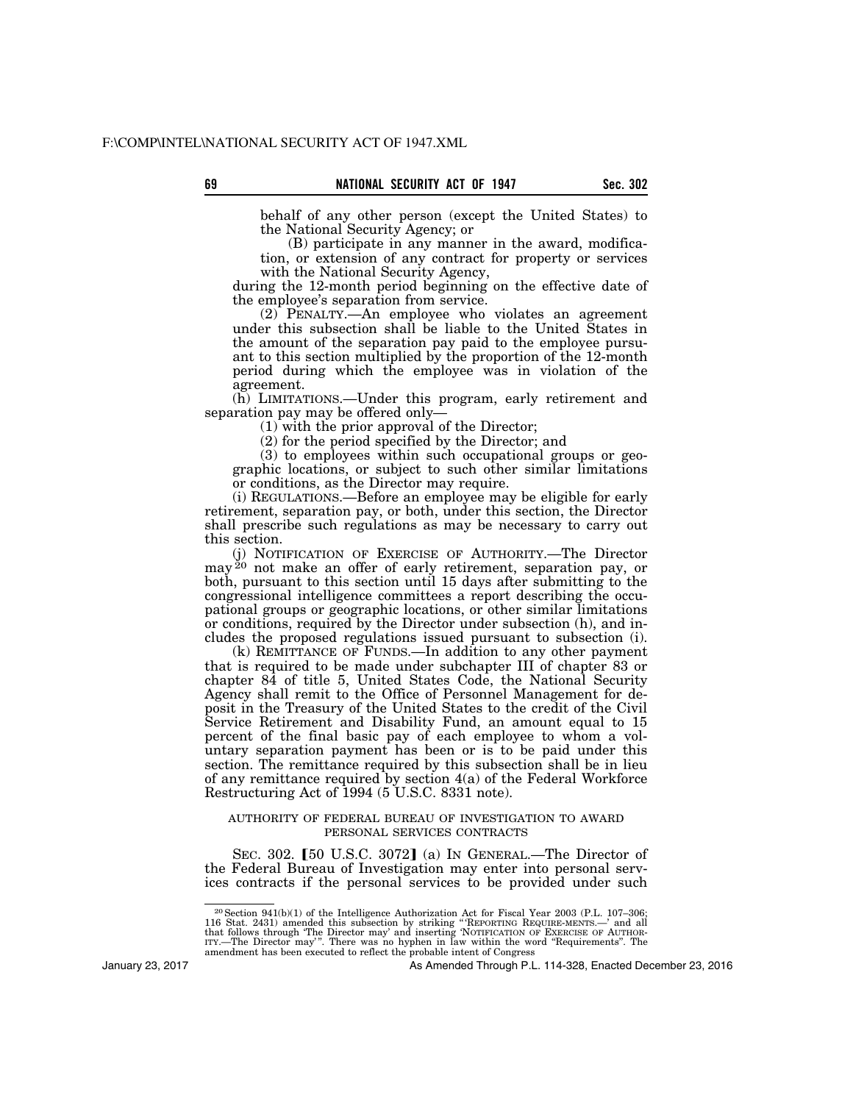behalf of any other person (except the United States) to the National Security Agency; or

(B) participate in any manner in the award, modification, or extension of any contract for property or services with the National Security Agency,

during the 12-month period beginning on the effective date of the employee's separation from service.

(2) PENALTY.—An employee who violates an agreement under this subsection shall be liable to the United States in the amount of the separation pay paid to the employee pursuant to this section multiplied by the proportion of the 12-month period during which the employee was in violation of the agreement.

(h) LIMITATIONS.—Under this program, early retirement and separation pay may be offered only—

(1) with the prior approval of the Director;

(2) for the period specified by the Director; and

(3) to employees within such occupational groups or geographic locations, or subject to such other similar limitations or conditions, as the Director may require.

(i) REGULATIONS.—Before an employee may be eligible for early retirement, separation pay, or both, under this section, the Director shall prescribe such regulations as may be necessary to carry out this section.

(j) NOTIFICATION OF EXERCISE OF AUTHORITY.—The Director may <sup>20</sup> not make an offer of early retirement, separation pay, or both, pursuant to this section until 15 days after submitting to the congressional intelligence committees a report describing the occupational groups or geographic locations, or other similar limitations or conditions, required by the Director under subsection (h), and includes the proposed regulations issued pursuant to subsection (i).

(k) REMITTANCE OF FUNDS.—In addition to any other payment that is required to be made under subchapter III of chapter 83 or chapter 84 of title 5, United States Code, the National Security Agency shall remit to the Office of Personnel Management for deposit in the Treasury of the United States to the credit of the Civil Service Retirement and Disability Fund, an amount equal to 15 percent of the final basic pay of each employee to whom a voluntary separation payment has been or is to be paid under this section. The remittance required by this subsection shall be in lieu of any remittance required by section 4(a) of the Federal Workforce Restructuring Act of 1994 (5 U.S.C. 8331 note).

# AUTHORITY OF FEDERAL BUREAU OF INVESTIGATION TO AWARD PERSONAL SERVICES CONTRACTS

SEC. 302.  $[50 \text{ U.S.C. } 3072]$  (a) In GENERAL.—The Director of the Federal Bureau of Investigation may enter into personal services contracts if the personal services to be provided under such

January 23, 2017

<sup>20</sup>Section 941(b)(1) of the Intelligence Authorization Act for Fiscal Year 2003 (P.L. 107–306; 116 Stat. 2431) amended this subsection by striking "REPORTING REQUIRE-MENTS.—' and all that follows through "The Director may" and inserting "NOTIFICATION OF EXERCISE OF AUTHOR-<br>ITY.—The Director may". There was no hyphen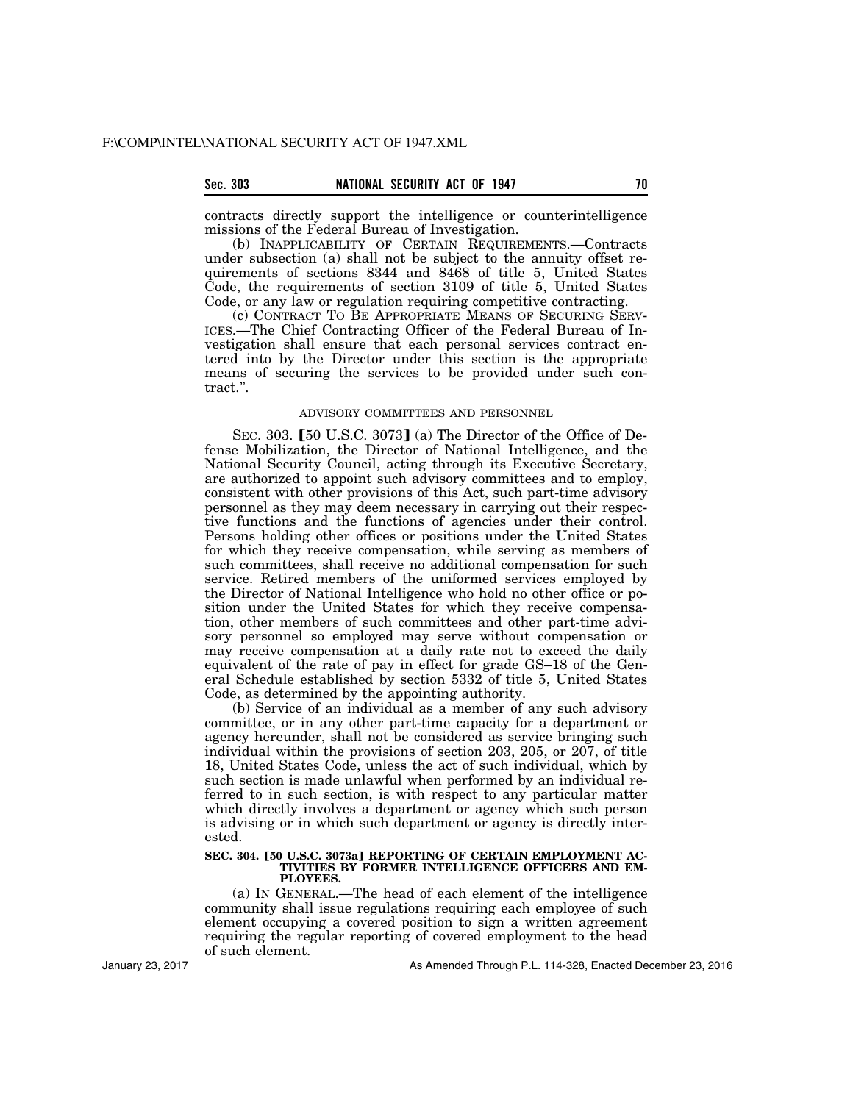# Sec. 303 **NATIONAL SECURITY ACT OF 1947** 70

contracts directly support the intelligence or counterintelligence missions of the Federal Bureau of Investigation.

(b) INAPPLICABILITY OF CERTAIN REQUIREMENTS.—Contracts under subsection (a) shall not be subject to the annuity offset requirements of sections 8344 and 8468 of title 5, United States Code, the requirements of section 3109 of title 5, United States Code, or any law or regulation requiring competitive contracting.

(c) CONTRACT TO BE APPROPRIATE MEANS OF SECURING SERV-ICES.—The Chief Contracting Officer of the Federal Bureau of Investigation shall ensure that each personal services contract entered into by the Director under this section is the appropriate means of securing the services to be provided under such contract.''.

## ADVISORY COMMITTEES AND PERSONNEL

SEC. 303.  $[50 \text{ U.S.C. } 3073]$  (a) The Director of the Office of Defense Mobilization, the Director of National Intelligence, and the National Security Council, acting through its Executive Secretary, are authorized to appoint such advisory committees and to employ, consistent with other provisions of this Act, such part-time advisory personnel as they may deem necessary in carrying out their respective functions and the functions of agencies under their control. Persons holding other offices or positions under the United States for which they receive compensation, while serving as members of such committees, shall receive no additional compensation for such service. Retired members of the uniformed services employed by the Director of National Intelligence who hold no other office or position under the United States for which they receive compensation, other members of such committees and other part-time advisory personnel so employed may serve without compensation or may receive compensation at a daily rate not to exceed the daily equivalent of the rate of pay in effect for grade GS–18 of the General Schedule established by section 5332 of title 5, United States Code, as determined by the appointing authority.

(b) Service of an individual as a member of any such advisory committee, or in any other part-time capacity for a department or agency hereunder, shall not be considered as service bringing such individual within the provisions of section 203, 205, or 207, of title 18, United States Code, unless the act of such individual, which by such section is made unlawful when performed by an individual referred to in such section, is with respect to any particular matter which directly involves a department or agency which such person is advising or in which such department or agency is directly interested.

#### SEC. 304. [50 U.S.C. 3073a] REPORTING OF CERTAIN EMPLOYMENT AC-**TIVITIES BY FORMER INTELLIGENCE OFFICERS AND EM-PLOYEES.**

(a) IN GENERAL.—The head of each element of the intelligence community shall issue regulations requiring each employee of such element occupying a covered position to sign a written agreement requiring the regular reporting of covered employment to the head of such element.

January 23, 2017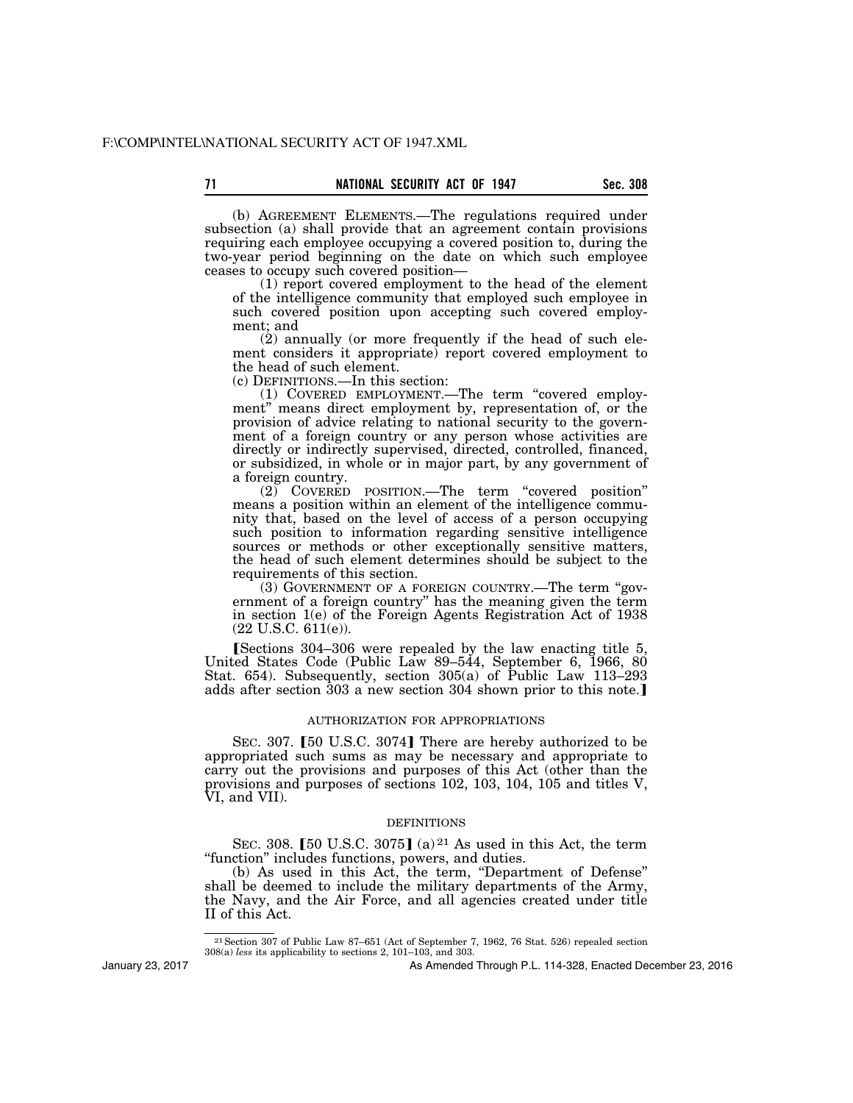(b) AGREEMENT ELEMENTS.—The regulations required under subsection (a) shall provide that an agreement contain provisions requiring each employee occupying a covered position to, during the two-year period beginning on the date on which such employee ceases to occupy such covered position—

(1) report covered employment to the head of the element of the intelligence community that employed such employee in such covered position upon accepting such covered employment; and

(2) annually (or more frequently if the head of such element considers it appropriate) report covered employment to the head of such element.

(c) DEFINITIONS.—In this section:

(1) COVERED EMPLOYMENT.—The term ''covered employment" means direct employment by, representation of, or the provision of advice relating to national security to the government of a foreign country or any person whose activities are directly or indirectly supervised, directed, controlled, financed, or subsidized, in whole or in major part, by any government of a foreign country.

(2) COVERED POSITION.—The term ''covered position'' means a position within an element of the intelligence community that, based on the level of access of a person occupying such position to information regarding sensitive intelligence sources or methods or other exceptionally sensitive matters, the head of such element determines should be subject to the requirements of this section.

(3) GOVERNMENT OF A FOREIGN COUNTRY.—The term ''government of a foreign country'' has the meaning given the term in section 1(e) of the Foreign Agents Registration Act of 1938  $(22 \text{ U.S.C. } 611(e))$ .

**[Sections 304–306 were repealed by the law enacting title 5,** United States Code (Public Law 89–544, September 6, 1966, 80 Stat. 654). Subsequently, section 305(a) of Public Law 113–293 adds after section 303 a new section 304 shown prior to this note.

## AUTHORIZATION FOR APPROPRIATIONS

SEC. 307. [50 U.S.C. 3074] There are hereby authorized to be appropriated such sums as may be necessary and appropriate to carry out the provisions and purposes of this Act (other than the provisions and purposes of sections 102, 103, 104, 105 and titles V, VI, and VII).

#### DEFINITIONS

SEC. 308. [50 U.S.C. 3075] (a)  $21$  As used in this Act, the term "function" includes functions, powers, and duties.

(b) As used in this Act, the term, "Department of Defense" shall be deemed to include the military departments of the Army, the Navy, and the Air Force, and all agencies created under title II of this Act.

January 23, 2017

<sup>21</sup>Section 307 of Public Law 87–651 (Act of September 7, 1962, 76 Stat. 526) repealed section 308(a) *less* its applicability to sections 2, 101–103, and 303.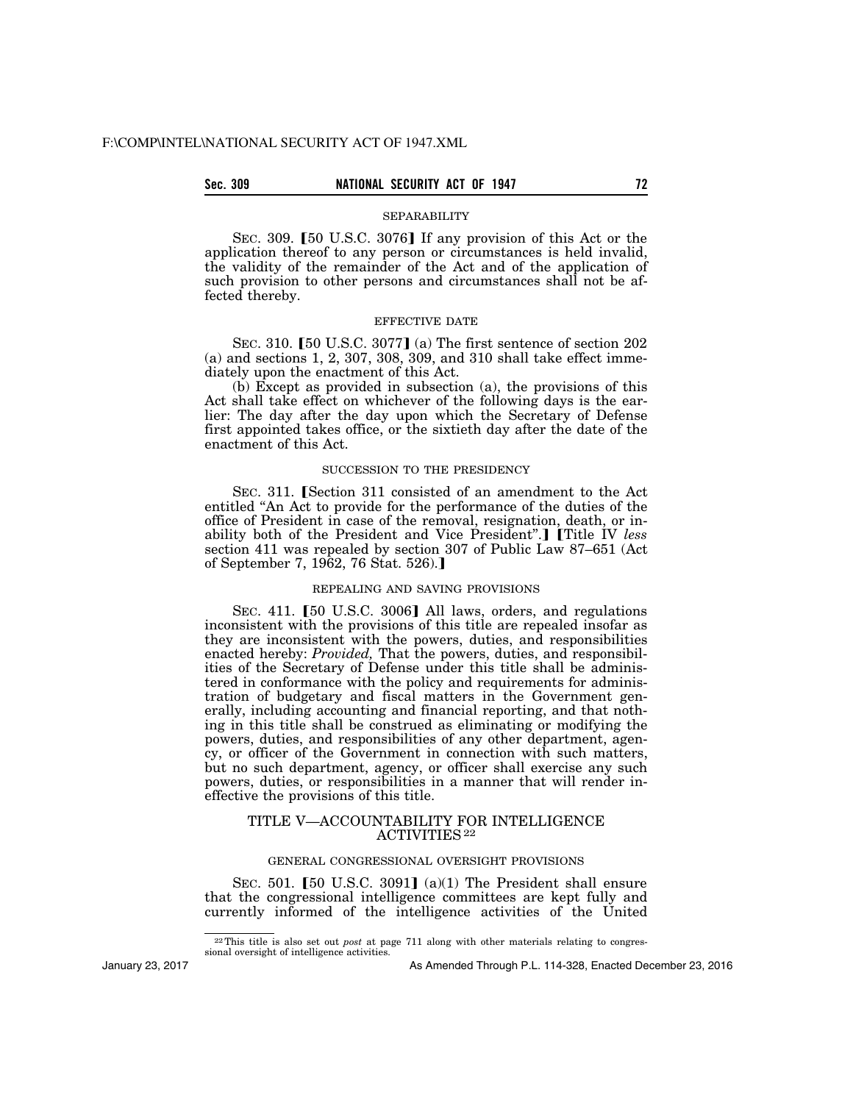# **Sec. 309 NATIONAL SECURITY ACT OF 1947 72**

#### SEPARABILITY

SEC. 309. [50 U.S.C. 3076] If any provision of this Act or the application thereof to any person or circumstances is held invalid, the validity of the remainder of the Act and of the application of such provision to other persons and circumstances shall not be affected thereby.

### EFFECTIVE DATE

SEC. 310.  $[50 \text{ U.S.C. } 3077]$  (a) The first sentence of section 202 (a) and sections 1, 2, 307, 308, 309, and 310 shall take effect immediately upon the enactment of this Act.

(b) Except as provided in subsection (a), the provisions of this Act shall take effect on whichever of the following days is the earlier: The day after the day upon which the Secretary of Defense first appointed takes office, or the sixtieth day after the date of the enactment of this Act.

#### SUCCESSION TO THE PRESIDENCY

SEC. 311. Section 311 consisted of an amendment to the Act entitled ''An Act to provide for the performance of the duties of the office of President in case of the removal, resignation, death, or inability both of the President and Vice President".] [Title IV less section 411 was repealed by section 307 of Public Law 87–651 (Act of September 7, 1962, 76 Stat. 526).

### REPEALING AND SAVING PROVISIONS

SEC. 411. [50 U.S.C. 3006] All laws, orders, and regulations inconsistent with the provisions of this title are repealed insofar as they are inconsistent with the powers, duties, and responsibilities enacted hereby: *Provided*, That the powers, duties, and responsibilities of the Secretary of Defense under this title shall be administered in conformance with the policy and requirements for administration of budgetary and fiscal matters in the Government generally, including accounting and financial reporting, and that nothing in this title shall be construed as eliminating or modifying the powers, duties, and responsibilities of any other department, agency, or officer of the Government in connection with such matters, but no such department, agency, or officer shall exercise any such powers, duties, or responsibilities in a manner that will render ineffective the provisions of this title.

# TITLE V—ACCOUNTABILITY FOR INTELLIGENCE ACTIVITIES 22

## GENERAL CONGRESSIONAL OVERSIGHT PROVISIONS

SEC. 501. [50 U.S.C. 3091]  $(a)(1)$  The President shall ensure that the congressional intelligence committees are kept fully and currently informed of the intelligence activities of the United

January 23, 2017

<sup>22</sup>This title is also set out *post* at page 711 along with other materials relating to congressional oversight of intelligence activities.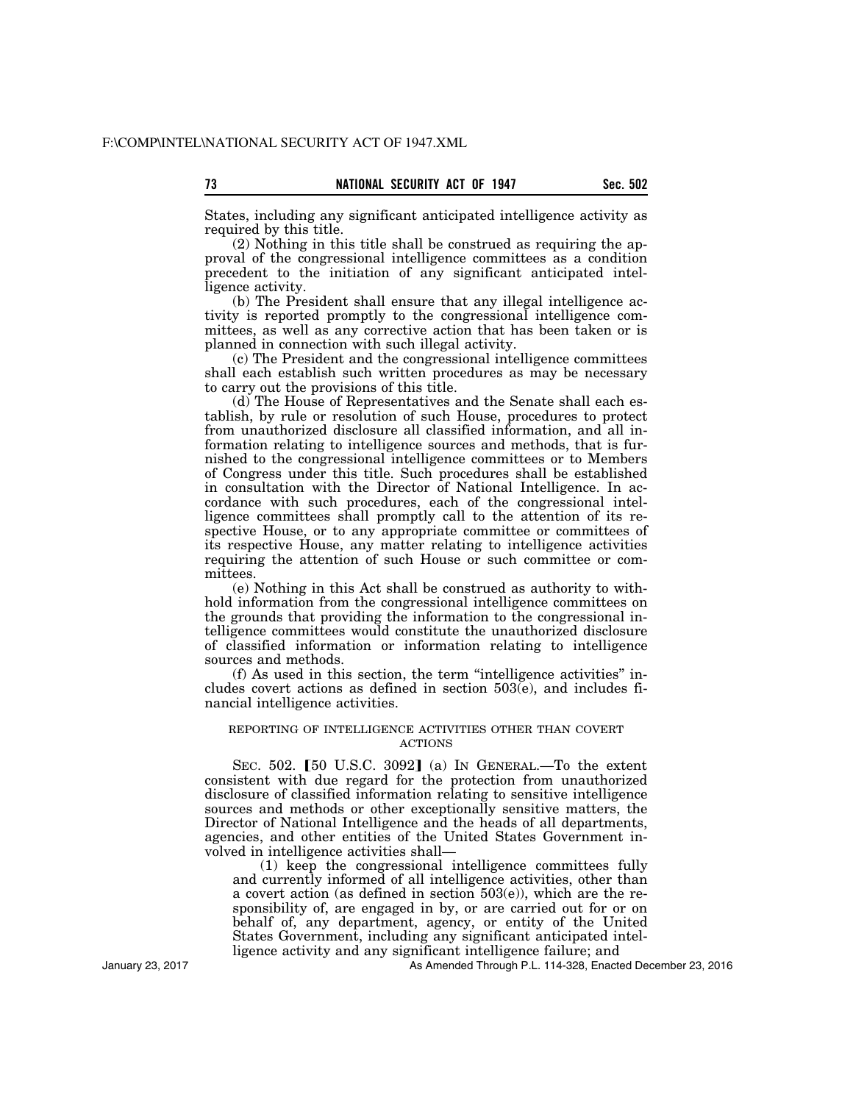States, including any significant anticipated intelligence activity as required by this title.

(2) Nothing in this title shall be construed as requiring the approval of the congressional intelligence committees as a condition precedent to the initiation of any significant anticipated intelligence activity.

(b) The President shall ensure that any illegal intelligence activity is reported promptly to the congressional intelligence committees, as well as any corrective action that has been taken or is planned in connection with such illegal activity.

(c) The President and the congressional intelligence committees shall each establish such written procedures as may be necessary to carry out the provisions of this title.

(d) The House of Representatives and the Senate shall each establish, by rule or resolution of such House, procedures to protect from unauthorized disclosure all classified information, and all information relating to intelligence sources and methods, that is furnished to the congressional intelligence committees or to Members of Congress under this title. Such procedures shall be established in consultation with the Director of National Intelligence. In accordance with such procedures, each of the congressional intelligence committees shall promptly call to the attention of its respective House, or to any appropriate committee or committees of its respective House, any matter relating to intelligence activities requiring the attention of such House or such committee or committees.

(e) Nothing in this Act shall be construed as authority to withhold information from the congressional intelligence committees on the grounds that providing the information to the congressional intelligence committees would constitute the unauthorized disclosure of classified information or information relating to intelligence sources and methods.

(f) As used in this section, the term ''intelligence activities'' includes covert actions as defined in section 503(e), and includes financial intelligence activities.

## REPORTING OF INTELLIGENCE ACTIVITIES OTHER THAN COVERT ACTIONS

SEC.  $502.$  [50 U.S.C.  $3092$ ] (a) In GENERAL.—To the extent consistent with due regard for the protection from unauthorized disclosure of classified information relating to sensitive intelligence sources and methods or other exceptionally sensitive matters, the Director of National Intelligence and the heads of all departments, agencies, and other entities of the United States Government involved in intelligence activities shall—

(1) keep the congressional intelligence committees fully and currently informed of all intelligence activities, other than a covert action (as defined in section 503(e)), which are the responsibility of, are engaged in by, or are carried out for or on behalf of, any department, agency, or entity of the United States Government, including any significant anticipated intelligence activity and any significant intelligence failure; and

As Amended Through P.L. 114-328, Enacted December 23, 2016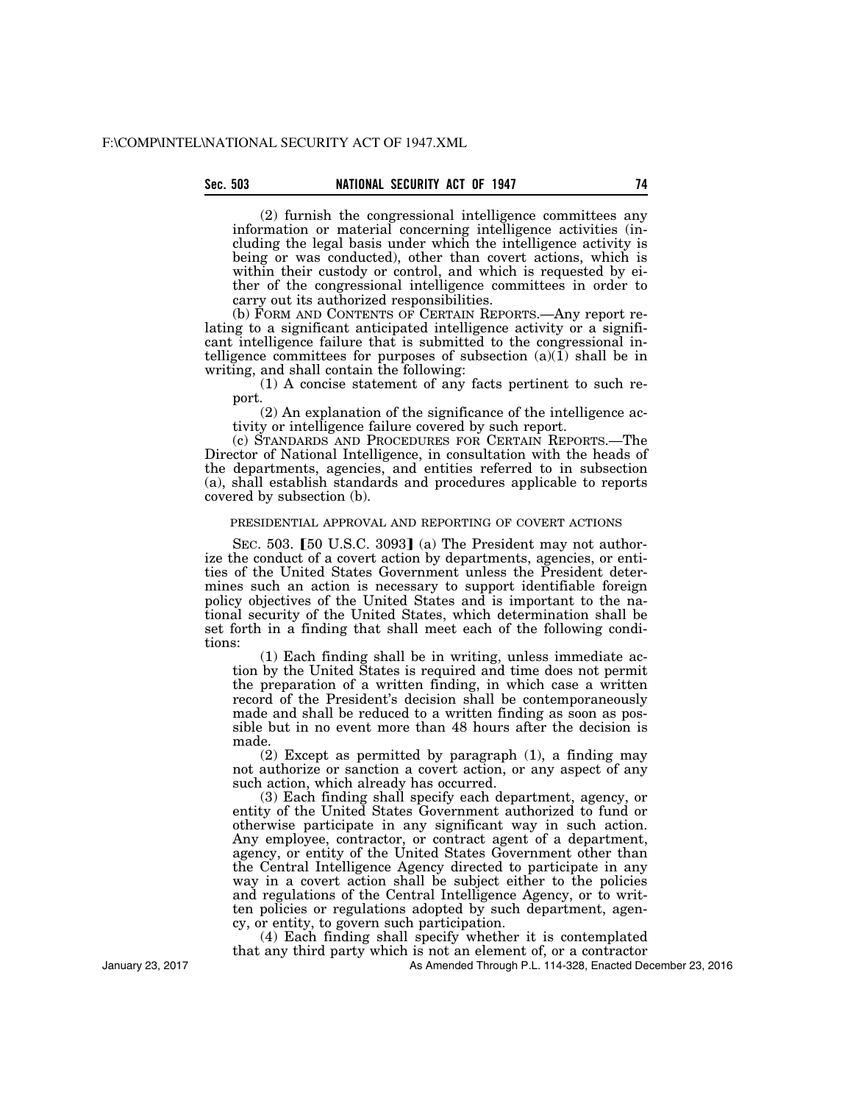(2) furnish the congressional intelligence committees any information or material concerning intelligence activities (including the legal basis under which the intelligence activity is being or was conducted), other than covert actions, which is within their custody or control, and which is requested by either of the congressional intelligence committees in order to carry out its authorized responsibilities.

(b) FORM AND CONTENTS OF CERTAIN REPORTS.—Any report relating to a significant anticipated intelligence activity or a significant intelligence failure that is submitted to the congressional intelligence committees for purposes of subsection  $(a)(1)$  shall be in writing, and shall contain the following:

(1) A concise statement of any facts pertinent to such report.

(2) An explanation of the significance of the intelligence activity or intelligence failure covered by such report.

(c) STANDARDS AND PROCEDURES FOR CERTAIN REPORTS.—The Director of National Intelligence, in consultation with the heads of the departments, agencies, and entities referred to in subsection (a), shall establish standards and procedures applicable to reports covered by subsection (b).

## PRESIDENTIAL APPROVAL AND REPORTING OF COVERT ACTIONS

SEC. 503.  $[50 \text{ U.S.C. } 3093]$  (a) The President may not authorize the conduct of a covert action by departments, agencies, or entities of the United States Government unless the President determines such an action is necessary to support identifiable foreign policy objectives of the United States and is important to the national security of the United States, which determination shall be set forth in a finding that shall meet each of the following conditions:

(1) Each finding shall be in writing, unless immediate action by the United States is required and time does not permit the preparation of a written finding, in which case a written record of the President's decision shall be contemporaneously made and shall be reduced to a written finding as soon as possible but in no event more than 48 hours after the decision is made.

(2) Except as permitted by paragraph (1), a finding may not authorize or sanction a covert action, or any aspect of any such action, which already has occurred.

(3) Each finding shall specify each department, agency, or entity of the United States Government authorized to fund or otherwise participate in any significant way in such action. Any employee, contractor, or contract agent of a department, agency, or entity of the United States Government other than the Central Intelligence Agency directed to participate in any way in a covert action shall be subject either to the policies and regulations of the Central Intelligence Agency, or to written policies or regulations adopted by such department, agency, or entity, to govern such participation.

(4) Each finding shall specify whether it is contemplated that any third party which is not an element of, or a contractor

As Amended Through P.L. 114-328, Enacted December 23, 2016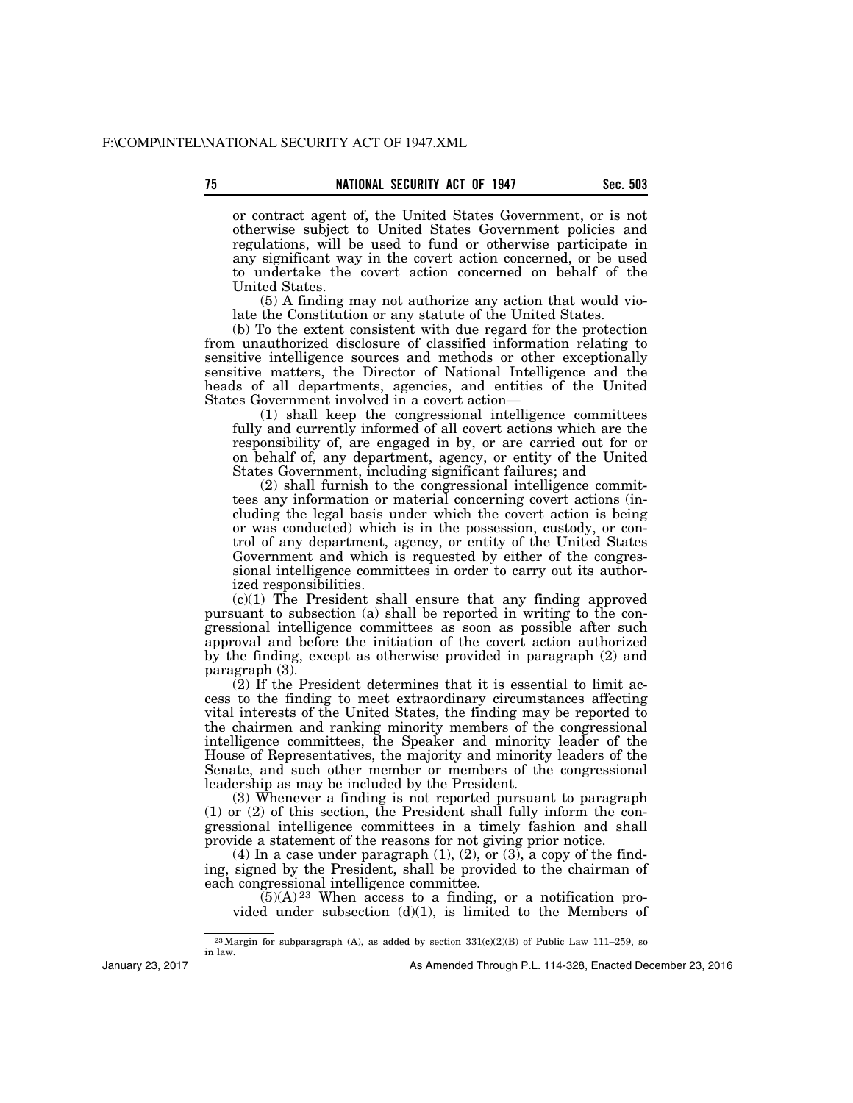or contract agent of, the United States Government, or is not otherwise subject to United States Government policies and regulations, will be used to fund or otherwise participate in any significant way in the covert action concerned, or be used to undertake the covert action concerned on behalf of the United States.

(5) A finding may not authorize any action that would violate the Constitution or any statute of the United States.

(b) To the extent consistent with due regard for the protection from unauthorized disclosure of classified information relating to sensitive intelligence sources and methods or other exceptionally sensitive matters, the Director of National Intelligence and the heads of all departments, agencies, and entities of the United States Government involved in a covert action—

(1) shall keep the congressional intelligence committees fully and currently informed of all covert actions which are the responsibility of, are engaged in by, or are carried out for or on behalf of, any department, agency, or entity of the United States Government, including significant failures; and

(2) shall furnish to the congressional intelligence committees any information or material concerning covert actions (including the legal basis under which the covert action is being or was conducted) which is in the possession, custody, or control of any department, agency, or entity of the United States Government and which is requested by either of the congressional intelligence committees in order to carry out its authorized responsibilities.

 $(c)(1)$  The President shall ensure that any finding approved pursuant to subsection (a) shall be reported in writing to the congressional intelligence committees as soon as possible after such approval and before the initiation of the covert action authorized by the finding, except as otherwise provided in paragraph (2) and paragraph (3).

(2) If the President determines that it is essential to limit access to the finding to meet extraordinary circumstances affecting vital interests of the United States, the finding may be reported to the chairmen and ranking minority members of the congressional intelligence committees, the Speaker and minority leader of the House of Representatives, the majority and minority leaders of the Senate, and such other member or members of the congressional leadership as may be included by the President.

(3) Whenever a finding is not reported pursuant to paragraph (1) or (2) of this section, the President shall fully inform the congressional intelligence committees in a timely fashion and shall provide a statement of the reasons for not giving prior notice.

(4) In a case under paragraph  $(1)$ ,  $(2)$ , or  $(3)$ , a copy of the finding, signed by the President, shall be provided to the chairman of each congressional intelligence committee.

 $(5)(A)^{23}$  When access to a finding, or a notification provided under subsection  $(d)(1)$ , is limited to the Members of

January 23, 2017

<sup>&</sup>lt;sup>23</sup>Margin for subparagraph (A), as added by section  $331(c)(2)(B)$  of Public Law 111–259, so in law.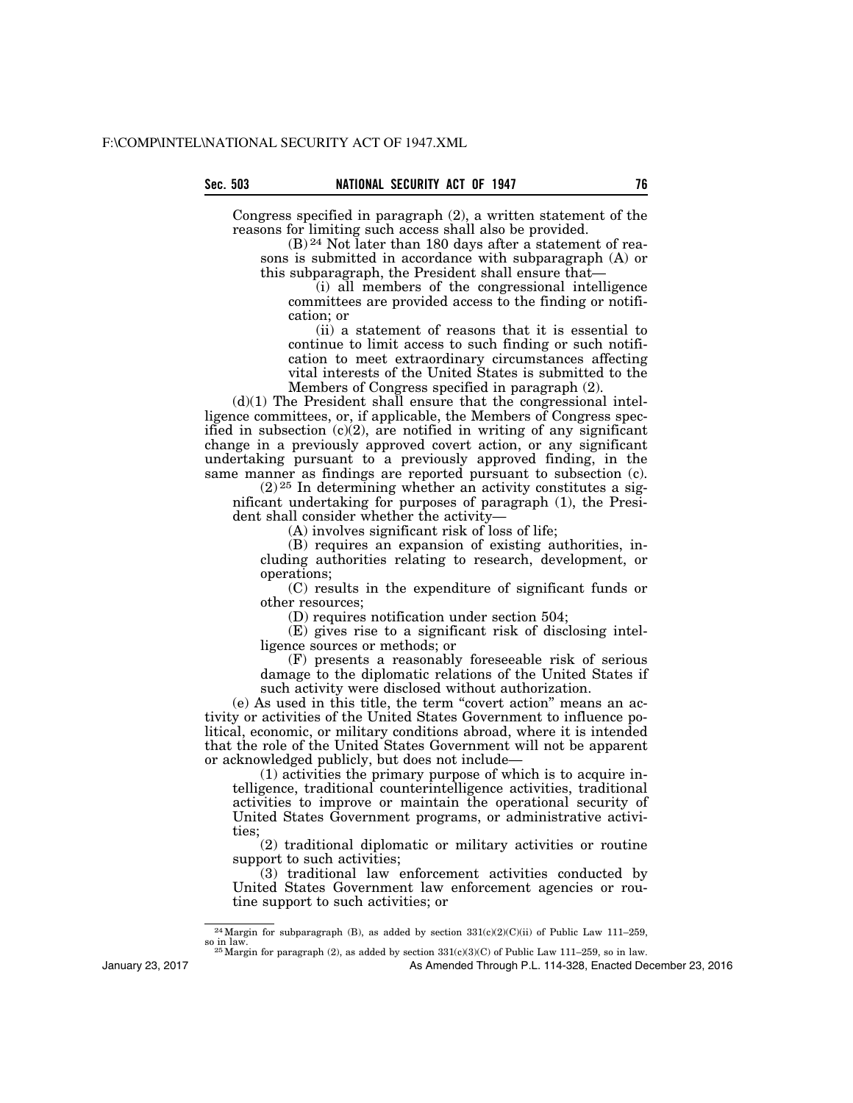Congress specified in paragraph (2), a written statement of the reasons for limiting such access shall also be provided.

(B) 24 Not later than 180 days after a statement of reasons is submitted in accordance with subparagraph (A) or this subparagraph, the President shall ensure that—

(i) all members of the congressional intelligence committees are provided access to the finding or notification; or

(ii) a statement of reasons that it is essential to continue to limit access to such finding or such notification to meet extraordinary circumstances affecting vital interests of the United States is submitted to the Members of Congress specified in paragraph (2).

 $(d)(1)$  The President shall ensure that the congressional intelligence committees, or, if applicable, the Members of Congress specified in subsection  $(c)(2)$ , are notified in writing of any significant change in a previously approved covert action, or any significant undertaking pursuant to a previously approved finding, in the same manner as findings are reported pursuant to subsection (c).

 $(2)$ <sup>25</sup> In determining whether an activity constitutes a significant undertaking for purposes of paragraph (1), the President shall consider whether the activity—

(A) involves significant risk of loss of life;

(B) requires an expansion of existing authorities, including authorities relating to research, development, or operations;

(C) results in the expenditure of significant funds or other resources;

(D) requires notification under section 504;

(E) gives rise to a significant risk of disclosing intelligence sources or methods; or

(F) presents a reasonably foreseeable risk of serious damage to the diplomatic relations of the United States if such activity were disclosed without authorization.

(e) As used in this title, the term ''covert action'' means an activity or activities of the United States Government to influence political, economic, or military conditions abroad, where it is intended that the role of the United States Government will not be apparent or acknowledged publicly, but does not include—

(1) activities the primary purpose of which is to acquire intelligence, traditional counterintelligence activities, traditional activities to improve or maintain the operational security of United States Government programs, or administrative activities;

(2) traditional diplomatic or military activities or routine support to such activities;

(3) traditional law enforcement activities conducted by United States Government law enforcement agencies or routine support to such activities; or

 $25$  Margin for paragraph (2), as added by section  $331(c)(3)(C)$  of Public Law 111–259, so in law.

As Amended Through P.L. 114-328, Enacted December 23, 2016

<sup>&</sup>lt;sup>24</sup>Margin for subparagraph (B), as added by section  $331(c)(2)(C)(ii)$  of Public Law 111–259, so in law.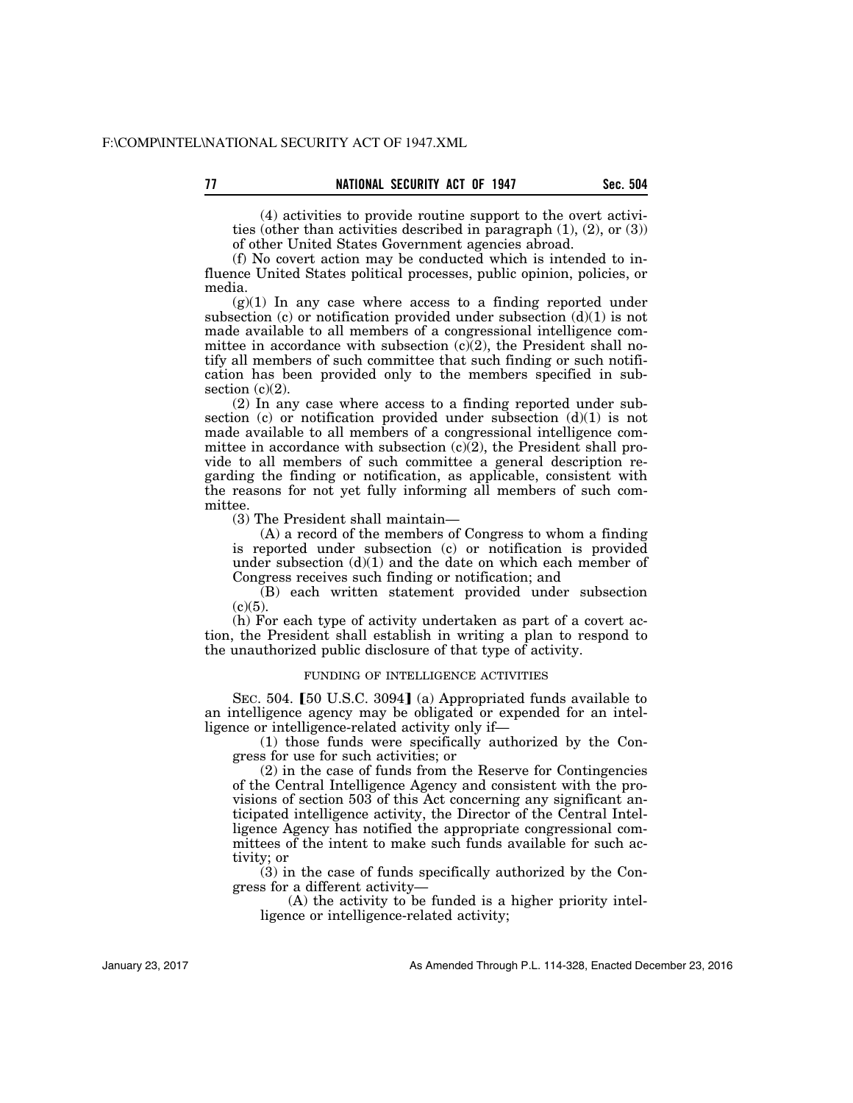(4) activities to provide routine support to the overt activities (other than activities described in paragraph (1), (2), or (3)) of other United States Government agencies abroad.

(f) No covert action may be conducted which is intended to influence United States political processes, public opinion, policies, or media.

 $(g)(1)$  In any case where access to a finding reported under subsection (c) or notification provided under subsection  $(d)(1)$  is not made available to all members of a congressional intelligence committee in accordance with subsection  $(c)(2)$ , the President shall notify all members of such committee that such finding or such notification has been provided only to the members specified in subsection  $(c)(2)$ .

(2) In any case where access to a finding reported under subsection (c) or notification provided under subsection  $(d)(1)$  is not made available to all members of a congressional intelligence committee in accordance with subsection  $(c)(2)$ , the President shall provide to all members of such committee a general description regarding the finding or notification, as applicable, consistent with the reasons for not yet fully informing all members of such committee.

(3) The President shall maintain—

(A) a record of the members of Congress to whom a finding is reported under subsection (c) or notification is provided under subsection  $(d)(1)$  and the date on which each member of Congress receives such finding or notification; and

(B) each written statement provided under subsection  $(c)(5)$ .

(h) For each type of activity undertaken as part of a covert action, the President shall establish in writing a plan to respond to the unauthorized public disclosure of that type of activity.

### FUNDING OF INTELLIGENCE ACTIVITIES

SEC. 504. [50 U.S.C. 3094] (a) Appropriated funds available to an intelligence agency may be obligated or expended for an intelligence or intelligence-related activity only if—

(1) those funds were specifically authorized by the Congress for use for such activities; or

(2) in the case of funds from the Reserve for Contingencies of the Central Intelligence Agency and consistent with the provisions of section 503 of this Act concerning any significant anticipated intelligence activity, the Director of the Central Intelligence Agency has notified the appropriate congressional committees of the intent to make such funds available for such activity; or

(3) in the case of funds specifically authorized by the Congress for a different activity—

(A) the activity to be funded is a higher priority intelligence or intelligence-related activity;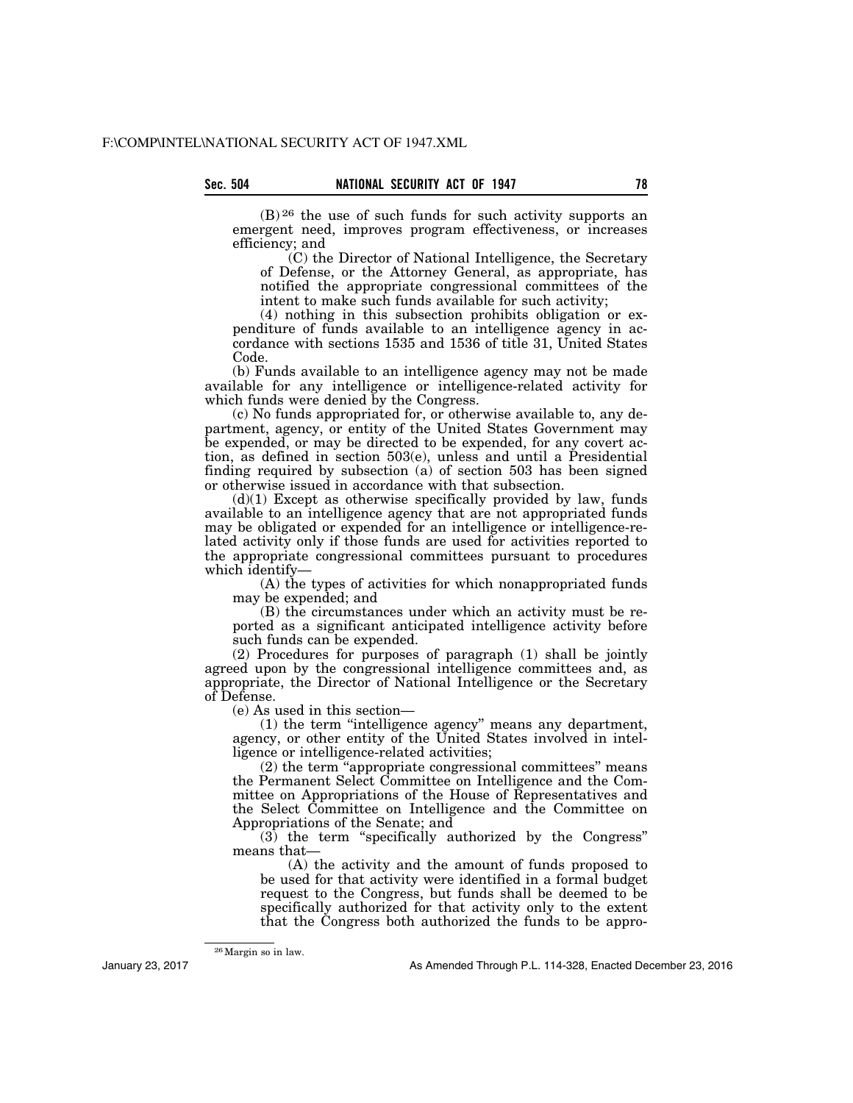$(B)$  26 the use of such funds for such activity supports an emergent need, improves program effectiveness, or increases efficiency; and

(C) the Director of National Intelligence, the Secretary of Defense, or the Attorney General, as appropriate, has notified the appropriate congressional committees of the intent to make such funds available for such activity;

(4) nothing in this subsection prohibits obligation or expenditure of funds available to an intelligence agency in accordance with sections 1535 and 1536 of title 31, United States Code.

(b) Funds available to an intelligence agency may not be made available for any intelligence or intelligence-related activity for which funds were denied by the Congress.

(c) No funds appropriated for, or otherwise available to, any department, agency, or entity of the United States Government may be expended, or may be directed to be expended, for any covert action, as defined in section 503(e), unless and until a Presidential finding required by subsection (a) of section 503 has been signed or otherwise issued in accordance with that subsection.

 $(d)(1)$  Except as otherwise specifically provided by law, funds available to an intelligence agency that are not appropriated funds may be obligated or expended for an intelligence or intelligence-related activity only if those funds are used for activities reported to the appropriate congressional committees pursuant to procedures which identify—

(A) the types of activities for which nonappropriated funds may be expended; and

(B) the circumstances under which an activity must be reported as a significant anticipated intelligence activity before such funds can be expended.

(2) Procedures for purposes of paragraph (1) shall be jointly agreed upon by the congressional intelligence committees and, as appropriate, the Director of National Intelligence or the Secretary of Defense.

(e) As used in this section—

(1) the term ''intelligence agency'' means any department, agency, or other entity of the United States involved in intelligence or intelligence-related activities;

(2) the term ''appropriate congressional committees'' means the Permanent Select Committee on Intelligence and the Committee on Appropriations of the House of Representatives and the Select Committee on Intelligence and the Committee on Appropriations of the Senate; and

(3) the term ''specifically authorized by the Congress'' means that-

(A) the activity and the amount of funds proposed to be used for that activity were identified in a formal budget request to the Congress, but funds shall be deemed to be specifically authorized for that activity only to the extent that the Congress both authorized the funds to be appro-

January 23, 2017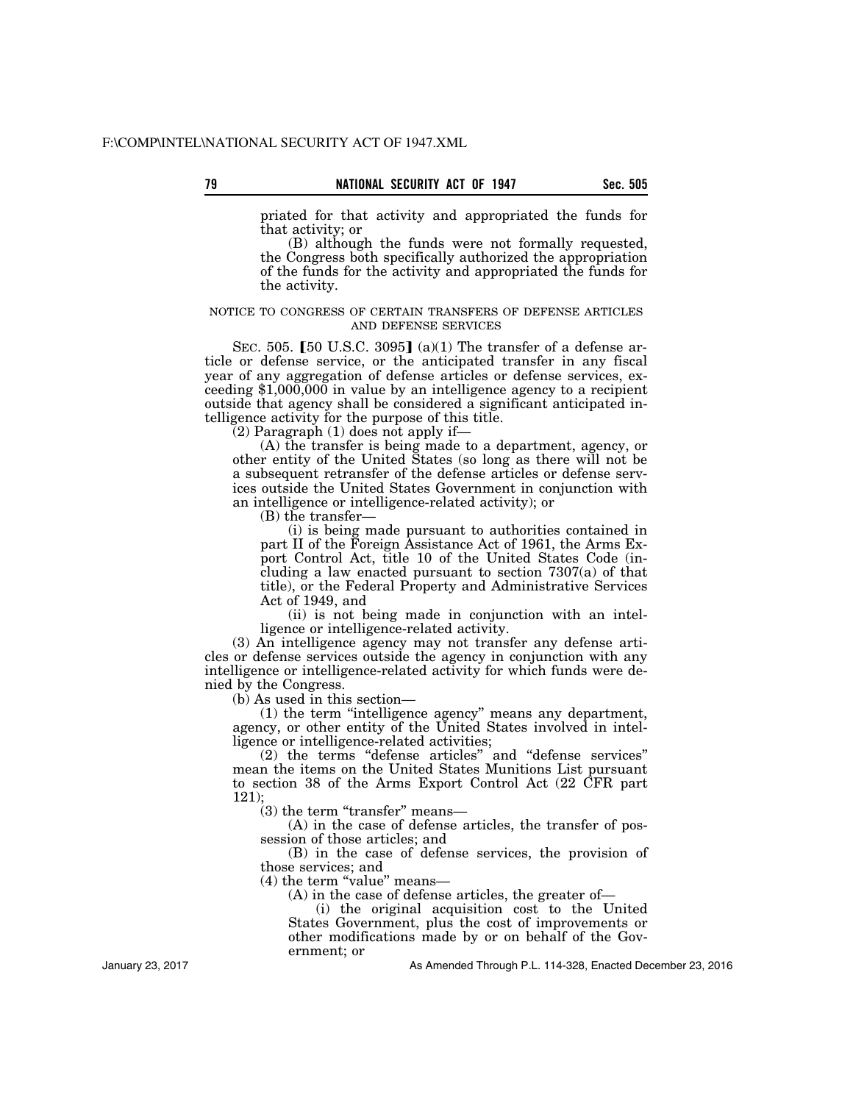priated for that activity and appropriated the funds for

that activity; or (B) although the funds were not formally requested, the Congress both specifically authorized the appropriation of the funds for the activity and appropriated the funds for the activity.

### NOTICE TO CONGRESS OF CERTAIN TRANSFERS OF DEFENSE ARTICLES AND DEFENSE SERVICES

SEC. 505. [50 U.S.C. 3095] (a)(1) The transfer of a defense article or defense service, or the anticipated transfer in any fiscal year of any aggregation of defense articles or defense services, exceeding  $1,000,000$  in value by an intelligence agency to a recipient outside that agency shall be considered a significant anticipated intelligence activity for the purpose of this title.

 $(2)$  Paragraph  $(1)$  does not apply if—

(A) the transfer is being made to a department, agency, or other entity of the United States (so long as there will not be a subsequent retransfer of the defense articles or defense services outside the United States Government in conjunction with an intelligence or intelligence-related activity); or

(B) the transfer—

(i) is being made pursuant to authorities contained in part II of the Foreign Assistance Act of 1961, the Arms Export Control Act, title 10 of the United States Code (including a law enacted pursuant to section 7307(a) of that title), or the Federal Property and Administrative Services Act of 1949, and

(ii) is not being made in conjunction with an intelligence or intelligence-related activity.

(3) An intelligence agency may not transfer any defense articles or defense services outside the agency in conjunction with any intelligence or intelligence-related activity for which funds were denied by the Congress.

(b) As used in this section—

(1) the term ''intelligence agency'' means any department, agency, or other entity of the United States involved in intelligence or intelligence-related activities;

(2) the terms ''defense articles'' and ''defense services'' mean the items on the United States Munitions List pursuant to section 38 of the Arms Export Control Act (22 CFR part 121);

 $(3)$  the term "transfer" means—

(A) in the case of defense articles, the transfer of possession of those articles; and

(B) in the case of defense services, the provision of those services; and

 $(4)$  the term "value" means—

(A) in the case of defense articles, the greater of—

(i) the original acquisition cost to the United States Government, plus the cost of improvements or other modifications made by or on behalf of the Government; or

As Amended Through P.L. 114-328, Enacted December 23, 2016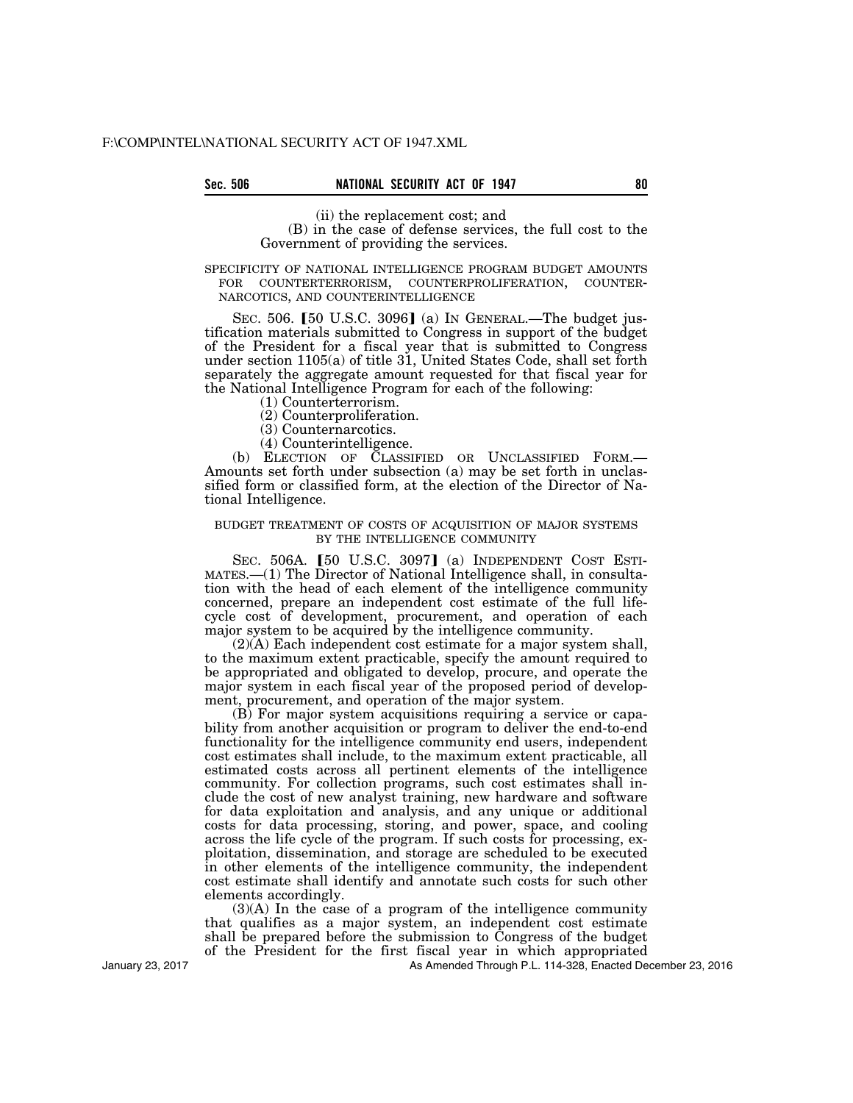## Sec. 506 **NATIONAL SECURITY ACT OF 1947** 80

(ii) the replacement cost; and (B) in the case of defense services, the full cost to the Government of providing the services.

# SPECIFICITY OF NATIONAL INTELLIGENCE PROGRAM BUDGET AMOUNTS FOR COUNTERTERRORISM, COUNTERPROLIFERATION, COUNTER-NARCOTICS, AND COUNTERINTELLIGENCE

SEC. 506.  $\lceil 50 \text{ U.S.C. } 3096 \rceil$  (a) In GENERAL.—The budget justification materials submitted to Congress in support of the budget of the President for a fiscal year that is submitted to Congress under section 1105(a) of title 31, United States Code, shall set forth separately the aggregate amount requested for that fiscal year for the National Intelligence Program for each of the following:

- (1) Counterterrorism.
- (2) Counterproliferation.
- (3) Counternarcotics.
- (4) Counterintelligence.

(b) ELECTION OF CLASSIFIED OR UNCLASSIFIED FORM.— Amounts set forth under subsection (a) may be set forth in unclassified form or classified form, at the election of the Director of National Intelligence.

#### BUDGET TREATMENT OF COSTS OF ACQUISITION OF MAJOR SYSTEMS BY THE INTELLIGENCE COMMUNITY

SEC.  $506A.$  [50 U.S.C.  $3097$ ] (a) INDEPENDENT COST ESTI-MATES.—(1) The Director of National Intelligence shall, in consultation with the head of each element of the intelligence community concerned, prepare an independent cost estimate of the full lifecycle cost of development, procurement, and operation of each major system to be acquired by the intelligence community.

(2)(A) Each independent cost estimate for a major system shall, to the maximum extent practicable, specify the amount required to be appropriated and obligated to develop, procure, and operate the major system in each fiscal year of the proposed period of development, procurement, and operation of the major system.

(B) For major system acquisitions requiring a service or capability from another acquisition or program to deliver the end-to-end functionality for the intelligence community end users, independent cost estimates shall include, to the maximum extent practicable, all estimated costs across all pertinent elements of the intelligence community. For collection programs, such cost estimates shall include the cost of new analyst training, new hardware and software for data exploitation and analysis, and any unique or additional costs for data processing, storing, and power, space, and cooling across the life cycle of the program. If such costs for processing, exploitation, dissemination, and storage are scheduled to be executed in other elements of the intelligence community, the independent cost estimate shall identify and annotate such costs for such other elements accordingly.

(3)(A) In the case of a program of the intelligence community that qualifies as a major system, an independent cost estimate shall be prepared before the submission to Congress of the budget of the President for the first fiscal year in which appropriated

As Amended Through P.L. 114-328, Enacted December 23, 2016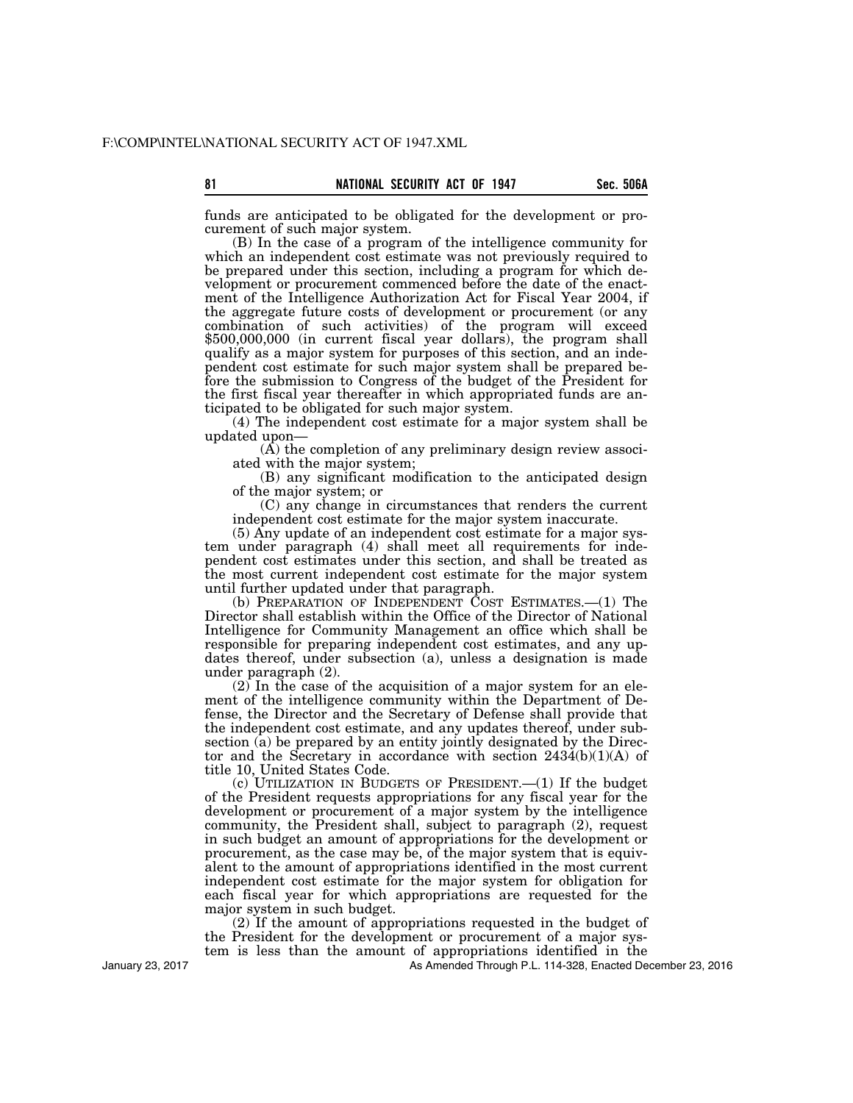funds are anticipated to be obligated for the development or procurement of such major system.

(B) In the case of a program of the intelligence community for which an independent cost estimate was not previously required to be prepared under this section, including a program for which development or procurement commenced before the date of the enactment of the Intelligence Authorization Act for Fiscal Year 2004, if the aggregate future costs of development or procurement (or any combination of such activities) of the program will exceed \$500,000,000 (in current fiscal year dollars), the program shall qualify as a major system for purposes of this section, and an independent cost estimate for such major system shall be prepared before the submission to Congress of the budget of the President for the first fiscal year thereafter in which appropriated funds are anticipated to be obligated for such major system.

(4) The independent cost estimate for a major system shall be updated upon—

(A) the completion of any preliminary design review associated with the major system;

(B) any significant modification to the anticipated design of the major system; or

(C) any change in circumstances that renders the current independent cost estimate for the major system inaccurate.

(5) Any update of an independent cost estimate for a major system under paragraph (4) shall meet all requirements for independent cost estimates under this section, and shall be treated as the most current independent cost estimate for the major system until further updated under that paragraph.

(b) PREPARATION OF INDEPENDENT COST ESTIMATES.—(1) The Director shall establish within the Office of the Director of National Intelligence for Community Management an office which shall be responsible for preparing independent cost estimates, and any updates thereof, under subsection (a), unless a designation is made under paragraph (2).

(2) In the case of the acquisition of a major system for an element of the intelligence community within the Department of Defense, the Director and the Secretary of Defense shall provide that the independent cost estimate, and any updates thereof, under subsection (a) be prepared by an entity jointly designated by the Director and the Secretary in accordance with section 2434(b)(1)(A) of title 10, United States Code.

(c) UTILIZATION IN BUDGETS OF PRESIDENT.—(1) If the budget of the President requests appropriations for any fiscal year for the development or procurement of a major system by the intelligence community, the President shall, subject to paragraph (2), request in such budget an amount of appropriations for the development or procurement, as the case may be, of the major system that is equivalent to the amount of appropriations identified in the most current independent cost estimate for the major system for obligation for each fiscal year for which appropriations are requested for the major system in such budget.

(2) If the amount of appropriations requested in the budget of the President for the development or procurement of a major system is less than the amount of appropriations identified in the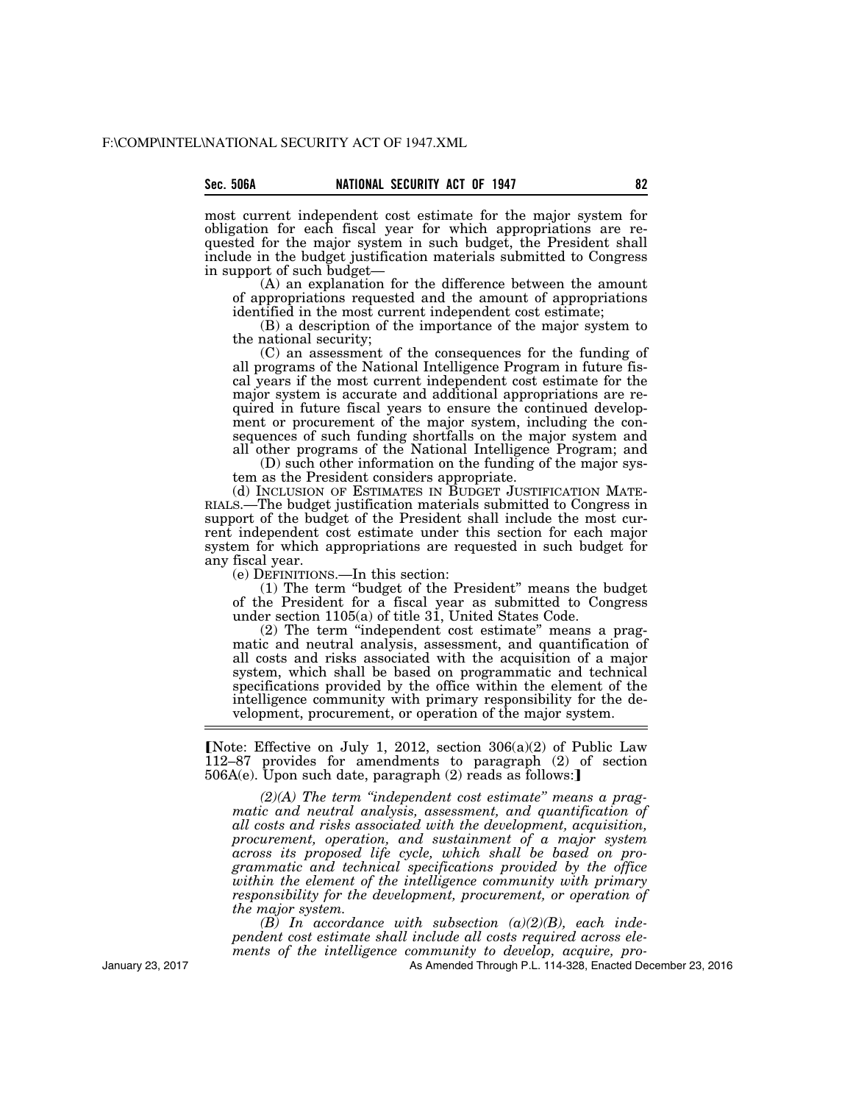most current independent cost estimate for the major system for obligation for each fiscal year for which appropriations are requested for the major system in such budget, the President shall include in the budget justification materials submitted to Congress in support of such budget—

(A) an explanation for the difference between the amount of appropriations requested and the amount of appropriations identified in the most current independent cost estimate;

(B) a description of the importance of the major system to the national security;

(C) an assessment of the consequences for the funding of all programs of the National Intelligence Program in future fiscal years if the most current independent cost estimate for the major system is accurate and additional appropriations are required in future fiscal years to ensure the continued development or procurement of the major system, including the consequences of such funding shortfalls on the major system and all other programs of the National Intelligence Program; and

(D) such other information on the funding of the major system as the President considers appropriate.<br>(d) INCLUSION OF ESTIMATES IN BUDGET JUSTIFICATION MATE-

RIALS.—The budget justification materials submitted to Congress in support of the budget of the President shall include the most current independent cost estimate under this section for each major system for which appropriations are requested in such budget for any fiscal year.

(e) DEFINITIONS.—In this section:

(1) The term ''budget of the President'' means the budget of the President for a fiscal year as submitted to Congress under section 1105(a) of title 31, United States Code.

(2) The term ''independent cost estimate'' means a pragmatic and neutral analysis, assessment, and quantification of all costs and risks associated with the acquisition of a major system, which shall be based on programmatic and technical specifications provided by the office within the element of the intelligence community with primary responsibility for the development, procurement, or operation of the major system.

[Note: Effective on July 1, 2012, section  $306(a)(2)$  of Public Law 112–87 provides for amendments to paragraph (2) of section  $506A(e)$ . Upon such date, paragraph  $(2)$  reads as follows:

*(2)(A) The term ''independent cost estimate'' means a pragmatic and neutral analysis, assessment, and quantification of all costs and risks associated with the development, acquisition, procurement, operation, and sustainment of a major system across its proposed life cycle, which shall be based on programmatic and technical specifications provided by the office within the element of the intelligence community with primary responsibility for the development, procurement, or operation of the major system.* 

*(B) In accordance with subsection (a)(2)(B), each independent cost estimate shall include all costs required across elements of the intelligence community to develop, acquire, pro-*

As Amended Through P.L. 114-328, Enacted December 23, 2016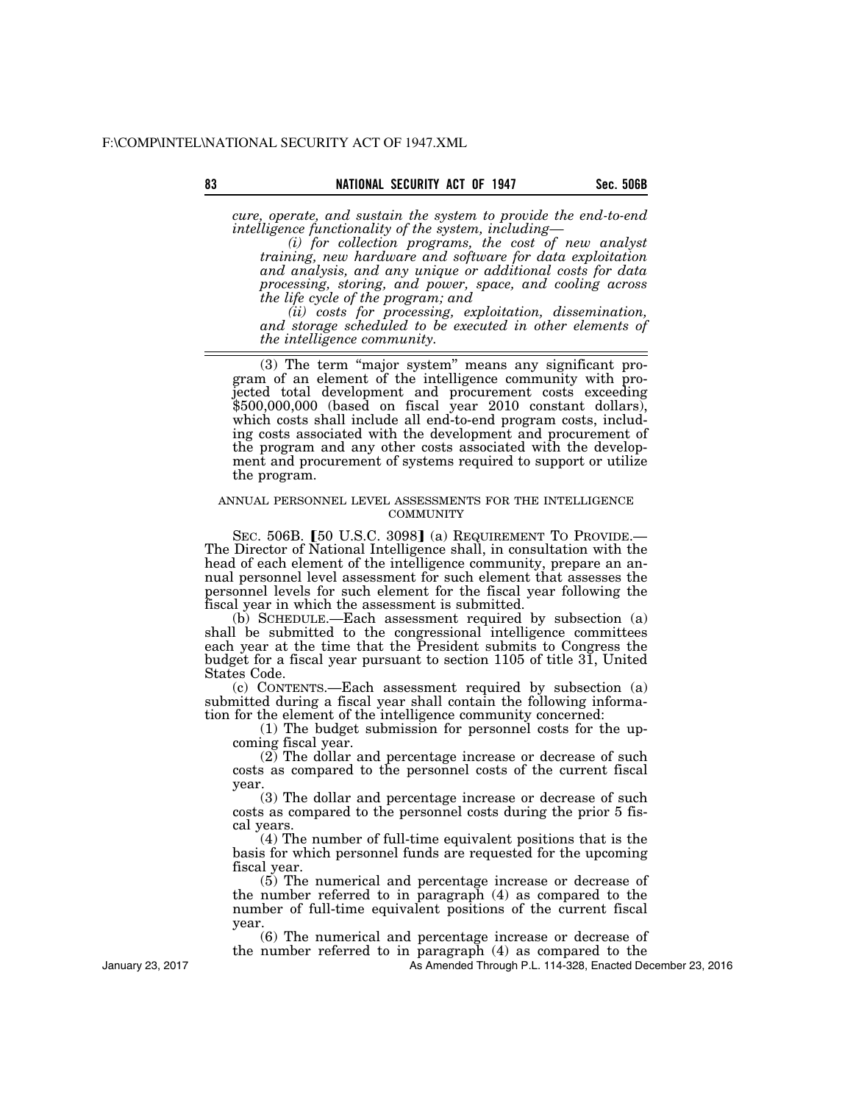*cure, operate, and sustain the system to provide the end-to-end intelligence functionality of the system, including—* 

*(i) for collection programs, the cost of new analyst training, new hardware and software for data exploitation and analysis, and any unique or additional costs for data processing, storing, and power, space, and cooling across the life cycle of the program; and* 

*(ii) costs for processing, exploitation, dissemination, and storage scheduled to be executed in other elements of the intelligence community.* 

(3) The term ''major system'' means any significant program of an element of the intelligence community with projected total development and procurement costs exceeding \$500,000,000 (based on fiscal year 2010 constant dollars), which costs shall include all end-to-end program costs, including costs associated with the development and procurement of the program and any other costs associated with the development and procurement of systems required to support or utilize the program.

### ANNUAL PERSONNEL LEVEL ASSESSMENTS FOR THE INTELLIGENCE **COMMUNITY**

SEC. 506B. [50 U.S.C. 3098] (a) REQUIREMENT TO PROVIDE.— The Director of National Intelligence shall, in consultation with the head of each element of the intelligence community, prepare an annual personnel level assessment for such element that assesses the personnel levels for such element for the fiscal year following the fiscal year in which the assessment is submitted.

(b) SCHEDULE.—Each assessment required by subsection (a) shall be submitted to the congressional intelligence committees each year at the time that the President submits to Congress the budget for a fiscal year pursuant to section 1105 of title  $3\overline{1}$ , United States Code.

(c) CONTENTS.—Each assessment required by subsection (a) submitted during a fiscal year shall contain the following information for the element of the intelligence community concerned:

(1) The budget submission for personnel costs for the upcoming fiscal year.

(2) The dollar and percentage increase or decrease of such costs as compared to the personnel costs of the current fiscal year.

(3) The dollar and percentage increase or decrease of such costs as compared to the personnel costs during the prior 5 fiscal years.

(4) The number of full-time equivalent positions that is the basis for which personnel funds are requested for the upcoming fiscal year.

(5) The numerical and percentage increase or decrease of the number referred to in paragraph (4) as compared to the number of full-time equivalent positions of the current fiscal year.

(6) The numerical and percentage increase or decrease of the number referred to in paragraph (4) as compared to the

As Amended Through P.L. 114-328, Enacted December 23, 2016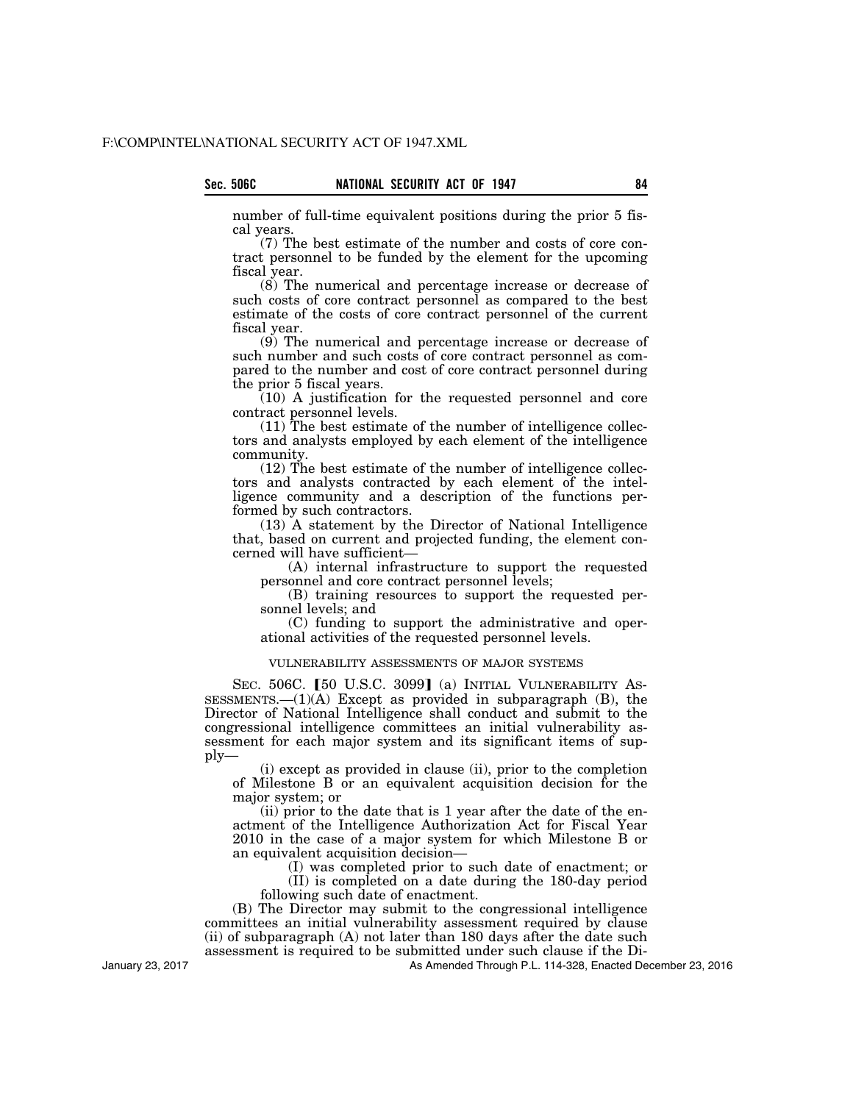number of full-time equivalent positions during the prior 5 fiscal years.

(7) The best estimate of the number and costs of core contract personnel to be funded by the element for the upcoming fiscal year.

(8) The numerical and percentage increase or decrease of such costs of core contract personnel as compared to the best estimate of the costs of core contract personnel of the current fiscal year.

(9) The numerical and percentage increase or decrease of such number and such costs of core contract personnel as compared to the number and cost of core contract personnel during the prior 5 fiscal years.

(10) A justification for the requested personnel and core contract personnel levels.

(11) The best estimate of the number of intelligence collectors and analysts employed by each element of the intelligence community.

(12) The best estimate of the number of intelligence collectors and analysts contracted by each element of the intelligence community and a description of the functions performed by such contractors.

(13) A statement by the Director of National Intelligence that, based on current and projected funding, the element concerned will have sufficient—

(A) internal infrastructure to support the requested personnel and core contract personnel levels;

(B) training resources to support the requested personnel levels; and

(C) funding to support the administrative and operational activities of the requested personnel levels.

## VULNERABILITY ASSESSMENTS OF MAJOR SYSTEMS

SEC. 506C. [50 U.S.C. 3099] (a) INITIAL VULNERABILITY AS-SESSMENTS. $-(1)(A)$  Except as provided in subparagraph  $(B)$ , the Director of National Intelligence shall conduct and submit to the congressional intelligence committees an initial vulnerability assessment for each major system and its significant items of supply—

(i) except as provided in clause (ii), prior to the completion of Milestone B or an equivalent acquisition decision for the major system; or

(ii) prior to the date that is 1 year after the date of the enactment of the Intelligence Authorization Act for Fiscal Year 2010 in the case of a major system for which Milestone B or an equivalent acquisition decision—

(I) was completed prior to such date of enactment; or (II) is completed on a date during the 180-day period

following such date of enactment. (B) The Director may submit to the congressional intelligence committees an initial vulnerability assessment required by clause (ii) of subparagraph (A) not later than 180 days after the date such assessment is required to be submitted under such clause if the Di-

As Amended Through P.L. 114-328, Enacted December 23, 2016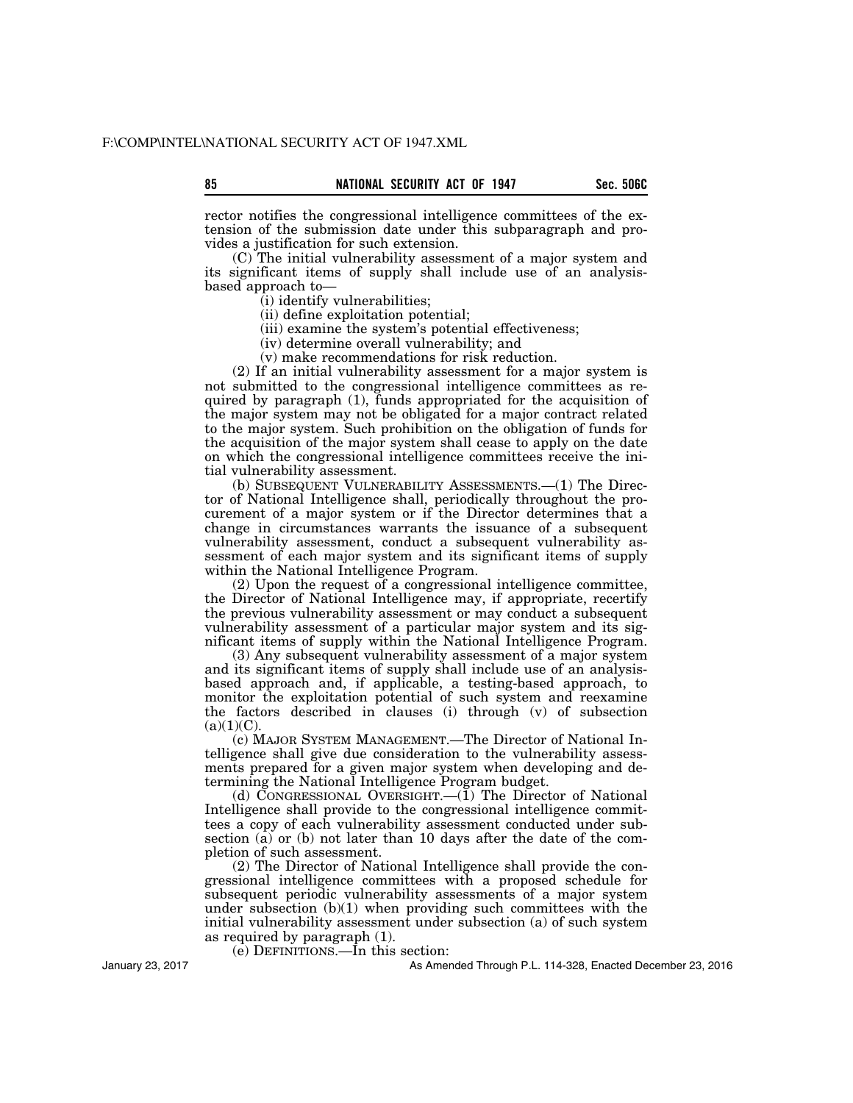rector notifies the congressional intelligence committees of the extension of the submission date under this subparagraph and provides a justification for such extension.

(C) The initial vulnerability assessment of a major system and its significant items of supply shall include use of an analysisbased approach to—

(i) identify vulnerabilities;

(ii) define exploitation potential;

(iii) examine the system's potential effectiveness;

(iv) determine overall vulnerability; and

(v) make recommendations for risk reduction.

(2) If an initial vulnerability assessment for a major system is not submitted to the congressional intelligence committees as required by paragraph (1), funds appropriated for the acquisition of the major system may not be obligated for a major contract related to the major system. Such prohibition on the obligation of funds for the acquisition of the major system shall cease to apply on the date on which the congressional intelligence committees receive the initial vulnerability assessment.

(b) SUBSEQUENT VULNERABILITY ASSESSMENTS.—(1) The Director of National Intelligence shall, periodically throughout the procurement of a major system or if the Director determines that a change in circumstances warrants the issuance of a subsequent vulnerability assessment, conduct a subsequent vulnerability assessment of each major system and its significant items of supply within the National Intelligence Program.

(2) Upon the request of a congressional intelligence committee, the Director of National Intelligence may, if appropriate, recertify the previous vulnerability assessment or may conduct a subsequent vulnerability assessment of a particular major system and its significant items of supply within the National Intelligence Program.

(3) Any subsequent vulnerability assessment of a major system and its significant items of supply shall include use of an analysisbased approach and, if applicable, a testing-based approach, to monitor the exploitation potential of such system and reexamine the factors described in clauses (i) through (v) of subsection  $(a)(1)(C)$ .

(c) MAJOR SYSTEM MANAGEMENT.—The Director of National Intelligence shall give due consideration to the vulnerability assessments prepared for a given major system when developing and determining the National Intelligence Program budget.

(d) CONGRESSIONAL OVERSIGHT.—(1) The Director of National Intelligence shall provide to the congressional intelligence committees a copy of each vulnerability assessment conducted under subsection (a) or (b) not later than 10 days after the date of the completion of such assessment.

(2) The Director of National Intelligence shall provide the congressional intelligence committees with a proposed schedule for subsequent periodic vulnerability assessments of a major system under subsection  $(b)(1)$  when providing such committees with the initial vulnerability assessment under subsection (a) of such system as required by paragraph (1).

(e) DEFINITIONS.—In this section:

As Amended Through P.L. 114-328, Enacted December 23, 2016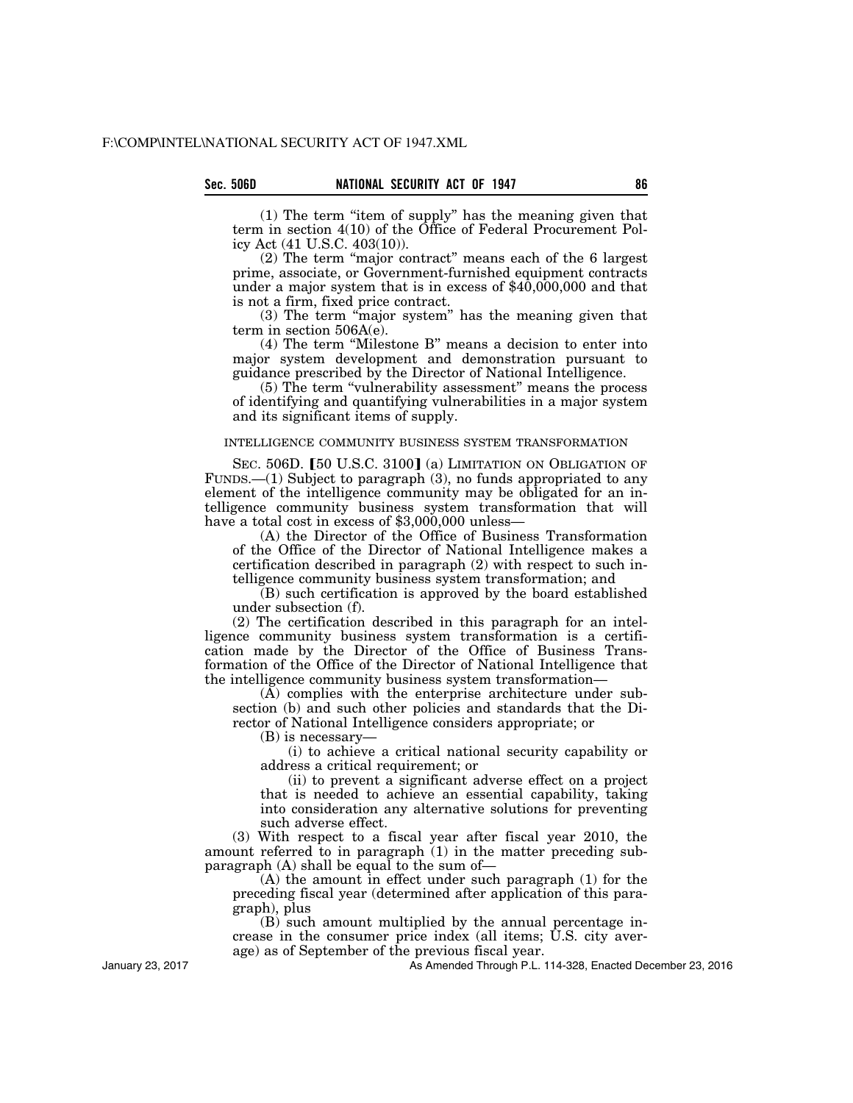(1) The term ''item of supply'' has the meaning given that term in section 4(10) of the Office of Federal Procurement Policy Act (41 U.S.C. 403(10)).

(2) The term ''major contract'' means each of the 6 largest prime, associate, or Government-furnished equipment contracts under a major system that is in excess of  $$40,000,000$  and that is not a firm, fixed price contract.

(3) The term ''major system'' has the meaning given that term in section 506A(e).

(4) The term ''Milestone B'' means a decision to enter into major system development and demonstration pursuant to guidance prescribed by the Director of National Intelligence.

(5) The term ''vulnerability assessment'' means the process of identifying and quantifying vulnerabilities in a major system and its significant items of supply.

### INTELLIGENCE COMMUNITY BUSINESS SYSTEM TRANSFORMATION

SEC. 506D. [50 U.S.C. 3100] (a) LIMITATION ON OBLIGATION OF FUNDS.—(1) Subject to paragraph (3), no funds appropriated to any element of the intelligence community may be obligated for an intelligence community business system transformation that will have a total cost in excess of \$3,000,000 unless—

(A) the Director of the Office of Business Transformation of the Office of the Director of National Intelligence makes a certification described in paragraph (2) with respect to such intelligence community business system transformation; and

(B) such certification is approved by the board established under subsection (f).

(2) The certification described in this paragraph for an intelligence community business system transformation is a certification made by the Director of the Office of Business Transformation of the Office of the Director of National Intelligence that the intelligence community business system transformation—

(A) complies with the enterprise architecture under subsection (b) and such other policies and standards that the Director of National Intelligence considers appropriate; or

(B) is necessary—

(i) to achieve a critical national security capability or address a critical requirement; or

(ii) to prevent a significant adverse effect on a project that is needed to achieve an essential capability, taking into consideration any alternative solutions for preventing such adverse effect.

(3) With respect to a fiscal year after fiscal year 2010, the amount referred to in paragraph (1) in the matter preceding subparagraph  $(A)$  shall be equal to the sum of-

(A) the amount in effect under such paragraph (1) for the preceding fiscal year (determined after application of this paragraph), plus

(B) such amount multiplied by the annual percentage increase in the consumer price index (all items; U.S. city average) as of September of the previous fiscal year.

As Amended Through P.L. 114-328, Enacted December 23, 2016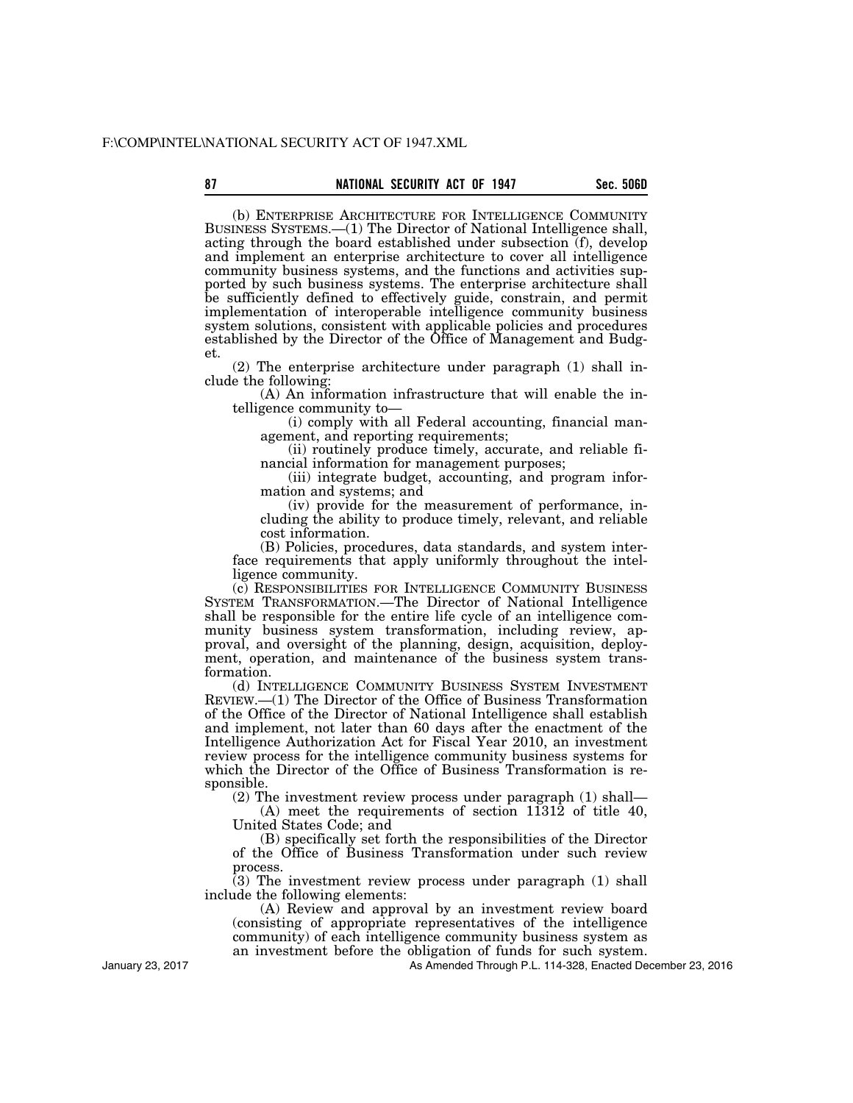## 87 **Sec. 506D NATIONAL SECURITY ACT OF 1947** Sec. 506D

(b) ENTERPRISE ARCHITECTURE FOR INTELLIGENCE COMMUNITY BUSINESS SYSTEMS.—(1) The Director of National Intelligence shall, acting through the board established under subsection (f), develop and implement an enterprise architecture to cover all intelligence community business systems, and the functions and activities supported by such business systems. The enterprise architecture shall be sufficiently defined to effectively guide, constrain, and permit implementation of interoperable intelligence community business system solutions, consistent with applicable policies and procedures established by the Director of the Office of Management and Budget.

(2) The enterprise architecture under paragraph (1) shall include the following:

(A) An information infrastructure that will enable the intelligence community to—

(i) comply with all Federal accounting, financial management, and reporting requirements;

(ii) routinely produce timely, accurate, and reliable financial information for management purposes;

(iii) integrate budget, accounting, and program information and systems; and

(iv) provide for the measurement of performance, including the ability to produce timely, relevant, and reliable cost information.

(B) Policies, procedures, data standards, and system interface requirements that apply uniformly throughout the intelligence community.

(c) RESPONSIBILITIES FOR INTELLIGENCE COMMUNITY BUSINESS SYSTEM TRANSFORMATION.—The Director of National Intelligence shall be responsible for the entire life cycle of an intelligence community business system transformation, including review, approval, and oversight of the planning, design, acquisition, deployment, operation, and maintenance of the business system transformation.

(d) INTELLIGENCE COMMUNITY BUSINESS SYSTEM INVESTMENT REVIEW.—(1) The Director of the Office of Business Transformation of the Office of the Director of National Intelligence shall establish and implement, not later than 60 days after the enactment of the Intelligence Authorization Act for Fiscal Year 2010, an investment review process for the intelligence community business systems for which the Director of the Office of Business Transformation is responsible.

(2) The investment review process under paragraph (1) shall—

(A) meet the requirements of section 11312 of title 40, United States Code; and

(B) specifically set forth the responsibilities of the Director of the Office of Business Transformation under such review process.

(3) The investment review process under paragraph (1) shall include the following elements:

(A) Review and approval by an investment review board (consisting of appropriate representatives of the intelligence community) of each intelligence community business system as an investment before the obligation of funds for such system.

As Amended Through P.L. 114-328, Enacted December 23, 2016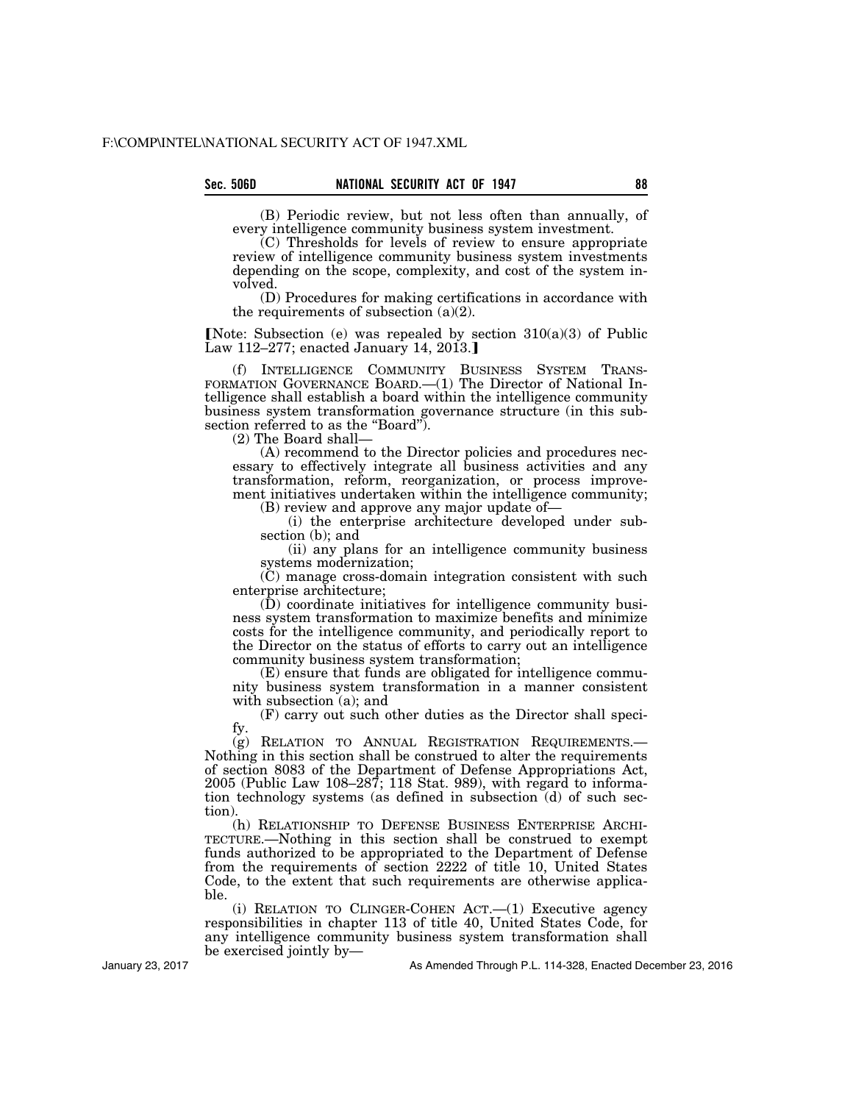(B) Periodic review, but not less often than annually, of every intelligence community business system investment.

(C) Thresholds for levels of review to ensure appropriate review of intelligence community business system investments depending on the scope, complexity, and cost of the system involved.

(D) Procedures for making certifications in accordance with the requirements of subsection  $(a)(2)$ .

**Note:** Subsection (e) was repealed by section  $310(a)(3)$  of Public Law 112–277; enacted January 14, 2013.

(f) INTELLIGENCE COMMUNITY BUSINESS SYSTEM TRANS- FORMATION GOVERNANCE BOARD.—(1) The Director of National Intelligence shall establish a board within the intelligence community business system transformation governance structure (in this subsection referred to as the "Board").

(2) The Board shall—

(A) recommend to the Director policies and procedures necessary to effectively integrate all business activities and any transformation, reform, reorganization, or process improvement initiatives undertaken within the intelligence community;

(B) review and approve any major update of—

(i) the enterprise architecture developed under subsection (b); and

(ii) any plans for an intelligence community business systems modernization;

(C) manage cross-domain integration consistent with such enterprise architecture;

(D) coordinate initiatives for intelligence community business system transformation to maximize benefits and minimize costs for the intelligence community, and periodically report to the Director on the status of efforts to carry out an intelligence community business system transformation;

(E) ensure that funds are obligated for intelligence community business system transformation in a manner consistent with subsection (a); and

(F) carry out such other duties as the Director shall specify.<br>(g) RELATION TO ANNUAL REGISTRATION REQUIREMENTS.—

Nothing in this section shall be construed to alter the requirements of section 8083 of the Department of Defense Appropriations Act, 2005 (Public Law 108–287; 118 Stat. 989), with regard to information technology systems (as defined in subsection (d) of such section).

(h) RELATIONSHIP TO DEFENSE BUSINESS ENTERPRISE ARCHI-TECTURE.—Nothing in this section shall be construed to exempt funds authorized to be appropriated to the Department of Defense from the requirements of section 2222 of title 10, United States Code, to the extent that such requirements are otherwise applicable.

(i) RELATION TO CLINGER-COHEN ACT.—(1) Executive agency responsibilities in chapter 113 of title 40, United States Code, for any intelligence community business system transformation shall be exercised jointly by—

January 23, 2017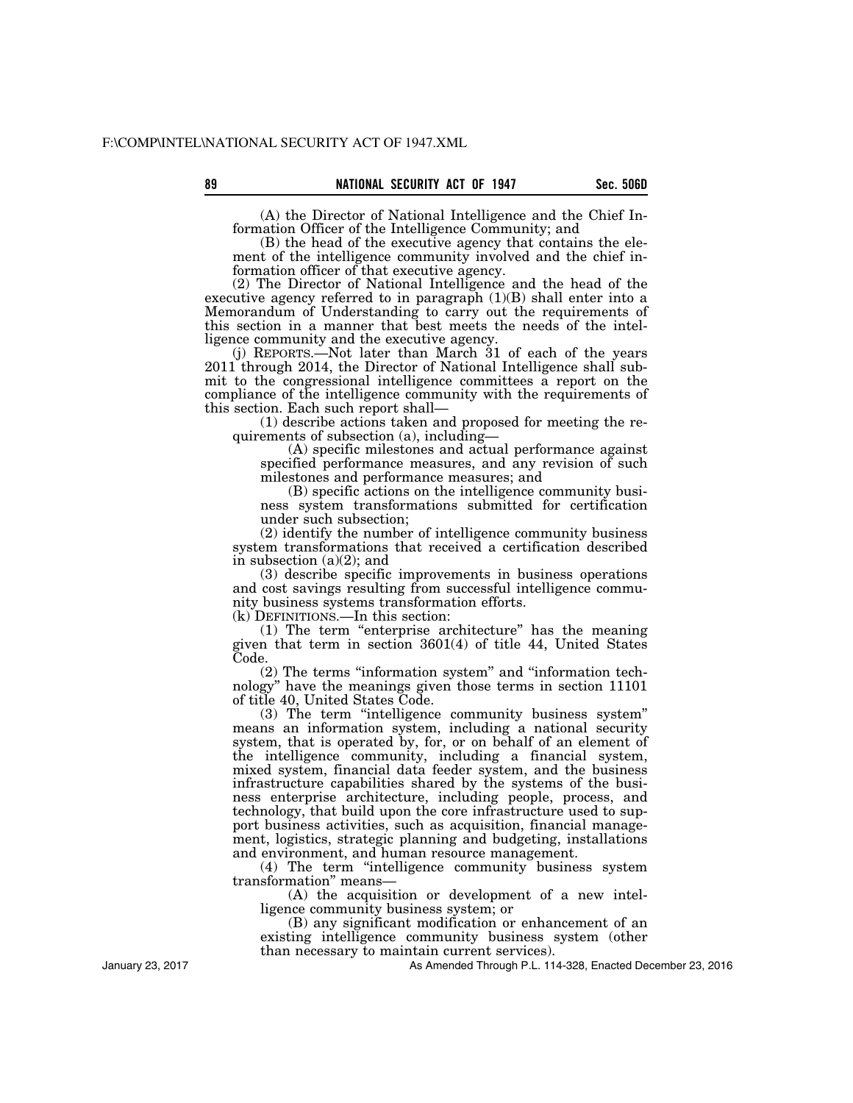89 **Sec. 506D NATIONAL SECURITY ACT OF 1947** Sec. 506D

(A) the Director of National Intelligence and the Chief Information Officer of the Intelligence Community; and

(B) the head of the executive agency that contains the element of the intelligence community involved and the chief information officer of that executive agency.

(2) The Director of National Intelligence and the head of the executive agency referred to in paragraph  $(1)(B)$  shall enter into a Memorandum of Understanding to carry out the requirements of this section in a manner that best meets the needs of the intelligence community and the executive agency.

(j) REPORTS.—Not later than March 31 of each of the years 2011 through 2014, the Director of National Intelligence shall submit to the congressional intelligence committees a report on the compliance of the intelligence community with the requirements of this section. Each such report shall—

(1) describe actions taken and proposed for meeting the requirements of subsection (a), including—

(A) specific milestones and actual performance against specified performance measures, and any revision of such milestones and performance measures; and

(B) specific actions on the intelligence community business system transformations submitted for certification under such subsection;

(2) identify the number of intelligence community business system transformations that received a certification described in subsection (a)(2); and

(3) describe specific improvements in business operations and cost savings resulting from successful intelligence community business systems transformation efforts.

(k) DEFINITIONS.—In this section:

(1) The term ''enterprise architecture'' has the meaning given that term in section 3601(4) of title 44, United States Code.

(2) The terms ''information system'' and ''information technology'' have the meanings given those terms in section 11101 of title 40, United States Code.

(3) The term ''intelligence community business system'' means an information system, including a national security system, that is operated by, for, or on behalf of an element of the intelligence community, including a financial system, mixed system, financial data feeder system, and the business infrastructure capabilities shared by the systems of the business enterprise architecture, including people, process, and technology, that build upon the core infrastructure used to support business activities, such as acquisition, financial management, logistics, strategic planning and budgeting, installations and environment, and human resource management.

(4) The term ''intelligence community business system transformation'' means—

(A) the acquisition or development of a new intelligence community business system; or

(B) any significant modification or enhancement of an existing intelligence community business system (other than necessary to maintain current services).

As Amended Through P.L. 114-328, Enacted December 23, 2016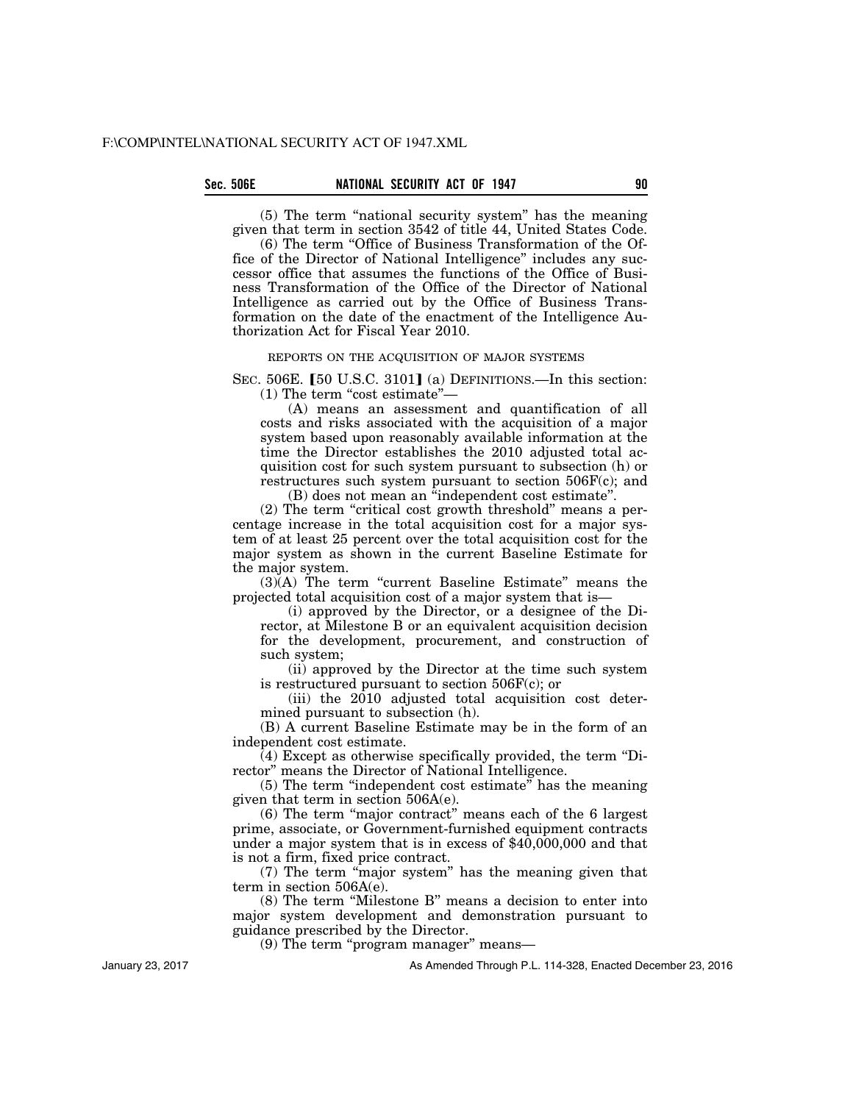(5) The term ''national security system'' has the meaning given that term in section 3542 of title 44, United States Code.

(6) The term ''Office of Business Transformation of the Office of the Director of National Intelligence'' includes any successor office that assumes the functions of the Office of Business Transformation of the Office of the Director of National Intelligence as carried out by the Office of Business Transformation on the date of the enactment of the Intelligence Authorization Act for Fiscal Year 2010.

REPORTS ON THE ACQUISITION OF MAJOR SYSTEMS

SEC.  $506E$ . [50 U.S.C. 3101] (a) DEFINITIONS.—In this section:  $(1)$  The term "cost estimate" $-$ 

(A) means an assessment and quantification of all costs and risks associated with the acquisition of a major system based upon reasonably available information at the time the Director establishes the 2010 adjusted total acquisition cost for such system pursuant to subsection (h) or restructures such system pursuant to section 506F(c); and

(B) does not mean an ''independent cost estimate''.

(2) The term ''critical cost growth threshold'' means a percentage increase in the total acquisition cost for a major system of at least 25 percent over the total acquisition cost for the major system as shown in the current Baseline Estimate for the major system.

 $(3)(A)$  The term "current Baseline Estimate" means the projected total acquisition cost of a major system that is—

(i) approved by the Director, or a designee of the Director, at Milestone B or an equivalent acquisition decision for the development, procurement, and construction of such system;

(ii) approved by the Director at the time such system is restructured pursuant to section 506F(c); or

(iii) the 2010 adjusted total acquisition cost determined pursuant to subsection (h).

(B) A current Baseline Estimate may be in the form of an independent cost estimate.

 $(4)$  Except as otherwise specifically provided, the term "Director'' means the Director of National Intelligence.

(5) The term ''independent cost estimate'' has the meaning given that term in section 506A(e).

(6) The term ''major contract'' means each of the 6 largest prime, associate, or Government-furnished equipment contracts under a major system that is in excess of \$40,000,000 and that is not a firm, fixed price contract.

(7) The term ''major system'' has the meaning given that term in section 506A(e).

(8) The term ''Milestone B'' means a decision to enter into major system development and demonstration pursuant to guidance prescribed by the Director.

(9) The term ''program manager'' means—

As Amended Through P.L. 114-328, Enacted December 23, 2016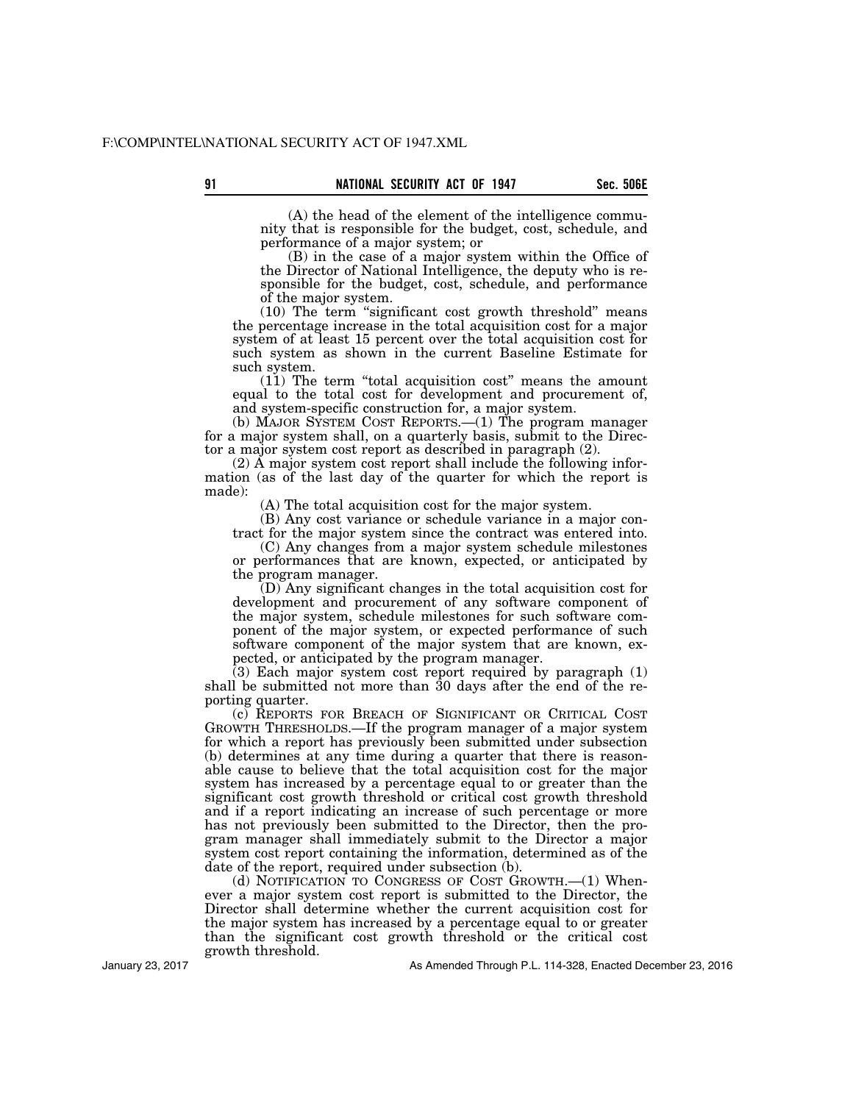(A) the head of the element of the intelligence community that is responsible for the budget, cost, schedule, and performance of a major system; or

(B) in the case of a major system within the Office of the Director of National Intelligence, the deputy who is responsible for the budget, cost, schedule, and performance of the major system.

(10) The term ''significant cost growth threshold'' means the percentage increase in the total acquisition cost for a major system of at least 15 percent over the total acquisition cost for such system as shown in the current Baseline Estimate for such system.

(11) The term ''total acquisition cost'' means the amount equal to the total cost for development and procurement of, and system-specific construction for, a major system.

(b) MAJOR SYSTEM COST REPORTS.—(1) The program manager for a major system shall, on a quarterly basis, submit to the Director a major system cost report as described in paragraph (2).

(2) A major system cost report shall include the following information (as of the last day of the quarter for which the report is made):

(A) The total acquisition cost for the major system.

(B) Any cost variance or schedule variance in a major contract for the major system since the contract was entered into.

(C) Any changes from a major system schedule milestones or performances that are known, expected, or anticipated by the program manager.

(D) Any significant changes in the total acquisition cost for development and procurement of any software component of the major system, schedule milestones for such software component of the major system, or expected performance of such software component of the major system that are known, expected, or anticipated by the program manager.

 $(3)$  Each major system cost report required by paragraph  $(1)$ shall be submitted not more than 30 days after the end of the reporting quarter.

(c) REPORTS FOR BREACH OF SIGNIFICANT OR CRITICAL COST GROWTH THRESHOLDS.—If the program manager of a major system for which a report has previously been submitted under subsection (b) determines at any time during a quarter that there is reasonable cause to believe that the total acquisition cost for the major system has increased by a percentage equal to or greater than the significant cost growth threshold or critical cost growth threshold and if a report indicating an increase of such percentage or more has not previously been submitted to the Director, then the program manager shall immediately submit to the Director a major system cost report containing the information, determined as of the date of the report, required under subsection (b).

(d) NOTIFICATION TO CONGRESS OF COST GROWTH.—(1) Whenever a major system cost report is submitted to the Director, the Director shall determine whether the current acquisition cost for the major system has increased by a percentage equal to or greater than the significant cost growth threshold or the critical cost growth threshold.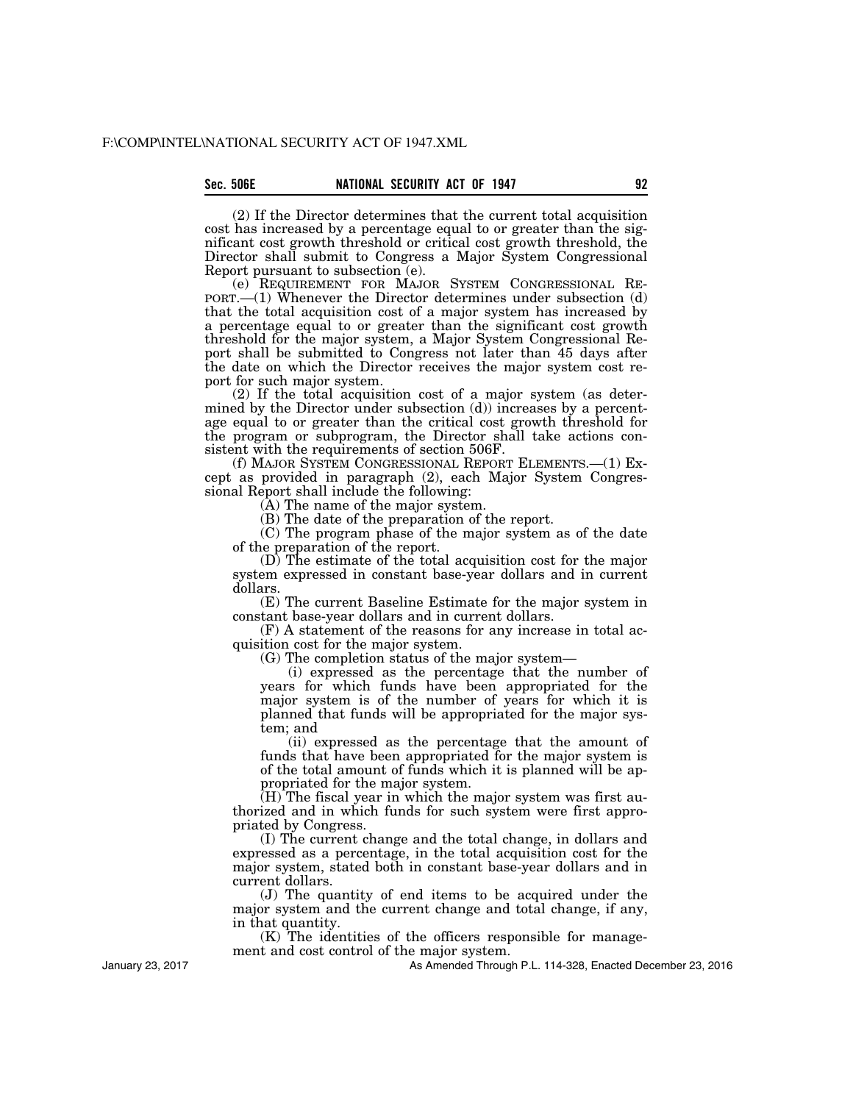(2) If the Director determines that the current total acquisition cost has increased by a percentage equal to or greater than the significant cost growth threshold or critical cost growth threshold, the Director shall submit to Congress a Major System Congressional Report pursuant to subsection (e).<br>
(e) REQUIREMENT FOR MAJOR SYSTEM CONGRESSIONAL RE-

 $PORT.$ —(1) Whenever the Director determines under subsection (d) that the total acquisition cost of a major system has increased by a percentage equal to or greater than the significant cost growth threshold for the major system, a Major System Congressional Report shall be submitted to Congress not later than 45 days after the date on which the Director receives the major system cost report for such major system.

(2) If the total acquisition cost of a major system (as determined by the Director under subsection (d)) increases by a percentage equal to or greater than the critical cost growth threshold for the program or subprogram, the Director shall take actions consistent with the requirements of section 506F.

(f) MAJOR SYSTEM CONGRESSIONAL REPORT ELEMENTS.—(1) Except as provided in paragraph (2), each Major System Congressional Report shall include the following:

(A) The name of the major system.

(B) The date of the preparation of the report.

(C) The program phase of the major system as of the date of the preparation of the report.

(D) The estimate of the total acquisition cost for the major system expressed in constant base-year dollars and in current dollars.

(E) The current Baseline Estimate for the major system in constant base-year dollars and in current dollars.

(F) A statement of the reasons for any increase in total acquisition cost for the major system.

(G) The completion status of the major system—

(i) expressed as the percentage that the number of years for which funds have been appropriated for the major system is of the number of years for which it is planned that funds will be appropriated for the major system; and

(ii) expressed as the percentage that the amount of funds that have been appropriated for the major system is of the total amount of funds which it is planned will be appropriated for the major system.

 $(H)$  The fiscal year in which the major system was first authorized and in which funds for such system were first appropriated by Congress.

(I) The current change and the total change, in dollars and expressed as a percentage, in the total acquisition cost for the major system, stated both in constant base-year dollars and in current dollars.

(J) The quantity of end items to be acquired under the major system and the current change and total change, if any, in that quantity.

(K) The identities of the officers responsible for management and cost control of the major system.

As Amended Through P.L. 114-328, Enacted December 23, 2016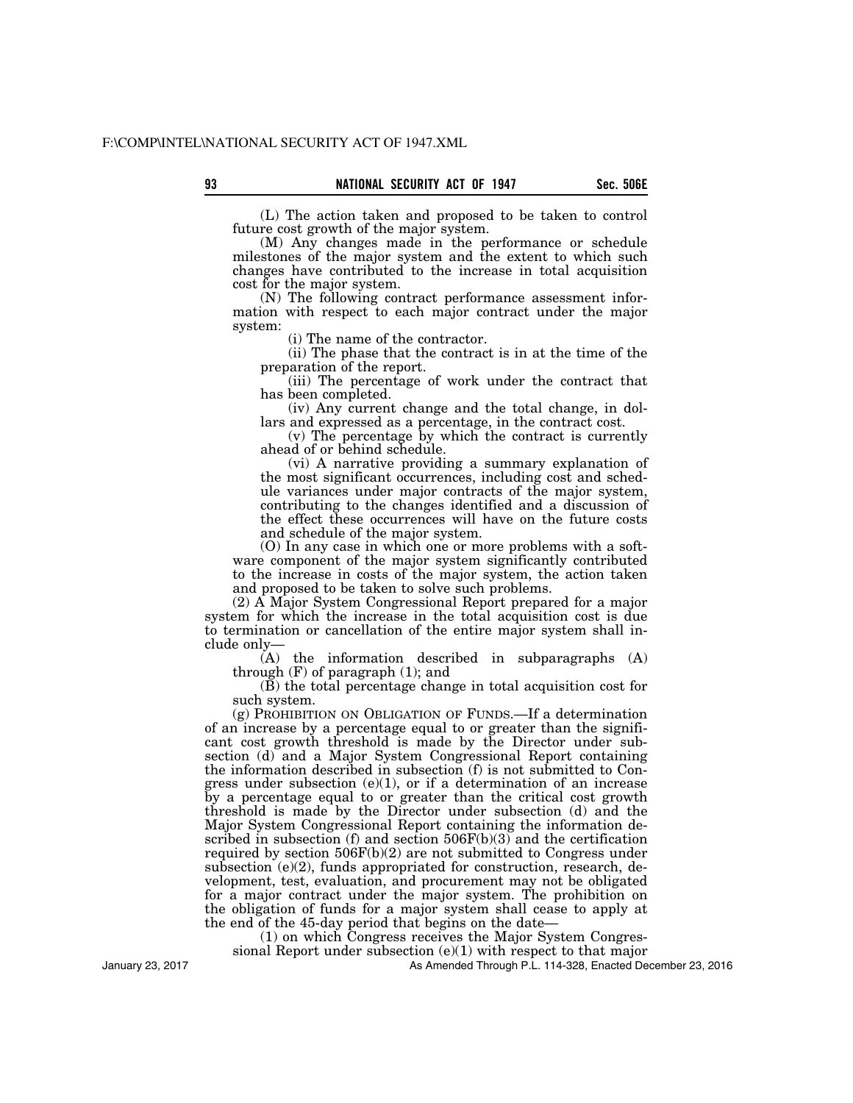(L) The action taken and proposed to be taken to control future cost growth of the major system.

(M) Any changes made in the performance or schedule milestones of the major system and the extent to which such changes have contributed to the increase in total acquisition cost for the major system.

(N) The following contract performance assessment information with respect to each major contract under the major system:

(i) The name of the contractor.

(ii) The phase that the contract is in at the time of the preparation of the report.

(iii) The percentage of work under the contract that has been completed.

(iv) Any current change and the total change, in dollars and expressed as a percentage, in the contract cost.

(v) The percentage by which the contract is currently ahead of or behind schedule.

(vi) A narrative providing a summary explanation of the most significant occurrences, including cost and schedule variances under major contracts of the major system, contributing to the changes identified and a discussion of the effect these occurrences will have on the future costs and schedule of the major system.

(O) In any case in which one or more problems with a software component of the major system significantly contributed to the increase in costs of the major system, the action taken and proposed to be taken to solve such problems.

(2) A Major System Congressional Report prepared for a major system for which the increase in the total acquisition cost is due to termination or cancellation of the entire major system shall include only—

(A) the information described in subparagraphs (A) through  $(F)$  of paragraph  $(1)$ ; and

(B) the total percentage change in total acquisition cost for such system.

(g) PROHIBITION ON OBLIGATION OF FUNDS.—If a determination of an increase by a percentage equal to or greater than the significant cost growth threshold is made by the Director under subsection (d) and a Major System Congressional Report containing the information described in subsection (f) is not submitted to Congress under subsection  $(e)(1)$ , or if a determination of an increase by a percentage equal to or greater than the critical cost growth threshold is made by the Director under subsection (d) and the Major System Congressional Report containing the information described in subsection (f) and section  $506F(b)(3)$  and the certification required by section  $506F(b)(2)$  are not submitted to Congress under subsection (e)(2), funds appropriated for construction, research, development, test, evaluation, and procurement may not be obligated for a major contract under the major system. The prohibition on the obligation of funds for a major system shall cease to apply at the end of the 45-day period that begins on the date—

(1) on which Congress receives the Major System Congres-

sional Report under subsection  $(e)(1)$  with respect to that major

As Amended Through P.L. 114-328, Enacted December 23, 2016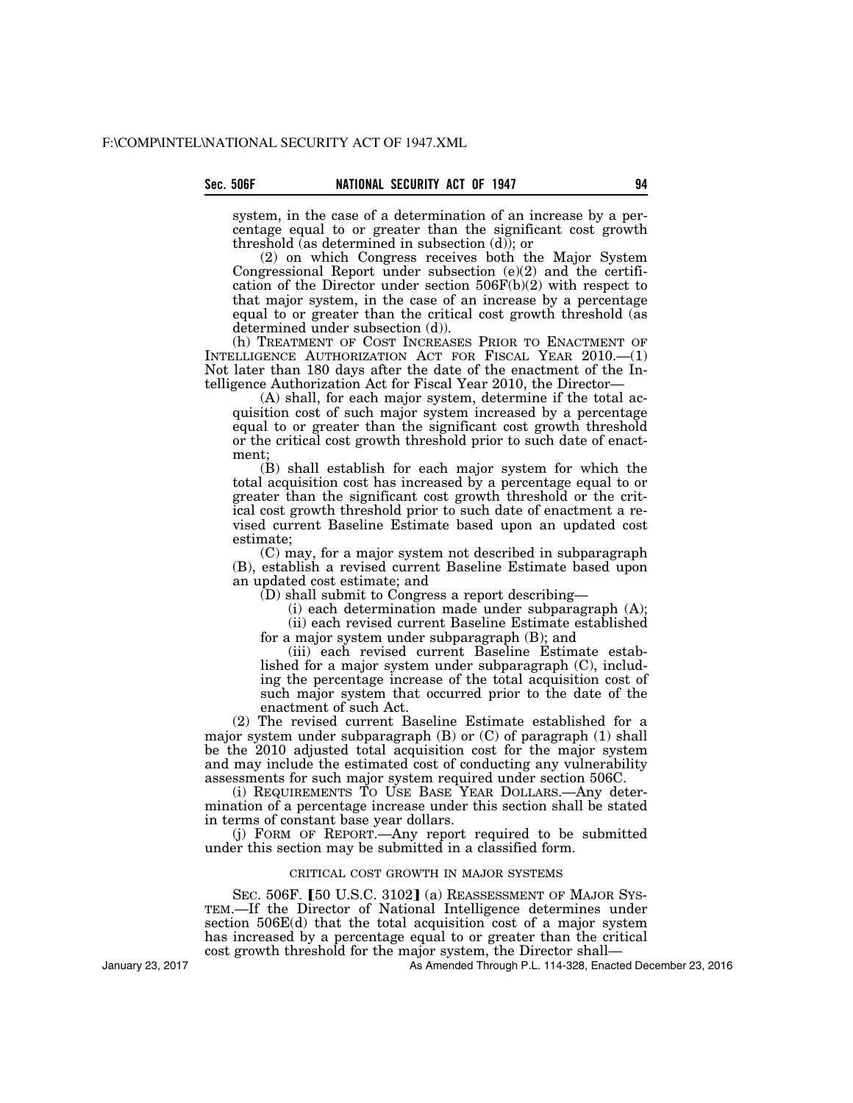system, in the case of a determination of an increase by a percentage equal to or greater than the significant cost growth threshold (as determined in subsection (d)); or

(2) on which Congress receives both the Major System Congressional Report under subsection (e)(2) and the certification of the Director under section 506F(b)(2) with respect to that major system, in the case of an increase by a percentage equal to or greater than the critical cost growth threshold (as determined under subsection (d)).

(h) TREATMENT OF COST INCREASES PRIOR TO ENACTMENT OF INTELLIGENCE AUTHORIZATION ACT FOR FISCAL YEAR 2010.—(1) Not later than 180 days after the date of the enactment of the Intelligence Authorization Act for Fiscal Year 2010, the Director—

(A) shall, for each major system, determine if the total acquisition cost of such major system increased by a percentage equal to or greater than the significant cost growth threshold or the critical cost growth threshold prior to such date of enactment;

(B) shall establish for each major system for which the total acquisition cost has increased by a percentage equal to or greater than the significant cost growth threshold or the critical cost growth threshold prior to such date of enactment a revised current Baseline Estimate based upon an updated cost estimate;

(C) may, for a major system not described in subparagraph (B), establish a revised current Baseline Estimate based upon an updated cost estimate; and

(D) shall submit to Congress a report describing—

(i) each determination made under subparagraph (A); (ii) each revised current Baseline Estimate established

for a major system under subparagraph (B); and

(iii) each revised current Baseline Estimate established for a major system under subparagraph (C), including the percentage increase of the total acquisition cost of such major system that occurred prior to the date of the enactment of such Act.

(2) The revised current Baseline Estimate established for a major system under subparagraph (B) or (C) of paragraph (1) shall be the 2010 adjusted total acquisition cost for the major system and may include the estimated cost of conducting any vulnerability assessments for such major system required under section 506C.

(i) REQUIREMENTS TO USE BASE YEAR DOLLARS.—Any determination of a percentage increase under this section shall be stated in terms of constant base year dollars.

(j) FORM OF REPORT.—Any report required to be submitted under this section may be submitted in a classified form.

## CRITICAL COST GROWTH IN MAJOR SYSTEMS

SEC. 506F. [50 U.S.C. 3102] (a) REASSESSMENT OF MAJOR SYSTEM.—If the Director of National Intelligence determines under section 506E(d) that the total acquisition cost of a major system has increased by a percentage equal to or greater than the critical cost growth threshold for the major system, the Director shall—

As Amended Through P.L. 114-328, Enacted December 23, 2016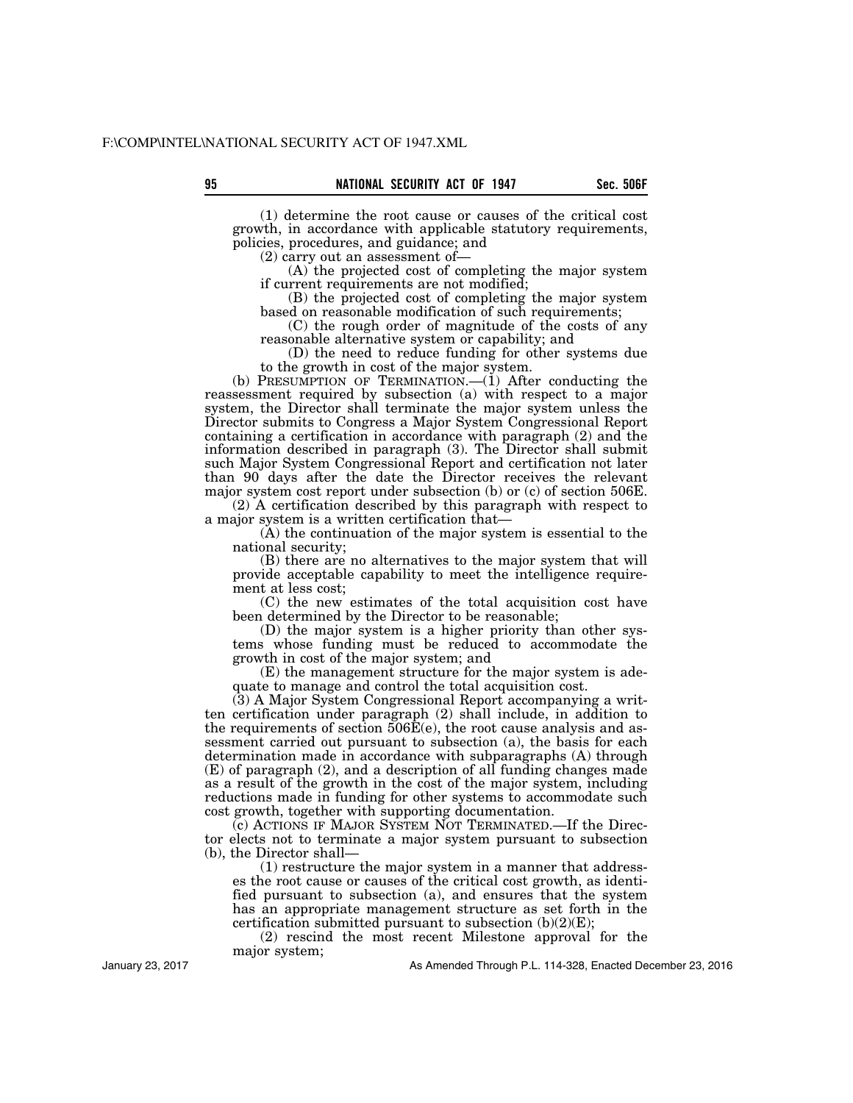(1) determine the root cause or causes of the critical cost growth, in accordance with applicable statutory requirements, policies, procedures, and guidance; and

(2) carry out an assessment of—

(A) the projected cost of completing the major system if current requirements are not modified;

(B) the projected cost of completing the major system based on reasonable modification of such requirements;

(C) the rough order of magnitude of the costs of any reasonable alternative system or capability; and

(D) the need to reduce funding for other systems due to the growth in cost of the major system.

(b) PRESUMPTION OF TERMINATION.— $(i)$  After conducting the reassessment required by subsection (a) with respect to a major system, the Director shall terminate the major system unless the Director submits to Congress a Major System Congressional Report containing a certification in accordance with paragraph (2) and the information described in paragraph (3). The Director shall submit such Major System Congressional Report and certification not later than 90 days after the date the Director receives the relevant major system cost report under subsection (b) or (c) of section 506E.

(2) A certification described by this paragraph with respect to a major system is a written certification that—

(A) the continuation of the major system is essential to the national security;

(B) there are no alternatives to the major system that will provide acceptable capability to meet the intelligence requirement at less cost;

(C) the new estimates of the total acquisition cost have been determined by the Director to be reasonable;

(D) the major system is a higher priority than other systems whose funding must be reduced to accommodate the growth in cost of the major system; and

(E) the management structure for the major system is adequate to manage and control the total acquisition cost.

(3) A Major System Congressional Report accompanying a written certification under paragraph (2) shall include, in addition to the requirements of section 506E(e), the root cause analysis and assessment carried out pursuant to subsection (a), the basis for each determination made in accordance with subparagraphs (A) through (E) of paragraph (2), and a description of all funding changes made as a result of the growth in the cost of the major system, including reductions made in funding for other systems to accommodate such cost growth, together with supporting documentation.

(c) ACTIONS IF MAJOR SYSTEM NOT TERMINATED.—If the Director elects not to terminate a major system pursuant to subsection (b), the Director shall—

(1) restructure the major system in a manner that addresses the root cause or causes of the critical cost growth, as identified pursuant to subsection (a), and ensures that the system has an appropriate management structure as set forth in the certification submitted pursuant to subsection  $(b)(2)(E)$ ;

(2) rescind the most recent Milestone approval for the major system;

January 23, 2017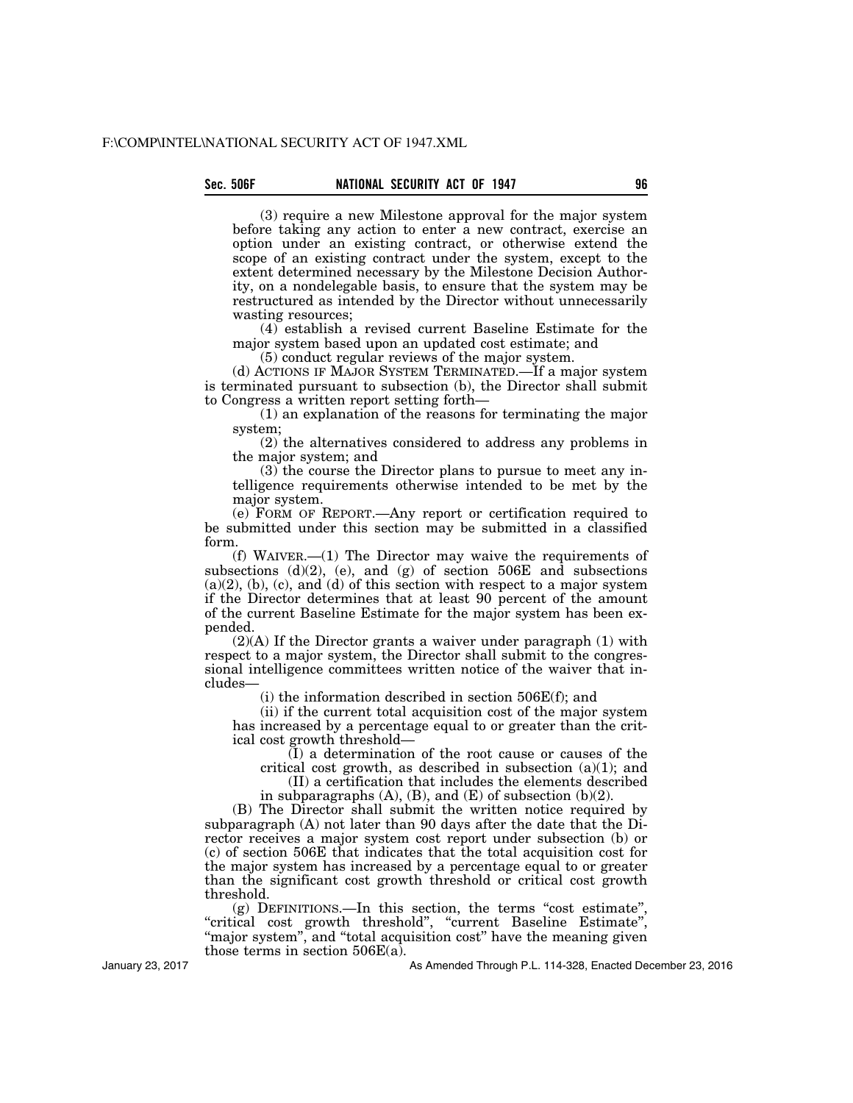(3) require a new Milestone approval for the major system before taking any action to enter a new contract, exercise an option under an existing contract, or otherwise extend the scope of an existing contract under the system, except to the extent determined necessary by the Milestone Decision Authority, on a nondelegable basis, to ensure that the system may be restructured as intended by the Director without unnecessarily wasting resources;

(4) establish a revised current Baseline Estimate for the major system based upon an updated cost estimate; and

(5) conduct regular reviews of the major system.

(d) ACTIONS IF MAJOR SYSTEM TERMINATED.—If a major system is terminated pursuant to subsection (b), the Director shall submit to Congress a written report setting forth—

(1) an explanation of the reasons for terminating the major system;

(2) the alternatives considered to address any problems in the major system; and

(3) the course the Director plans to pursue to meet any intelligence requirements otherwise intended to be met by the major system.

(e) FORM OF REPORT.—Any report or certification required to be submitted under this section may be submitted in a classified form.

(f) WAIVER.—(1) The Director may waive the requirements of subsections  $(d)(2)$ , (e), and (g) of section 506E and subsections  $(a)(2)$ ,  $(b)$ ,  $(c)$ , and  $(d)$  of this section with respect to a major system if the Director determines that at least 90 percent of the amount of the current Baseline Estimate for the major system has been expended.

(2)(A) If the Director grants a waiver under paragraph (1) with respect to a major system, the Director shall submit to the congressional intelligence committees written notice of the waiver that includes—

(i) the information described in section 506E(f); and

(ii) if the current total acquisition cost of the major system has increased by a percentage equal to or greater than the critical cost growth threshold—

(I) a determination of the root cause or causes of the critical cost growth, as described in subsection  $(a)(1)$ ; and

(II) a certification that includes the elements described in subparagraphs  $(A)$ ,  $(B)$ , and  $(E)$  of subsection  $(b)(2)$ .

(B) The Director shall submit the written notice required by subparagraph (A) not later than 90 days after the date that the Director receives a major system cost report under subsection (b) or (c) of section 506E that indicates that the total acquisition cost for the major system has increased by a percentage equal to or greater than the significant cost growth threshold or critical cost growth threshold.

 $(g)$  DEFINITIONS.—In this section, the terms "cost estimate", ''critical cost growth threshold'', ''current Baseline Estimate'', "major system", and "total acquisition cost" have the meaning given those terms in section 506E(a).

January 23, 2017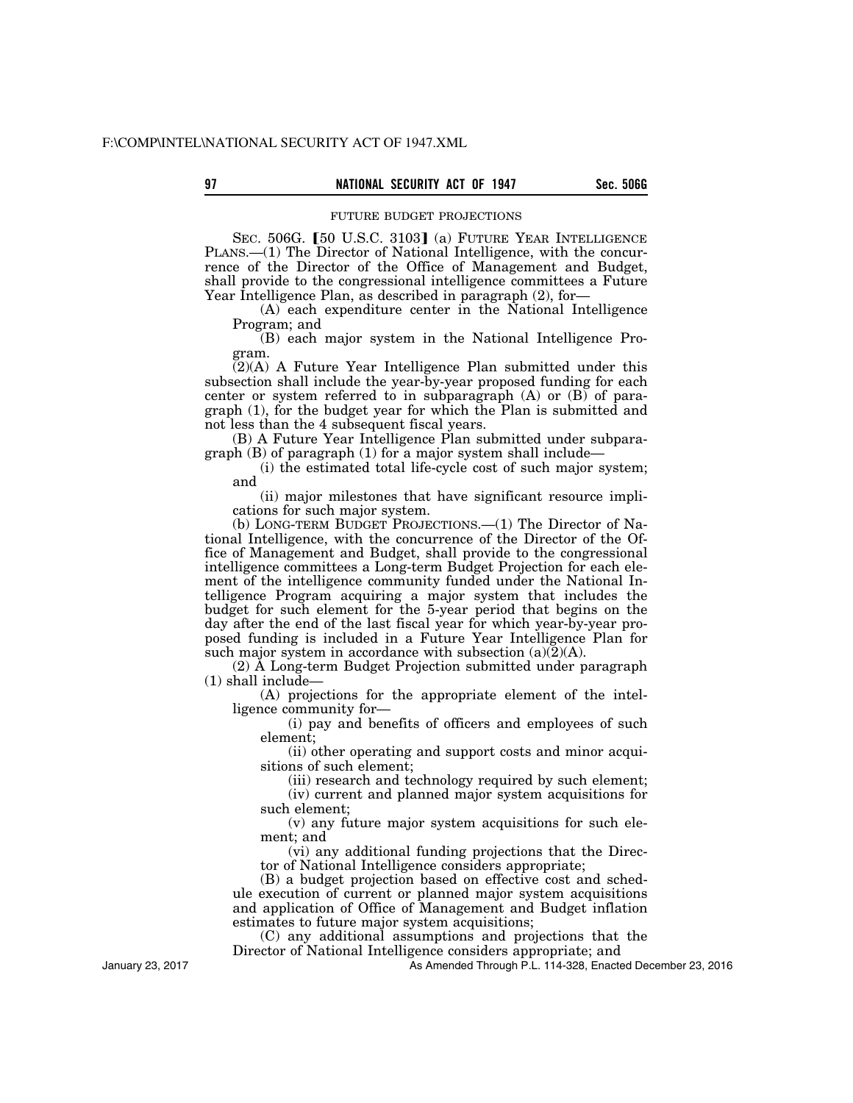#### FUTURE BUDGET PROJECTIONS

SEC. 506G. [50 U.S.C. 3103] (a) FUTURE YEAR INTELLIGENCE PLANS.—(1) The Director of National Intelligence, with the concurrence of the Director of the Office of Management and Budget, shall provide to the congressional intelligence committees a Future Year Intelligence Plan, as described in paragraph (2), for—

(A) each expenditure center in the National Intelligence Program; and

(B) each major system in the National Intelligence Program.

 $(2)(A)$  A Future Year Intelligence Plan submitted under this subsection shall include the year-by-year proposed funding for each center or system referred to in subparagraph  $(A)$  or  $(B)$  of paragraph (1), for the budget year for which the Plan is submitted and not less than the 4 subsequent fiscal years.

(B) A Future Year Intelligence Plan submitted under subparagraph (B) of paragraph (1) for a major system shall include—

(i) the estimated total life-cycle cost of such major system; and

(ii) major milestones that have significant resource implications for such major system.

(b) LONG-TERM BUDGET PROJECTIONS.—(1) The Director of National Intelligence, with the concurrence of the Director of the Office of Management and Budget, shall provide to the congressional intelligence committees a Long-term Budget Projection for each element of the intelligence community funded under the National Intelligence Program acquiring a major system that includes the budget for such element for the 5-year period that begins on the day after the end of the last fiscal year for which year-by-year proposed funding is included in a Future Year Intelligence Plan for such major system in accordance with subsection  $(a)(2)(A)$ .

(2) A Long-term Budget Projection submitted under paragraph (1) shall include—

(A) projections for the appropriate element of the intelligence community for—

(i) pay and benefits of officers and employees of such element;

(ii) other operating and support costs and minor acquisitions of such element;

(iii) research and technology required by such element; (iv) current and planned major system acquisitions for

such element;

(v) any future major system acquisitions for such element; and

(vi) any additional funding projections that the Director of National Intelligence considers appropriate;

(B) a budget projection based on effective cost and schedule execution of current or planned major system acquisitions and application of Office of Management and Budget inflation estimates to future major system acquisitions;

(C) any additional assumptions and projections that the Director of National Intelligence considers appropriate; and

As Amended Through P.L. 114-328, Enacted December 23, 2016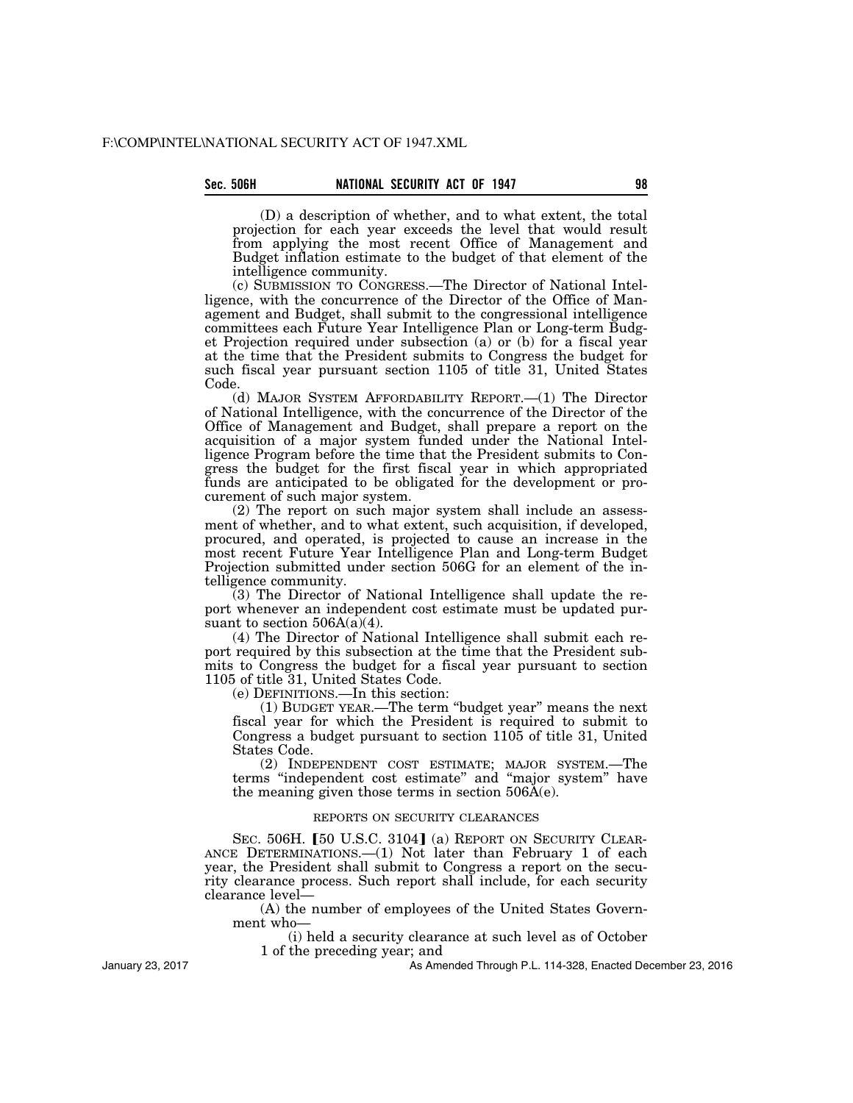(D) a description of whether, and to what extent, the total projection for each year exceeds the level that would result from applying the most recent Office of Management and Budget inflation estimate to the budget of that element of the intelligence community.

(c) SUBMISSION TO CONGRESS.—The Director of National Intelligence, with the concurrence of the Director of the Office of Management and Budget, shall submit to the congressional intelligence committees each Future Year Intelligence Plan or Long-term Budget Projection required under subsection (a) or (b) for a fiscal year at the time that the President submits to Congress the budget for such fiscal year pursuant section 1105 of title 31, United States Code.

(d) MAJOR SYSTEM AFFORDABILITY REPORT.—(1) The Director of National Intelligence, with the concurrence of the Director of the Office of Management and Budget, shall prepare a report on the acquisition of a major system funded under the National Intelligence Program before the time that the President submits to Congress the budget for the first fiscal year in which appropriated funds are anticipated to be obligated for the development or procurement of such major system.

(2) The report on such major system shall include an assessment of whether, and to what extent, such acquisition, if developed, procured, and operated, is projected to cause an increase in the most recent Future Year Intelligence Plan and Long-term Budget Projection submitted under section 506G for an element of the intelligence community.

(3) The Director of National Intelligence shall update the report whenever an independent cost estimate must be updated pursuant to section  $506A(a)(4)$ .

(4) The Director of National Intelligence shall submit each report required by this subsection at the time that the President submits to Congress the budget for a fiscal year pursuant to section 1105 of title 31, United States Code.

(e) DEFINITIONS.—In this section:

(1) BUDGET YEAR.—The term ''budget year'' means the next fiscal year for which the President is required to submit to Congress a budget pursuant to section 1105 of title 31, United States Code.

(2) INDEPENDENT COST ESTIMATE; MAJOR SYSTEM.—The terms ''independent cost estimate'' and ''major system'' have the meaning given those terms in section 506A(e).

## REPORTS ON SECURITY CLEARANCES

SEC. 506H. [50 U.S.C. 3104] (a) REPORT ON SECURITY CLEAR-ANCE DETERMINATIONS.—(1) Not later than February 1 of each year, the President shall submit to Congress a report on the security clearance process. Such report shall include, for each security clearance level—

(A) the number of employees of the United States Government who—

(i) held a security clearance at such level as of October 1 of the preceding year; and

January 23, 2017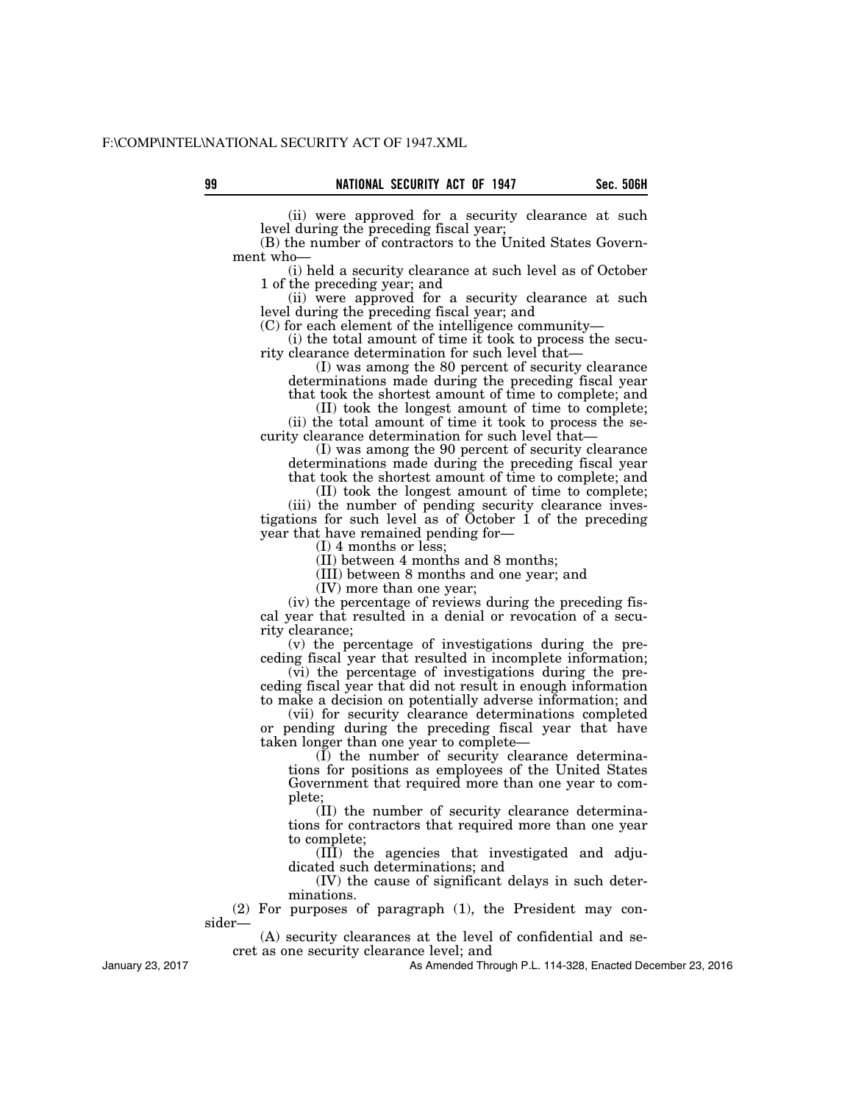(ii) were approved for a security clearance at such

level during the preceding fiscal year; (B) the number of contractors to the United States Government who—

(i) held a security clearance at such level as of October 1 of the preceding year; and

(ii) were approved for a security clearance at such level during the preceding fiscal year; and

(C) for each element of the intelligence community—

(i) the total amount of time it took to process the security clearance determination for such level that—

(I) was among the 80 percent of security clearance determinations made during the preceding fiscal year

that took the shortest amount of time to complete; and (II) took the longest amount of time to complete;

(ii) the total amount of time it took to process the security clearance determination for such level that—

(I) was among the 90 percent of security clearance determinations made during the preceding fiscal year that took the shortest amount of time to complete; and

(II) took the longest amount of time to complete;

(iii) the number of pending security clearance investigations for such level as of October 1 of the preceding year that have remained pending for—

(I) 4 months or less;

(II) between 4 months and 8 months;

(III) between 8 months and one year; and

(IV) more than one year;

(iv) the percentage of reviews during the preceding fiscal year that resulted in a denial or revocation of a security clearance;

(v) the percentage of investigations during the preceding fiscal year that resulted in incomplete information;

(vi) the percentage of investigations during the preceding fiscal year that did not result in enough information to make a decision on potentially adverse information; and

(vii) for security clearance determinations completed or pending during the preceding fiscal year that have taken longer than one year to complete—

(I) the number of security clearance determinations for positions as employees of the United States Government that required more than one year to complete;

(II) the number of security clearance determinations for contractors that required more than one year to complete;

(III) the agencies that investigated and adjudicated such determinations; and

(IV) the cause of significant delays in such determinations.

(2) For purposes of paragraph (1), the President may consider—

(A) security clearances at the level of confidential and secret as one security clearance level; and

As Amended Through P.L. 114-328, Enacted December 23, 2016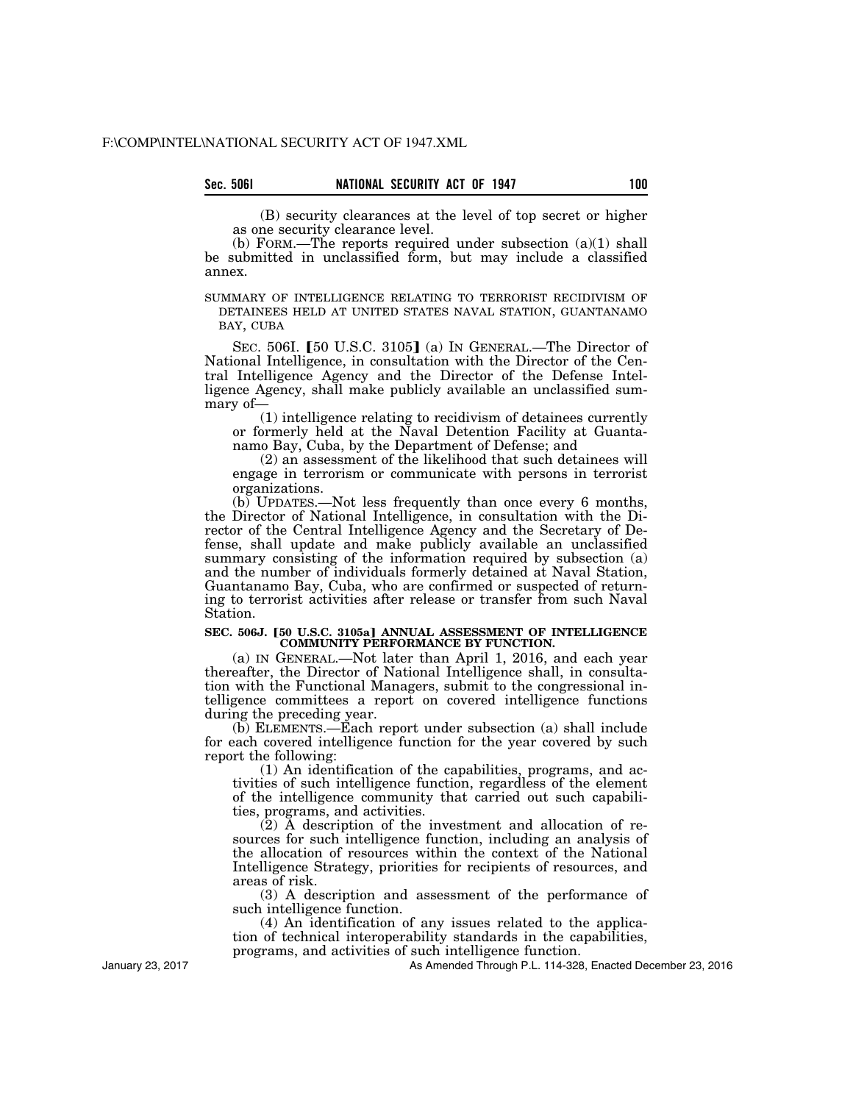(B) security clearances at the level of top secret or higher as one security clearance level.

(b) FORM.—The reports required under subsection (a)(1) shall be submitted in unclassified form, but may include a classified annex.

SUMMARY OF INTELLIGENCE RELATING TO TERRORIST RECIDIVISM OF DETAINEES HELD AT UNITED STATES NAVAL STATION, GUANTANAMO BAY, CUBA

SEC. 506I. [50 U.S.C. 3105] (a) In GENERAL.—The Director of National Intelligence, in consultation with the Director of the Central Intelligence Agency and the Director of the Defense Intelligence Agency, shall make publicly available an unclassified summary of—

(1) intelligence relating to recidivism of detainees currently or formerly held at the Naval Detention Facility at Guantanamo Bay, Cuba, by the Department of Defense; and

(2) an assessment of the likelihood that such detainees will engage in terrorism or communicate with persons in terrorist organizations.

(b) UPDATES.—Not less frequently than once every 6 months, the Director of National Intelligence, in consultation with the Director of the Central Intelligence Agency and the Secretary of Defense, shall update and make publicly available an unclassified summary consisting of the information required by subsection (a) and the number of individuals formerly detained at Naval Station, Guantanamo Bay, Cuba, who are confirmed or suspected of returning to terrorist activities after release or transfer from such Naval Station.

#### **SEC. 506J. [50 U.S.C. 3105a] ANNUAL ASSESSMENT OF INTELLIGENCE COMMUNITY PERFORMANCE BY FUNCTION.**

(a) IN GENERAL.—Not later than April 1, 2016, and each year thereafter, the Director of National Intelligence shall, in consultation with the Functional Managers, submit to the congressional intelligence committees a report on covered intelligence functions during the preceding year.

(b) ELEMENTS.—Each report under subsection (a) shall include for each covered intelligence function for the year covered by such report the following:

(1) An identification of the capabilities, programs, and activities of such intelligence function, regardless of the element of the intelligence community that carried out such capabilities, programs, and activities.

(2) A description of the investment and allocation of resources for such intelligence function, including an analysis of the allocation of resources within the context of the National Intelligence Strategy, priorities for recipients of resources, and areas of risk.

(3) A description and assessment of the performance of such intelligence function.

(4) An identification of any issues related to the application of technical interoperability standards in the capabilities, programs, and activities of such intelligence function.

As Amended Through P.L. 114-328, Enacted December 23, 2016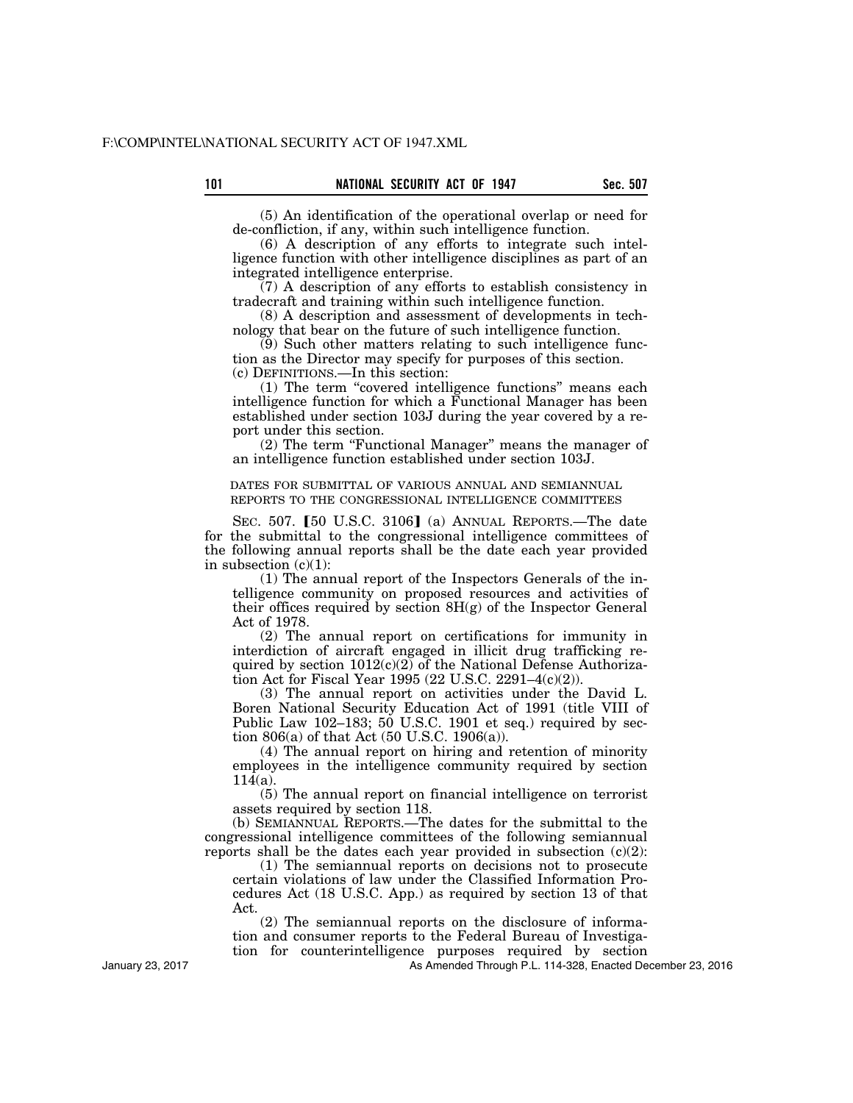(5) An identification of the operational overlap or need for de-confliction, if any, within such intelligence function.

(6) A description of any efforts to integrate such intelligence function with other intelligence disciplines as part of an integrated intelligence enterprise.

(7) A description of any efforts to establish consistency in tradecraft and training within such intelligence function.

(8) A description and assessment of developments in technology that bear on the future of such intelligence function.

(9) Such other matters relating to such intelligence function as the Director may specify for purposes of this section. (c) DEFINITIONS.—In this section:

(1) The term ''covered intelligence functions'' means each intelligence function for which a Functional Manager has been established under section 103J during the year covered by a report under this section.

(2) The term ''Functional Manager'' means the manager of an intelligence function established under section 103J.

DATES FOR SUBMITTAL OF VARIOUS ANNUAL AND SEMIANNUAL REPORTS TO THE CONGRESSIONAL INTELLIGENCE COMMITTEES

SEC. 507. [50 U.S.C. 3106] (a) ANNUAL REPORTS.—The date for the submittal to the congressional intelligence committees of the following annual reports shall be the date each year provided in subsection  $(c)(1)$ :

(1) The annual report of the Inspectors Generals of the intelligence community on proposed resources and activities of their offices required by section 8H(g) of the Inspector General Act of 1978.

(2) The annual report on certifications for immunity in interdiction of aircraft engaged in illicit drug trafficking required by section  $1012(c)(2)$  of the National Defense Authorization Act for Fiscal Year 1995 (22 U.S.C. 2291–4(c)(2)).

(3) The annual report on activities under the David L. Boren National Security Education Act of 1991 (title VIII of Public Law 102–183;  $50$  U.S.C. 1901 et seq.) required by section 806(a) of that Act (50 U.S.C. 1906(a)).

(4) The annual report on hiring and retention of minority employees in the intelligence community required by section  $11\bar{4}$ (a).

(5) The annual report on financial intelligence on terrorist assets required by section 118.

(b) SEMIANNUAL REPORTS.—The dates for the submittal to the congressional intelligence committees of the following semiannual reports shall be the dates each year provided in subsection  $(c)(2)$ :

(1) The semiannual reports on decisions not to prosecute certain violations of law under the Classified Information Procedures Act (18 U.S.C. App.) as required by section 13 of that Act.

(2) The semiannual reports on the disclosure of information and consumer reports to the Federal Bureau of Investigation for counterintelligence purposes required by section

As Amended Through P.L. 114-328, Enacted December 23, 2016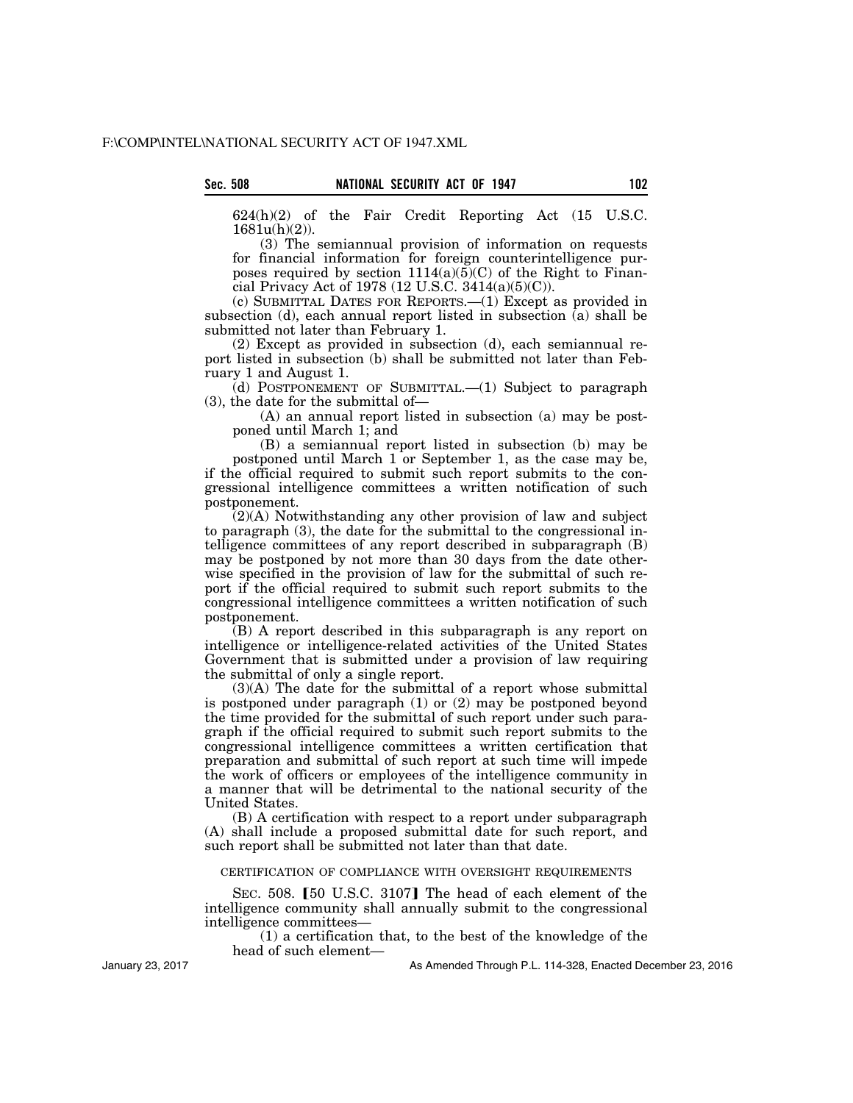624(h)(2) of the Fair Credit Reporting Act (15 U.S.C. 1681u(h)(2)).

(3) The semiannual provision of information on requests for financial information for foreign counterintelligence purposes required by section  $1114(a)(5)(C)$  of the Right to Financial Privacy Act of 1978 (12 U.S.C. 3414(a)(5)(C)).

(c) SUBMITTAL DATES FOR REPORTS.—(1) Except as provided in subsection (d), each annual report listed in subsection (a) shall be submitted not later than February 1.

(2) Except as provided in subsection (d), each semiannual report listed in subsection (b) shall be submitted not later than February 1 and August 1.

(d) POSTPONEMENT OF SUBMITTAL.—(1) Subject to paragraph (3), the date for the submittal of—

(A) an annual report listed in subsection (a) may be postponed until March 1; and

(B) a semiannual report listed in subsection (b) may be postponed until March 1 or September 1, as the case may be, if the official required to submit such report submits to the congressional intelligence committees a written notification of such postponement.

(2)(A) Notwithstanding any other provision of law and subject to paragraph (3), the date for the submittal to the congressional intelligence committees of any report described in subparagraph (B) may be postponed by not more than 30 days from the date otherwise specified in the provision of law for the submittal of such report if the official required to submit such report submits to the congressional intelligence committees a written notification of such postponement.

(B) A report described in this subparagraph is any report on intelligence or intelligence-related activities of the United States Government that is submitted under a provision of law requiring the submittal of only a single report.

(3)(A) The date for the submittal of a report whose submittal is postponed under paragraph (1) or (2) may be postponed beyond the time provided for the submittal of such report under such paragraph if the official required to submit such report submits to the congressional intelligence committees a written certification that preparation and submittal of such report at such time will impede the work of officers or employees of the intelligence community in a manner that will be detrimental to the national security of the United States.

(B) A certification with respect to a report under subparagraph (A) shall include a proposed submittal date for such report, and such report shall be submitted not later than that date.

CERTIFICATION OF COMPLIANCE WITH OVERSIGHT REQUIREMENTS

SEC. 508. [50 U.S.C. 3107] The head of each element of the intelligence community shall annually submit to the congressional intelligence committees—

(1) a certification that, to the best of the knowledge of the head of such element—

January 23, 2017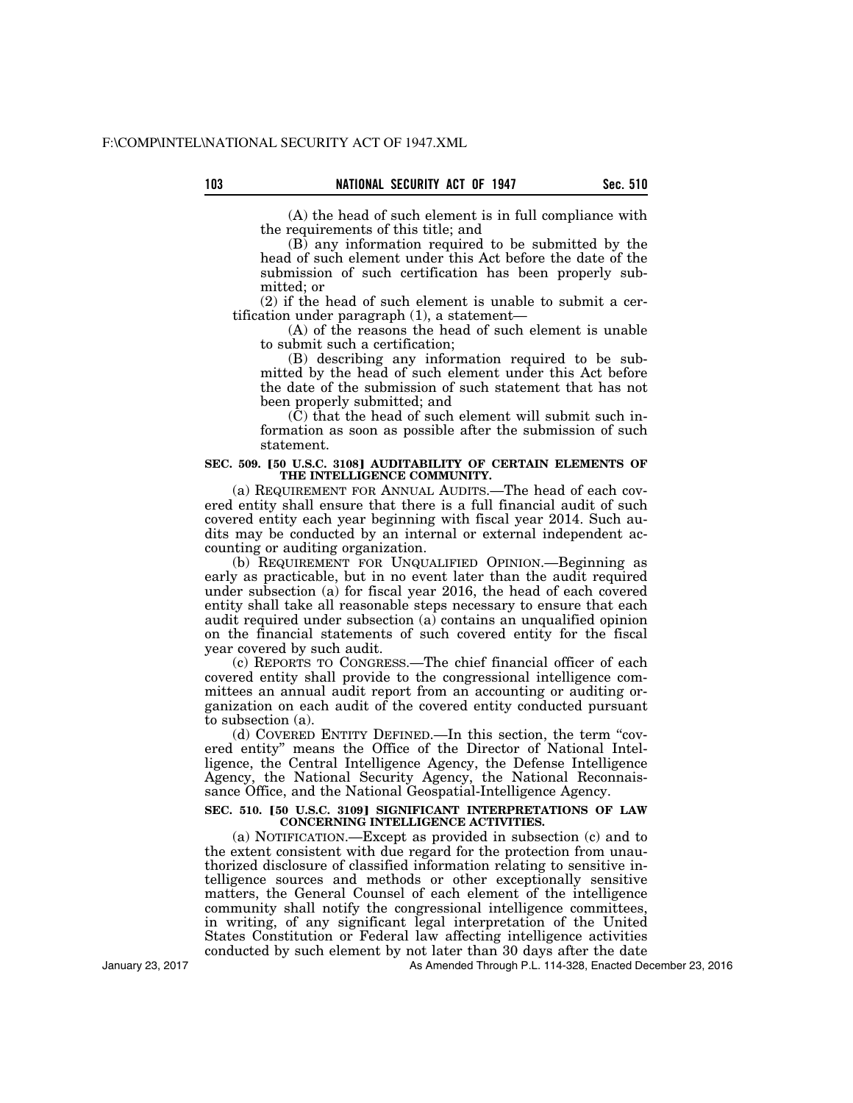(A) the head of such element is in full compliance with the requirements of this title; and

(B) any information required to be submitted by the head of such element under this Act before the date of the submission of such certification has been properly submitted; or

(2) if the head of such element is unable to submit a certification under paragraph (1), a statement—

(A) of the reasons the head of such element is unable to submit such a certification;

(B) describing any information required to be submitted by the head of such element under this Act before the date of the submission of such statement that has not been properly submitted; and

(C) that the head of such element will submit such information as soon as possible after the submission of such statement.

#### **SEC. 509. [50 U.S.C. 3108] AUDITABILITY OF CERTAIN ELEMENTS OF THE INTELLIGENCE COMMUNITY.**

(a) REQUIREMENT FOR ANNUAL AUDITS.—The head of each covered entity shall ensure that there is a full financial audit of such covered entity each year beginning with fiscal year 2014. Such audits may be conducted by an internal or external independent accounting or auditing organization.

(b) REQUIREMENT FOR UNQUALIFIED OPINION.—Beginning as early as practicable, but in no event later than the audit required under subsection (a) for fiscal year 2016, the head of each covered entity shall take all reasonable steps necessary to ensure that each audit required under subsection (a) contains an unqualified opinion on the financial statements of such covered entity for the fiscal year covered by such audit.

(c) REPORTS TO CONGRESS.—The chief financial officer of each covered entity shall provide to the congressional intelligence committees an annual audit report from an accounting or auditing organization on each audit of the covered entity conducted pursuant to subsection (a).

(d) COVERED ENTITY DEFINED.—In this section, the term ''covered entity'' means the Office of the Director of National Intelligence, the Central Intelligence Agency, the Defense Intelligence Agency, the National Security Agency, the National Reconnaissance Office, and the National Geospatial-Intelligence Agency.

## **SEC. 510. [50 U.S.C. 3109] SIGNIFICANT INTERPRETATIONS OF LAW CONCERNING INTELLIGENCE ACTIVITIES.**

(a) NOTIFICATION.—Except as provided in subsection (c) and to the extent consistent with due regard for the protection from unauthorized disclosure of classified information relating to sensitive intelligence sources and methods or other exceptionally sensitive matters, the General Counsel of each element of the intelligence community shall notify the congressional intelligence committees, in writing, of any significant legal interpretation of the United States Constitution or Federal law affecting intelligence activities conducted by such element by not later than 30 days after the date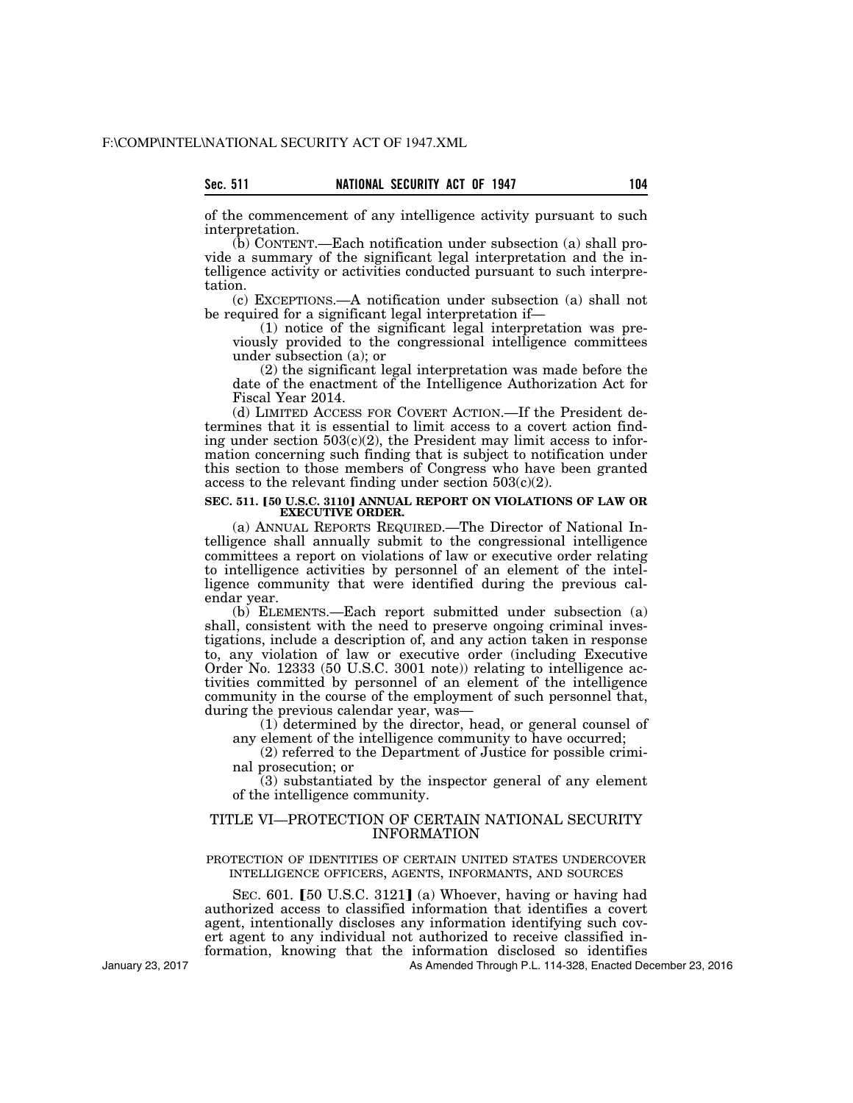| Sec. | 511 |  |
|------|-----|--|
|      |     |  |

of the commencement of any intelligence activity pursuant to such interpretation.

(b) CONTENT.—Each notification under subsection (a) shall provide a summary of the significant legal interpretation and the intelligence activity or activities conducted pursuant to such interpretation.

(c) EXCEPTIONS.—A notification under subsection (a) shall not be required for a significant legal interpretation if—

(1) notice of the significant legal interpretation was previously provided to the congressional intelligence committees under subsection (a); or

(2) the significant legal interpretation was made before the date of the enactment of the Intelligence Authorization Act for Fiscal Year 2014.

(d) LIMITED ACCESS FOR COVERT ACTION.—If the President determines that it is essential to limit access to a covert action finding under section  $503(c)(2)$ , the President may limit access to information concerning such finding that is subject to notification under this section to those members of Congress who have been granted access to the relevant finding under section  $503(c)(2)$ .

## **SEC. 511. [50 U.S.C. 3110] ANNUAL REPORT ON VIOLATIONS OF LAW OR EXECUTIVE ORDER.**

(a) ANNUAL REPORTS REQUIRED.—The Director of National Intelligence shall annually submit to the congressional intelligence committees a report on violations of law or executive order relating to intelligence activities by personnel of an element of the intelligence community that were identified during the previous calendar year.

(b) ELEMENTS.—Each report submitted under subsection (a) shall, consistent with the need to preserve ongoing criminal investigations, include a description of, and any action taken in response to, any violation of law or executive order (including Executive Order No. 12333 (50 U.S.C. 3001 note)) relating to intelligence activities committed by personnel of an element of the intelligence community in the course of the employment of such personnel that, during the previous calendar year, was—

(1) determined by the director, head, or general counsel of any element of the intelligence community to have occurred;

(2) referred to the Department of Justice for possible criminal prosecution; or

(3) substantiated by the inspector general of any element of the intelligence community.

## TITLE VI—PROTECTION OF CERTAIN NATIONAL SECURITY INFORMATION

## PROTECTION OF IDENTITIES OF CERTAIN UNITED STATES UNDERCOVER INTELLIGENCE OFFICERS, AGENTS, INFORMANTS, AND SOURCES

SEC.  $601.$  [50 U.S.C. 3121] (a) Whoever, having or having had authorized access to classified information that identifies a covert agent, intentionally discloses any information identifying such covert agent to any individual not authorized to receive classified information, knowing that the information disclosed so identifies

As Amended Through P.L. 114-328, Enacted December 23, 2016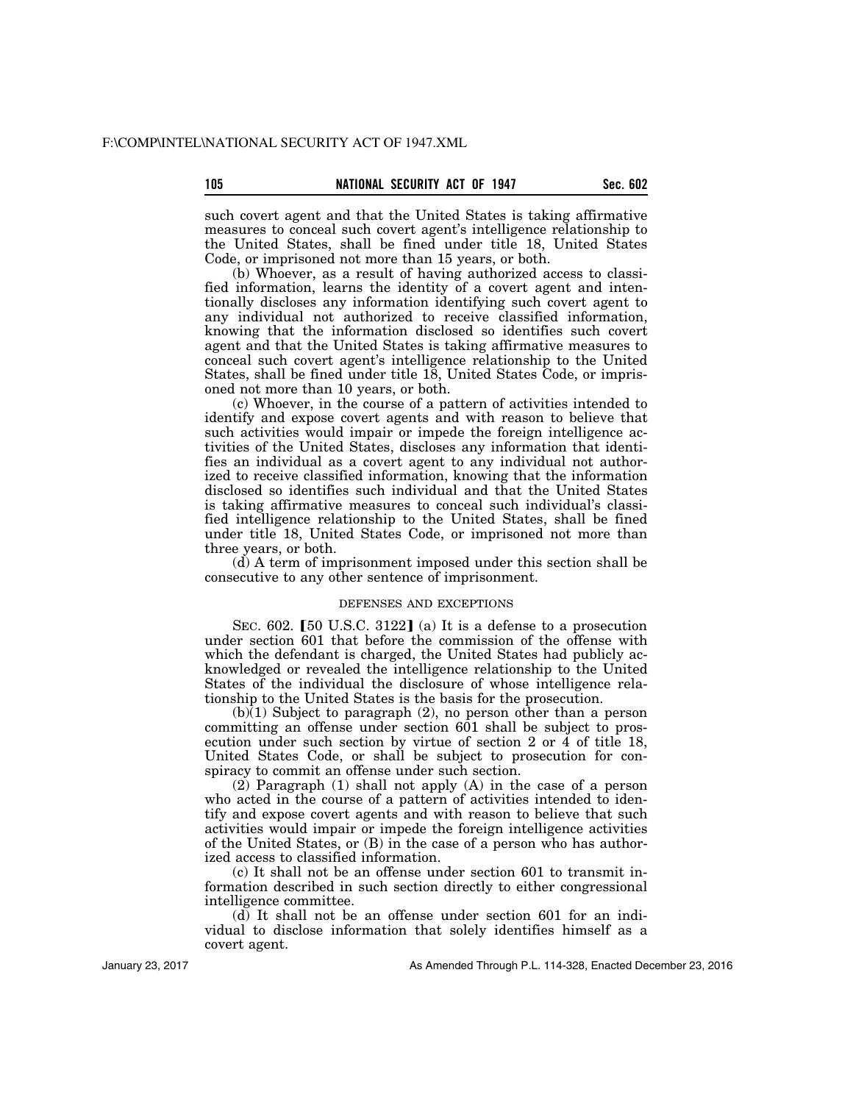such covert agent and that the United States is taking affirmative measures to conceal such covert agent's intelligence relationship to the United States, shall be fined under title 18, United States Code, or imprisoned not more than 15 years, or both.

(b) Whoever, as a result of having authorized access to classified information, learns the identity of a covert agent and intentionally discloses any information identifying such covert agent to any individual not authorized to receive classified information, knowing that the information disclosed so identifies such covert agent and that the United States is taking affirmative measures to conceal such covert agent's intelligence relationship to the United States, shall be fined under title 18, United States Code, or imprisoned not more than 10 years, or both.

(c) Whoever, in the course of a pattern of activities intended to identify and expose covert agents and with reason to believe that such activities would impair or impede the foreign intelligence activities of the United States, discloses any information that identifies an individual as a covert agent to any individual not authorized to receive classified information, knowing that the information disclosed so identifies such individual and that the United States is taking affirmative measures to conceal such individual's classified intelligence relationship to the United States, shall be fined under title 18, United States Code, or imprisoned not more than three years, or both.

(d) A term of imprisonment imposed under this section shall be consecutive to any other sentence of imprisonment.

## DEFENSES AND EXCEPTIONS

SEC. 602. [50 U.S.C. 3122] (a) It is a defense to a prosecution under section 601 that before the commission of the offense with which the defendant is charged, the United States had publicly acknowledged or revealed the intelligence relationship to the United States of the individual the disclosure of whose intelligence relationship to the United States is the basis for the prosecution.

(b)(1) Subject to paragraph (2), no person other than a person committing an offense under section 601 shall be subject to prosecution under such section by virtue of section 2 or 4 of title 18, United States Code, or shall be subject to prosecution for conspiracy to commit an offense under such section.

(2) Paragraph (1) shall not apply (A) in the case of a person who acted in the course of a pattern of activities intended to identify and expose covert agents and with reason to believe that such activities would impair or impede the foreign intelligence activities of the United States, or (B) in the case of a person who has authorized access to classified information.

(c) It shall not be an offense under section 601 to transmit information described in such section directly to either congressional intelligence committee.

(d) It shall not be an offense under section 601 for an individual to disclose information that solely identifies himself as a covert agent.

As Amended Through P.L. 114-328, Enacted December 23, 2016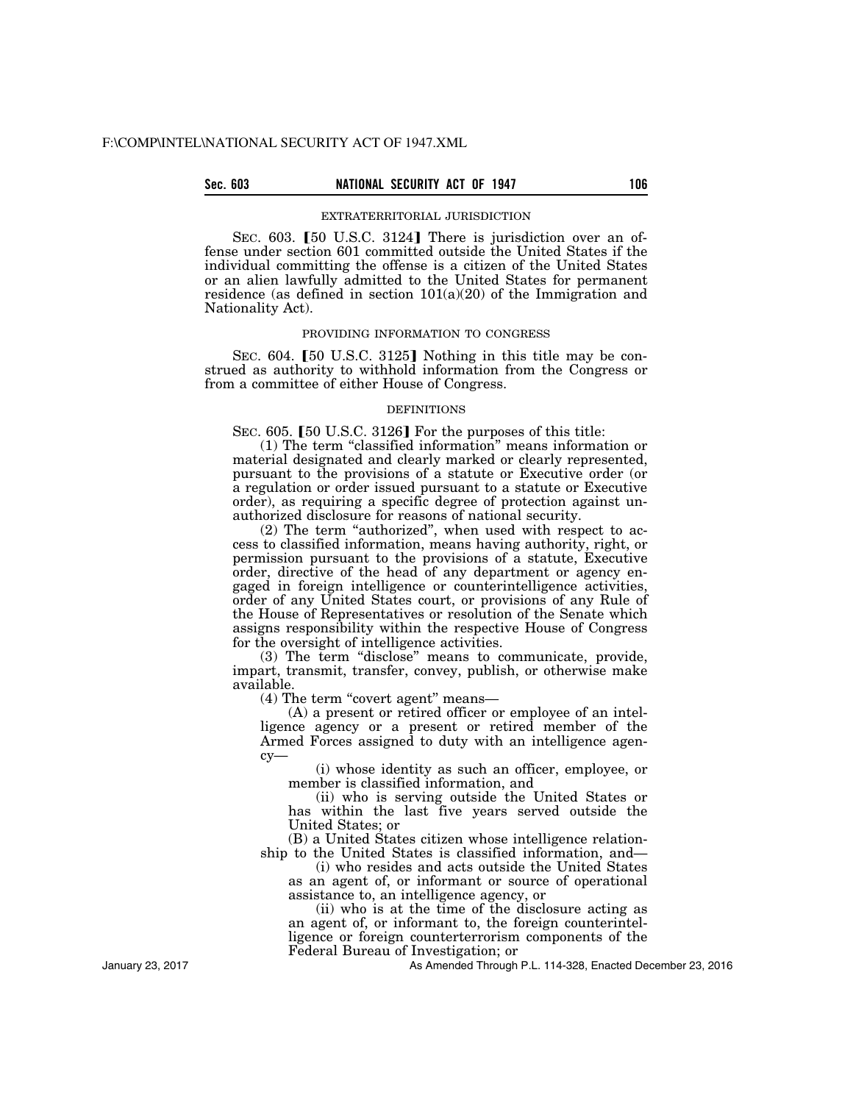## **Sec. 603 NATIONAL SECURITY ACT OF 1947 106**

#### EXTRATERRITORIAL JURISDICTION

SEC. 603. [50 U.S.C. 3124] There is jurisdiction over an offense under section 601 committed outside the United States if the individual committing the offense is a citizen of the United States or an alien lawfully admitted to the United States for permanent residence (as defined in section  $101(a)(20)$  of the Immigration and Nationality Act).

### PROVIDING INFORMATION TO CONGRESS

SEC. 604. [50 U.S.C. 3125] Nothing in this title may be construed as authority to withhold information from the Congress or from a committee of either House of Congress.

#### DEFINITIONS

SEC. 605. [50 U.S.C. 3126] For the purposes of this title:

(1) The term ''classified information'' means information or material designated and clearly marked or clearly represented, pursuant to the provisions of a statute or Executive order (or a regulation or order issued pursuant to a statute or Executive order), as requiring a specific degree of protection against unauthorized disclosure for reasons of national security.

(2) The term ''authorized'', when used with respect to access to classified information, means having authority, right, or permission pursuant to the provisions of a statute, Executive order, directive of the head of any department or agency engaged in foreign intelligence or counterintelligence activities, order of any United States court, or provisions of any Rule of the House of Representatives or resolution of the Senate which assigns responsibility within the respective House of Congress for the oversight of intelligence activities.

(3) The term ''disclose'' means to communicate, provide, impart, transmit, transfer, convey, publish, or otherwise make available.

(4) The term "covert agent" means—

(A) a present or retired officer or employee of an intelligence agency or a present or retired member of the Armed Forces assigned to duty with an intelligence agency—

(i) whose identity as such an officer, employee, or member is classified information, and

(ii) who is serving outside the United States or has within the last five years served outside the United States; or

(B) a United States citizen whose intelligence relationship to the United States is classified information, and—

(i) who resides and acts outside the United States as an agent of, or informant or source of operational assistance to, an intelligence agency, or

(ii) who is at the time of the disclosure acting as an agent of, or informant to, the foreign counterintelligence or foreign counterterrorism components of the Federal Bureau of Investigation; or

As Amended Through P.L. 114-328, Enacted December 23, 2016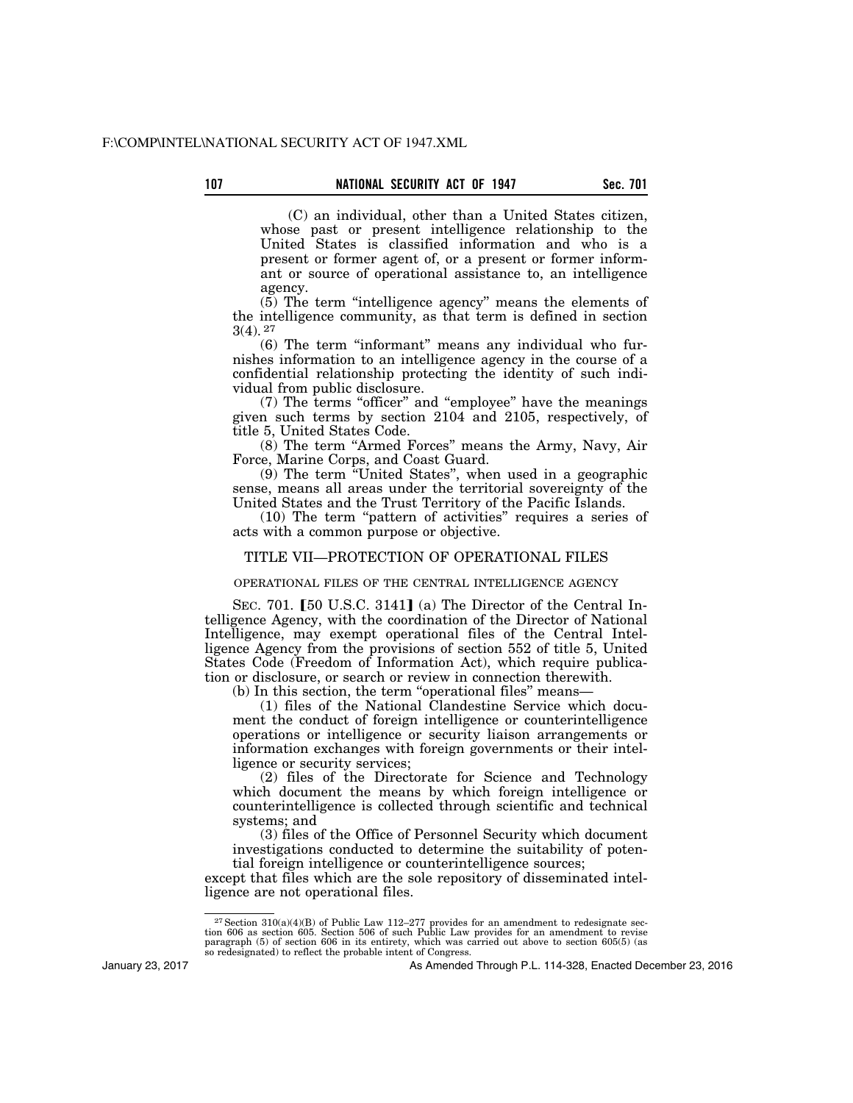(C) an individual, other than a United States citizen, whose past or present intelligence relationship to the United States is classified information and who is a present or former agent of, or a present or former informant or source of operational assistance to, an intelligence agency.

(5) The term ''intelligence agency'' means the elements of the intelligence community, as that term is defined in section 3(4). 27

(6) The term ''informant'' means any individual who furnishes information to an intelligence agency in the course of a confidential relationship protecting the identity of such individual from public disclosure.

(7) The terms ''officer'' and ''employee'' have the meanings given such terms by section 2104 and 2105, respectively, of title 5, United States Code.

(8) The term ''Armed Forces'' means the Army, Navy, Air Force, Marine Corps, and Coast Guard.

(9) The term ''United States'', when used in a geographic sense, means all areas under the territorial sovereignty of the United States and the Trust Territory of the Pacific Islands.

(10) The term ''pattern of activities'' requires a series of acts with a common purpose or objective.

## TITLE VII—PROTECTION OF OPERATIONAL FILES

## OPERATIONAL FILES OF THE CENTRAL INTELLIGENCE AGENCY

SEC. 701.  $[50 \text{ U.S.C. } 3141]$  (a) The Director of the Central Intelligence Agency, with the coordination of the Director of National Intelligence, may exempt operational files of the Central Intelligence Agency from the provisions of section 552 of title 5, United States Code (Freedom of Information Act), which require publication or disclosure, or search or review in connection therewith.

(b) In this section, the term "operational files" means-

(1) files of the National Clandestine Service which document the conduct of foreign intelligence or counterintelligence operations or intelligence or security liaison arrangements or information exchanges with foreign governments or their intelligence or security services;

(2) files of the Directorate for Science and Technology which document the means by which foreign intelligence or counterintelligence is collected through scientific and technical systems; and

(3) files of the Office of Personnel Security which document investigations conducted to determine the suitability of potential foreign intelligence or counterintelligence sources;

except that files which are the sole repository of disseminated intelligence are not operational files.

January 23, 2017

<sup>&</sup>lt;sup>27</sup> Section 310(a)(4)(B) of Public Law 112–277 provides for an amendment to redesignate section 606 as section 605. Section 506 of such Public Law provides for an amendment to revise paragraph (5) of section 606 in its e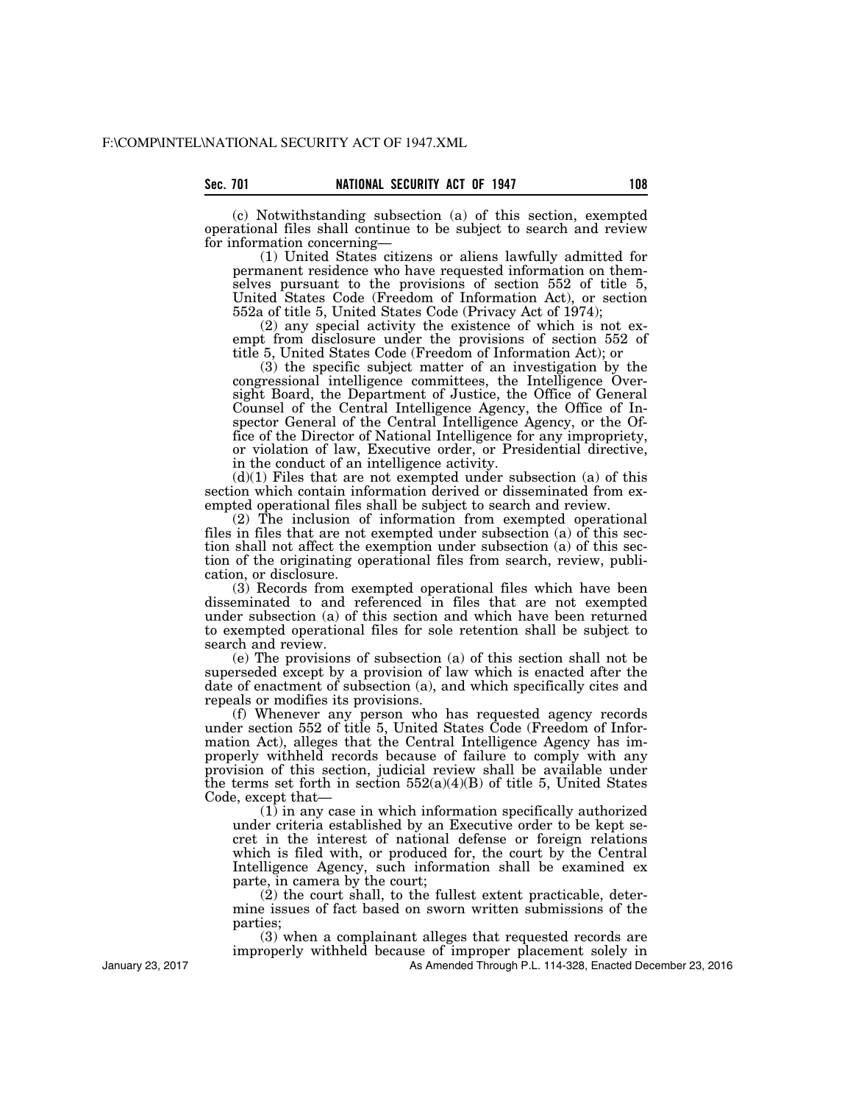(c) Notwithstanding subsection (a) of this section, exempted operational files shall continue to be subject to search and review for information concerning—

(1) United States citizens or aliens lawfully admitted for permanent residence who have requested information on themselves pursuant to the provisions of section 552 of title 5, United States Code (Freedom of Information Act), or section 552a of title 5, United States Code (Privacy Act of 1974);

(2) any special activity the existence of which is not exempt from disclosure under the provisions of section 552 of title 5, United States Code (Freedom of Information Act); or

(3) the specific subject matter of an investigation by the congressional intelligence committees, the Intelligence Oversight Board, the Department of Justice, the Office of General Counsel of the Central Intelligence Agency, the Office of Inspector General of the Central Intelligence Agency, or the Office of the Director of National Intelligence for any impropriety, or violation of law, Executive order, or Presidential directive, in the conduct of an intelligence activity.

 $(d)(1)$  Files that are not exempted under subsection (a) of this section which contain information derived or disseminated from exempted operational files shall be subject to search and review.

(2) The inclusion of information from exempted operational files in files that are not exempted under subsection (a) of this section shall not affect the exemption under subsection (a) of this section of the originating operational files from search, review, publication, or disclosure.

(3) Records from exempted operational files which have been disseminated to and referenced in files that are not exempted under subsection (a) of this section and which have been returned to exempted operational files for sole retention shall be subject to search and review.

(e) The provisions of subsection (a) of this section shall not be superseded except by a provision of law which is enacted after the date of enactment of subsection (a), and which specifically cites and repeals or modifies its provisions.

(f) Whenever any person who has requested agency records under section 552 of title 5, United States Code (Freedom of Information Act), alleges that the Central Intelligence Agency has improperly withheld records because of failure to comply with any provision of this section, judicial review shall be available under the terms set forth in section  $552(a)(4)(B)$  of title 5, United States Code, except that—

(1) in any case in which information specifically authorized under criteria established by an Executive order to be kept secret in the interest of national defense or foreign relations which is filed with, or produced for, the court by the Central Intelligence Agency, such information shall be examined ex parte, in camera by the court;

 $(2)$  the court shall, to the fullest extent practicable, determine issues of fact based on sworn written submissions of the parties;

(3) when a complainant alleges that requested records are improperly withheld because of improper placement solely in

As Amended Through P.L. 114-328, Enacted December 23, 2016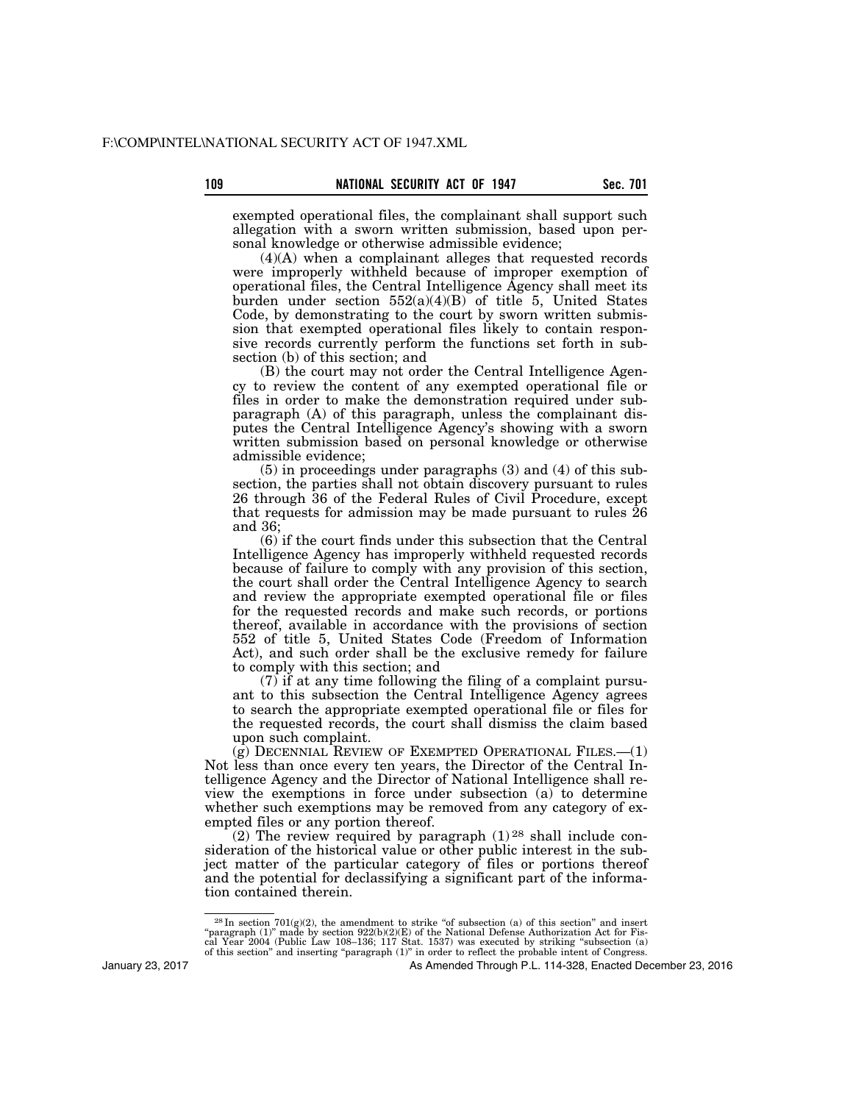exempted operational files, the complainant shall support such allegation with a sworn written submission, based upon personal knowledge or otherwise admissible evidence;

(4)(A) when a complainant alleges that requested records were improperly withheld because of improper exemption of operational files, the Central Intelligence Agency shall meet its burden under section 552(a)(4)(B) of title 5, United States Code, by demonstrating to the court by sworn written submission that exempted operational files likely to contain responsive records currently perform the functions set forth in subsection (b) of this section; and

(B) the court may not order the Central Intelligence Agency to review the content of any exempted operational file or files in order to make the demonstration required under subparagraph (A) of this paragraph, unless the complainant disputes the Central Intelligence Agency's showing with a sworn written submission based on personal knowledge or otherwise admissible evidence;

(5) in proceedings under paragraphs (3) and (4) of this subsection, the parties shall not obtain discovery pursuant to rules 26 through 36 of the Federal Rules of Civil Procedure, except that requests for admission may be made pursuant to rules  $\hat{2}6$ and 36;

(6) if the court finds under this subsection that the Central Intelligence Agency has improperly withheld requested records because of failure to comply with any provision of this section, the court shall order the Central Intelligence Agency to search and review the appropriate exempted operational file or files for the requested records and make such records, or portions thereof, available in accordance with the provisions of section 552 of title 5, United States Code (Freedom of Information Act), and such order shall be the exclusive remedy for failure to comply with this section; and

(7) if at any time following the filing of a complaint pursuant to this subsection the Central Intelligence Agency agrees to search the appropriate exempted operational file or files for the requested records, the court shall dismiss the claim based upon such complaint.

 $(q)$  DECENNIAL REVIEW OF EXEMPTED OPERATIONAL FILES.  $-(1)$ Not less than once every ten years, the Director of the Central Intelligence Agency and the Director of National Intelligence shall review the exemptions in force under subsection (a) to determine whether such exemptions may be removed from any category of exempted files or any portion thereof.

(2) The review required by paragraph  $(1)^{28}$  shall include consideration of the historical value or other public interest in the subject matter of the particular category of files or portions thereof and the potential for declassifying a significant part of the information contained therein.

 $28 \text{ In section } 701(g)(2)$ , the amendment to strike "of subsection (a) of this section" and insert "paragraph (1)" made by section 922(b)(2)(E) of the National Defense Authorization Act for Fis-<br>cal Year 2004 (Public Law 108–136; 117 Stat. 1537) was executed by striking "subsection (a)<br>of this section" and inserting "pa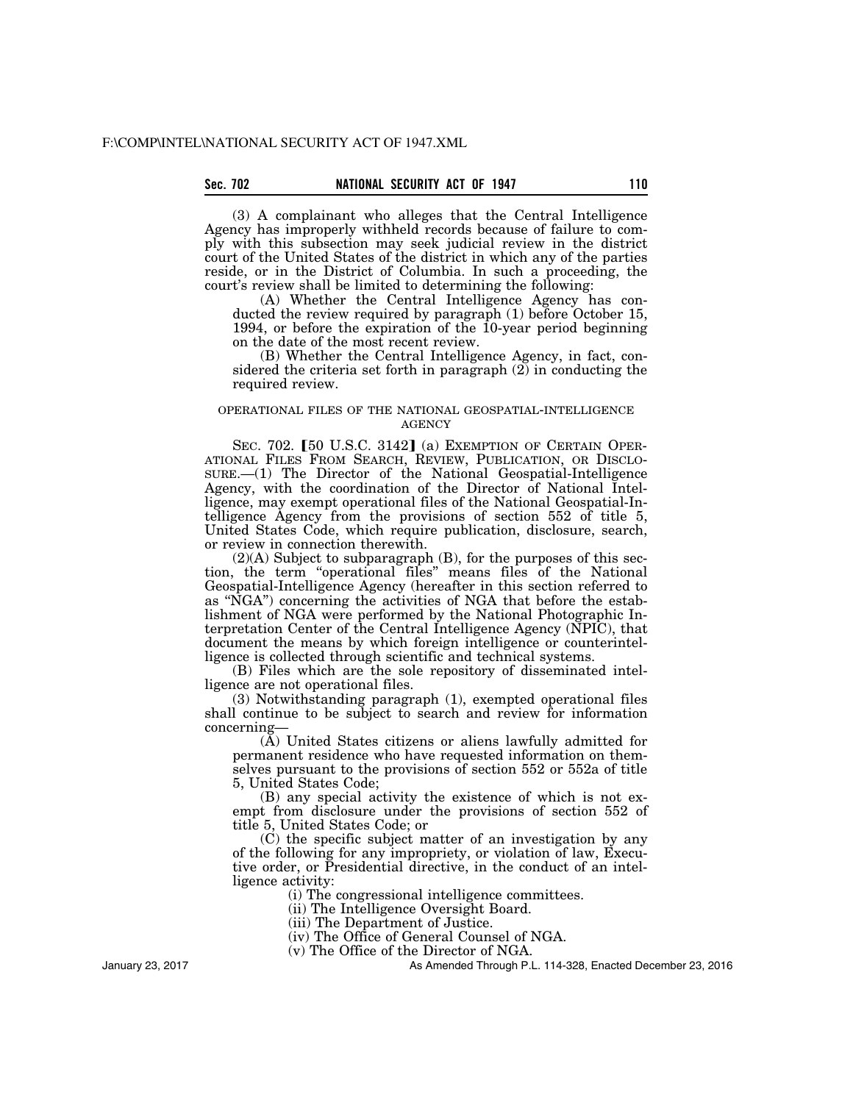## Sec. 702 **NATIONAL SECURITY ACT OF 1947** 110

(3) A complainant who alleges that the Central Intelligence Agency has improperly withheld records because of failure to comply with this subsection may seek judicial review in the district court of the United States of the district in which any of the parties reside, or in the District of Columbia. In such a proceeding, the court's review shall be limited to determining the following:

(A) Whether the Central Intelligence Agency has conducted the review required by paragraph (1) before October 15, 1994, or before the expiration of the 10-year period beginning on the date of the most recent review.

(B) Whether the Central Intelligence Agency, in fact, considered the criteria set forth in paragraph (2) in conducting the required review.

## OPERATIONAL FILES OF THE NATIONAL GEOSPATIAL-INTELLIGENCE **AGENCY**

SEC. 702. [50 U.S.C. 3142] (a) EXEMPTION OF CERTAIN OPER-ATIONAL FILES FROM SEARCH, REVIEW, PUBLICATION, OR DISCLO-SURE.—(1) The Director of the National Geospatial-Intelligence Agency, with the coordination of the Director of National Intelligence, may exempt operational files of the National Geospatial-Intelligence Agency from the provisions of section 552 of title 5, United States Code, which require publication, disclosure, search, or review in connection therewith.

(2)(A) Subject to subparagraph (B), for the purposes of this section, the term ''operational files'' means files of the National Geospatial-Intelligence Agency (hereafter in this section referred to as ''NGA'') concerning the activities of NGA that before the establishment of NGA were performed by the National Photographic Interpretation Center of the Central Intelligence Agency (NPIC), that document the means by which foreign intelligence or counterintelligence is collected through scientific and technical systems.

(B) Files which are the sole repository of disseminated intelligence are not operational files.

(3) Notwithstanding paragraph (1), exempted operational files shall continue to be subject to search and review for information concerning—

(A) United States citizens or aliens lawfully admitted for permanent residence who have requested information on themselves pursuant to the provisions of section 552 or 552a of title 5, United States Code;

(B) any special activity the existence of which is not exempt from disclosure under the provisions of section 552 of title 5, United States Code; or

(C) the specific subject matter of an investigation by any of the following for any impropriety, or violation of law, Executive order, or Presidential directive, in the conduct of an intelligence activity:

(i) The congressional intelligence committees.

(ii) The Intelligence Oversight Board.

(iii) The Department of Justice.

(iv) The Office of General Counsel of NGA.

(v) The Office of the Director of NGA.

As Amended Through P.L. 114-328, Enacted December 23, 2016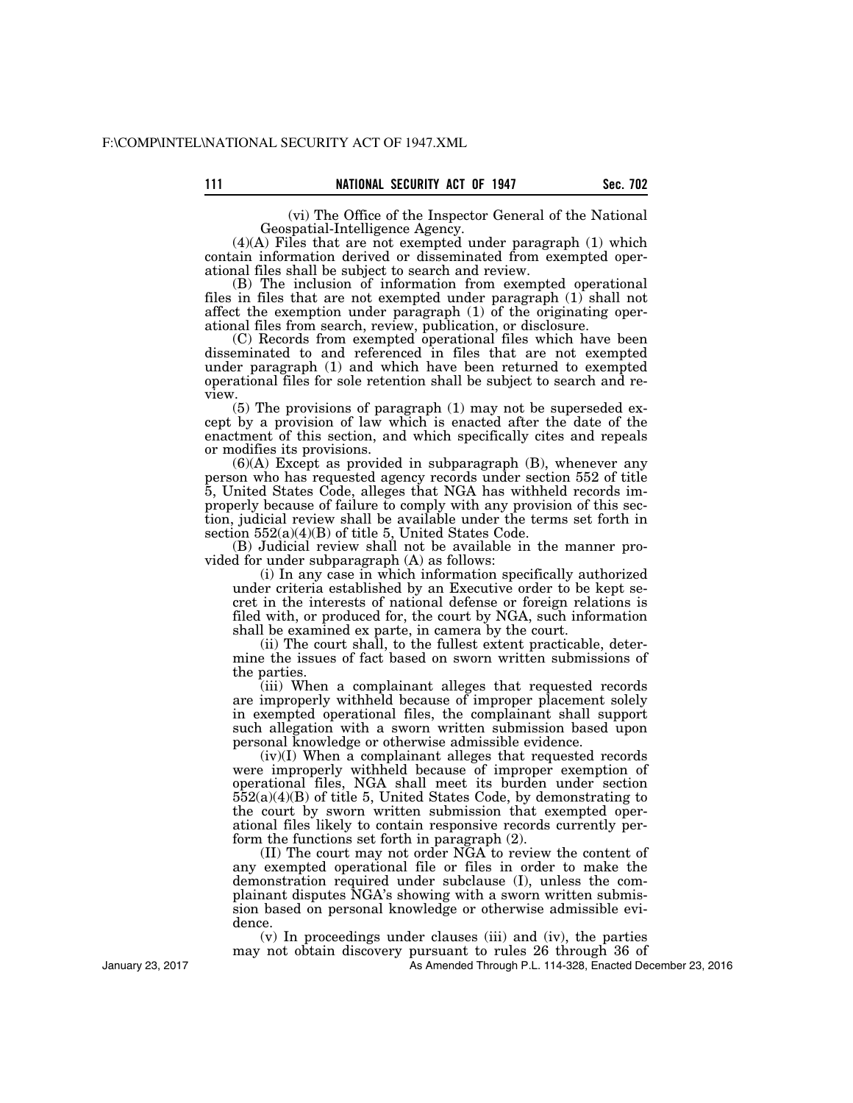(vi) The Office of the Inspector General of the National

Geospatial-Intelligence Agency.

(4)(A) Files that are not exempted under paragraph (1) which contain information derived or disseminated from exempted operational files shall be subject to search and review.

(B) The inclusion of information from exempted operational files in files that are not exempted under paragraph  $(1)$  shall not affect the exemption under paragraph (1) of the originating operational files from search, review, publication, or disclosure.

(C) Records from exempted operational files which have been disseminated to and referenced in files that are not exempted under paragraph (1) and which have been returned to exempted operational files for sole retention shall be subject to search and review.

(5) The provisions of paragraph (1) may not be superseded except by a provision of law which is enacted after the date of the enactment of this section, and which specifically cites and repeals or modifies its provisions.

 $(6)(A)$  Except as provided in subparagraph  $(B)$ , whenever any person who has requested agency records under section 552 of title 5, United States Code, alleges that NGA has withheld records improperly because of failure to comply with any provision of this section, judicial review shall be available under the terms set forth in section 552(a)(4)(B) of title 5, United States Code.

(B) Judicial review shall not be available in the manner provided for under subparagraph (A) as follows:

(i) In any case in which information specifically authorized under criteria established by an Executive order to be kept secret in the interests of national defense or foreign relations is filed with, or produced for, the court by NGA, such information shall be examined ex parte, in camera by the court.

(ii) The court shall, to the fullest extent practicable, determine the issues of fact based on sworn written submissions of the parties.

(iii) When a complainant alleges that requested records are improperly withheld because of improper placement solely in exempted operational files, the complainant shall support such allegation with a sworn written submission based upon personal knowledge or otherwise admissible evidence.

(iv)(I) When a complainant alleges that requested records were improperly withheld because of improper exemption of operational files, NGA shall meet its burden under section  $552(a)(4)(B)$  of title 5, United States Code, by demonstrating to the court by sworn written submission that exempted operational files likely to contain responsive records currently perform the functions set forth in paragraph (2).

(II) The court may not order NGA to review the content of any exempted operational file or files in order to make the demonstration required under subclause (I), unless the complainant disputes NGA's showing with a sworn written submission based on personal knowledge or otherwise admissible evidence.

(v) In proceedings under clauses (iii) and (iv), the parties may not obtain discovery pursuant to rules 26 through 36 of

As Amended Through P.L. 114-328, Enacted December 23, 2016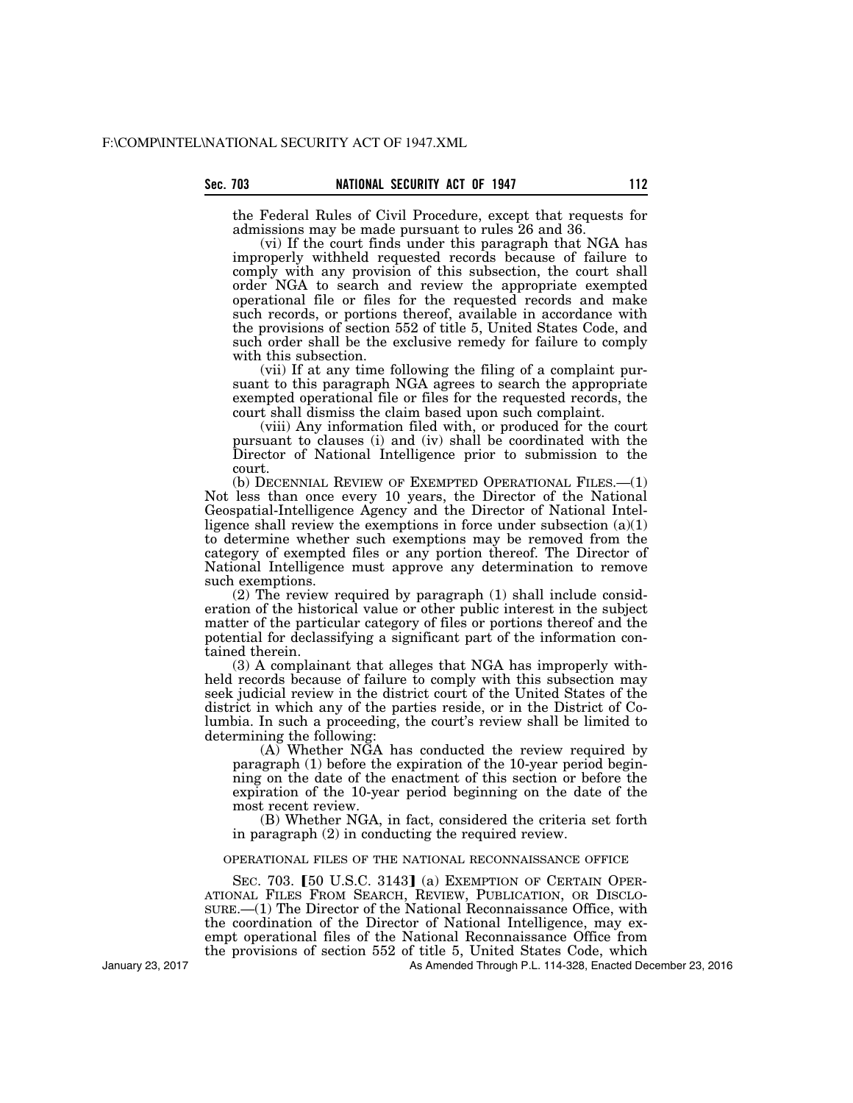the Federal Rules of Civil Procedure, except that requests for admissions may be made pursuant to rules 26 and 36.

(vi) If the court finds under this paragraph that NGA has improperly withheld requested records because of failure to comply with any provision of this subsection, the court shall order NGA to search and review the appropriate exempted operational file or files for the requested records and make such records, or portions thereof, available in accordance with the provisions of section 552 of title 5, United States Code, and such order shall be the exclusive remedy for failure to comply with this subsection.

(vii) If at any time following the filing of a complaint pursuant to this paragraph NGA agrees to search the appropriate exempted operational file or files for the requested records, the court shall dismiss the claim based upon such complaint.

(viii) Any information filed with, or produced for the court pursuant to clauses (i) and (iv) shall be coordinated with the Director of National Intelligence prior to submission to the court.

(b) DECENNIAL REVIEW OF EXEMPTED OPERATIONAL FILES.—(1) Not less than once every 10 years, the Director of the National Geospatial-Intelligence Agency and the Director of National Intelligence shall review the exemptions in force under subsection  $(a)(1)$ to determine whether such exemptions may be removed from the category of exempted files or any portion thereof. The Director of National Intelligence must approve any determination to remove such exemptions.

(2) The review required by paragraph (1) shall include consideration of the historical value or other public interest in the subject matter of the particular category of files or portions thereof and the potential for declassifying a significant part of the information contained therein.

(3) A complainant that alleges that NGA has improperly withheld records because of failure to comply with this subsection may seek judicial review in the district court of the United States of the district in which any of the parties reside, or in the District of Columbia. In such a proceeding, the court's review shall be limited to determining the following:

 $(A)$ <sup> $\bar{}$ </sup>Whether N $\bar{G}A$  has conducted the review required by paragraph (1) before the expiration of the 10-year period beginning on the date of the enactment of this section or before the expiration of the 10-year period beginning on the date of the most recent review.

(B) Whether NGA, in fact, considered the criteria set forth in paragraph (2) in conducting the required review.

#### OPERATIONAL FILES OF THE NATIONAL RECONNAISSANCE OFFICE

SEC. 703. [50 U.S.C. 3143] (a) EXEMPTION OF CERTAIN OPER-<br>ATIONAL FILES FROM SEARCH, REVIEW, PUBLICATION, OR DISCLO- $SURE.$  (1) The Director of the National Reconnaissance Office, with the coordination of the Director of National Intelligence, may exempt operational files of the National Reconnaissance Office from the provisions of section 552 of title 5, United States Code, which

As Amended Through P.L. 114-328, Enacted December 23, 2016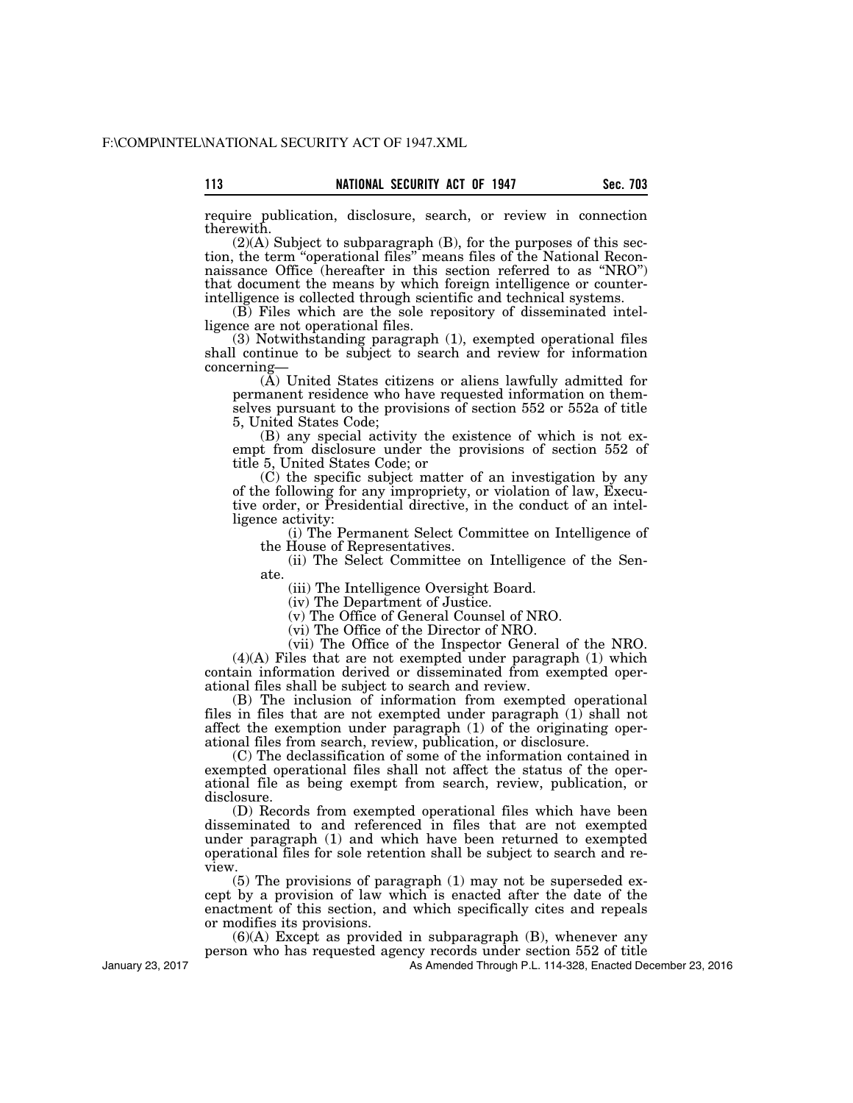require publication, disclosure, search, or review in connection therewith.

(2)(A) Subject to subparagraph (B), for the purposes of this section, the term ''operational files'' means files of the National Reconnaissance Office (hereafter in this section referred to as ''NRO'') that document the means by which foreign intelligence or counterintelligence is collected through scientific and technical systems.

(B) Files which are the sole repository of disseminated intelligence are not operational files.

(3) Notwithstanding paragraph (1), exempted operational files shall continue to be subject to search and review for information concerning—

(A) United States citizens or aliens lawfully admitted for permanent residence who have requested information on themselves pursuant to the provisions of section 552 or 552a of title 5, United States Code;

(B) any special activity the existence of which is not exempt from disclosure under the provisions of section 552 of title 5, United States Code; or

(C) the specific subject matter of an investigation by any of the following for any impropriety, or violation of law, Executive order, or Presidential directive, in the conduct of an intelligence activity:

(i) The Permanent Select Committee on Intelligence of the House of Representatives.

(ii) The Select Committee on Intelligence of the Senate.

(iii) The Intelligence Oversight Board.

(iv) The Department of Justice.

(v) The Office of General Counsel of NRO.

(vi) The Office of the Director of NRO.

(vii) The Office of the Inspector General of the NRO.  $(4)(A)$  Files that are not exempted under paragraph  $(1)$  which contain information derived or disseminated from exempted operational files shall be subject to search and review.

(B) The inclusion of information from exempted operational files in files that are not exempted under paragraph (1) shall not affect the exemption under paragraph (1) of the originating operational files from search, review, publication, or disclosure.

(C) The declassification of some of the information contained in exempted operational files shall not affect the status of the operational file as being exempt from search, review, publication, or disclosure.

(D) Records from exempted operational files which have been disseminated to and referenced in files that are not exempted under paragraph (1) and which have been returned to exempted operational files for sole retention shall be subject to search and review.

(5) The provisions of paragraph (1) may not be superseded except by a provision of law which is enacted after the date of the enactment of this section, and which specifically cites and repeals or modifies its provisions.

 $(6)(A)$  Except as provided in subparagraph  $(B)$ , whenever any person who has requested agency records under section 552 of title

As Amended Through P.L. 114-328, Enacted December 23, 2016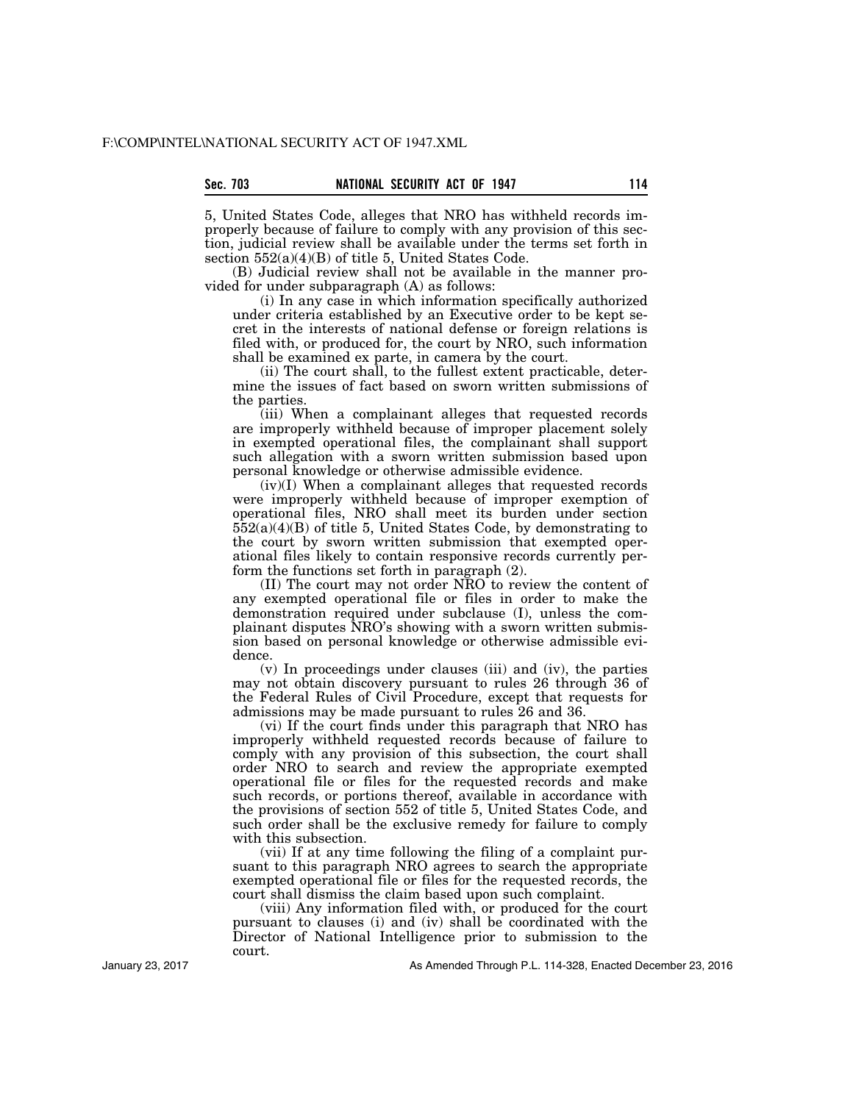5, United States Code, alleges that NRO has withheld records improperly because of failure to comply with any provision of this section, judicial review shall be available under the terms set forth in section 552(a)(4)(B) of title 5, United States Code.

(B) Judicial review shall not be available in the manner provided for under subparagraph (A) as follows:

(i) In any case in which information specifically authorized under criteria established by an Executive order to be kept secret in the interests of national defense or foreign relations is filed with, or produced for, the court by NRO, such information shall be examined ex parte, in camera by the court.

(ii) The court shall, to the fullest extent practicable, determine the issues of fact based on sworn written submissions of the parties.

(iii) When a complainant alleges that requested records are improperly withheld because of improper placement solely in exempted operational files, the complainant shall support such allegation with a sworn written submission based upon personal knowledge or otherwise admissible evidence.

(iv)(I) When a complainant alleges that requested records were improperly withheld because of improper exemption of operational files, NRO shall meet its burden under section 552(a)(4)(B) of title 5, United States Code, by demonstrating to the court by sworn written submission that exempted operational files likely to contain responsive records currently perform the functions set forth in paragraph (2).

(II) The court may not order NRO to review the content of any exempted operational file or files in order to make the demonstration required under subclause (I), unless the complainant disputes NRO's showing with a sworn written submission based on personal knowledge or otherwise admissible evidence.

(v) In proceedings under clauses (iii) and (iv), the parties may not obtain discovery pursuant to rules 26 through 36 of the Federal Rules of Civil Procedure, except that requests for admissions may be made pursuant to rules 26 and 36.

(vi) If the court finds under this paragraph that NRO has improperly withheld requested records because of failure to comply with any provision of this subsection, the court shall order NRO to search and review the appropriate exempted operational file or files for the requested records and make such records, or portions thereof, available in accordance with the provisions of section 552 of title 5, United States Code, and such order shall be the exclusive remedy for failure to comply with this subsection.

(vii) If at any time following the filing of a complaint pursuant to this paragraph NRO agrees to search the appropriate exempted operational file or files for the requested records, the court shall dismiss the claim based upon such complaint.

(viii) Any information filed with, or produced for the court pursuant to clauses (i) and (iv) shall be coordinated with the Director of National Intelligence prior to submission to the court.

As Amended Through P.L. 114-328, Enacted December 23, 2016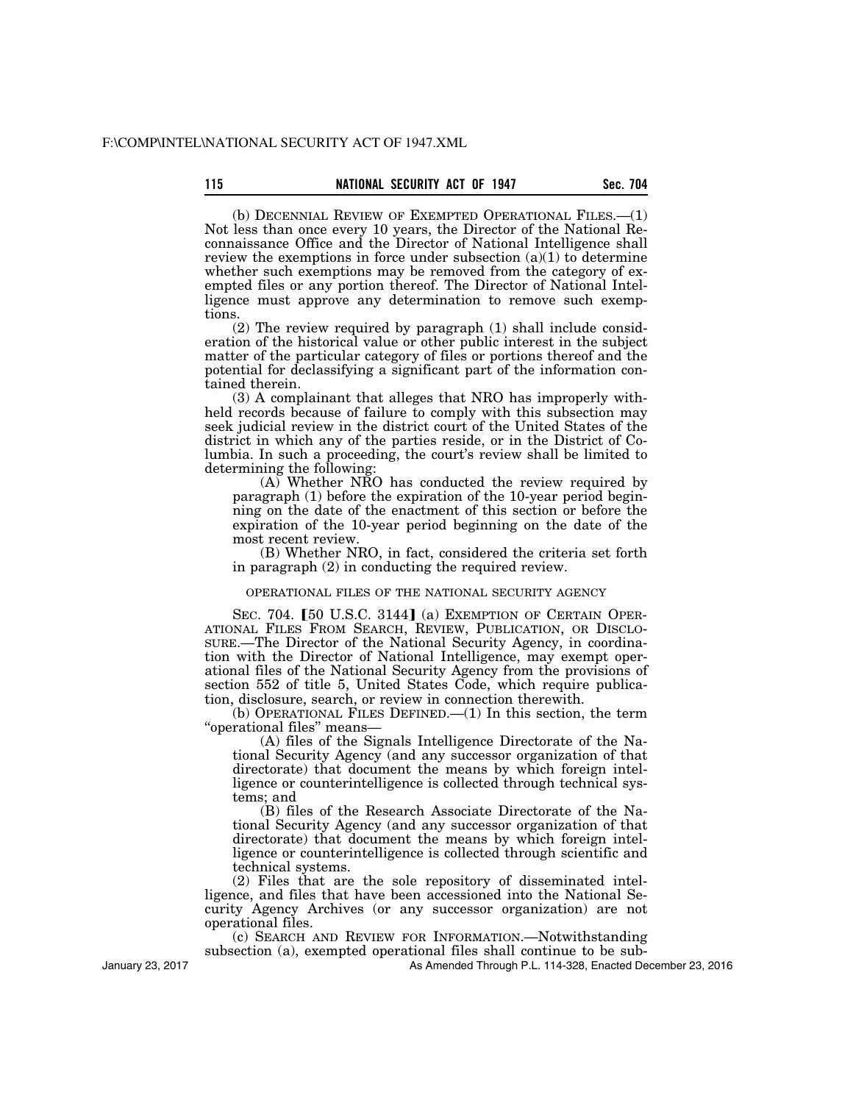(b) DECENNIAL REVIEW OF EXEMPTED OPERATIONAL FILES.—(1) Not less than once every 10 years, the Director of the National Reconnaissance Office and the Director of National Intelligence shall review the exemptions in force under subsection  $(a)(1)$  to determine whether such exemptions may be removed from the category of exempted files or any portion thereof. The Director of National Intelligence must approve any determination to remove such exemptions.

(2) The review required by paragraph (1) shall include consideration of the historical value or other public interest in the subject matter of the particular category of files or portions thereof and the potential for declassifying a significant part of the information contained therein.

(3) A complainant that alleges that NRO has improperly withheld records because of failure to comply with this subsection may seek judicial review in the district court of the United States of the district in which any of the parties reside, or in the District of Columbia. In such a proceeding, the court's review shall be limited to determining the following:

(A) Whether NRO has conducted the review required by paragraph (1) before the expiration of the 10-year period beginning on the date of the enactment of this section or before the expiration of the 10-year period beginning on the date of the most recent review.

(B) Whether NRO, in fact, considered the criteria set forth in paragraph (2) in conducting the required review.

## OPERATIONAL FILES OF THE NATIONAL SECURITY AGENCY

SEC. 704. [50 U.S.C. 3144] (a) EXEMPTION OF CERTAIN OPER-ATIONAL FILES FROM SEARCH, REVIEW, PUBLICATION, OR DISCLO-SURE.—The Director of the National Security Agency, in coordination with the Director of National Intelligence, may exempt operational files of the National Security Agency from the provisions of section 552 of title 5, United States Code, which require publication, disclosure, search, or review in connection therewith.

(b) OPERATIONAL FILES DEFINED.—(1) In this section, the term ''operational files'' means—

(A) files of the Signals Intelligence Directorate of the National Security Agency (and any successor organization of that directorate) that document the means by which foreign intelligence or counterintelligence is collected through technical systems; and

(B) files of the Research Associate Directorate of the National Security Agency (and any successor organization of that directorate) that document the means by which foreign intelligence or counterintelligence is collected through scientific and technical systems.

(2) Files that are the sole repository of disseminated intelligence, and files that have been accessioned into the National Security Agency Archives (or any successor organization) are not operational files.

(c) SEARCH AND REVIEW FOR INFORMATION.—Notwithstanding subsection (a), exempted operational files shall continue to be sub-

As Amended Through P.L. 114-328, Enacted December 23, 2016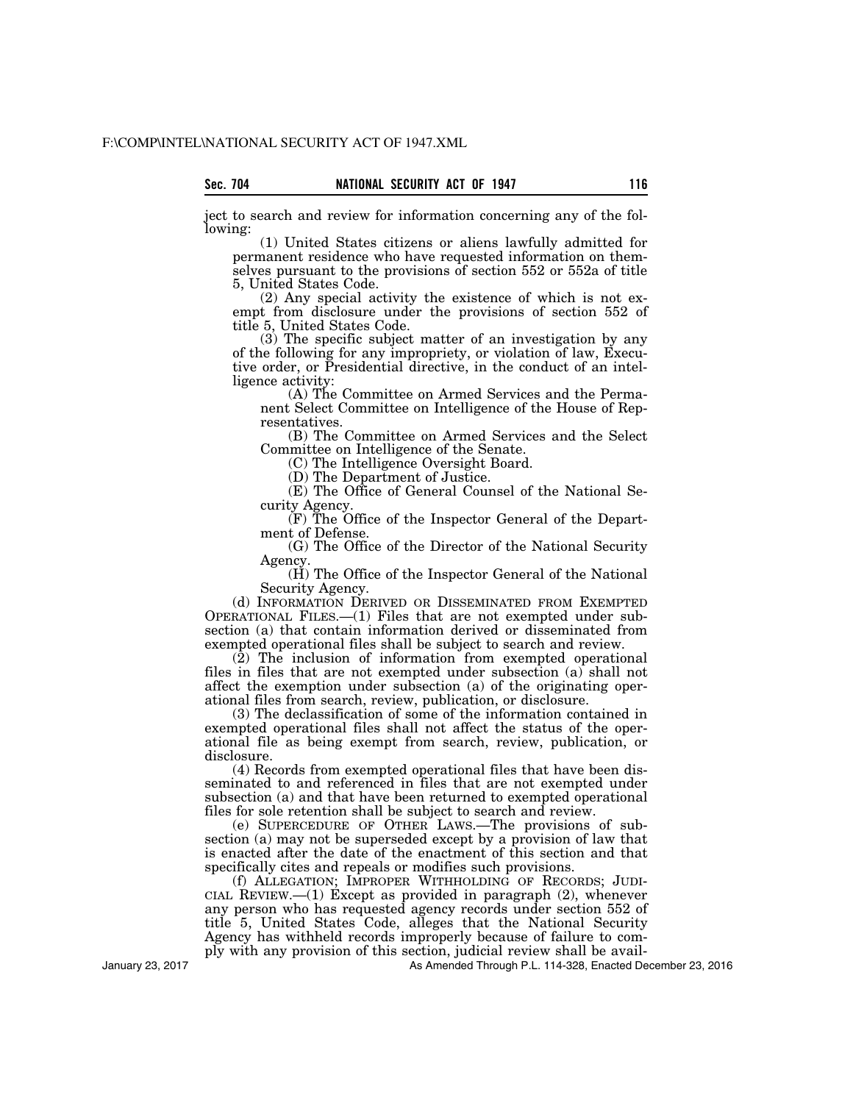ject to search and review for information concerning any of the following:

(1) United States citizens or aliens lawfully admitted for permanent residence who have requested information on themselves pursuant to the provisions of section 552 or 552a of title 5, United States Code.

(2) Any special activity the existence of which is not exempt from disclosure under the provisions of section 552 of title 5, United States Code.

(3) The specific subject matter of an investigation by any of the following for any impropriety, or violation of law, Executive order, or Presidential directive, in the conduct of an intelligence activity:

(A) The Committee on Armed Services and the Permanent Select Committee on Intelligence of the House of Representatives.

(B) The Committee on Armed Services and the Select Committee on Intelligence of the Senate.

(C) The Intelligence Oversight Board.

(D) The Department of Justice.

(E) The Office of General Counsel of the National Security Agency.

(F) The Office of the Inspector General of the Department of Defense.

(G) The Office of the Director of the National Security Agency.

(H) The Office of the Inspector General of the National Security Agency.

(d) INFORMATION DERIVED OR DISSEMINATED FROM EXEMPTED OPERATIONAL FILES.—(1) Files that are not exempted under subsection (a) that contain information derived or disseminated from exempted operational files shall be subject to search and review.

(2) The inclusion of information from exempted operational files in files that are not exempted under subsection (a) shall not affect the exemption under subsection (a) of the originating operational files from search, review, publication, or disclosure.

(3) The declassification of some of the information contained in exempted operational files shall not affect the status of the operational file as being exempt from search, review, publication, or disclosure.

(4) Records from exempted operational files that have been disseminated to and referenced in files that are not exempted under subsection (a) and that have been returned to exempted operational files for sole retention shall be subject to search and review.

(e) SUPERCEDURE OF OTHER LAWS.—The provisions of subsection (a) may not be superseded except by a provision of law that is enacted after the date of the enactment of this section and that specifically cites and repeals or modifies such provisions.

(f) ALLEGATION; IMPROPER WITHHOLDING OF RECORDS; JUDI-CIAL REVIEW. $-$ (1) Except as provided in paragraph (2), whenever any person who has requested agency records under section 552 of title 5, United States Code, alleges that the National Security Agency has withheld records improperly because of failure to comply with any provision of this section, judicial review shall be avail-

As Amended Through P.L. 114-328, Enacted December 23, 2016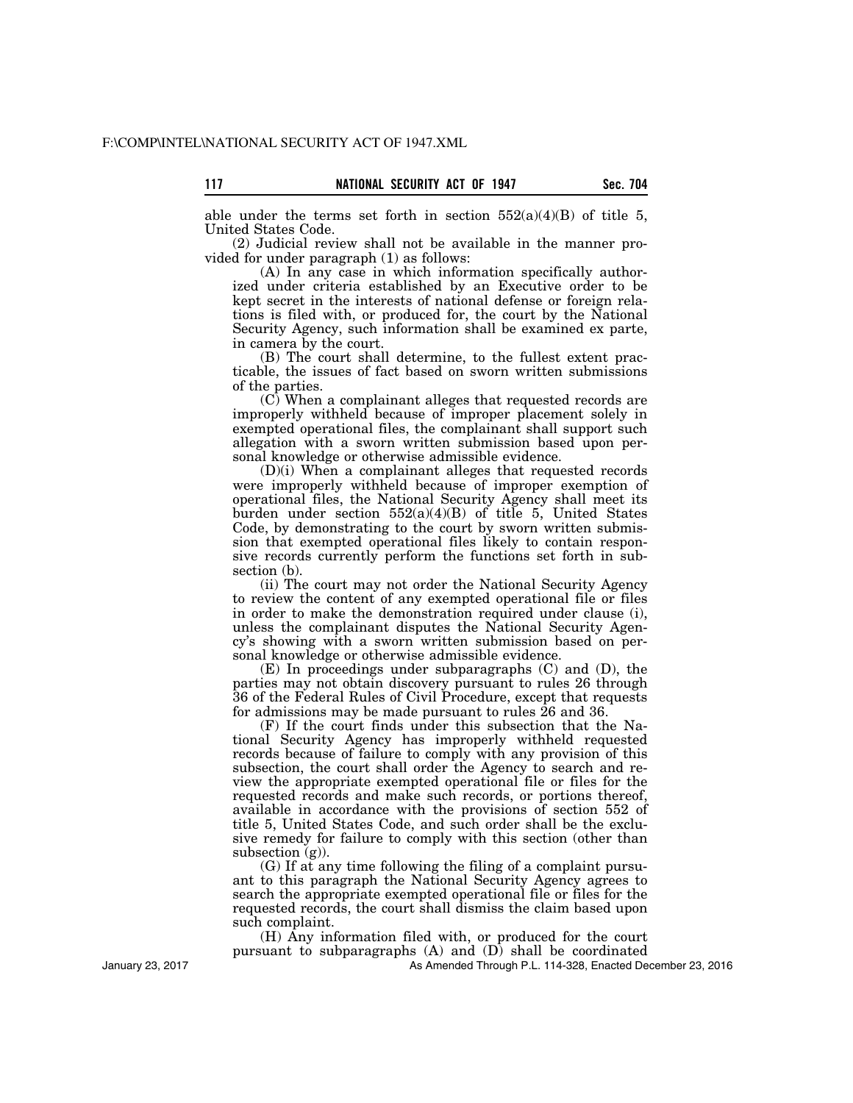able under the terms set forth in section  $552(a)(4)(B)$  of title 5, United States Code.

(2) Judicial review shall not be available in the manner provided for under paragraph (1) as follows:

(A) In any case in which information specifically authorized under criteria established by an Executive order to be kept secret in the interests of national defense or foreign relations is filed with, or produced for, the court by the National Security Agency, such information shall be examined ex parte, in camera by the court.

(B) The court shall determine, to the fullest extent practicable, the issues of fact based on sworn written submissions of the parties.

(C) When a complainant alleges that requested records are improperly withheld because of improper placement solely in exempted operational files, the complainant shall support such allegation with a sworn written submission based upon personal knowledge or otherwise admissible evidence.

(D)(i) When a complainant alleges that requested records were improperly withheld because of improper exemption of operational files, the National Security Agency shall meet its burden under section 552(a)(4)(B) of title 5, United States Code, by demonstrating to the court by sworn written submission that exempted operational files likely to contain responsive records currently perform the functions set forth in subsection (b).

(ii) The court may not order the National Security Agency to review the content of any exempted operational file or files in order to make the demonstration required under clause (i), unless the complainant disputes the National Security Agency's showing with a sworn written submission based on personal knowledge or otherwise admissible evidence.

(E) In proceedings under subparagraphs (C) and (D), the parties may not obtain discovery pursuant to rules 26 through 36 of the Federal Rules of Civil Procedure, except that requests for admissions may be made pursuant to rules 26 and 36.

(F) If the court finds under this subsection that the National Security Agency has improperly withheld requested records because of failure to comply with any provision of this subsection, the court shall order the Agency to search and review the appropriate exempted operational file or files for the requested records and make such records, or portions thereof, available in accordance with the provisions of section 552 of title 5, United States Code, and such order shall be the exclusive remedy for failure to comply with this section (other than subsection  $(g)$ ).

(G) If at any time following the filing of a complaint pursuant to this paragraph the National Security Agency agrees to search the appropriate exempted operational file or files for the requested records, the court shall dismiss the claim based upon such complaint.

(H) Any information filed with, or produced for the court pursuant to subparagraphs (A) and (D) shall be coordinated

As Amended Through P.L. 114-328, Enacted December 23, 2016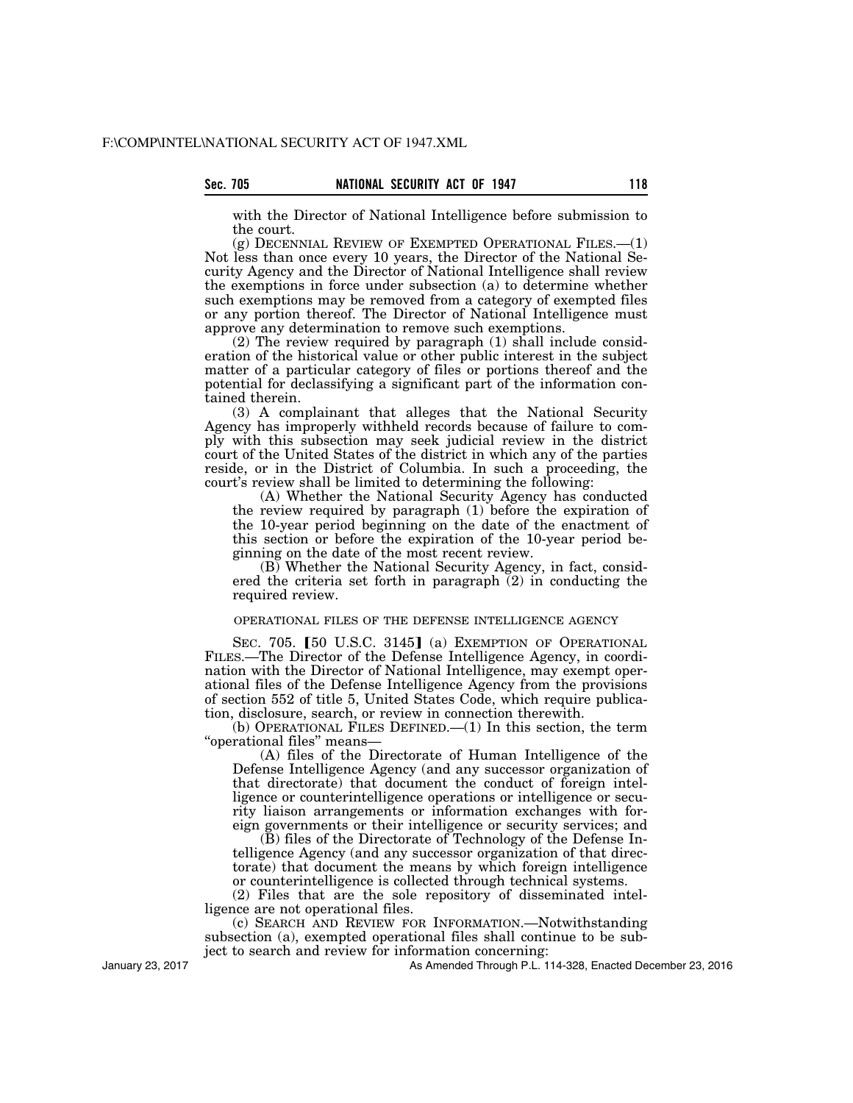with the Director of National Intelligence before submission to the court.

(g) DECENNIAL REVIEW OF EXEMPTED OPERATIONAL FILES.—(1) Not less than once every 10 years, the Director of the National Security Agency and the Director of National Intelligence shall review the exemptions in force under subsection (a) to determine whether such exemptions may be removed from a category of exempted files or any portion thereof. The Director of National Intelligence must approve any determination to remove such exemptions.

(2) The review required by paragraph (1) shall include consideration of the historical value or other public interest in the subject matter of a particular category of files or portions thereof and the potential for declassifying a significant part of the information contained therein.

(3) A complainant that alleges that the National Security Agency has improperly withheld records because of failure to comply with this subsection may seek judicial review in the district court of the United States of the district in which any of the parties reside, or in the District of Columbia. In such a proceeding, the court's review shall be limited to determining the following:

(A) Whether the National Security Agency has conducted the review required by paragraph (1) before the expiration of the 10-year period beginning on the date of the enactment of this section or before the expiration of the 10-year period beginning on the date of the most recent review.

(B) Whether the National Security Agency, in fact, considered the criteria set forth in paragraph (2) in conducting the required review.

#### OPERATIONAL FILES OF THE DEFENSE INTELLIGENCE AGENCY

SEC. 705. [50 U.S.C. 3145] (a) EXEMPTION OF OPERATIONAL FILES.—The Director of the Defense Intelligence Agency, in coordination with the Director of National Intelligence, may exempt operational files of the Defense Intelligence Agency from the provisions of section 552 of title 5, United States Code, which require publication, disclosure, search, or review in connection therewith.

(b) OPERATIONAL FILES DEFINED.—(1) In this section, the term ''operational files'' means—

(A) files of the Directorate of Human Intelligence of the Defense Intelligence Agency (and any successor organization of that directorate) that document the conduct of foreign intelligence or counterintelligence operations or intelligence or security liaison arrangements or information exchanges with foreign governments or their intelligence or security services; and

(B) files of the Directorate of Technology of the Defense Intelligence Agency (and any successor organization of that directorate) that document the means by which foreign intelligence or counterintelligence is collected through technical systems.

(2) Files that are the sole repository of disseminated intelligence are not operational files.

(c) SEARCH AND REVIEW FOR INFORMATION.—Notwithstanding subsection (a), exempted operational files shall continue to be subject to search and review for information concerning:

January 23, 2017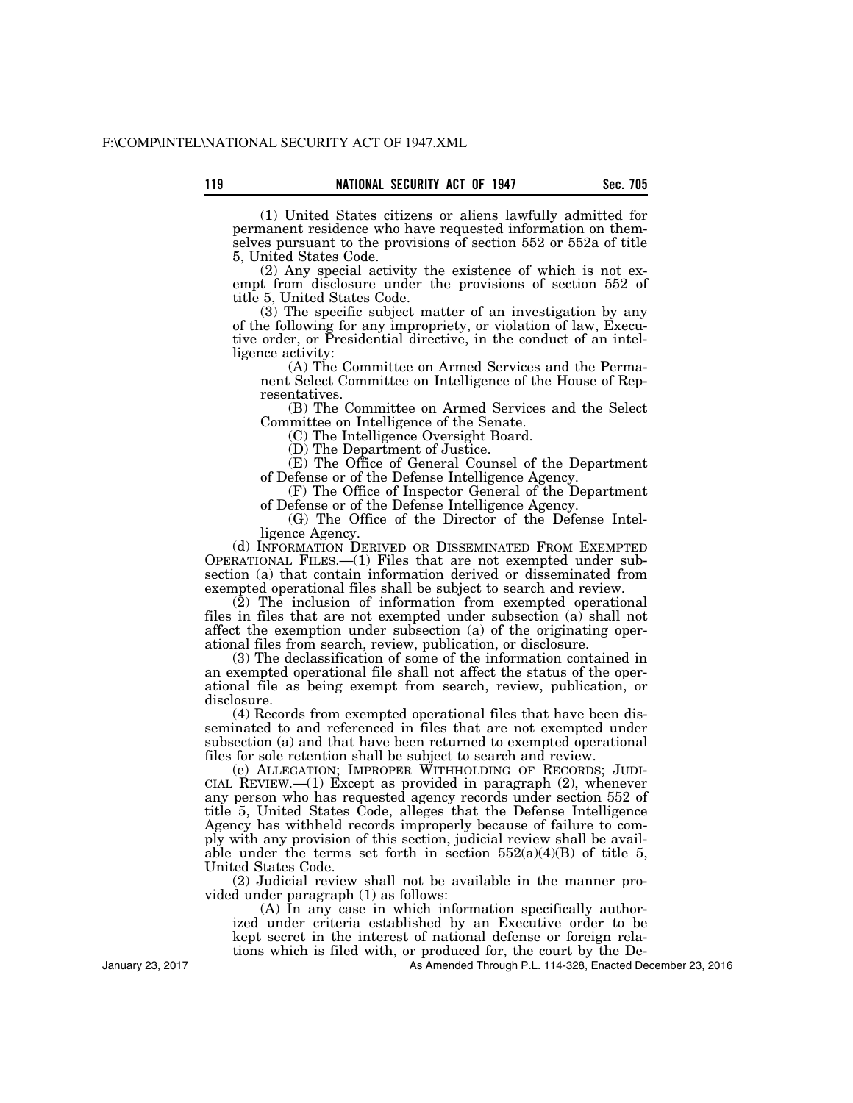(1) United States citizens or aliens lawfully admitted for permanent residence who have requested information on themselves pursuant to the provisions of section 552 or 552a of title 5, United States Code.

(2) Any special activity the existence of which is not exempt from disclosure under the provisions of section 552 of title 5, United States Code.

(3) The specific subject matter of an investigation by any of the following for any impropriety, or violation of law, Executive order, or Presidential directive, in the conduct of an intelligence activity:

(A) The Committee on Armed Services and the Permanent Select Committee on Intelligence of the House of Representatives.

(B) The Committee on Armed Services and the Select Committee on Intelligence of the Senate.

(C) The Intelligence Oversight Board.

(D) The Department of Justice.

(E) The Office of General Counsel of the Department of Defense or of the Defense Intelligence Agency.

(F) The Office of Inspector General of the Department of Defense or of the Defense Intelligence Agency.

(G) The Office of the Director of the Defense Intelligence Agency.

(d) INFORMATION DERIVED OR DISSEMINATED FROM EXEMPTED OPERATIONAL FILES.—(1) Files that are not exempted under subsection (a) that contain information derived or disseminated from exempted operational files shall be subject to search and review.

(2) The inclusion of information from exempted operational files in files that are not exempted under subsection (a) shall not affect the exemption under subsection (a) of the originating operational files from search, review, publication, or disclosure.

(3) The declassification of some of the information contained in an exempted operational file shall not affect the status of the operational file as being exempt from search, review, publication, or disclosure.

(4) Records from exempted operational files that have been disseminated to and referenced in files that are not exempted under subsection (a) and that have been returned to exempted operational files for sole retention shall be subject to search and review.

(e) ALLEGATION; IMPROPER WITHHOLDING OF RECORDS; JUDI-CIAL REVIEW.— $(1)$  Except as provided in paragraph  $(2)$ , whenever any person who has requested agency records under section 552 of title 5, United States Code, alleges that the Defense Intelligence Agency has withheld records improperly because of failure to comply with any provision of this section, judicial review shall be available under the terms set forth in section  $552(a)(4)(B)$  of title 5, United States Code.

(2) Judicial review shall not be available in the manner provided under paragraph (1) as follows:

(A) In any case in which information specifically authorized under criteria established by an Executive order to be kept secret in the interest of national defense or foreign relations which is filed with, or produced for, the court by the De-

As Amended Through P.L. 114-328, Enacted December 23, 2016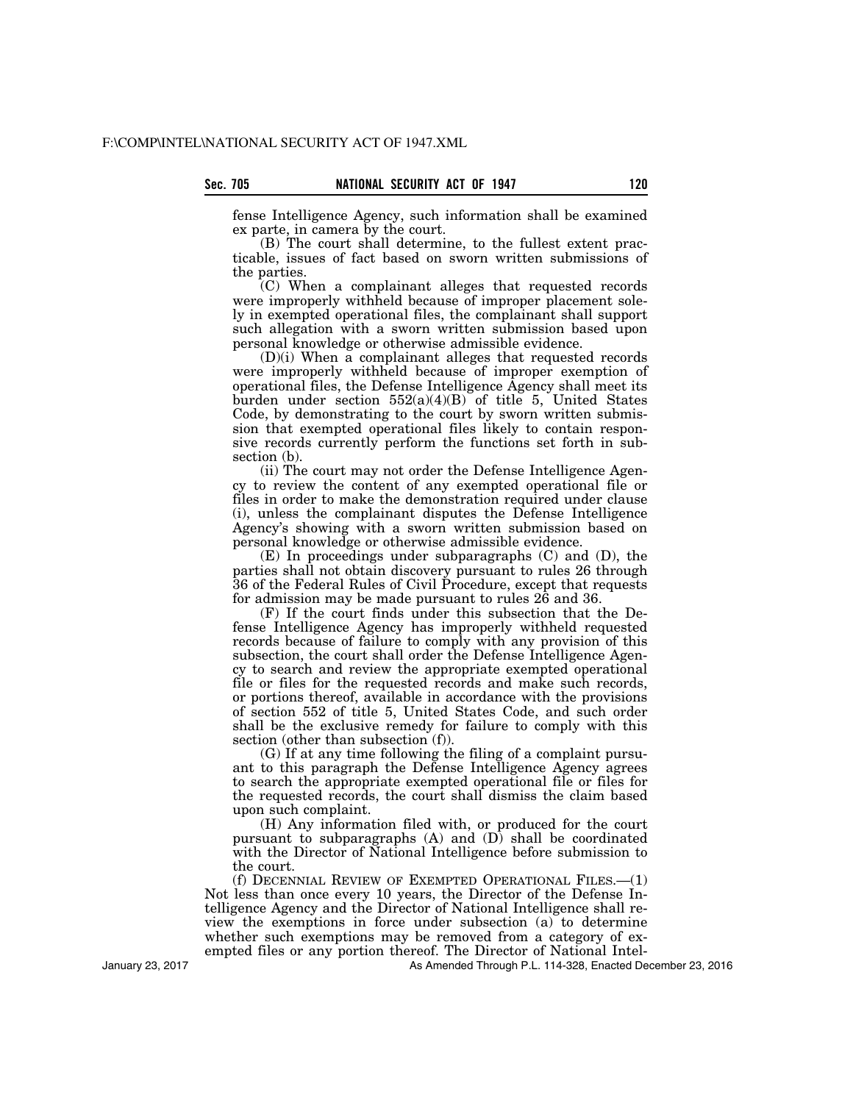fense Intelligence Agency, such information shall be examined ex parte, in camera by the court.

(B) The court shall determine, to the fullest extent practicable, issues of fact based on sworn written submissions of the parties.

(C) When a complainant alleges that requested records were improperly withheld because of improper placement solely in exempted operational files, the complainant shall support such allegation with a sworn written submission based upon personal knowledge or otherwise admissible evidence.

(D)(i) When a complainant alleges that requested records were improperly withheld because of improper exemption of operational files, the Defense Intelligence Agency shall meet its burden under section  $552(a)(4)(B)$  of title 5, United States Code, by demonstrating to the court by sworn written submission that exempted operational files likely to contain responsive records currently perform the functions set forth in subsection (b).

(ii) The court may not order the Defense Intelligence Agency to review the content of any exempted operational file or files in order to make the demonstration required under clause (i), unless the complainant disputes the Defense Intelligence Agency's showing with a sworn written submission based on personal knowledge or otherwise admissible evidence.

(E) In proceedings under subparagraphs (C) and (D), the parties shall not obtain discovery pursuant to rules 26 through 36 of the Federal Rules of Civil Procedure, except that requests for admission may be made pursuant to rules 26 and 36.

(F) If the court finds under this subsection that the Defense Intelligence Agency has improperly withheld requested records because of failure to comply with any provision of this subsection, the court shall order the Defense Intelligence Agency to search and review the appropriate exempted operational file or files for the requested records and make such records, or portions thereof, available in accordance with the provisions of section 552 of title 5, United States Code, and such order shall be the exclusive remedy for failure to comply with this section (other than subsection (f)).

(G) If at any time following the filing of a complaint pursuant to this paragraph the Defense Intelligence Agency agrees to search the appropriate exempted operational file or files for the requested records, the court shall dismiss the claim based upon such complaint.

(H) Any information filed with, or produced for the court pursuant to subparagraphs (A) and (D) shall be coordinated with the Director of National Intelligence before submission to the court.

(f) DECENNIAL REVIEW OF EXEMPTED OPERATIONAL FILES.—(1) Not less than once every 10 years, the Director of the Defense Intelligence Agency and the Director of National Intelligence shall review the exemptions in force under subsection (a) to determine whether such exemptions may be removed from a category of exempted files or any portion thereof. The Director of National Intel-

As Amended Through P.L. 114-328, Enacted December 23, 2016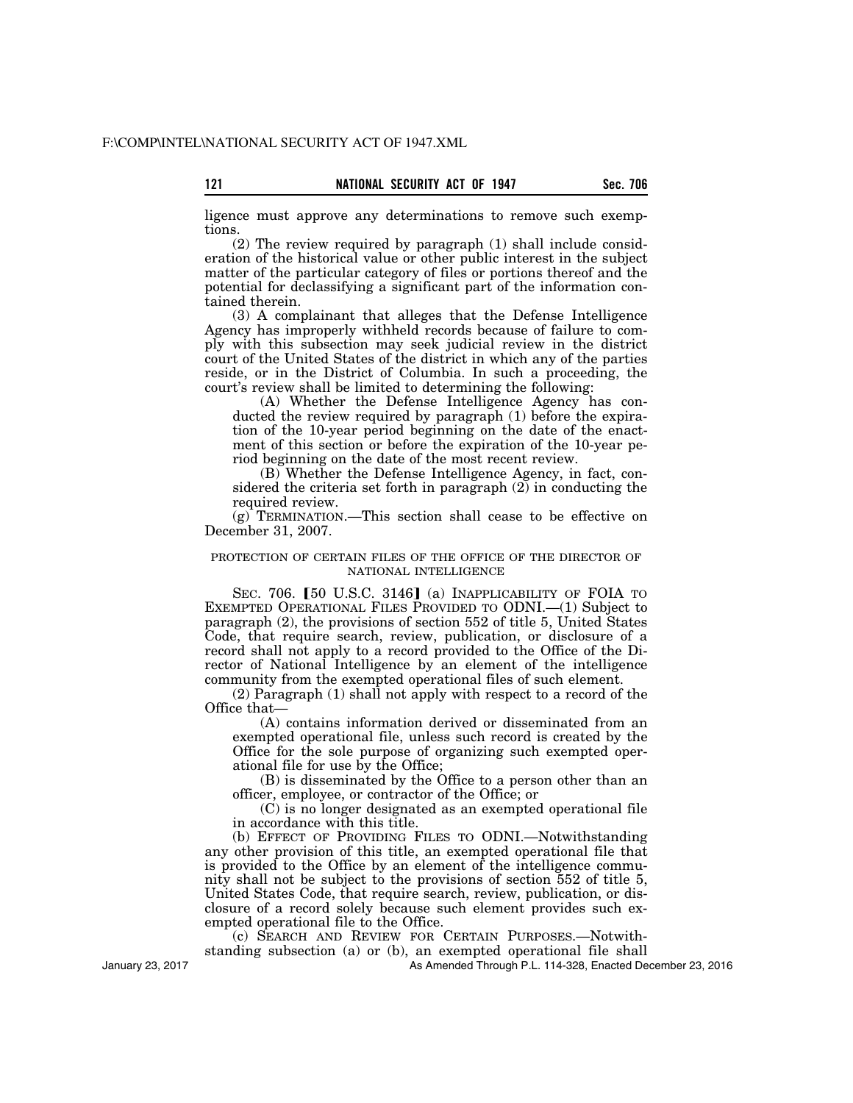ligence must approve any determinations to remove such exemptions.

(2) The review required by paragraph (1) shall include consideration of the historical value or other public interest in the subject matter of the particular category of files or portions thereof and the potential for declassifying a significant part of the information contained therein.

(3) A complainant that alleges that the Defense Intelligence Agency has improperly withheld records because of failure to comply with this subsection may seek judicial review in the district court of the United States of the district in which any of the parties reside, or in the District of Columbia. In such a proceeding, the court's review shall be limited to determining the following:

(A) Whether the Defense Intelligence Agency has conducted the review required by paragraph (1) before the expiration of the 10-year period beginning on the date of the enactment of this section or before the expiration of the 10-year period beginning on the date of the most recent review.

(B) Whether the Defense Intelligence Agency, in fact, considered the criteria set forth in paragraph (2) in conducting the required review.

(g) TERMINATION.—This section shall cease to be effective on December 31, 2007.

## PROTECTION OF CERTAIN FILES OF THE OFFICE OF THE DIRECTOR OF NATIONAL INTELLIGENCE

SEC. 706. [50 U.S.C. 3146] (a) INAPPLICABILITY OF FOIA TO EXEMPTED OPERATIONAL FILES PROVIDED TO ODNI.—(1) Subject to paragraph (2), the provisions of section 552 of title 5, United States Code, that require search, review, publication, or disclosure of a record shall not apply to a record provided to the Office of the Director of National Intelligence by an element of the intelligence community from the exempted operational files of such element.

(2) Paragraph (1) shall not apply with respect to a record of the Office that—

(A) contains information derived or disseminated from an exempted operational file, unless such record is created by the Office for the sole purpose of organizing such exempted operational file for use by the Office;

(B) is disseminated by the Office to a person other than an officer, employee, or contractor of the Office; or

(C) is no longer designated as an exempted operational file in accordance with this title.

(b) EFFECT OF PROVIDING FILES TO ODNI.—Notwithstanding any other provision of this title, an exempted operational file that is provided to the Office by an element of the intelligence community shall not be subject to the provisions of section 552 of title 5, United States Code, that require search, review, publication, or disclosure of a record solely because such element provides such exempted operational file to the Office.

(c) SEARCH AND REVIEW FOR CERTAIN PURPOSES.—Notwith-

standing subsection (a) or (b), an exempted operational file shall

As Amended Through P.L. 114-328, Enacted December 23, 2016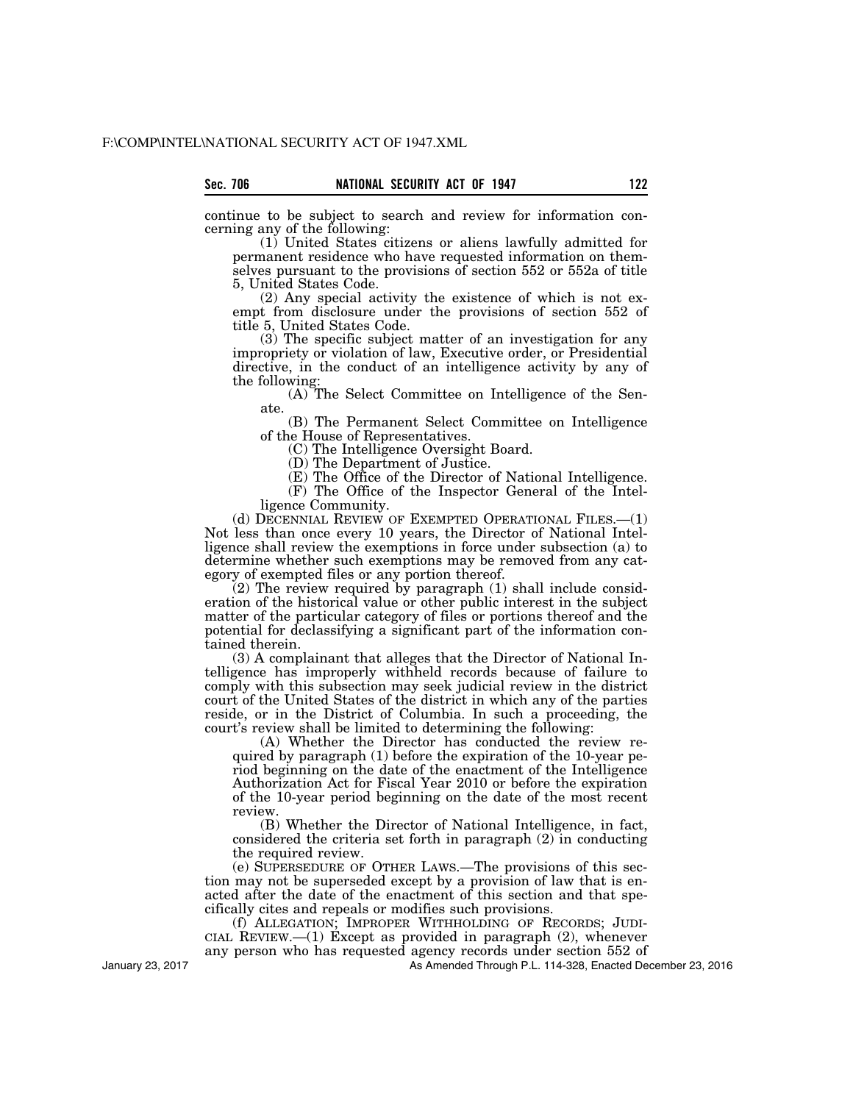continue to be subject to search and review for information concerning any of the following:

(1) United States citizens or aliens lawfully admitted for permanent residence who have requested information on themselves pursuant to the provisions of section 552 or 552a of title 5, United States Code.

(2) Any special activity the existence of which is not exempt from disclosure under the provisions of section 552 of title 5, United States Code.

(3) The specific subject matter of an investigation for any impropriety or violation of law, Executive order, or Presidential directive, in the conduct of an intelligence activity by any of the following:

(A) The Select Committee on Intelligence of the Senate.

(B) The Permanent Select Committee on Intelligence of the House of Representatives.

(C) The Intelligence Oversight Board.

(D) The Department of Justice.

(E) The Office of the Director of National Intelligence. (F) The Office of the Inspector General of the Intel-

ligence Community.

(d) DECENNIAL REVIEW OF EXEMPTED OPERATIONAL FILES.—(1) Not less than once every 10 years, the Director of National Intelligence shall review the exemptions in force under subsection (a) to determine whether such exemptions may be removed from any category of exempted files or any portion thereof.

(2) The review required by paragraph (1) shall include consideration of the historical value or other public interest in the subject matter of the particular category of files or portions thereof and the potential for declassifying a significant part of the information contained therein.

(3) A complainant that alleges that the Director of National Intelligence has improperly withheld records because of failure to comply with this subsection may seek judicial review in the district court of the United States of the district in which any of the parties reside, or in the District of Columbia. In such a proceeding, the court's review shall be limited to determining the following:

(A) Whether the Director has conducted the review required by paragraph (1) before the expiration of the 10-year period beginning on the date of the enactment of the Intelligence Authorization Act for Fiscal Year 2010 or before the expiration of the 10-year period beginning on the date of the most recent review.

(B) Whether the Director of National Intelligence, in fact, considered the criteria set forth in paragraph (2) in conducting the required review.

(e) SUPERSEDURE OF OTHER LAWS.—The provisions of this section may not be superseded except by a provision of law that is enacted after the date of the enactment of this section and that specifically cites and repeals or modifies such provisions.

(f) ALLEGATION; IMPROPER WITHHOLDING OF RECORDS; JUDI-CIAL REVIEW.—(1) Except as provided in paragraph  $(2)$ , whenever any person who has requested agency records under section 552 of

As Amended Through P.L. 114-328, Enacted December 23, 2016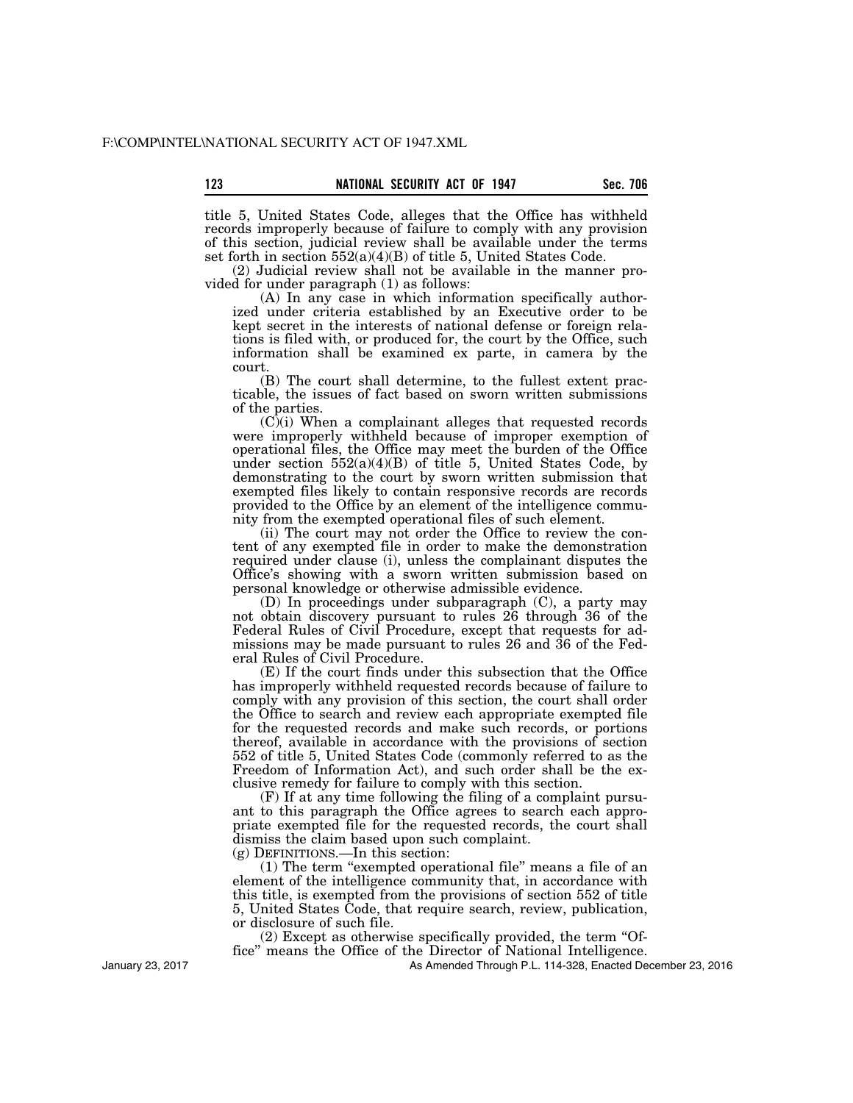title 5, United States Code, alleges that the Office has withheld records improperly because of failure to comply with any provision of this section, judicial review shall be available under the terms set forth in section 552(a)(4)(B) of title 5, United States Code.

(2) Judicial review shall not be available in the manner provided for under paragraph (1) as follows:

(A) In any case in which information specifically authorized under criteria established by an Executive order to be kept secret in the interests of national defense or foreign relations is filed with, or produced for, the court by the Office, such information shall be examined ex parte, in camera by the court.

(B) The court shall determine, to the fullest extent practicable, the issues of fact based on sworn written submissions of the parties.

 $(C)(i)$  When a complainant alleges that requested records were improperly withheld because of improper exemption of operational files, the Office may meet the burden of the Office under section  $552(a)(4)(B)$  of title 5, United States Code, by demonstrating to the court by sworn written submission that exempted files likely to contain responsive records are records provided to the Office by an element of the intelligence community from the exempted operational files of such element.

(ii) The court may not order the Office to review the content of any exempted file in order to make the demonstration required under clause (i), unless the complainant disputes the Office's showing with a sworn written submission based on personal knowledge or otherwise admissible evidence.

(D) In proceedings under subparagraph (C), a party may not obtain discovery pursuant to rules 26 through 36 of the Federal Rules of Civil Procedure, except that requests for admissions may be made pursuant to rules 26 and 36 of the Federal Rules of Civil Procedure.

(E) If the court finds under this subsection that the Office has improperly withheld requested records because of failure to comply with any provision of this section, the court shall order the Office to search and review each appropriate exempted file for the requested records and make such records, or portions thereof, available in accordance with the provisions of section 552 of title 5, United States Code (commonly referred to as the Freedom of Information Act), and such order shall be the exclusive remedy for failure to comply with this section.

(F) If at any time following the filing of a complaint pursuant to this paragraph the Office agrees to search each appropriate exempted file for the requested records, the court shall dismiss the claim based upon such complaint.

(g) DEFINITIONS.—In this section:

(1) The term ''exempted operational file'' means a file of an element of the intelligence community that, in accordance with this title, is exempted from the provisions of section 552 of title 5, United States Code, that require search, review, publication, or disclosure of such file.

(2) Except as otherwise specifically provided, the term ''Office'' means the Office of the Director of National Intelligence.

As Amended Through P.L. 114-328, Enacted December 23, 2016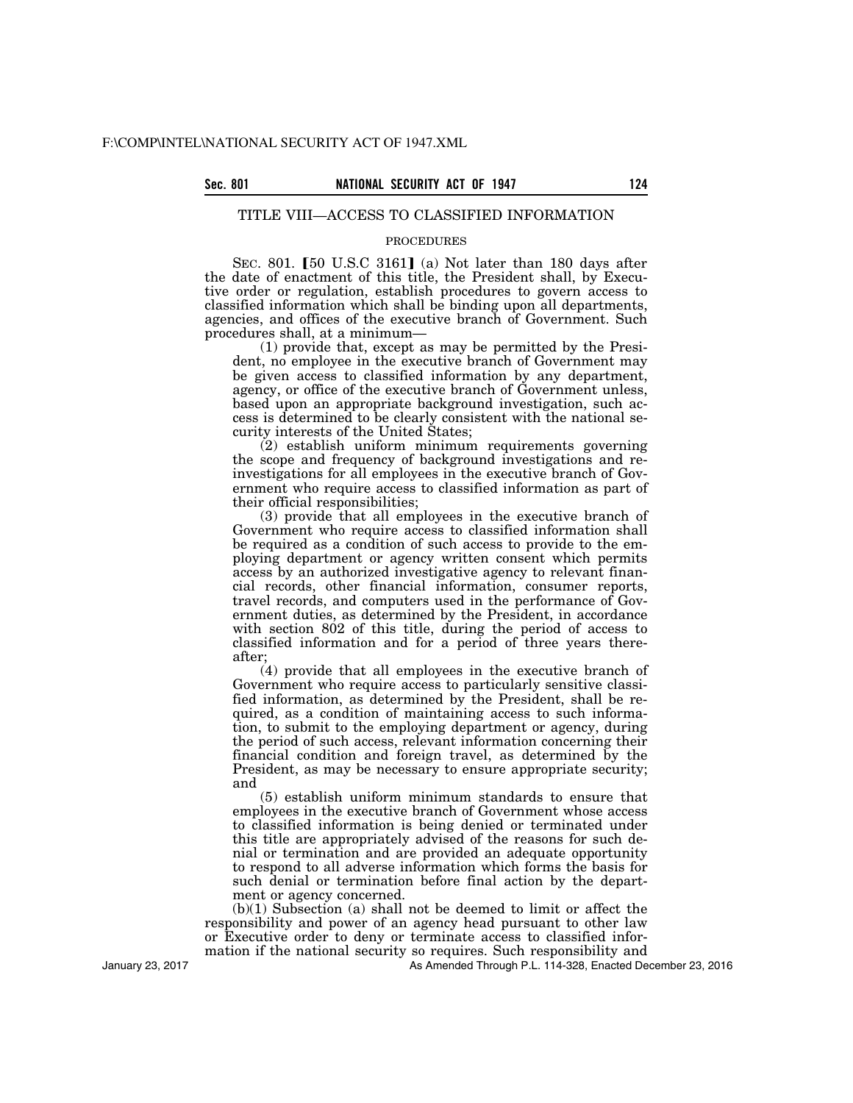# TITLE VIII—ACCESS TO CLASSIFIED INFORMATION

#### PROCEDURES

SEC. 801.  $\lceil 50 \text{ U.S.C } 3161 \rceil$  (a) Not later than 180 days after the date of enactment of this title, the President shall, by Executive order or regulation, establish procedures to govern access to classified information which shall be binding upon all departments, agencies, and offices of the executive branch of Government. Such procedures shall, at a minimum—

(1) provide that, except as may be permitted by the President, no employee in the executive branch of Government may be given access to classified information by any department, agency, or office of the executive branch of Government unless, based upon an appropriate background investigation, such access is determined to be clearly consistent with the national security interests of the United States;

(2) establish uniform minimum requirements governing the scope and frequency of background investigations and reinvestigations for all employees in the executive branch of Government who require access to classified information as part of their official responsibilities;

(3) provide that all employees in the executive branch of Government who require access to classified information shall be required as a condition of such access to provide to the employing department or agency written consent which permits access by an authorized investigative agency to relevant financial records, other financial information, consumer reports, travel records, and computers used in the performance of Government duties, as determined by the President, in accordance with section 802 of this title, during the period of access to classified information and for a period of three years thereafter;

(4) provide that all employees in the executive branch of Government who require access to particularly sensitive classified information, as determined by the President, shall be required, as a condition of maintaining access to such information, to submit to the employing department or agency, during the period of such access, relevant information concerning their financial condition and foreign travel, as determined by the President, as may be necessary to ensure appropriate security; and

(5) establish uniform minimum standards to ensure that employees in the executive branch of Government whose access to classified information is being denied or terminated under this title are appropriately advised of the reasons for such denial or termination and are provided an adequate opportunity to respond to all adverse information which forms the basis for such denial or termination before final action by the department or agency concerned.

(b)(1) Subsection (a) shall not be deemed to limit or affect the responsibility and power of an agency head pursuant to other law or Executive order to deny or terminate access to classified information if the national security so requires. Such responsibility and

As Amended Through P.L. 114-328, Enacted December 23, 2016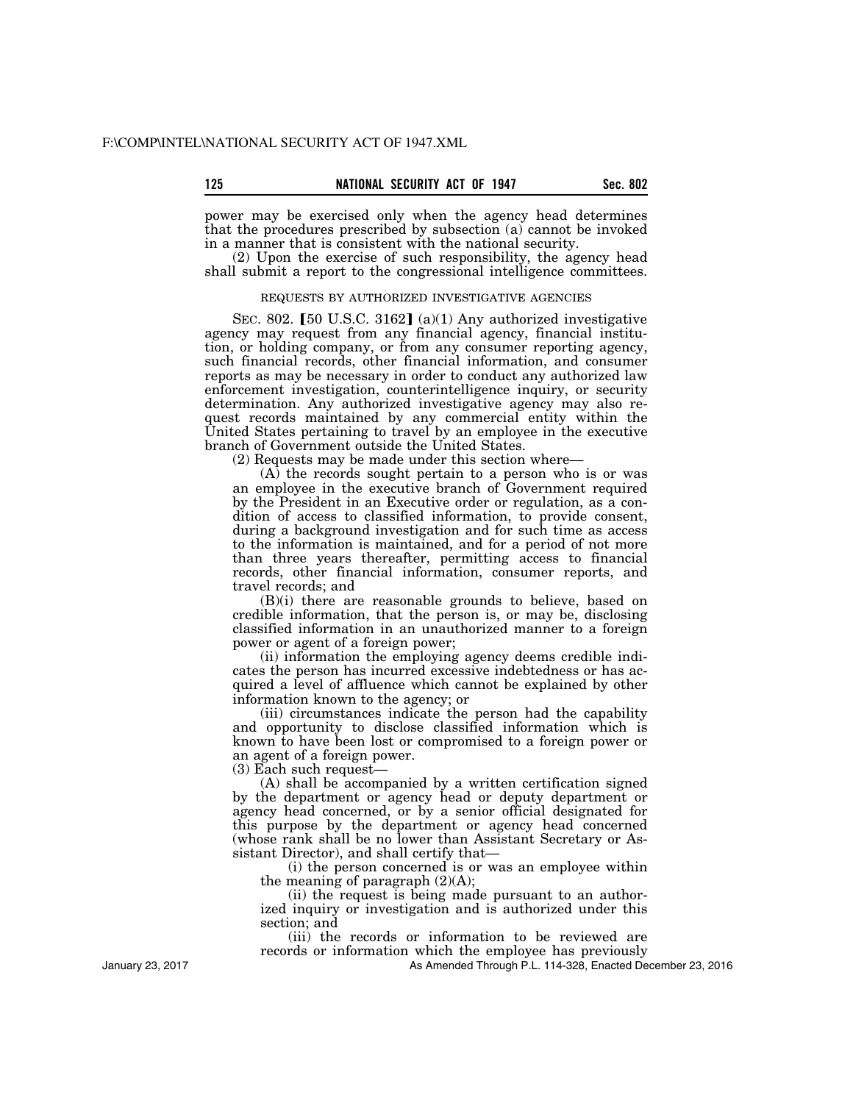power may be exercised only when the agency head determines that the procedures prescribed by subsection (a) cannot be invoked in a manner that is consistent with the national security.

(2) Upon the exercise of such responsibility, the agency head shall submit a report to the congressional intelligence committees.

## REQUESTS BY AUTHORIZED INVESTIGATIVE AGENCIES

SEC. 802. [50 U.S.C. 3162] (a)(1) Any authorized investigative agency may request from any financial agency, financial institution, or holding company, or from any consumer reporting agency, such financial records, other financial information, and consumer reports as may be necessary in order to conduct any authorized law enforcement investigation, counterintelligence inquiry, or security determination. Any authorized investigative agency may also request records maintained by any commercial entity within the United States pertaining to travel by an employee in the executive branch of Government outside the United States.

(2) Requests may be made under this section where—

 $(A)$  the records sought pertain to a person who is or was an employee in the executive branch of Government required by the President in an Executive order or regulation, as a condition of access to classified information, to provide consent, during a background investigation and for such time as access to the information is maintained, and for a period of not more than three years thereafter, permitting access to financial records, other financial information, consumer reports, and travel records; and

(B)(i) there are reasonable grounds to believe, based on credible information, that the person is, or may be, disclosing classified information in an unauthorized manner to a foreign power or agent of a foreign power;

(ii) information the employing agency deems credible indicates the person has incurred excessive indebtedness or has acquired a level of affluence which cannot be explained by other information known to the agency; or

(iii) circumstances indicate the person had the capability and opportunity to disclose classified information which is known to have been lost or compromised to a foreign power or an agent of a foreign power.

(3) Each such request—

(A) shall be accompanied by a written certification signed by the department or agency head or deputy department or agency head concerned, or by a senior official designated for this purpose by the department or agency head concerned (whose rank shall be no lower than Assistant Secretary or Assistant Director), and shall certify that—

(i) the person concerned is or was an employee within the meaning of paragraph  $(2)(A)$ ;

(ii) the request is being made pursuant to an authorized inquiry or investigation and is authorized under this section; and

(iii) the records or information to be reviewed are records or information which the employee has previously

As Amended Through P.L. 114-328, Enacted December 23, 2016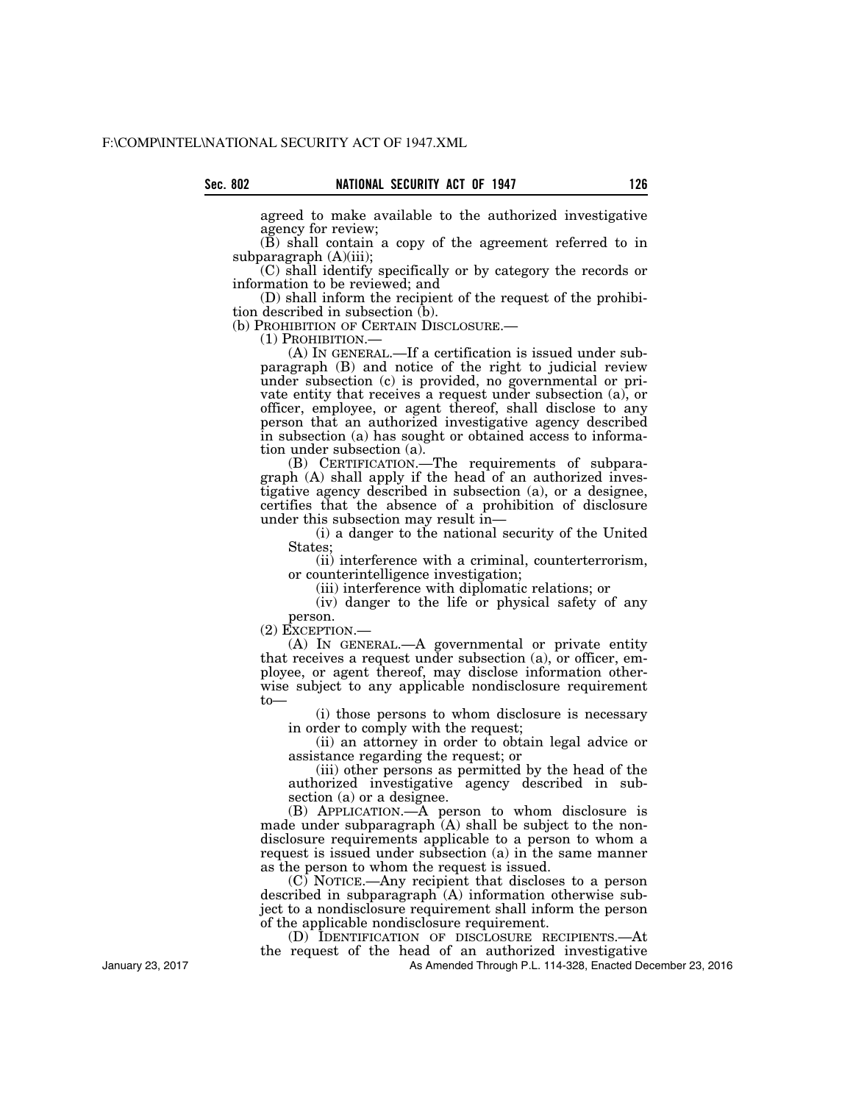agreed to make available to the authorized investigative agency for review;

(B) shall contain a copy of the agreement referred to in subparagraph (A)(iii);

(C) shall identify specifically or by category the records or information to be reviewed; and

(D) shall inform the recipient of the request of the prohibition described in subsection (b).

(b) PROHIBITION OF CERTAIN DISCLOSURE.—<br>
(1) PROHIBITION.—<br>
(A) IN GENERAL.—If a certification is issued under subparagraph (B) and notice of the right to judicial review under subsection (c) is provided, no governmental or private entity that receives a request under subsection (a), or officer, employee, or agent thereof, shall disclose to any person that an authorized investigative agency described in subsection (a) has sought or obtained access to information under subsection (a).

(B) CERTIFICATION.—The requirements of subparagraph (A) shall apply if the head of an authorized investigative agency described in subsection (a), or a designee, certifies that the absence of a prohibition of disclosure under this subsection may result in—

(i) a danger to the national security of the United States;

(ii) interference with a criminal, counterterrorism, or counterintelligence investigation;

(iii) interference with diplomatic relations; or

(iv) danger to the life or physical safety of any

person.<br>(2) EXCEPTION.—

 $(A)$  In GENERAL.—A governmental or private entity that receives a request under subsection (a), or officer, employee, or agent thereof, may disclose information otherwise subject to any applicable nondisclosure requirement to—

(i) those persons to whom disclosure is necessary in order to comply with the request;

(ii) an attorney in order to obtain legal advice or assistance regarding the request; or

(iii) other persons as permitted by the head of the authorized investigative agency described in subsection (a) or a designee.

(B) APPLICATION.—A person to whom disclosure is made under subparagraph  $(A)$  shall be subject to the nondisclosure requirements applicable to a person to whom a request is issued under subsection (a) in the same manner as the person to whom the request is issued.

(C) NOTICE.—Any recipient that discloses to a person described in subparagraph (A) information otherwise subject to a nondisclosure requirement shall inform the person of the applicable nondisclosure requirement.

(D) IDENTIFICATION OF DISCLOSURE RECIPIENTS.—At the request of the head of an authorized investigative

As Amended Through P.L. 114-328, Enacted December 23, 2016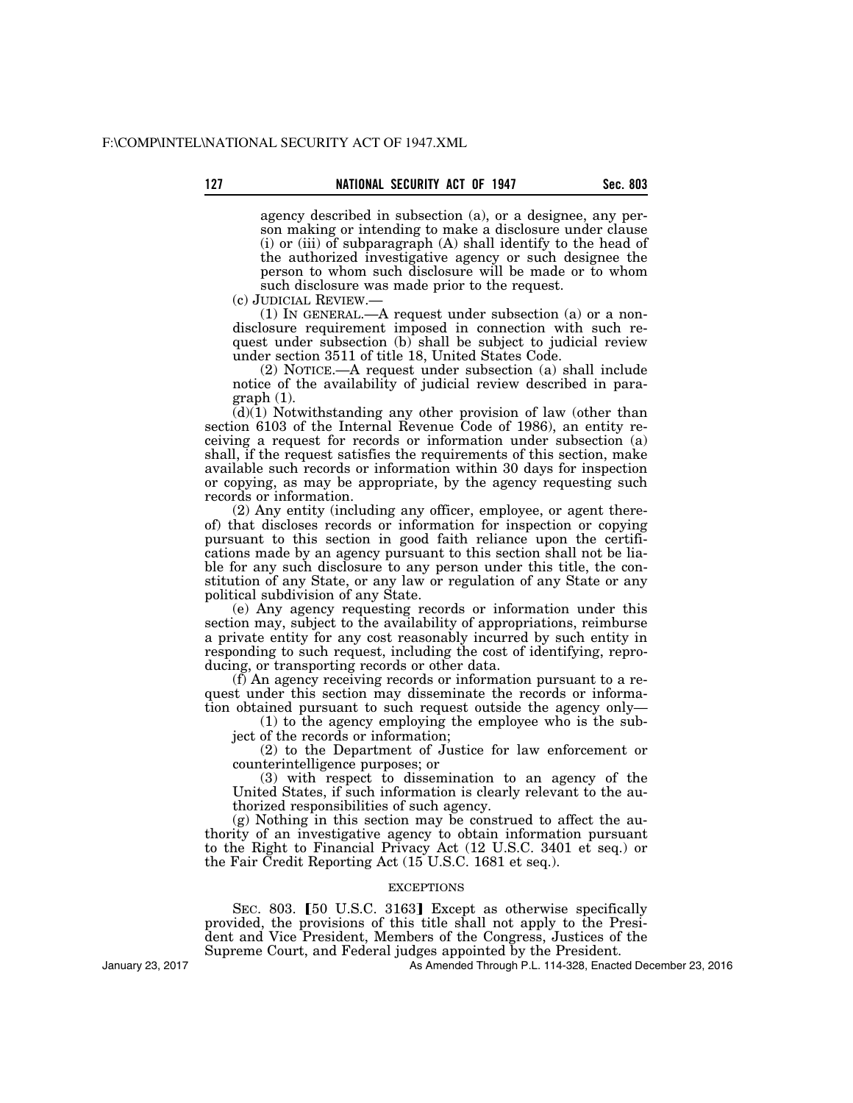agency described in subsection (a), or a designee, any person making or intending to make a disclosure under clause (i) or (iii) of subparagraph (A) shall identify to the head of the authorized investigative agency or such designee the person to whom such disclosure will be made or to whom such disclosure was made prior to the request.

(c) JUDICIAL REVIEW.—

(1) IN GENERAL.—A request under subsection (a) or a nondisclosure requirement imposed in connection with such request under subsection (b) shall be subject to judicial review under section 3511 of title 18, United States Code.

(2) NOTICE.—A request under subsection (a) shall include notice of the availability of judicial review described in paragraph (1).

 $(d)(1)$  Notwithstanding any other provision of law (other than section 6103 of the Internal Revenue Code of 1986), an entity receiving a request for records or information under subsection (a) shall, if the request satisfies the requirements of this section, make available such records or information within 30 days for inspection or copying, as may be appropriate, by the agency requesting such records or information.

(2) Any entity (including any officer, employee, or agent thereof) that discloses records or information for inspection or copying pursuant to this section in good faith reliance upon the certifications made by an agency pursuant to this section shall not be liable for any such disclosure to any person under this title, the constitution of any State, or any law or regulation of any State or any political subdivision of any State.

(e) Any agency requesting records or information under this section may, subject to the availability of appropriations, reimburse a private entity for any cost reasonably incurred by such entity in responding to such request, including the cost of identifying, reproducing, or transporting records or other data.

(f) An agency receiving records or information pursuant to a request under this section may disseminate the records or information obtained pursuant to such request outside the agency only—

(1) to the agency employing the employee who is the subject of the records or information;

(2) to the Department of Justice for law enforcement or counterintelligence purposes; or

(3) with respect to dissemination to an agency of the United States, if such information is clearly relevant to the authorized responsibilities of such agency.

(g) Nothing in this section may be construed to affect the authority of an investigative agency to obtain information pursuant to the Right to Financial Privacy Act (12 U.S.C. 3401 et seq.) or the Fair Credit Reporting Act (15 U.S.C. 1681 et seq.).

### **EXCEPTIONS**

SEC. 803. [50 U.S.C. 3163] Except as otherwise specifically provided, the provisions of this title shall not apply to the President and Vice President, Members of the Congress, Justices of the Supreme Court, and Federal judges appointed by the President.

January 23, 2017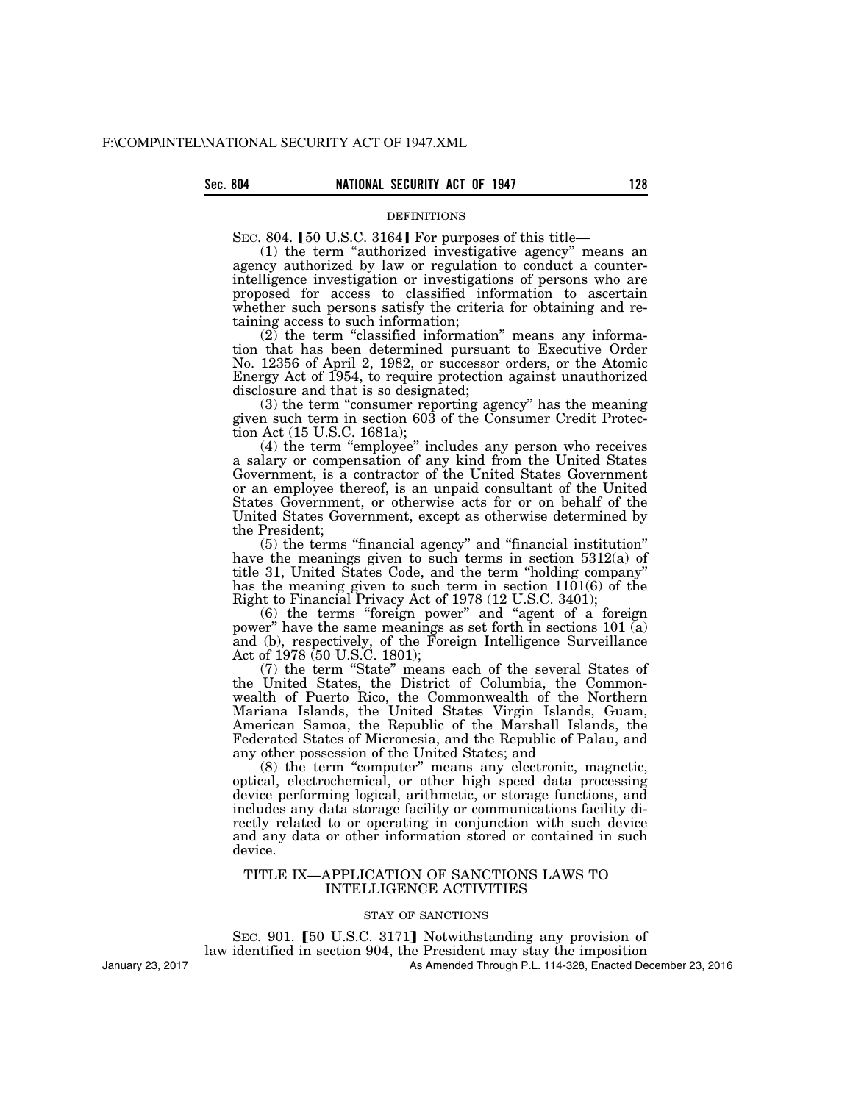# Sec. 804 **NATIONAL SECURITY ACT OF 1947** 128

#### DEFINITIONS

SEC. 804.  $[50 \text{ U.S.C. } 3164]$  For purposes of this title—

(1) the term ''authorized investigative agency'' means an agency authorized by law or regulation to conduct a counterintelligence investigation or investigations of persons who are proposed for access to classified information to ascertain whether such persons satisfy the criteria for obtaining and retaining access to such information;

 $(2)$  the term "classified information" means any information that has been determined pursuant to Executive Order No. 12356 of April 2, 1982, or successor orders, or the Atomic Energy Act of 1954, to require protection against unauthorized disclosure and that is so designated;

(3) the term "consumer reporting agency" has the meaning given such term in section 603 of the Consumer Credit Protection Act (15 U.S.C. 1681a);

(4) the term ''employee'' includes any person who receives a salary or compensation of any kind from the United States Government, is a contractor of the United States Government or an employee thereof, is an unpaid consultant of the United States Government, or otherwise acts for or on behalf of the United States Government, except as otherwise determined by the President;

(5) the terms ''financial agency'' and ''financial institution'' have the meanings given to such terms in section 5312(a) of title 31, United States Code, and the term ''holding company'' has the meaning given to such term in section 1101(6) of the Right to Financial Privacy Act of 1978 (12 U.S.C. 3401);

(6) the terms ''foreign power'' and ''agent of a foreign power" have the same meanings as set forth in sections 101  $\vec{a}$ ) and (b), respectively, of the Foreign Intelligence Surveillance Act of 1978 (50 U.S.C. 1801);

(7) the term ''State'' means each of the several States of the United States, the District of Columbia, the Commonwealth of Puerto Rico, the Commonwealth of the Northern Mariana Islands, the United States Virgin Islands, Guam, American Samoa, the Republic of the Marshall Islands, the Federated States of Micronesia, and the Republic of Palau, and any other possession of the United States; and

(8) the term ''computer'' means any electronic, magnetic, optical, electrochemical, or other high speed data processing device performing logical, arithmetic, or storage functions, and includes any data storage facility or communications facility directly related to or operating in conjunction with such device and any data or other information stored or contained in such device.

## TITLE IX—APPLICATION OF SANCTIONS LAWS TO INTELLIGENCE ACTIVITIES

#### STAY OF SANCTIONS

SEC. 901.  $\left[50 \right]$  U.S.C. 3171] Notwithstanding any provision of law identified in section 904, the President may stay the imposition As Amended Through P.L. 114-328, Enacted December 23, 2016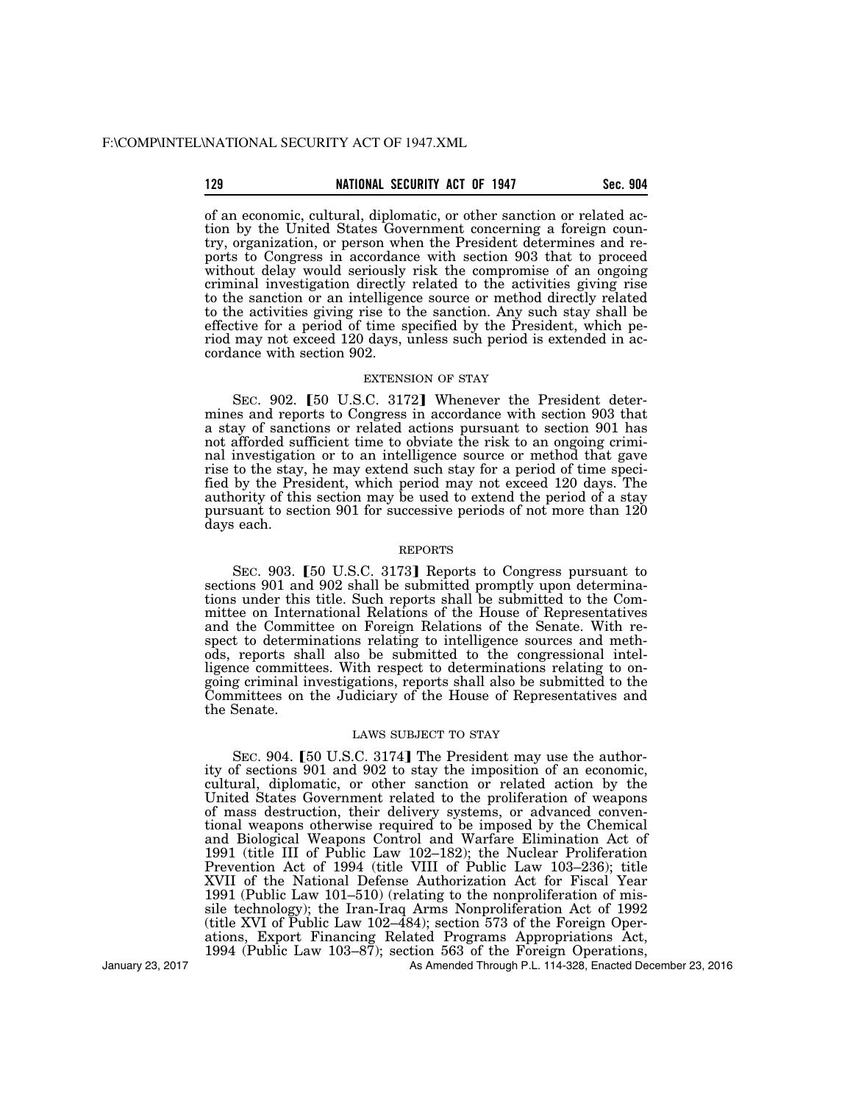## **129 Sec. 904 SECURITY ACT OF 1947** Sec. 904

of an economic, cultural, diplomatic, or other sanction or related action by the United States Government concerning a foreign country, organization, or person when the President determines and reports to Congress in accordance with section 903 that to proceed without delay would seriously risk the compromise of an ongoing criminal investigation directly related to the activities giving rise to the sanction or an intelligence source or method directly related to the activities giving rise to the sanction. Any such stay shall be effective for a period of time specified by the President, which period may not exceed 120 days, unless such period is extended in accordance with section 902.

## EXTENSION OF STAY

SEC. 902. [50 U.S.C. 3172] Whenever the President determines and reports to Congress in accordance with section 903 that a stay of sanctions or related actions pursuant to section 901 has not afforded sufficient time to obviate the risk to an ongoing criminal investigation or to an intelligence source or method that gave rise to the stay, he may extend such stay for a period of time specified by the President, which period may not exceed 120 days. The authority of this section may be used to extend the period of a stay pursuant to section 901 for successive periods of not more than 120 days each.

## REPORTS

SEC. 903. [50 U.S.C. 3173] Reports to Congress pursuant to sections 901 and 902 shall be submitted promptly upon determinations under this title. Such reports shall be submitted to the Committee on International Relations of the House of Representatives and the Committee on Foreign Relations of the Senate. With respect to determinations relating to intelligence sources and methods, reports shall also be submitted to the congressional intelligence committees. With respect to determinations relating to ongoing criminal investigations, reports shall also be submitted to the Committees on the Judiciary of the House of Representatives and the Senate.

## LAWS SUBJECT TO STAY

SEC. 904. [50 U.S.C. 3174] The President may use the authority of sections 901 and 902 to stay the imposition of an economic, cultural, diplomatic, or other sanction or related action by the United States Government related to the proliferation of weapons of mass destruction, their delivery systems, or advanced conventional weapons otherwise required to be imposed by the Chemical and Biological Weapons Control and Warfare Elimination Act of 1991 (title III of Public Law 102–182); the Nuclear Proliferation Prevention Act of 1994 (title VIII of Public Law 103–236); title XVII of the National Defense Authorization Act for Fiscal Year 1991 (Public Law 101–510) (relating to the nonproliferation of missile technology); the Iran-Iraq Arms Nonproliferation Act of 1992 (title XVI of Public Law 102–484); section 573 of the Foreign Operations, Export Financing Related Programs Appropriations Act, 1994 (Public Law 103–87); section 563 of the Foreign Operations,

January 23, 2017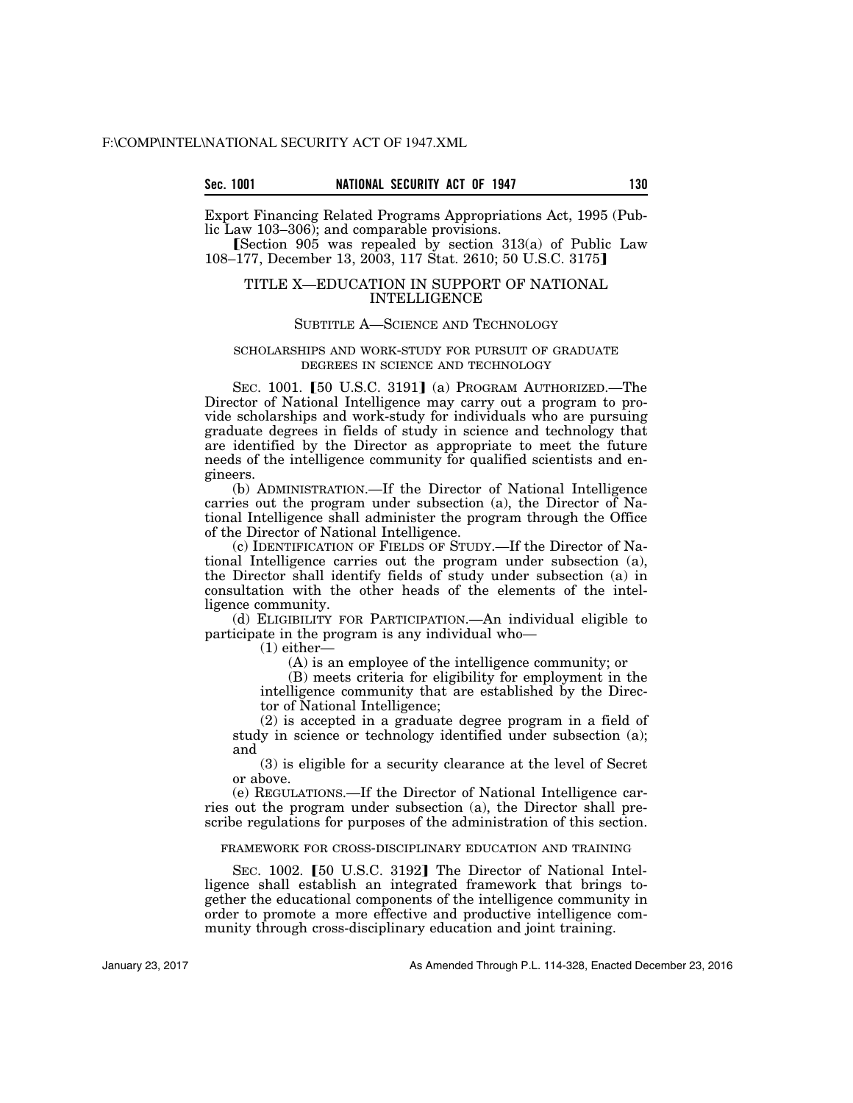Export Financing Related Programs Appropriations Act, 1995 (Public Law 103–306); and comparable provisions.

[Section  $905$  was repealed by section  $313(a)$  of Public Law 108–177, December 13, 2003, 117 Stat. 2610; 50 U.S.C. 3175]

## TITLE X—EDUCATION IN SUPPORT OF NATIONAL INTELLIGENCE

### SUBTITLE A—SCIENCE AND TECHNOLOGY

#### SCHOLARSHIPS AND WORK-STUDY FOR PURSUIT OF GRADUATE DEGREES IN SCIENCE AND TECHNOLOGY

SEC. 1001. [50 U.S.C. 3191] (a) PROGRAM AUTHORIZED.—The Director of National Intelligence may carry out a program to provide scholarships and work-study for individuals who are pursuing graduate degrees in fields of study in science and technology that are identified by the Director as appropriate to meet the future needs of the intelligence community for qualified scientists and engineers.

(b) ADMINISTRATION.—If the Director of National Intelligence carries out the program under subsection (a), the Director of National Intelligence shall administer the program through the Office of the Director of National Intelligence.

(c) IDENTIFICATION OF FIELDS OF STUDY.—If the Director of National Intelligence carries out the program under subsection (a), the Director shall identify fields of study under subsection (a) in consultation with the other heads of the elements of the intelligence community.

(d) ELIGIBILITY FOR PARTICIPATION.—An individual eligible to participate in the program is any individual who—

(1) either—

(A) is an employee of the intelligence community; or

(B) meets criteria for eligibility for employment in the intelligence community that are established by the Director of National Intelligence;

(2) is accepted in a graduate degree program in a field of study in science or technology identified under subsection (a); and

(3) is eligible for a security clearance at the level of Secret or above.

(e) REGULATIONS.—If the Director of National Intelligence carries out the program under subsection (a), the Director shall prescribe regulations for purposes of the administration of this section.

### FRAMEWORK FOR CROSS-DISCIPLINARY EDUCATION AND TRAINING

SEC. 1002. [50 U.S.C. 3192] The Director of National Intelligence shall establish an integrated framework that brings together the educational components of the intelligence community in order to promote a more effective and productive intelligence community through cross-disciplinary education and joint training.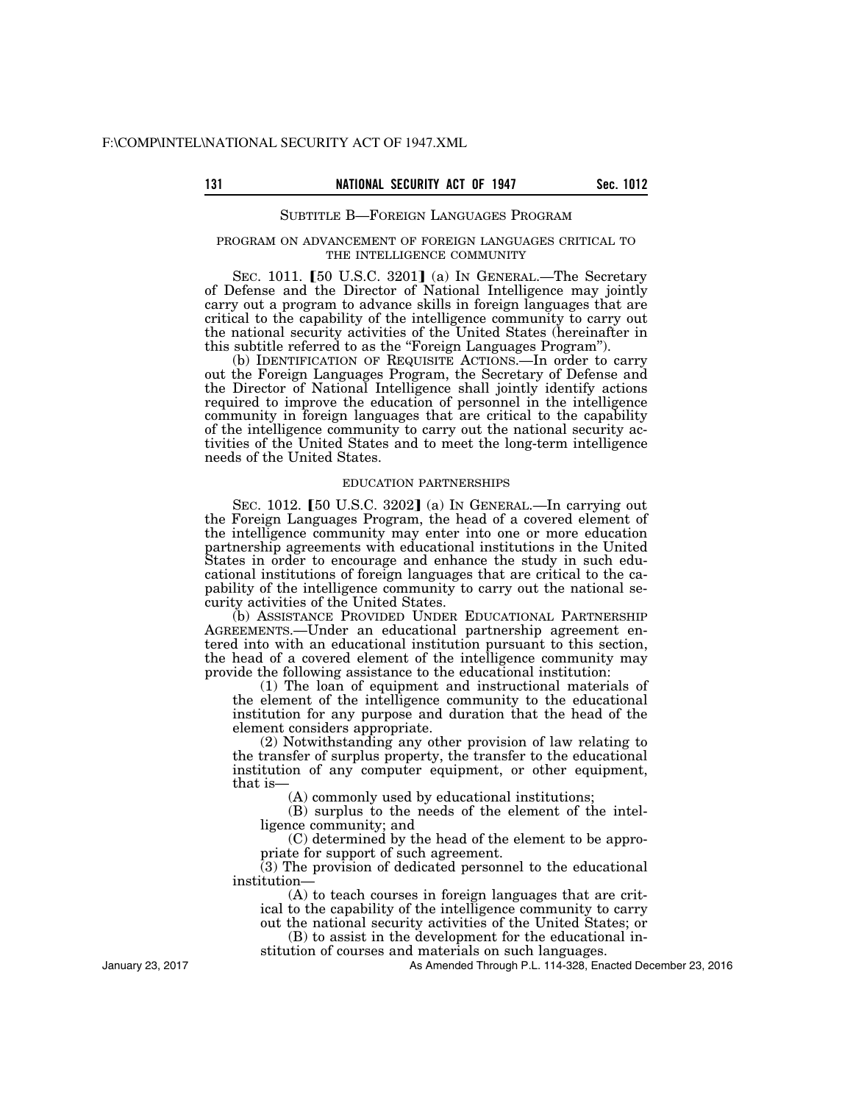#### SUBTITLE B—FOREIGN LANGUAGES PROGRAM

#### PROGRAM ON ADVANCEMENT OF FOREIGN LANGUAGES CRITICAL TO THE INTELLIGENCE COMMUNITY

SEC. 1011.  $[50 \text{ U.S.C. } 3201]$  (a) In GENERAL.—The Secretary of Defense and the Director of National Intelligence may jointly carry out a program to advance skills in foreign languages that are critical to the capability of the intelligence community to carry out the national security activities of the United States (hereinafter in this subtitle referred to as the ''Foreign Languages Program'').

(b) IDENTIFICATION OF REQUISITE ACTIONS.—In order to carry out the Foreign Languages Program, the Secretary of Defense and the Director of National Intelligence shall jointly identify actions required to improve the education of personnel in the intelligence community in foreign languages that are critical to the capability of the intelligence community to carry out the national security activities of the United States and to meet the long-term intelligence needs of the United States.

#### EDUCATION PARTNERSHIPS

SEC. 1012. [50 U.S.C. 3202] (a) In GENERAL.—In carrying out the Foreign Languages Program, the head of a covered element of the intelligence community may enter into one or more education partnership agreements with educational institutions in the United States in order to encourage and enhance the study in such educational institutions of foreign languages that are critical to the capability of the intelligence community to carry out the national security activities of the United States.

(b) ASSISTANCE PROVIDED UNDER EDUCATIONAL PARTNERSHIP AGREEMENTS.—Under an educational partnership agreement entered into with an educational institution pursuant to this section, the head of a covered element of the intelligence community may provide the following assistance to the educational institution:

(1) The loan of equipment and instructional materials of the element of the intelligence community to the educational institution for any purpose and duration that the head of the element considers appropriate.

(2) Notwithstanding any other provision of law relating to the transfer of surplus property, the transfer to the educational institution of any computer equipment, or other equipment, that is-

(A) commonly used by educational institutions;

(B) surplus to the needs of the element of the intelligence community; and

(C) determined by the head of the element to be appropriate for support of such agreement.

(3) The provision of dedicated personnel to the educational institution—

(A) to teach courses in foreign languages that are critical to the capability of the intelligence community to carry out the national security activities of the United States; or

(B) to assist in the development for the educational in-

stitution of courses and materials on such languages.

As Amended Through P.L. 114-328, Enacted December 23, 2016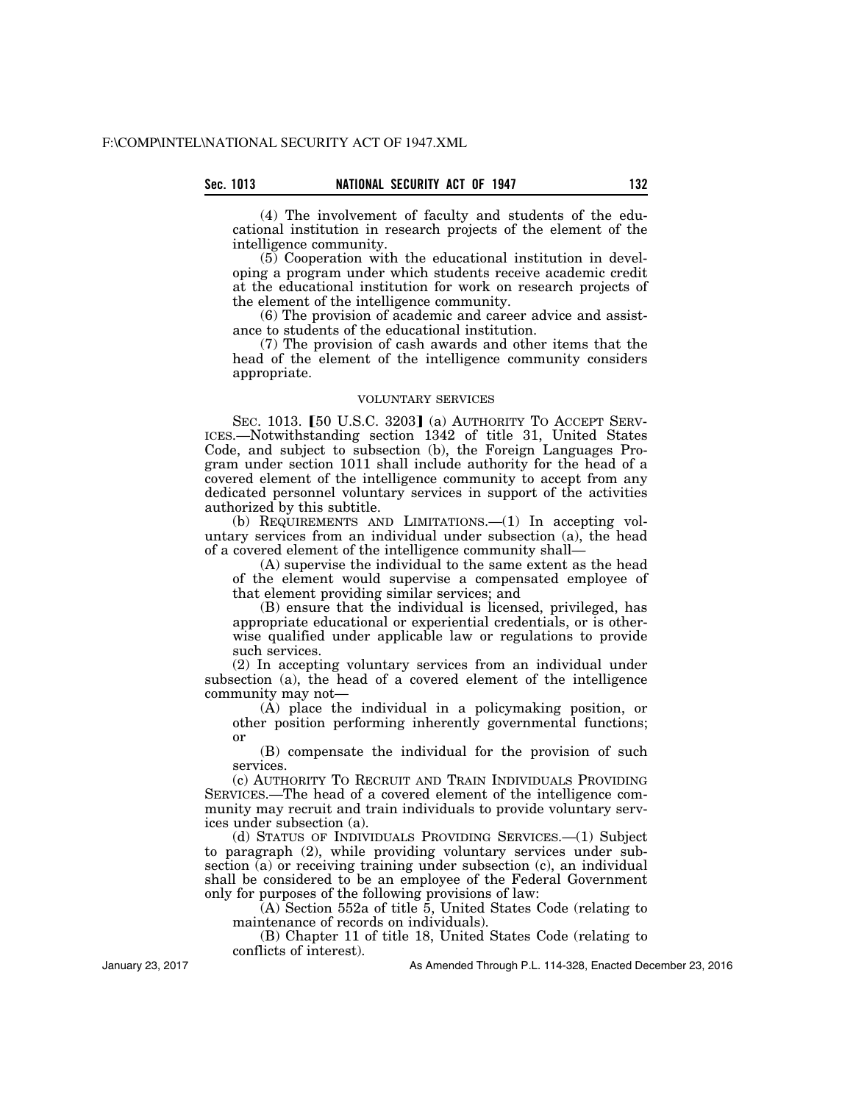(4) The involvement of faculty and students of the educational institution in research projects of the element of the intelligence community.

(5) Cooperation with the educational institution in developing a program under which students receive academic credit at the educational institution for work on research projects of the element of the intelligence community.

(6) The provision of academic and career advice and assistance to students of the educational institution.

(7) The provision of cash awards and other items that the head of the element of the intelligence community considers appropriate.

## VOLUNTARY SERVICES

SEC. 1013. [50 U.S.C. 3203] (a) AUTHORITY TO ACCEPT SERV-ICES.—Notwithstanding section 1342 of title 31, United States Code, and subject to subsection (b), the Foreign Languages Program under section 1011 shall include authority for the head of a covered element of the intelligence community to accept from any dedicated personnel voluntary services in support of the activities authorized by this subtitle.

(b) REQUIREMENTS AND LIMITATIONS.—(1) In accepting voluntary services from an individual under subsection (a), the head of a covered element of the intelligence community shall—

(A) supervise the individual to the same extent as the head of the element would supervise a compensated employee of that element providing similar services; and

(B) ensure that the individual is licensed, privileged, has appropriate educational or experiential credentials, or is otherwise qualified under applicable law or regulations to provide such services.

(2) In accepting voluntary services from an individual under subsection (a), the head of a covered element of the intelligence community may not—

(A) place the individual in a policymaking position, or other position performing inherently governmental functions; or

(B) compensate the individual for the provision of such services.

(c) AUTHORITY TO RECRUIT AND TRAIN INDIVIDUALS PROVIDING SERVICES.—The head of a covered element of the intelligence community may recruit and train individuals to provide voluntary services under subsection (a).

(d) STATUS OF INDIVIDUALS PROVIDING SERVICES.—(1) Subject to paragraph (2), while providing voluntary services under subsection (a) or receiving training under subsection (c), an individual shall be considered to be an employee of the Federal Government only for purposes of the following provisions of law:

(A) Section 552a of title 5, United States Code (relating to maintenance of records on individuals).

(B) Chapter 11 of title 18, United States Code (relating to conflicts of interest).

January 23, 2017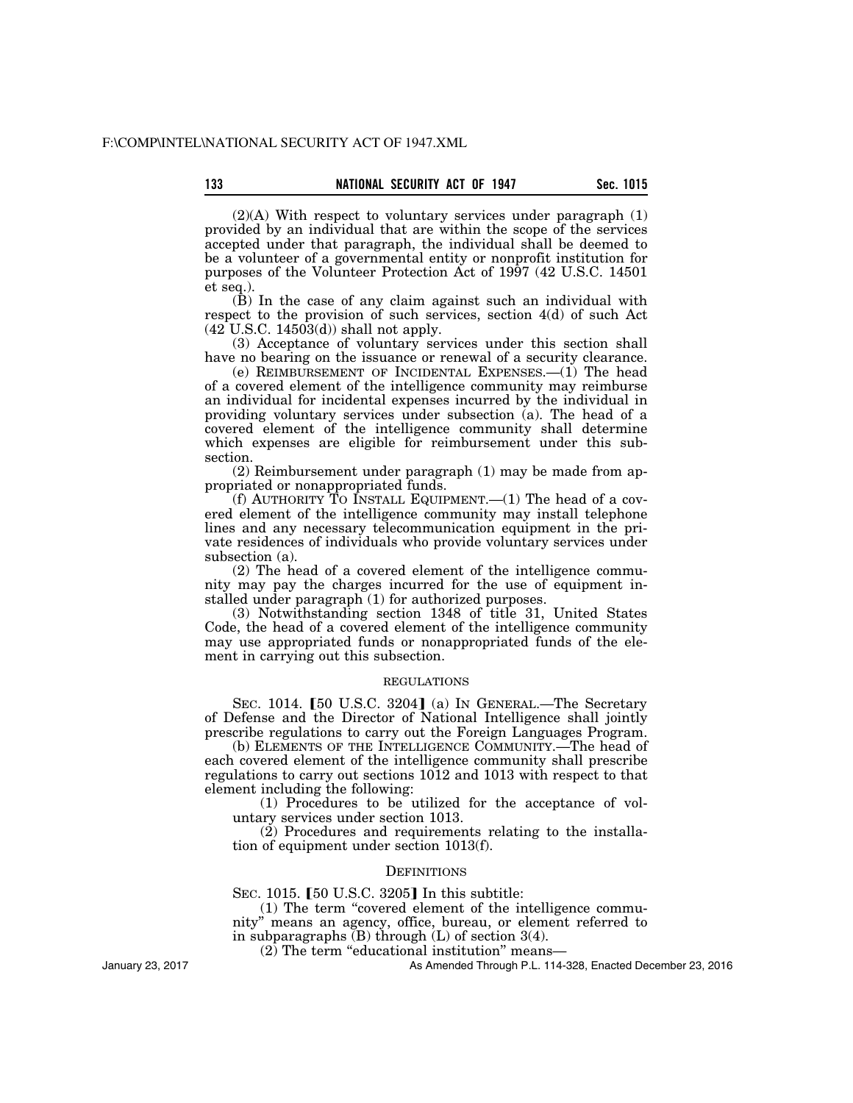$(2)(A)$  With respect to voluntary services under paragraph  $(1)$ provided by an individual that are within the scope of the services accepted under that paragraph, the individual shall be deemed to be a volunteer of a governmental entity or nonprofit institution for purposes of the Volunteer Protection Act of 1997 (42 U.S.C. 14501 et seq.).

(B) In the case of any claim against such an individual with respect to the provision of such services, section 4(d) of such Act  $(42 \text{ U.S.C. } 14503(d))$  shall not apply.

(3) Acceptance of voluntary services under this section shall have no bearing on the issuance or renewal of a security clearance.

(e) REIMBURSEMENT OF INCIDENTAL EXPENSES.—(1) The head of a covered element of the intelligence community may reimburse an individual for incidental expenses incurred by the individual in providing voluntary services under subsection (a). The head of a covered element of the intelligence community shall determine which expenses are eligible for reimbursement under this subsection.

(2) Reimbursement under paragraph (1) may be made from appropriated or nonappropriated funds.

(f) AUTHORITY TO INSTALL EQUIPMENT.— $(1)$  The head of a covered element of the intelligence community may install telephone lines and any necessary telecommunication equipment in the private residences of individuals who provide voluntary services under subsection (a).

(2) The head of a covered element of the intelligence community may pay the charges incurred for the use of equipment installed under paragraph (1) for authorized purposes.

(3) Notwithstanding section 1348 of title 31, United States Code, the head of a covered element of the intelligence community may use appropriated funds or nonappropriated funds of the element in carrying out this subsection.

#### REGULATIONS

SEC. 1014.  $[50 \text{ U.S.C. } 3204]$  (a) In GENERAL.—The Secretary of Defense and the Director of National Intelligence shall jointly prescribe regulations to carry out the Foreign Languages Program.

(b) ELEMENTS OF THE INTELLIGENCE COMMUNITY.—The head of each covered element of the intelligence community shall prescribe regulations to carry out sections 1012 and 1013 with respect to that element including the following:

(1) Procedures to be utilized for the acceptance of voluntary services under section 1013.

(2) Procedures and requirements relating to the installation of equipment under section 1013(f).

## **DEFINITIONS**

SEC. 1015.  $[50 \text{ U.S.C. } 3205]$  In this subtitle:

(1) The term ''covered element of the intelligence commu-

nity'' means an agency, office, bureau, or element referred to

in subparagraphs  $(B)$  through  $(L)$  of section 3(4).

(2) The term ''educational institution'' means—

As Amended Through P.L. 114-328, Enacted December 23, 2016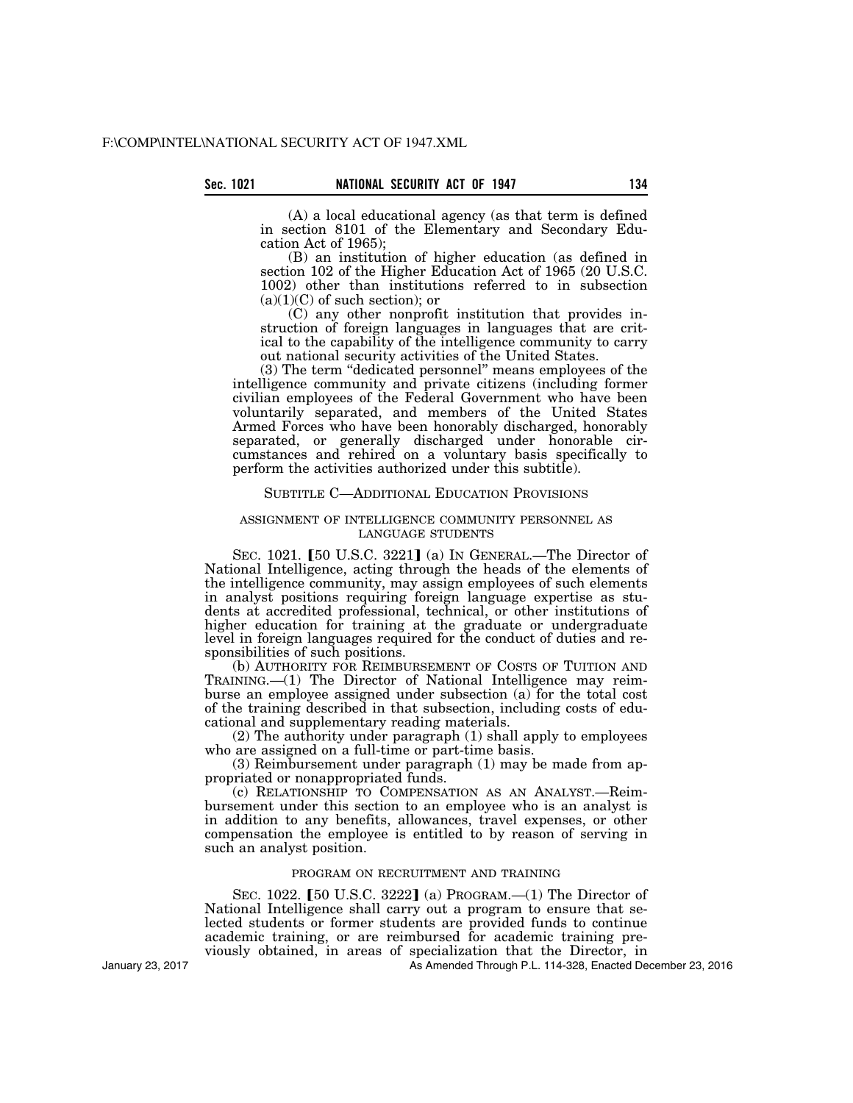(A) a local educational agency (as that term is defined in section 8101 of the Elementary and Secondary Education Act of 1965);

(B) an institution of higher education (as defined in section 102 of the Higher Education Act of 1965 (20 U.S.C. 1002) other than institutions referred to in subsection  $(a)(1)(C)$  of such section); or

(C) any other nonprofit institution that provides instruction of foreign languages in languages that are critical to the capability of the intelligence community to carry out national security activities of the United States.

(3) The term ''dedicated personnel'' means employees of the intelligence community and private citizens (including former civilian employees of the Federal Government who have been voluntarily separated, and members of the United States Armed Forces who have been honorably discharged, honorably separated, or generally discharged under honorable circumstances and rehired on a voluntary basis specifically to perform the activities authorized under this subtitle).

#### SUBTITLE C—ADDITIONAL EDUCATION PROVISIONS

## ASSIGNMENT OF INTELLIGENCE COMMUNITY PERSONNEL AS LANGUAGE STUDENTS

SEC. 1021. [50 U.S.C. 3221] (a) IN GENERAL.—The Director of National Intelligence, acting through the heads of the elements of the intelligence community, may assign employees of such elements in analyst positions requiring foreign language expertise as students at accredited professional, technical, or other institutions of higher education for training at the graduate or undergraduate level in foreign languages required for the conduct of duties and responsibilities of such positions.

(b) AUTHORITY FOR REIMBURSEMENT OF COSTS OF TUITION AND TRAINING.—(1) The Director of National Intelligence may reimburse an employee assigned under subsection (a) for the total cost of the training described in that subsection, including costs of educational and supplementary reading materials.

(2) The authority under paragraph (1) shall apply to employees who are assigned on a full-time or part-time basis.

(3) Reimbursement under paragraph (1) may be made from appropriated or nonappropriated funds.

(c) RELATIONSHIP TO COMPENSATION AS AN ANALYST.—Reimbursement under this section to an employee who is an analyst is in addition to any benefits, allowances, travel expenses, or other compensation the employee is entitled to by reason of serving in such an analyst position.

## PROGRAM ON RECRUITMENT AND TRAINING

SEC. 1022. [50 U.S.C. 3222] (a) PROGRAM. $-(1)$  The Director of National Intelligence shall carry out a program to ensure that selected students or former students are provided funds to continue academic training, or are reimbursed for academic training previously obtained, in areas of specialization that the Director, in

As Amended Through P.L. 114-328, Enacted December 23, 2016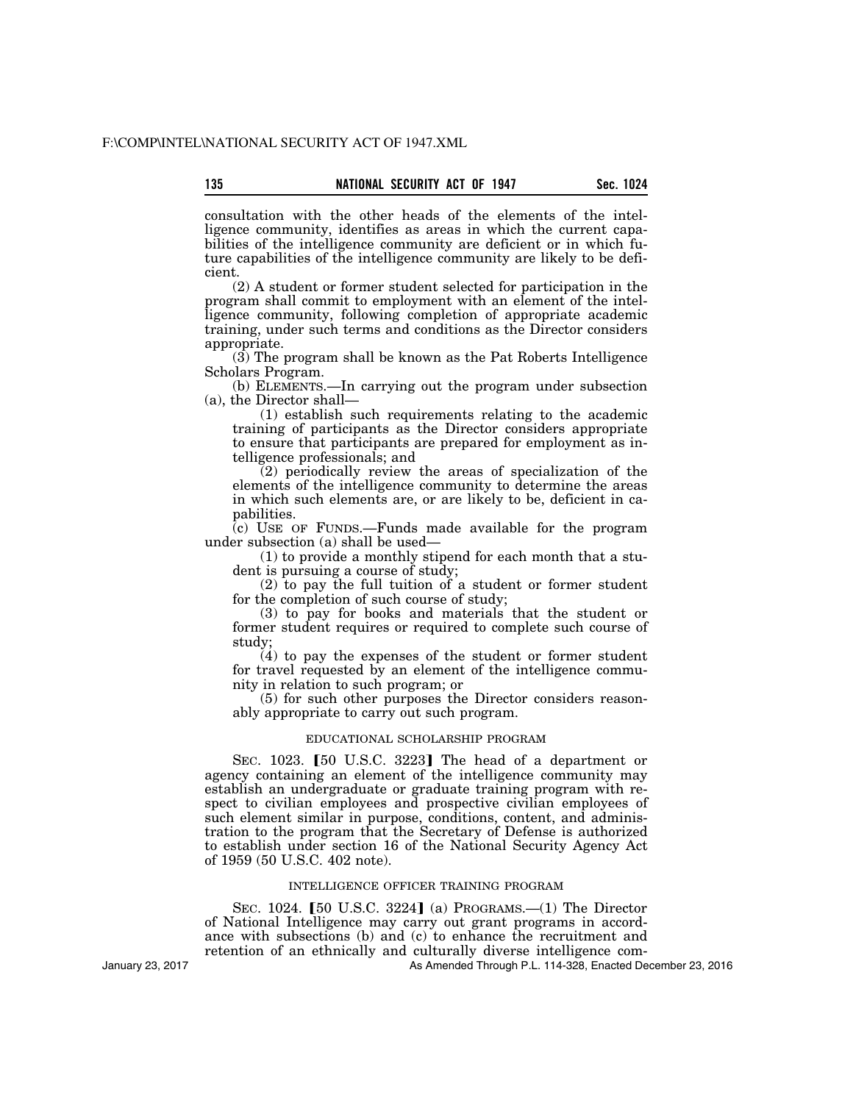consultation with the other heads of the elements of the intelligence community, identifies as areas in which the current capabilities of the intelligence community are deficient or in which future capabilities of the intelligence community are likely to be deficient.

(2) A student or former student selected for participation in the program shall commit to employment with an element of the intelligence community, following completion of appropriate academic training, under such terms and conditions as the Director considers appropriate.

(3) The program shall be known as the Pat Roberts Intelligence Scholars Program.

(b) ELEMENTS.—In carrying out the program under subsection (a), the Director shall—

(1) establish such requirements relating to the academic training of participants as the Director considers appropriate to ensure that participants are prepared for employment as intelligence professionals; and

(2) periodically review the areas of specialization of the elements of the intelligence community to determine the areas in which such elements are, or are likely to be, deficient in capabilities.

 $\overline{c}$  USE OF FUNDS.—Funds made available for the program under subsection (a) shall be used—

(1) to provide a monthly stipend for each month that a student is pursuing a course of study;

(2) to pay the full tuition of a student or former student for the completion of such course of study;

(3) to pay for books and materials that the student or former student requires or required to complete such course of study;

(4) to pay the expenses of the student or former student for travel requested by an element of the intelligence community in relation to such program; or

(5) for such other purposes the Director considers reasonably appropriate to carry out such program.

#### EDUCATIONAL SCHOLARSHIP PROGRAM

SEC. 1023.  $[50 \text{ U.S.C. } 3223]$  The head of a department or agency containing an element of the intelligence community may establish an undergraduate or graduate training program with respect to civilian employees and prospective civilian employees of such element similar in purpose, conditions, content, and administration to the program that the Secretary of Defense is authorized to establish under section 16 of the National Security Agency Act of 1959 (50 U.S.C. 402 note).

#### INTELLIGENCE OFFICER TRAINING PROGRAM

SEC. 1024. [50 U.S.C. 3224] (a) PROGRAMS.—(1) The Director of National Intelligence may carry out grant programs in accordance with subsections (b) and (c) to enhance the recruitment and retention of an ethnically and culturally diverse intelligence com-

January 23, 2017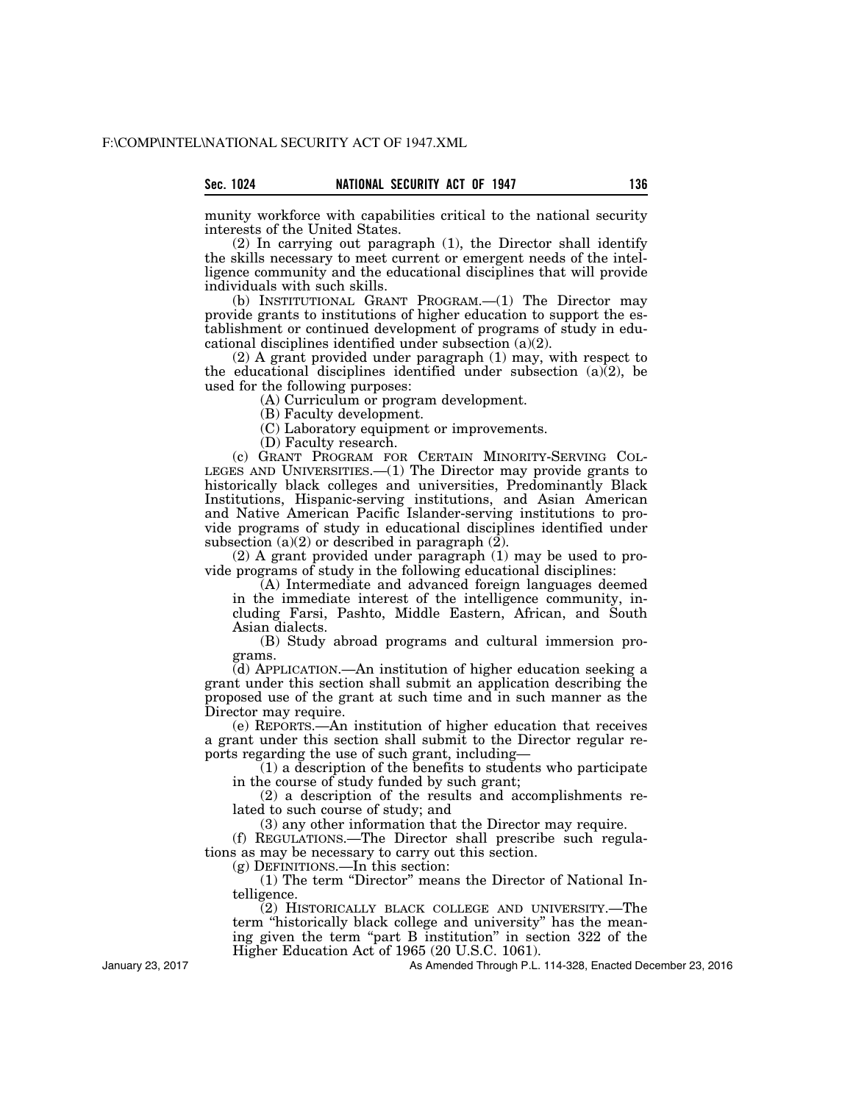munity workforce with capabilities critical to the national security interests of the United States.

(2) In carrying out paragraph (1), the Director shall identify the skills necessary to meet current or emergent needs of the intelligence community and the educational disciplines that will provide individuals with such skills.

(b) INSTITUTIONAL GRANT PROGRAM.—(1) The Director may provide grants to institutions of higher education to support the establishment or continued development of programs of study in educational disciplines identified under subsection (a)(2).

(2) A grant provided under paragraph (1) may, with respect to the educational disciplines identified under subsection  $(a)$  $(2)$ , be used for the following purposes:

(A) Curriculum or program development.

(B) Faculty development.

(C) Laboratory equipment or improvements.

(D) Faculty research.

(c) GRANT PROGRAM FOR CERTAIN MINORITY-SERVING COL-LEGES AND UNIVERSITIES.—(1) The Director may provide grants to historically black colleges and universities, Predominantly Black Institutions, Hispanic-serving institutions, and Asian American and Native American Pacific Islander-serving institutions to provide programs of study in educational disciplines identified under subsection  $(a)(2)$  or described in paragraph  $(\overline{2})$ .

(2) A grant provided under paragraph (1) may be used to provide programs of study in the following educational disciplines:

(A) Intermediate and advanced foreign languages deemed in the immediate interest of the intelligence community, including Farsi, Pashto, Middle Eastern, African, and South Asian dialects.

(B) Study abroad programs and cultural immersion programs.

(d) APPLICATION.—An institution of higher education seeking a grant under this section shall submit an application describing the proposed use of the grant at such time and in such manner as the Director may require.

(e) REPORTS.—An institution of higher education that receives a grant under this section shall submit to the Director regular reports regarding the use of such grant, including—

(1) a description of the benefits to students who participate in the course of study funded by such grant;

(2) a description of the results and accomplishments related to such course of study; and

(3) any other information that the Director may require.

(f) REGULATIONS.—The Director shall prescribe such regulations as may be necessary to carry out this section.

(g) DEFINITIONS.—In this section:

(1) The term ''Director'' means the Director of National Intelligence.

(2) HISTORICALLY BLACK COLLEGE AND UNIVERSITY.—The term ''historically black college and university'' has the meaning given the term "part B institution" in section 322 of the Higher Education Act of 1965 (20 U.S.C. 1061).

January 23, 2017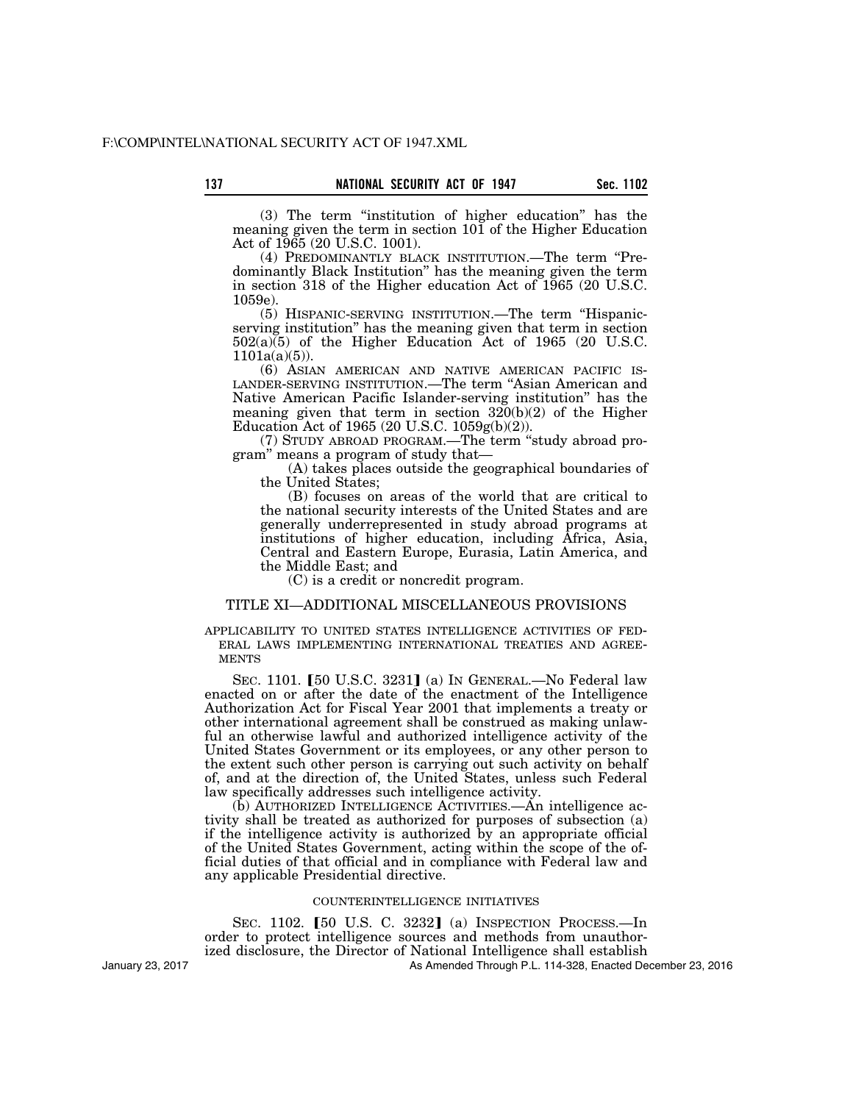(3) The term ''institution of higher education'' has the meaning given the term in section 101 of the Higher Education Act of 1965 (20 U.S.C. 1001).

(4) PREDOMINANTLY BLACK INSTITUTION.—The term ''Predominantly Black Institution'' has the meaning given the term in section 318 of the Higher education Act of 1965 (20 U.S.C. 1059e).

(5) HISPANIC-SERVING INSTITUTION.—The term ''Hispanicserving institution'' has the meaning given that term in section  $502(a)(5)$  of the Higher Education Act of 1965 (20 U.S.C.  $1101a(a)(5)$ ).

(6) ASIAN AMERICAN AND NATIVE AMERICAN PACIFIC IS-LANDER-SERVING INSTITUTION.—The term ''Asian American and Native American Pacific Islander-serving institution'' has the meaning given that term in section  $320(b)(2)$  of the Higher Education Act of 1965 (20 U.S.C. 1059g(b)(2)).

(7) STUDY ABROAD PROGRAM.—The term ''study abroad program'' means a program of study that—

(A) takes places outside the geographical boundaries of the United States;

(B) focuses on areas of the world that are critical to the national security interests of the United States and are generally underrepresented in study abroad programs at institutions of higher education, including Africa, Asia, Central and Eastern Europe, Eurasia, Latin America, and the Middle East; and

(C) is a credit or noncredit program.

## TITLE XI—ADDITIONAL MISCELLANEOUS PROVISIONS

APPLICABILITY TO UNITED STATES INTELLIGENCE ACTIVITIES OF FED-ERAL LAWS IMPLEMENTING INTERNATIONAL TREATIES AND AGREE-**MENTS** 

SEC. 1101. [50 U.S.C. 3231] (a) In GENERAL.—No Federal law enacted on or after the date of the enactment of the Intelligence Authorization Act for Fiscal Year 2001 that implements a treaty or other international agreement shall be construed as making unlawful an otherwise lawful and authorized intelligence activity of the United States Government or its employees, or any other person to the extent such other person is carrying out such activity on behalf of, and at the direction of, the United States, unless such Federal law specifically addresses such intelligence activity.

(b) AUTHORIZED INTELLIGENCE ACTIVITIES.—An intelligence activity shall be treated as authorized for purposes of subsection (a) if the intelligence activity is authorized by an appropriate official of the United States Government, acting within the scope of the official duties of that official and in compliance with Federal law and any applicable Presidential directive.

### COUNTERINTELLIGENCE INITIATIVES

SEC. 1102.  $\overline{150}$  U.S. C. 3232<sup> $\overline{1}$ </sup> (a) INSPECTION PROCESS.—In order to protect intelligence sources and methods from unauthorized disclosure, the Director of National Intelligence shall establish

As Amended Through P.L. 114-328, Enacted December 23, 2016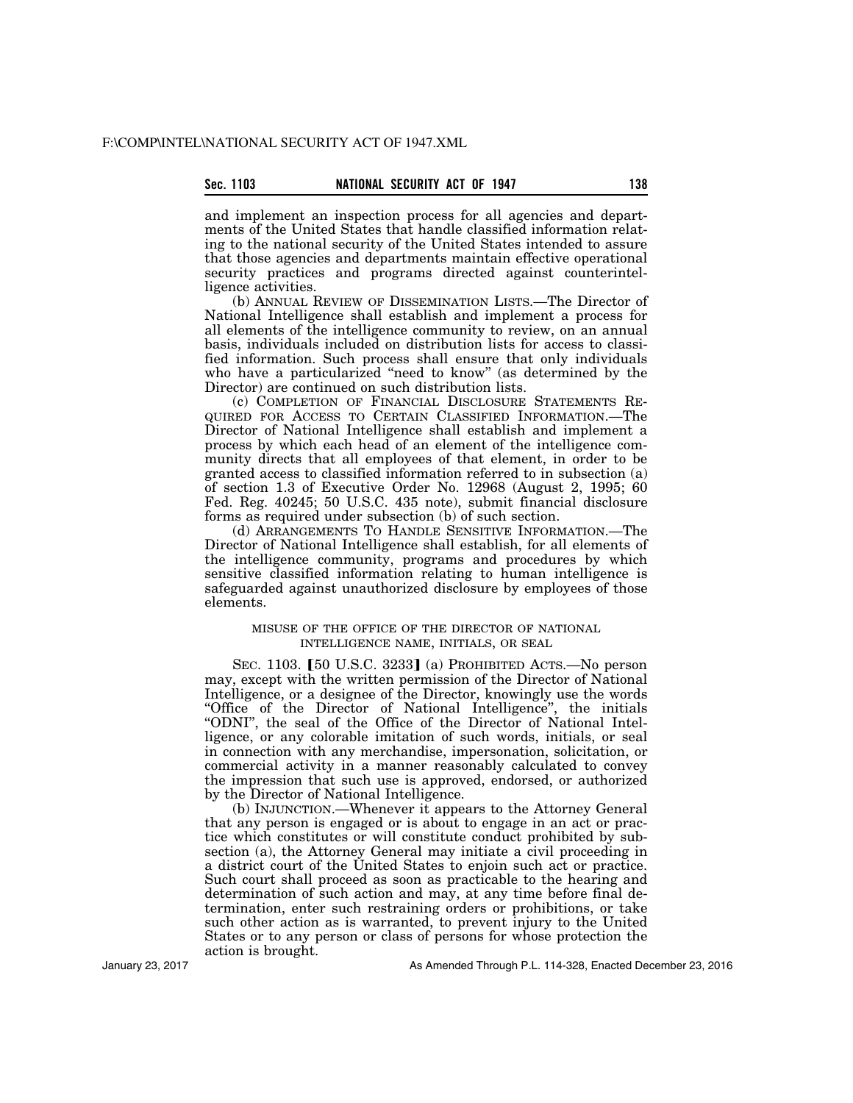## **Sec. 1103 NATIONAL SECURITY ACT OF 1947 138**

and implement an inspection process for all agencies and departments of the United States that handle classified information relating to the national security of the United States intended to assure that those agencies and departments maintain effective operational security practices and programs directed against counterintelligence activities.

(b) ANNUAL REVIEW OF DISSEMINATION LISTS.—The Director of National Intelligence shall establish and implement a process for all elements of the intelligence community to review, on an annual basis, individuals included on distribution lists for access to classified information. Such process shall ensure that only individuals who have a particularized "need to know" (as determined by the Director) are continued on such distribution lists.

(c) COMPLETION OF FINANCIAL DISCLOSURE STATEMENTS RE-QUIRED FOR ACCESS TO CERTAIN CLASSIFIED INFORMATION.—The Director of National Intelligence shall establish and implement a process by which each head of an element of the intelligence community directs that all employees of that element, in order to be granted access to classified information referred to in subsection (a) of section 1.3 of Executive Order No. 12968 (August 2, 1995; 60 Fed. Reg. 40245; 50 U.S.C. 435 note), submit financial disclosure forms as required under subsection (b) of such section.

(d) ARRANGEMENTS TO HANDLE SENSITIVE INFORMATION.—The Director of National Intelligence shall establish, for all elements of the intelligence community, programs and procedures by which sensitive classified information relating to human intelligence is safeguarded against unauthorized disclosure by employees of those elements.

## MISUSE OF THE OFFICE OF THE DIRECTOR OF NATIONAL INTELLIGENCE NAME, INITIALS, OR SEAL

SEC. 1103. [50 U.S.C. 3233] (a) PROHIBITED ACTS.—No person may, except with the written permission of the Director of National Intelligence, or a designee of the Director, knowingly use the words ''Office of the Director of National Intelligence'', the initials ''ODNI'', the seal of the Office of the Director of National Intelligence, or any colorable imitation of such words, initials, or seal in connection with any merchandise, impersonation, solicitation, or commercial activity in a manner reasonably calculated to convey the impression that such use is approved, endorsed, or authorized by the Director of National Intelligence.

(b) INJUNCTION.—Whenever it appears to the Attorney General that any person is engaged or is about to engage in an act or practice which constitutes or will constitute conduct prohibited by subsection (a), the Attorney General may initiate a civil proceeding in a district court of the United States to enjoin such act or practice. Such court shall proceed as soon as practicable to the hearing and determination of such action and may, at any time before final determination, enter such restraining orders or prohibitions, or take such other action as is warranted, to prevent injury to the United States or to any person or class of persons for whose protection the action is brought.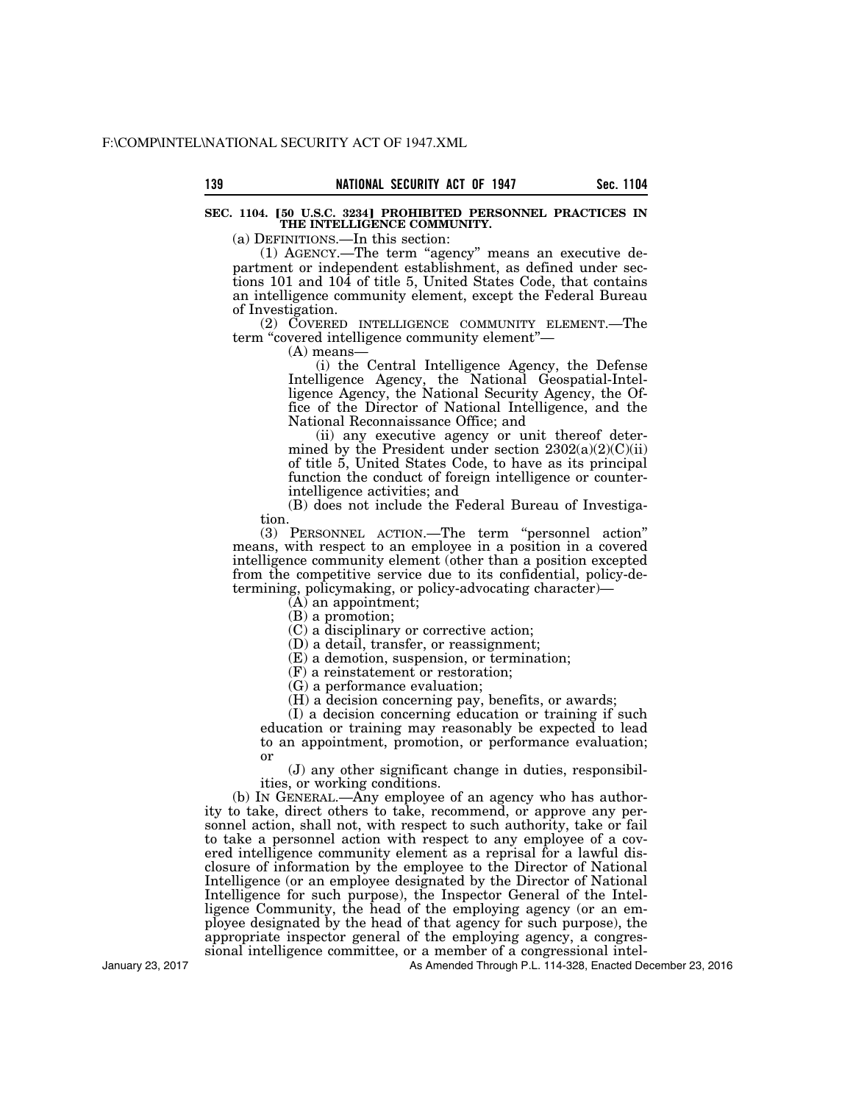## **SEC. 1104. [50 U.S.C. 3234] PROHIBITED PERSONNEL PRACTICES IN THE INTELLIGENCE COMMUNITY.**

(a) DEFINITIONS.—In this section:

(1) AGENCY.—The term ''agency'' means an executive department or independent establishment, as defined under sections 101 and 104 of title 5, United States Code, that contains an intelligence community element, except the Federal Bureau of Investigation.

(2) COVERED INTELLIGENCE COMMUNITY ELEMENT.—The term "covered intelligence community element"-

 $(A)$  means-

(i) the Central Intelligence Agency, the Defense Intelligence Agency, the National Geospatial-Intelligence Agency, the National Security Agency, the Office of the Director of National Intelligence, and the National Reconnaissance Office; and

(ii) any executive agency or unit thereof determined by the President under section  $2302(a)(2)(C)(ii)$ of title 5, United States Code, to have as its principal function the conduct of foreign intelligence or counterintelligence activities; and

(B) does not include the Federal Bureau of Investigation.

(3) PERSONNEL ACTION.—The term ''personnel action'' means, with respect to an employee in a position in a covered intelligence community element (other than a position excepted from the competitive service due to its confidential, policy-determining, policymaking, or policy-advocating character)—

 $\overline{A}$  an appointment;

(B) a promotion;

(C) a disciplinary or corrective action;

(D) a detail, transfer, or reassignment;

(E) a demotion, suspension, or termination;

(F) a reinstatement or restoration;

(G) a performance evaluation;

(H) a decision concerning pay, benefits, or awards;

(I) a decision concerning education or training if such education or training may reasonably be expected to lead to an appointment, promotion, or performance evaluation; or

(J) any other significant change in duties, responsibilities, or working conditions.

(b) IN GENERAL.—Any employee of an agency who has authority to take, direct others to take, recommend, or approve any personnel action, shall not, with respect to such authority, take or fail to take a personnel action with respect to any employee of a covered intelligence community element as a reprisal for a lawful disclosure of information by the employee to the Director of National Intelligence (or an employee designated by the Director of National Intelligence for such purpose), the Inspector General of the Intelligence Community, the head of the employing agency (or an employee designated by the head of that agency for such purpose), the appropriate inspector general of the employing agency, a congressional intelligence committee, or a member of a congressional intel-

As Amended Through P.L. 114-328, Enacted December 23, 2016